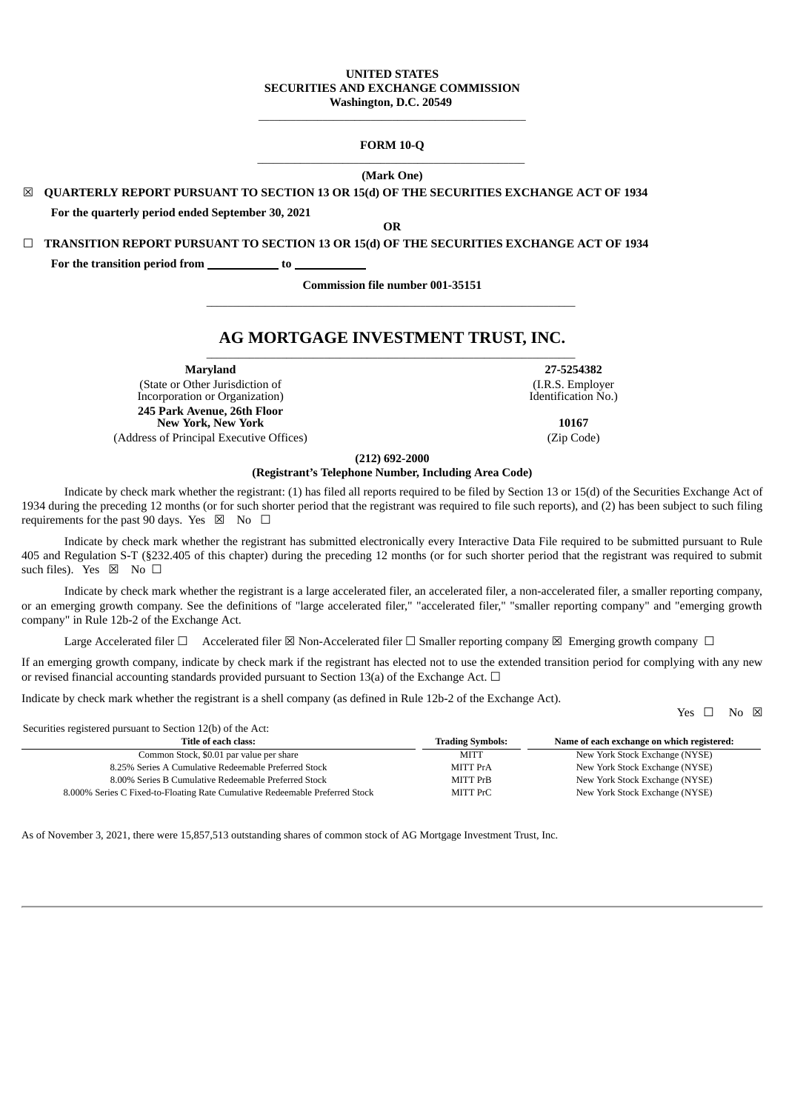#### **UNITED STATES SECURITIES AND EXCHANGE COMMISSION Washington, D.C. 20549**

\_\_\_\_\_\_\_\_\_\_\_\_\_\_\_\_\_\_\_\_\_\_\_\_\_\_\_\_\_\_\_\_\_\_\_\_\_\_\_\_\_\_\_\_\_\_\_\_\_\_

#### **FORM 10-Q** \_\_\_\_\_\_\_\_\_\_\_\_\_\_\_\_\_\_\_\_\_\_\_\_\_\_\_\_\_\_\_\_\_\_\_\_\_\_\_\_\_\_\_\_\_\_\_\_\_\_

**(Mark One)**

☒ **QUARTERLY REPORT PURSUANT TO SECTION 13 OR 15(d) OF THE SECURITIES EXCHANGE ACT OF 1934**

**For the quarterly period ended September 30, 2021**

**OR**

☐ **TRANSITION REPORT PURSUANT TO SECTION 13 OR 15(d) OF THE SECURITIES EXCHANGE ACT OF 1934 For the transition period from to**

> **Commission file number 001-35151** \_\_\_\_\_\_\_\_\_\_\_\_\_\_\_\_\_\_\_\_\_\_\_\_\_\_\_\_\_\_\_\_\_\_\_\_\_\_\_\_\_\_\_\_\_\_\_\_\_\_\_\_\_\_\_\_\_\_\_\_\_\_\_\_\_\_\_\_\_

# **AG MORTGAGE INVESTMENT TRUST, INC.** \_\_\_\_\_\_\_\_\_\_\_\_\_\_\_\_\_\_\_\_\_\_\_\_\_\_\_\_\_\_\_\_\_\_\_\_\_\_\_\_\_\_\_\_\_\_\_\_\_\_\_\_\_\_\_\_\_\_\_\_\_\_\_\_\_\_\_\_\_

**Maryland 27-5254382** (State or Other Jurisdiction of Incorporation or Organization) **245 Park Avenue, 26th Floor New York, New York 10167** (Address of Principal Executive Offices) (Zip Code)

(I.R.S. Employer Identification No.)

**(212) 692-2000**

#### **(Registrant's Telephone Number, Including Area Code)**

Indicate by check mark whether the registrant: (1) has filed all reports required to be filed by Section 13 or 15(d) of the Securities Exchange Act of 1934 during the preceding 12 months (or for such shorter period that the registrant was required to file such reports), and (2) has been subject to such filing requirements for the past 90 days. Yes  $\boxtimes$  No  $\Box$ 

Indicate by check mark whether the registrant has submitted electronically every Interactive Data File required to be submitted pursuant to Rule 405 and Regulation S-T (§232.405 of this chapter) during the preceding 12 months (or for such shorter period that the registrant was required to submit such files). Yes  $\boxtimes$  No  $\Box$ 

Indicate by check mark whether the registrant is a large accelerated filer, an accelerated filer, a non-accelerated filer, a smaller reporting company, or an emerging growth company. See the definitions of "large accelerated filer," "accelerated filer," "smaller reporting company" and "emerging growth company" in Rule 12b-2 of the Exchange Act.

Large Accelerated filer  $□$  Accelerated filer  $□$  Non-Accelerated filer  $□$  Smaller reporting company  $□$  Emerging growth company  $□$ 

If an emerging growth company, indicate by check mark if the registrant has elected not to use the extended transition period for complying with any new or revised financial accounting standards provided pursuant to Section 13(a) of the Exchange Act.  $\Box$ 

Indicate by check mark whether the registrant is a shell company (as defined in Rule 12b-2 of the Exchange Act).

| Securities registered pursuant to Section 12(b) of the Act:                  |                         |                                            |  |  |  |  |  |  |
|------------------------------------------------------------------------------|-------------------------|--------------------------------------------|--|--|--|--|--|--|
| Title of each class:                                                         | <b>Trading Symbols:</b> | Name of each exchange on which registered: |  |  |  |  |  |  |
| Common Stock, \$0.01 par value per share                                     | <b>MITT</b>             | New York Stock Exchange (NYSE)             |  |  |  |  |  |  |
| 8.25% Series A Cumulative Redeemable Preferred Stock                         | MITT PrA                | New York Stock Exchange (NYSE)             |  |  |  |  |  |  |
| 8.00% Series B Cumulative Redeemable Preferred Stock                         | MITT PrB                | New York Stock Exchange (NYSE)             |  |  |  |  |  |  |
| 8.000% Series C Fixed-to-Floating Rate Cumulative Redeemable Preferred Stock | MITT PrC                | New York Stock Exchange (NYSE)             |  |  |  |  |  |  |

As of November 3, 2021, there were 15,857,513 outstanding shares of common stock of AG Mortgage Investment Trust, Inc.

Yes □ No ⊠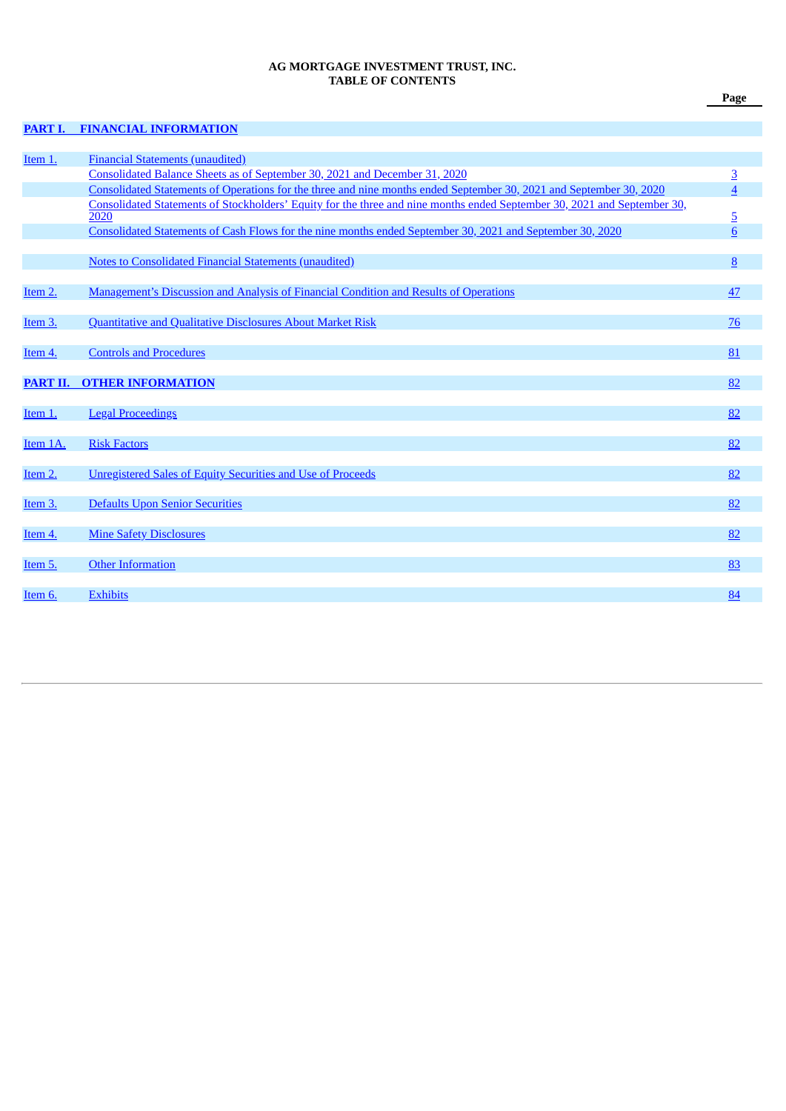# **AG MORTGAGE INVESTMENT TRUST, INC. TABLE OF CONTENTS**

# **PART I. FINANCIAL [INFORMATION](#page-1-0)**

<span id="page-1-0"></span>

| Item 1.         | <b>Financial Statements (unaudited)</b>                                                                                          |                  |
|-----------------|----------------------------------------------------------------------------------------------------------------------------------|------------------|
|                 | Consolidated Balance Sheets as of September 30, 2021 and December 31, 2020                                                       | $\overline{3}$   |
|                 | Consolidated Statements of Operations for the three and nine months ended September 30, 2021 and September 30, 2020              | $\overline{4}$   |
|                 | Consolidated Statements of Stockholders' Equity for the three and nine months ended September 30, 2021 and September 30,<br>2020 | $\overline{5}$   |
|                 | Consolidated Statements of Cash Flows for the nine months ended September 30, 2021 and September 30, 2020                        | $6 \overline{6}$ |
|                 |                                                                                                                                  |                  |
|                 | <b>Notes to Consolidated Financial Statements (unaudited)</b>                                                                    | $\underline{8}$  |
|                 |                                                                                                                                  |                  |
| Item 2.         | <b>Management's Discussion and Analysis of Financial Condition and Results of Operations</b>                                     | 47               |
|                 |                                                                                                                                  |                  |
| <u>Item 3.</u>  | Quantitative and Qualitative Disclosures About Market Risk                                                                       | $\overline{26}$  |
|                 |                                                                                                                                  |                  |
| Item 4.         | <b>Controls and Procedures</b>                                                                                                   | 81               |
|                 |                                                                                                                                  |                  |
| <b>PART II.</b> | <b>OTHER INFORMATION</b>                                                                                                         | 82               |
|                 |                                                                                                                                  |                  |
| Item 1.         | <b>Legal Proceedings</b>                                                                                                         | 82               |
|                 |                                                                                                                                  |                  |
| Item 1A.        | <b>Risk Factors</b>                                                                                                              | 82               |
|                 |                                                                                                                                  |                  |
| Item 2.         | <b>Unregistered Sales of Equity Securities and Use of Proceeds</b>                                                               | 82               |
|                 |                                                                                                                                  |                  |
| Item 3.         | <b>Defaults Upon Senior Securities</b>                                                                                           | 82               |
|                 |                                                                                                                                  |                  |
| Item 4.         | <b>Mine Safety Disclosures</b>                                                                                                   | 82               |
|                 |                                                                                                                                  |                  |
| Item 5.         | <b>Other Information</b>                                                                                                         | 83               |
|                 |                                                                                                                                  |                  |
| Item 6.         | <b>Exhibits</b>                                                                                                                  | 84               |

**Page**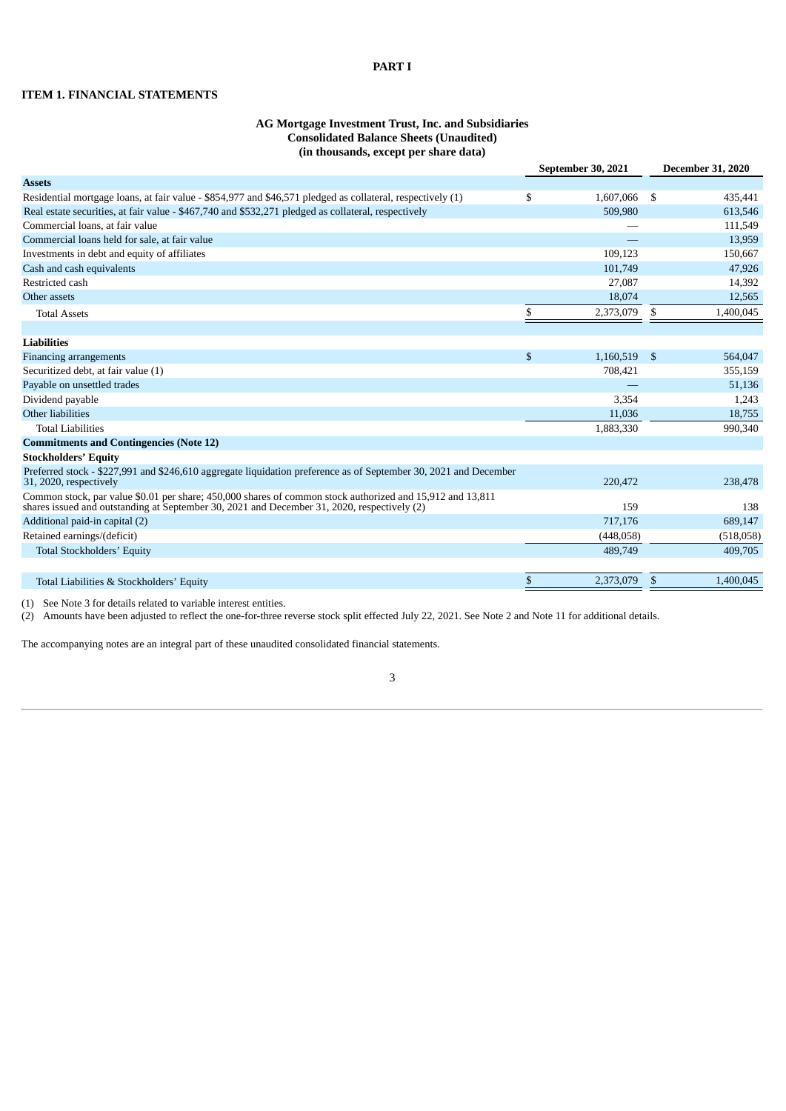# **PART I**

# <span id="page-2-1"></span><span id="page-2-0"></span>**ITEM 1. FINANCIAL STATEMENTS**

# **AG Mortgage Investment Trust, Inc. and Subsidiaries Consolidated Balance Sheets (Unaudited) (in thousands, except per share data)**

|                                                                                                                                                                                                          | September 30, 2021 |      | <b>December 31, 2020</b> |
|----------------------------------------------------------------------------------------------------------------------------------------------------------------------------------------------------------|--------------------|------|--------------------------|
| <b>Assets</b>                                                                                                                                                                                            |                    |      |                          |
| Residential mortgage loans, at fair value - \$854,977 and \$46,571 pledged as collateral, respectively (1)                                                                                               | \$<br>1,607,066    | - \$ | 435,441                  |
| Real estate securities, at fair value - \$467,740 and \$532,271 pledged as collateral, respectively                                                                                                      | 509,980            |      | 613,546                  |
| Commercial loans, at fair value                                                                                                                                                                          |                    |      | 111,549                  |
| Commercial loans held for sale, at fair value                                                                                                                                                            |                    |      | 13,959                   |
| Investments in debt and equity of affiliates                                                                                                                                                             | 109,123            |      | 150,667                  |
| Cash and cash equivalents                                                                                                                                                                                | 101,749            |      | 47,926                   |
| Restricted cash                                                                                                                                                                                          | 27,087             |      | 14,392                   |
| Other assets                                                                                                                                                                                             | 18.074             |      | 12,565                   |
| <b>Total Assets</b>                                                                                                                                                                                      | \$<br>2,373,079    | \$   | 1,400,045                |
|                                                                                                                                                                                                          |                    |      |                          |
| <b>Liabilities</b>                                                                                                                                                                                       |                    |      |                          |
| <b>Financing arrangements</b>                                                                                                                                                                            | \$<br>1,160,519    | - \$ | 564,047                  |
| Securitized debt, at fair value (1)                                                                                                                                                                      | 708,421            |      | 355,159                  |
| Payable on unsettled trades                                                                                                                                                                              |                    |      | 51,136                   |
| Dividend payable                                                                                                                                                                                         | 3,354              |      | 1,243                    |
| Other liabilities                                                                                                                                                                                        | 11,036             |      | 18,755                   |
| <b>Total Liabilities</b>                                                                                                                                                                                 | 1,883,330          |      | 990,340                  |
| <b>Commitments and Contingencies (Note 12)</b>                                                                                                                                                           |                    |      |                          |
| <b>Stockholders' Equity</b>                                                                                                                                                                              |                    |      |                          |
| Preferred stock - \$227,991 and \$246,610 aggregate liquidation preference as of September 30, 2021 and December<br>31, 2020, respectively                                                               | 220,472            |      | 238,478                  |
| Common stock, par value \$0.01 per share; 450,000 shares of common stock authorized and 15,912 and 13,811<br>shares issued and outstanding at September 30, 2021 and December 31, 2020, respectively (2) | 159                |      | 138                      |
| Additional paid-in capital (2)                                                                                                                                                                           | 717,176            |      | 689,147                  |
| Retained earnings/(deficit)                                                                                                                                                                              | (448, 058)         |      | (518,058)                |
| Total Stockholders' Equity                                                                                                                                                                               | 489,749            |      | 409,705                  |
|                                                                                                                                                                                                          |                    |      |                          |
| Total Liabilities & Stockholders' Equity                                                                                                                                                                 | \$<br>2,373,079    | \$   | 1,400,045                |

3

(1) See Note 3 for details related to variable interest entities.

(2) Amounts have been adjusted to reflect the one-for-three reverse stock split effected July 22, 2021. See Note 2 and Note 11 for additional details.

<span id="page-2-2"></span>The accompanying notes are an integral part of these unaudited consolidated financial statements.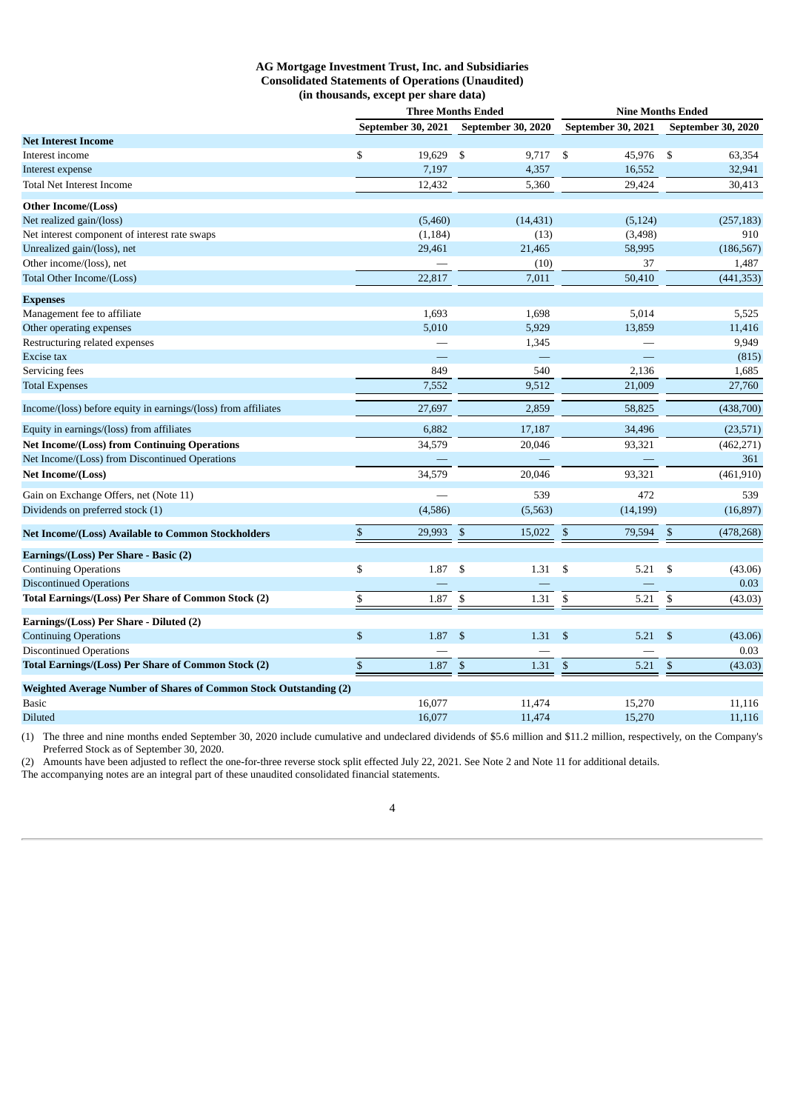# **AG Mortgage Investment Trust, Inc. and Subsidiaries Consolidated Statements of Operations (Unaudited) (in thousands, except per share data)**

|                                                                   |              |                          | <b>Three Months Ended</b> |           |                    | <b>Nine Months Ended</b> |                           |                    |  |
|-------------------------------------------------------------------|--------------|--------------------------|---------------------------|-----------|--------------------|--------------------------|---------------------------|--------------------|--|
|                                                                   |              | September 30, 2021       | September 30, 2020        |           | September 30, 2021 |                          |                           | September 30, 2020 |  |
| <b>Net Interest Income</b>                                        |              |                          |                           |           |                    |                          |                           |                    |  |
| Interest income                                                   | \$           | 19,629                   | \$                        | 9,717     | -\$                | 45,976                   | \$                        | 63,354             |  |
| Interest expense                                                  |              | 7,197                    |                           | 4,357     |                    | 16,552                   |                           | 32,941             |  |
| <b>Total Net Interest Income</b>                                  |              | 12,432                   |                           | 5,360     |                    | 29,424                   |                           | 30,413             |  |
| <b>Other Income/(Loss)</b>                                        |              |                          |                           |           |                    |                          |                           |                    |  |
| Net realized gain/(loss)                                          |              | (5,460)                  |                           | (14, 431) |                    | (5, 124)                 |                           | (257, 183)         |  |
| Net interest component of interest rate swaps                     |              | (1, 184)                 |                           | (13)      |                    | (3, 498)                 |                           | 910                |  |
| Unrealized gain/(loss), net                                       |              | 29,461                   |                           | 21,465    |                    | 58,995                   |                           | (186, 567)         |  |
| Other income/(loss), net                                          |              |                          |                           | (10)      |                    | 37                       |                           | 1,487              |  |
| Total Other Income/(Loss)                                         |              | 22,817                   |                           | 7,011     |                    | 50,410                   |                           | (441, 353)         |  |
| <b>Expenses</b>                                                   |              |                          |                           |           |                    |                          |                           |                    |  |
| Management fee to affiliate                                       |              | 1,693                    |                           | 1,698     |                    | 5,014                    |                           | 5,525              |  |
| Other operating expenses                                          |              | 5,010                    |                           | 5,929     |                    | 13,859                   |                           | 11,416             |  |
| Restructuring related expenses                                    |              | $\overline{\phantom{0}}$ |                           | 1,345     |                    |                          |                           | 9,949              |  |
| Excise tax                                                        |              |                          |                           |           |                    |                          |                           | (815)              |  |
| Servicing fees                                                    |              | 849                      |                           | 540       |                    | 2,136                    |                           | 1,685              |  |
| <b>Total Expenses</b>                                             |              | 7,552                    |                           | 9,512     |                    | 21,009                   |                           | 27,760             |  |
| Income/(loss) before equity in earnings/(loss) from affiliates    |              | 27,697                   |                           | 2,859     |                    | 58,825                   |                           | (438,700)          |  |
| Equity in earnings/(loss) from affiliates                         |              | 6,882                    |                           | 17,187    |                    | 34,496                   |                           | (23, 571)          |  |
| <b>Net Income/(Loss) from Continuing Operations</b>               |              | 34,579                   |                           | 20,046    |                    | 93,321                   |                           | (462, 271)         |  |
| Net Income/(Loss) from Discontinued Operations                    |              |                          |                           |           |                    |                          |                           | 361                |  |
| Net Income/(Loss)                                                 |              | 34,579                   |                           | 20,046    |                    | 93,321                   |                           | (461, 910)         |  |
| Gain on Exchange Offers, net (Note 11)                            |              |                          |                           | 539       |                    | 472                      |                           | 539                |  |
| Dividends on preferred stock (1)                                  |              | (4,586)                  |                           | (5, 563)  |                    | (14, 199)                |                           | (16, 897)          |  |
| <b>Net Income/(Loss) Available to Common Stockholders</b>         | $\mathbb{S}$ | 29,993                   | $\sqrt[6]{3}$             | 15,022    | $\mathbb{S}$       | 79,594                   | $\boldsymbol{\mathsf{S}}$ | (478, 268)         |  |
| Earnings/(Loss) Per Share - Basic (2)                             |              |                          |                           |           |                    |                          |                           |                    |  |
| <b>Continuing Operations</b>                                      | \$           | 1.87                     | \$                        | 1.31      | \$                 | 5.21                     | \$                        | (43.06)            |  |
| <b>Discontinued Operations</b>                                    |              |                          |                           |           |                    |                          |                           | 0.03               |  |
| Total Earnings/(Loss) Per Share of Common Stock (2)               | \$           | 1.87                     | \$                        | 1.31      | \$                 | 5.21                     | \$                        | (43.03)            |  |
| Earnings/(Loss) Per Share - Diluted (2)                           |              |                          |                           |           |                    |                          |                           |                    |  |
| <b>Continuing Operations</b>                                      | \$           | 1.87                     | \$                        | 1.31      | $\mathfrak{s}$     | 5.21                     | $\mathfrak{s}$            | (43.06)            |  |
| <b>Discontinued Operations</b>                                    |              |                          |                           |           |                    |                          |                           | 0.03               |  |
| Total Earnings/(Loss) Per Share of Common Stock (2)               | \$           | 1.87                     | \$                        | 1.31      | $\mathfrak{s}$     | 5.21                     | $\mathfrak{s}$            | (43.03)            |  |
| Weighted Average Number of Shares of Common Stock Outstanding (2) |              |                          |                           |           |                    |                          |                           |                    |  |
| <b>Basic</b>                                                      |              | 16,077                   |                           | 11,474    |                    | 15,270                   |                           | 11,116             |  |
| <b>Diluted</b>                                                    |              | 16,077                   |                           | 11,474    |                    | 15,270                   |                           | 11,116             |  |
|                                                                   |              |                          |                           |           |                    |                          |                           |                    |  |

(1) The three and nine months ended September 30, 2020 include cumulative and undeclared dividends of \$5.6 million and \$11.2 million, respectively, on the Company's Preferred Stock as of September 30, 2020.

(2) Amounts have been adjusted to reflect the one-for-three reverse stock split effected July 22, 2021. See Note 2 and Note 11 for additional details.

<span id="page-3-0"></span>The accompanying notes are an integral part of these unaudited consolidated financial statements.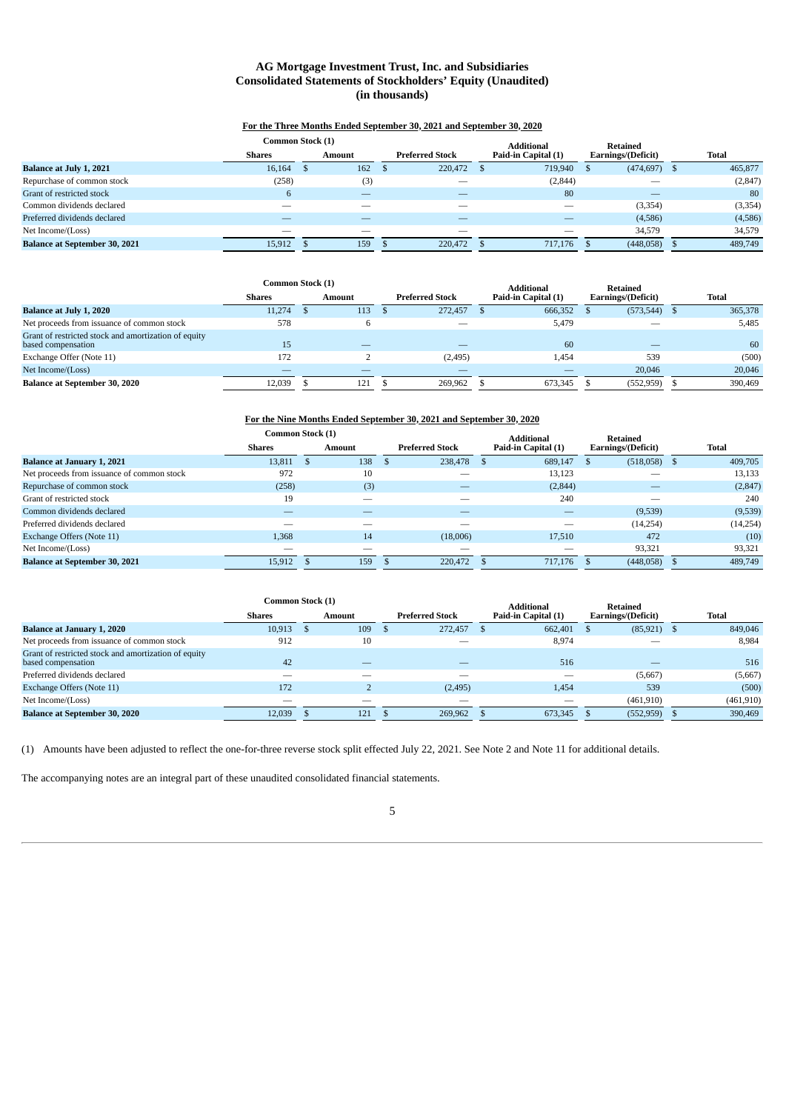# **AG Mortgage Investment Trust, Inc. and Subsidiaries Consolidated Statements of Stockholders' Equity (Unaudited) (in thousands)**

## **For the Three Months Ended September 30, 2021 and September 30, 2020**

|                                      | <b>Common Stock (1)</b> |     |        |      |                          |  | <b>Additional</b>   | <b>Retained</b> |                    |              |
|--------------------------------------|-------------------------|-----|--------|------|--------------------------|--|---------------------|-----------------|--------------------|--------------|
|                                      | <b>Shares</b>           |     | Amount |      | <b>Preferred Stock</b>   |  | Paid-in Capital (1) |                 | Earnings/(Deficit) | <b>Total</b> |
| <b>Balance at July 1, 2021</b>       | 16.164                  | - 5 | 162    | - 56 | 220,472                  |  | 719,940             | Я               | $(474, 697)$ \$    | 465,877      |
| Repurchase of common stock           | (258)                   |     | (3)    |      | $\overline{\phantom{a}}$ |  | (2,844)             |                 |                    | (2, 847)     |
| Grant of restricted stock            | 6                       |     |        |      |                          |  | 80                  |                 |                    | 80           |
| Common dividends declared            |                         |     |        |      |                          |  |                     |                 | (3,354)            | (3, 354)     |
| Preferred dividends declared         |                         |     |        |      |                          |  |                     |                 | (4,586)            | (4,586)      |
| Net Income/(Loss)                    |                         |     |        |      | __                       |  |                     |                 | 34,579             | 34,579       |
| <b>Balance at September 30, 2021</b> | 15,912                  |     | 159    |      | 220,472                  |  | 717,176             |                 | (448,058)          | 489,749      |

|                                                                            |               | Common Stock (1) |        |  |                        |  |                                          | Retained |                    |  |         |
|----------------------------------------------------------------------------|---------------|------------------|--------|--|------------------------|--|------------------------------------------|----------|--------------------|--|---------|
|                                                                            | <b>Shares</b> |                  | Amount |  | <b>Preferred Stock</b> |  | <b>Additional</b><br>Paid-in Capital (1) |          | Earnings/(Deficit) |  | Total   |
| <b>Balance at July 1, 2020</b>                                             | 11,274        |                  | 113    |  | 272,457                |  | 666,352                                  |          | (573,544)          |  | 365,378 |
| Net proceeds from issuance of common stock                                 | 578           |                  |        |  |                        |  | 5,479                                    |          |                    |  | 5,485   |
| Grant of restricted stock and amortization of equity<br>based compensation | 15            |                  |        |  |                        |  | 60                                       |          |                    |  | 60      |
| Exchange Offer (Note 11)                                                   | 172           |                  |        |  | (2, 495)               |  | 1,454                                    |          | 539                |  | (500)   |
| Net Income/(Loss)                                                          |               |                  |        |  |                        |  |                                          |          | 20,046             |  | 20,046  |
| <b>Balance at September 30, 2020</b>                                       | 12,039        |                  | 121    |  | 269,962                |  | 673.345                                  |          | (552, 959)         |  | 390,469 |

### **For the Nine Months Ended September 30, 2021 and September 30, 2020**

|                                            |               | Common Stock (1) |        |  |                        |  | <b>Additional</b>   |                    | Retained   |       |           |
|--------------------------------------------|---------------|------------------|--------|--|------------------------|--|---------------------|--------------------|------------|-------|-----------|
|                                            | <b>Shares</b> |                  | Amount |  | <b>Preferred Stock</b> |  | Paid-in Capital (1) | Earnings/(Deficit) |            | Total |           |
| <b>Balance at January 1, 2021</b>          | 13,811        |                  | 138    |  | 238,478 \$             |  | 689,147             | S                  | (518,058)  | -5    | 409,705   |
| Net proceeds from issuance of common stock | 972           |                  | 10     |  |                        |  | 13,123              |                    |            |       | 13,133    |
| Repurchase of common stock                 | (258)         |                  | (3)    |  |                        |  | (2,844)             |                    |            |       | (2,847)   |
| Grant of restricted stock                  | 19            |                  |        |  |                        |  | 240                 |                    |            |       | 240       |
| Common dividends declared                  |               |                  |        |  |                        |  |                     |                    | (9,539)    |       | (9,539)   |
| Preferred dividends declared               |               |                  |        |  |                        |  |                     |                    | (14,254)   |       | (14, 254) |
| Exchange Offers (Note 11)                  | 1,368         |                  | 14     |  | (18,006)               |  | 17,510              |                    | 472        |       | (10)      |
| Net Income/(Loss)                          |               |                  |        |  |                        |  |                     |                    | 93,321     |       | 93,321    |
| <b>Balance at September 30, 2021</b>       | 15.912        |                  | 159    |  | 220,472                |  | 717,176             |                    | (448, 058) |       | 489,749   |

|                                                                            |               | Common Stock (1) |        |  |                        |  |                                          | <b>Retained</b> |                    |  |            |
|----------------------------------------------------------------------------|---------------|------------------|--------|--|------------------------|--|------------------------------------------|-----------------|--------------------|--|------------|
|                                                                            | <b>Shares</b> |                  | Amount |  | <b>Preferred Stock</b> |  | <b>Additional</b><br>Paid-in Capital (1) |                 | Earnings/(Deficit) |  | Total      |
| <b>Balance at January 1, 2020</b>                                          | 10,913        |                  | 109    |  | 272,457                |  | 662,401                                  |                 | (85, 921)          |  | 849,046    |
| Net proceeds from issuance of common stock                                 | 912           |                  | 10     |  |                        |  | 8,974                                    |                 |                    |  | 8,984      |
| Grant of restricted stock and amortization of equity<br>based compensation | 42            |                  |        |  |                        |  | 516                                      |                 |                    |  | 516        |
| Preferred dividends declared                                               |               |                  |        |  |                        |  |                                          |                 | (5,667)            |  | (5,667)    |
| Exchange Offers (Note 11)                                                  | 172           |                  |        |  | (2, 495)               |  | 1,454                                    |                 | 539                |  | (500)      |
| Net Income/(Loss)                                                          |               |                  |        |  |                        |  |                                          |                 | (461,910)          |  | (461, 910) |
| <b>Balance at September 30, 2020</b>                                       | 12.039        |                  | 121    |  | 269,962                |  | 673,345                                  |                 | (552, 959)         |  | 390,469    |

(1) Amounts have been adjusted to reflect the one-for-three reverse stock split effected July 22, 2021. See Note 2 and Note 11 for additional details.

<span id="page-4-0"></span>The accompanying notes are an integral part of these unaudited consolidated financial statements.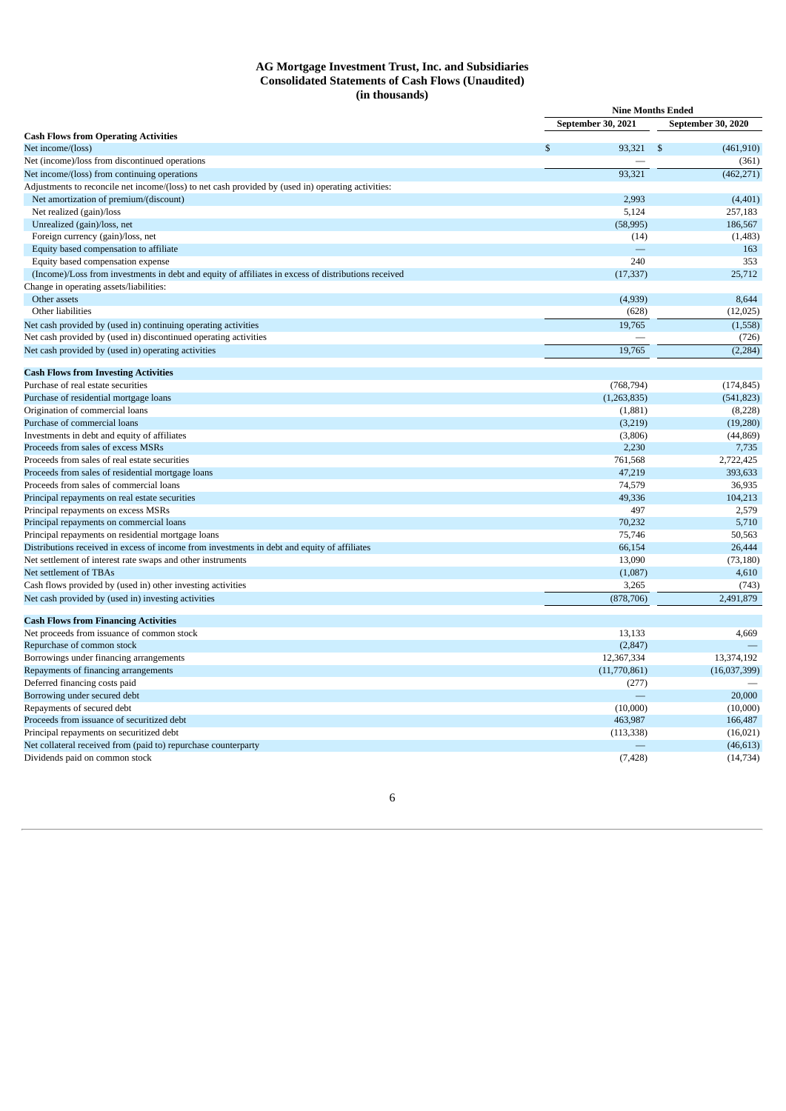### **AG Mortgage Investment Trust, Inc. and Subsidiaries Consolidated Statements of Cash Flows (Unaudited) (in thousands)**

|                                                                                                     |                        | <b>Nine Months Ended</b>     |
|-----------------------------------------------------------------------------------------------------|------------------------|------------------------------|
|                                                                                                     | September 30, 2021     | September 30, 2020           |
| <b>Cash Flows from Operating Activities</b>                                                         |                        |                              |
| Net income/(loss)                                                                                   | $\mathbb{S}$<br>93,321 | $\mathfrak{s}$<br>(461, 910) |
| Net (income)/loss from discontinued operations                                                      |                        | (361)                        |
| Net income/(loss) from continuing operations                                                        | 93.321                 | (462, 271)                   |
| Adjustments to reconcile net income/(loss) to net cash provided by (used in) operating activities:  |                        |                              |
| Net amortization of premium/(discount)                                                              | 2,993                  | (4, 401)                     |
| Net realized (gain)/loss                                                                            | 5,124                  | 257,183                      |
| Unrealized (gain)/loss, net                                                                         | (58, 995)              | 186,567                      |
| Foreign currency (gain)/loss, net                                                                   | (14)                   | (1,483)                      |
| Equity based compensation to affiliate                                                              |                        | 163                          |
| Equity based compensation expense                                                                   | 240                    | 353                          |
| (Income)/Loss from investments in debt and equity of affiliates in excess of distributions received | (17, 337)              | 25,712                       |
| Change in operating assets/liabilities:                                                             |                        |                              |
| Other assets                                                                                        | (4,939)                | 8,644                        |
| Other liabilities                                                                                   | (628)                  | (12,025)                     |
| Net cash provided by (used in) continuing operating activities                                      | 19,765                 | (1,558)                      |
| Net cash provided by (used in) discontinued operating activities                                    |                        | (726)                        |
| Net cash provided by (used in) operating activities                                                 | 19,765                 | (2, 284)                     |
|                                                                                                     |                        |                              |
| <b>Cash Flows from Investing Activities</b>                                                         |                        |                              |
| Purchase of real estate securities                                                                  | (768, 794)             | (174, 845)                   |
| Purchase of residential mortgage loans                                                              | (1,263,835)            | (541, 823)                   |
| Origination of commercial loans                                                                     | (1,881)                | (8,228)                      |
| Purchase of commercial loans                                                                        | (3,219)                | (19,280)                     |
| Investments in debt and equity of affiliates                                                        | (3,806)                | (44, 869)                    |
| Proceeds from sales of excess MSRs                                                                  | 2,230                  | 7,735                        |
| Proceeds from sales of real estate securities                                                       | 761,568                | 2,722,425                    |
| Proceeds from sales of residential mortgage loans                                                   | 47,219                 | 393,633                      |
| Proceeds from sales of commercial loans                                                             | 74,579                 | 36,935                       |
| Principal repayments on real estate securities                                                      | 49,336                 | 104,213                      |
| Principal repayments on excess MSRs                                                                 | 497                    | 2,579                        |
| Principal repayments on commercial loans                                                            | 70,232                 | 5,710                        |
| Principal repayments on residential mortgage loans                                                  | 75,746                 | 50,563                       |
| Distributions received in excess of income from investments in debt and equity of affiliates        | 66,154                 | 26,444                       |
| Net settlement of interest rate swaps and other instruments                                         | 13,090                 | (73, 180)                    |
| Net settlement of TBAs                                                                              | (1,087)                | 4,610                        |
| Cash flows provided by (used in) other investing activities                                         | 3,265                  | (743)                        |
| Net cash provided by (used in) investing activities                                                 | (878, 706)             | 2,491,879                    |
| <b>Cash Flows from Financing Activities</b>                                                         |                        |                              |
| Net proceeds from issuance of common stock                                                          | 13,133                 | 4,669                        |
| Repurchase of common stock                                                                          | (2, 847)               |                              |
| Borrowings under financing arrangements                                                             | 12,367,334             | 13,374,192                   |
| Repayments of financing arrangements                                                                | (11,770,861)           | (16,037,399)                 |
| Deferred financing costs paid                                                                       | (277)                  |                              |
| Borrowing under secured debt                                                                        |                        | 20,000                       |
| Repayments of secured debt                                                                          | (10,000)               | (10,000)                     |
| Proceeds from issuance of securitized debt                                                          | 463,987                | 166,487                      |
| Principal repayments on securitized debt                                                            | (113, 338)             | (16,021)                     |
| Net collateral received from (paid to) repurchase counterparty                                      |                        | (46, 613)                    |
| Dividends paid on common stock                                                                      | (7, 428)               | (14, 734)                    |
|                                                                                                     |                        |                              |

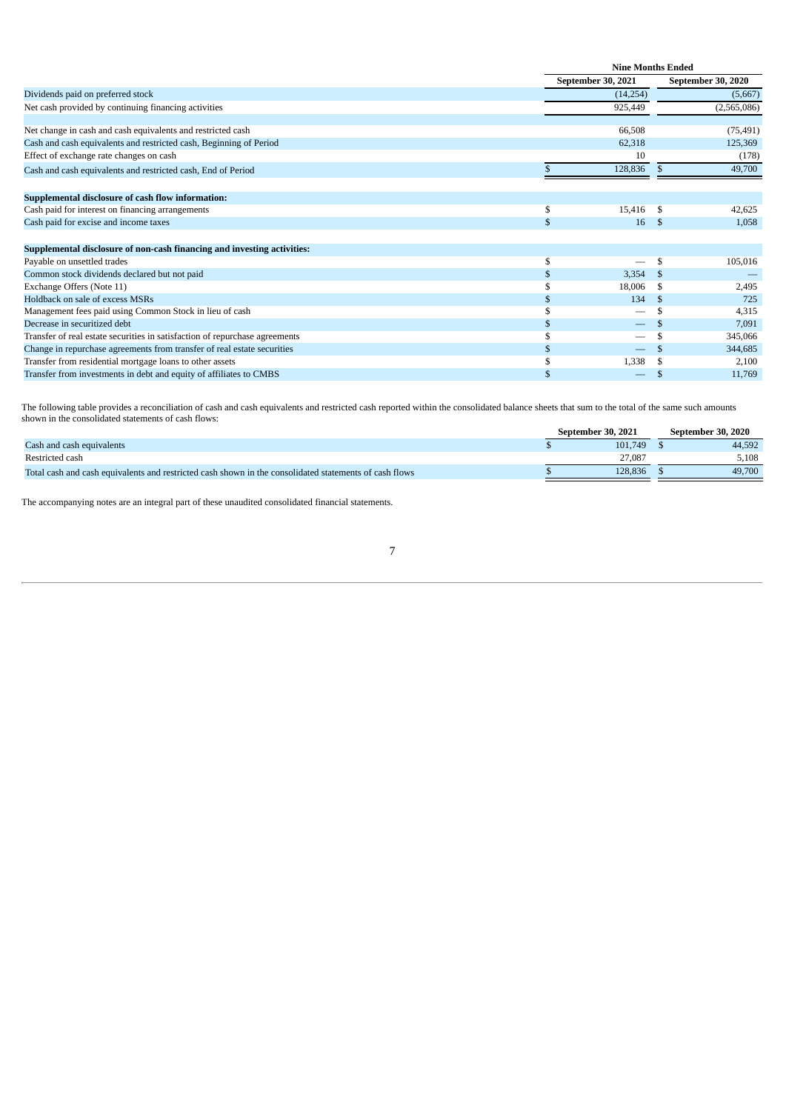| <b>Nine Months Ended</b>  |                                                |  |
|---------------------------|------------------------------------------------|--|
| <b>September 30, 2021</b> | September 30, 2020                             |  |
| (14,254)                  | (5,667)                                        |  |
| 925,449                   | (2,565,086)                                    |  |
|                           |                                                |  |
|                           | (75, 491)                                      |  |
|                           | 125,369                                        |  |
| 10                        | (178)                                          |  |
| 128,836                   | 49,700<br>-S                                   |  |
|                           |                                                |  |
|                           |                                                |  |
| 15,416                    | -\$<br>42,625                                  |  |
| 16                        | -\$<br>1,058                                   |  |
|                           |                                                |  |
| $\overline{\phantom{0}}$  | .S<br>105,016                                  |  |
| 3,354                     | -S                                             |  |
| 18,006                    | 2,495                                          |  |
| 134                       | 725                                            |  |
|                           | 4,315                                          |  |
| $\overline{\phantom{0}}$  | 7,091                                          |  |
| $\overline{\phantom{0}}$  | 345,066                                        |  |
|                           | 344,685                                        |  |
| 1,338                     | 2,100                                          |  |
|                           | 11,769                                         |  |
|                           | 66,508<br>62,318<br>\$<br>\$<br>\$<br>\$<br>\$ |  |

The following table provides a reconciliation of cash and cash equivalents and restricted cash reported within the consolidated balance sheets that sum to the total of the same such amounts shown in the consolidated statements of cash flows:

|                                                                                                        | September 30, 2021 | September 30, 2020 |
|--------------------------------------------------------------------------------------------------------|--------------------|--------------------|
| Cash and cash equivalents                                                                              | 101.749            | 44,592             |
| Restricted cash                                                                                        | 27,087             | 5.108              |
| Total cash and cash equivalents and restricted cash shown in the consolidated statements of cash flows | 128.836            | 49,700             |
|                                                                                                        |                    |                    |

<span id="page-6-0"></span>The accompanying notes are an integral part of these unaudited consolidated financial statements.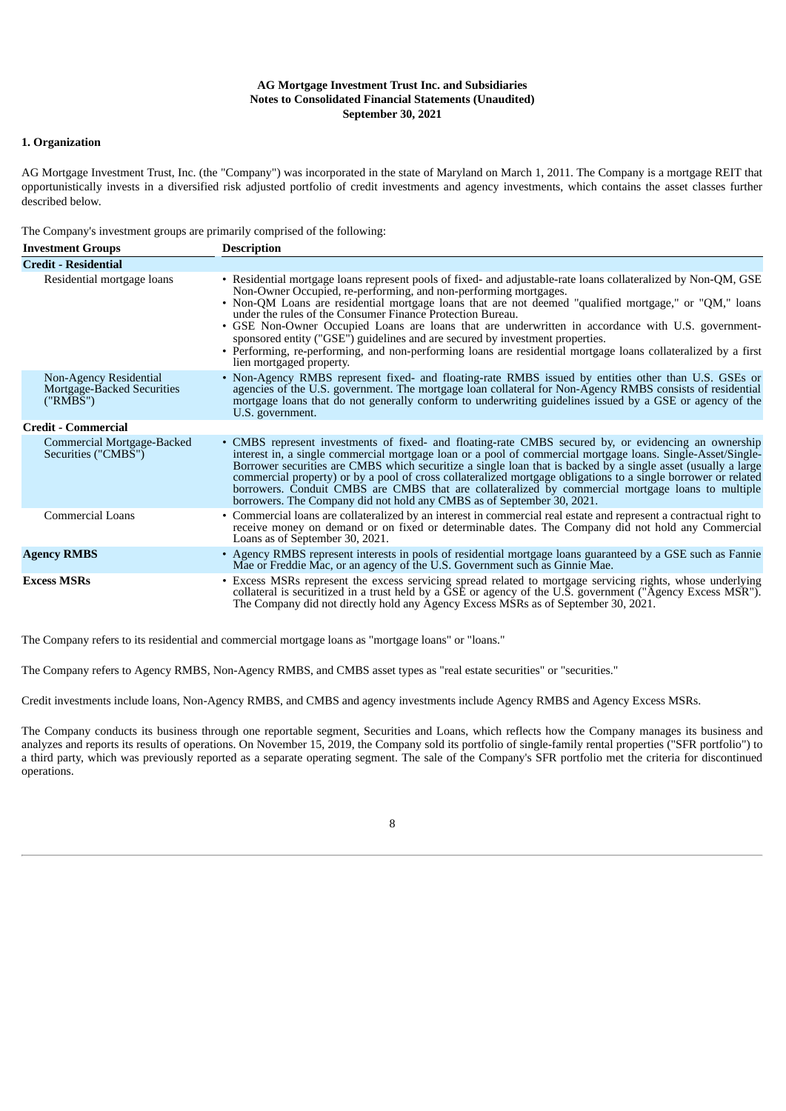### **1. Organization**

AG Mortgage Investment Trust, Inc. (the "Company") was incorporated in the state of Maryland on March 1, 2011. The Company is a mortgage REIT that opportunistically invests in a diversified risk adjusted portfolio of credit investments and agency investments, which contains the asset classes further described below.

The Company's investment groups are primarily comprised of the following:

| <b>Investment Groups</b>                                         | <b>Description</b>                                                                                                                                                                                                                                                                                                                                                                                                                                                                                                                                                                                                                                                                              |
|------------------------------------------------------------------|-------------------------------------------------------------------------------------------------------------------------------------------------------------------------------------------------------------------------------------------------------------------------------------------------------------------------------------------------------------------------------------------------------------------------------------------------------------------------------------------------------------------------------------------------------------------------------------------------------------------------------------------------------------------------------------------------|
| <b>Credit - Residential</b>                                      |                                                                                                                                                                                                                                                                                                                                                                                                                                                                                                                                                                                                                                                                                                 |
| Residential mortgage loans                                       | • Residential mortgage loans represent pools of fixed- and adjustable-rate loans collateralized by Non-QM, GSE<br>Non-Owner Occupied, re-performing, and non-performing mortgages.<br>• Non-QM Loans are residential mortgage loans that are not deemed "qualified mortgage," or "QM," loans<br>under the rules of the Consumer Finance Protection Bureau.<br>• GSE Non-Owner Occupied Loans are loans that are underwritten in accordance with U.S. government-<br>sponsored entity ("GSE") guidelines and are secured by investment properties.<br>• Performing, re-performing, and non-performing loans are residential mortgage loans collateralized by a first<br>lien mortgaged property. |
| Non-Agency Residential<br>Mortgage-Backed Securities<br>("RMBS") | • Non-Agency RMBS represent fixed- and floating-rate RMBS issued by entities other than U.S. GSEs or<br>agencies of the U.S. government. The mortgage loan collateral for Non-Agency RMBS consists of residential<br>mortgage loans that do not generally conform to underwriting guidelines issued by a GSE or agency of the<br>U.S. government.                                                                                                                                                                                                                                                                                                                                               |
| <b>Credit - Commercial</b>                                       |                                                                                                                                                                                                                                                                                                                                                                                                                                                                                                                                                                                                                                                                                                 |
| <b>Commercial Mortgage-Backed</b><br>Securities ("CMBS")         | • CMBS represent investments of fixed- and floating-rate CMBS secured by, or evidencing an ownership<br>interest in, a single commercial mortgage loan or a pool of commercial mortgage loans. Single-Asset/Single-<br>Borrower securities are CMBS which securitize a single loan that is backed by a single asset (usually a large<br>commercial property) or by a pool of cross collateralized mortgage obligations to a single borrower or related<br>borrowers. Conduit CMBS are CMBS that are collateralized by commercial mortgage loans to multiple<br>borrowers. The Company did not hold any CMBS as of September 30, 2021.                                                           |
| Commercial Loans                                                 | Commercial loans are collateralized by an interest in commercial real estate and represent a contractual right to<br>٠<br>receive money on demand or on fixed or determinable dates. The Company did not hold any Commercial<br>Loans as of September 30, 2021.                                                                                                                                                                                                                                                                                                                                                                                                                                 |
| <b>Agency RMBS</b>                                               | • Agency RMBS represent interests in pools of residential mortgage loans guaranteed by a GSE such as Fannie<br>Mae or Freddie Mac, or an agency of the U.S. Government such as Ginnie Mae.                                                                                                                                                                                                                                                                                                                                                                                                                                                                                                      |
| <b>Excess MSRs</b>                                               | • Excess MSRs represent the excess servicing spread related to mortgage servicing rights, whose underlying<br>collateral is securitized in a trust held by a GSE or agency of the U.S. government ("Agency Excess MSR").<br>The Company did not directly hold any Agency Excess MSRs as of September 30, 2021.                                                                                                                                                                                                                                                                                                                                                                                  |

The Company refers to its residential and commercial mortgage loans as "mortgage loans" or "loans."

The Company refers to Agency RMBS, Non-Agency RMBS, and CMBS asset types as "real estate securities" or "securities."

Credit investments include loans, Non-Agency RMBS, and CMBS and agency investments include Agency RMBS and Agency Excess MSRs.

The Company conducts its business through one reportable segment, Securities and Loans, which reflects how the Company manages its business and analyzes and reports its results of operations. On November 15, 2019, the Company sold its portfolio of single-family rental properties ("SFR portfolio") to a third party, which was previously reported as a separate operating segment. The sale of the Company's SFR portfolio met the criteria for discontinued operations.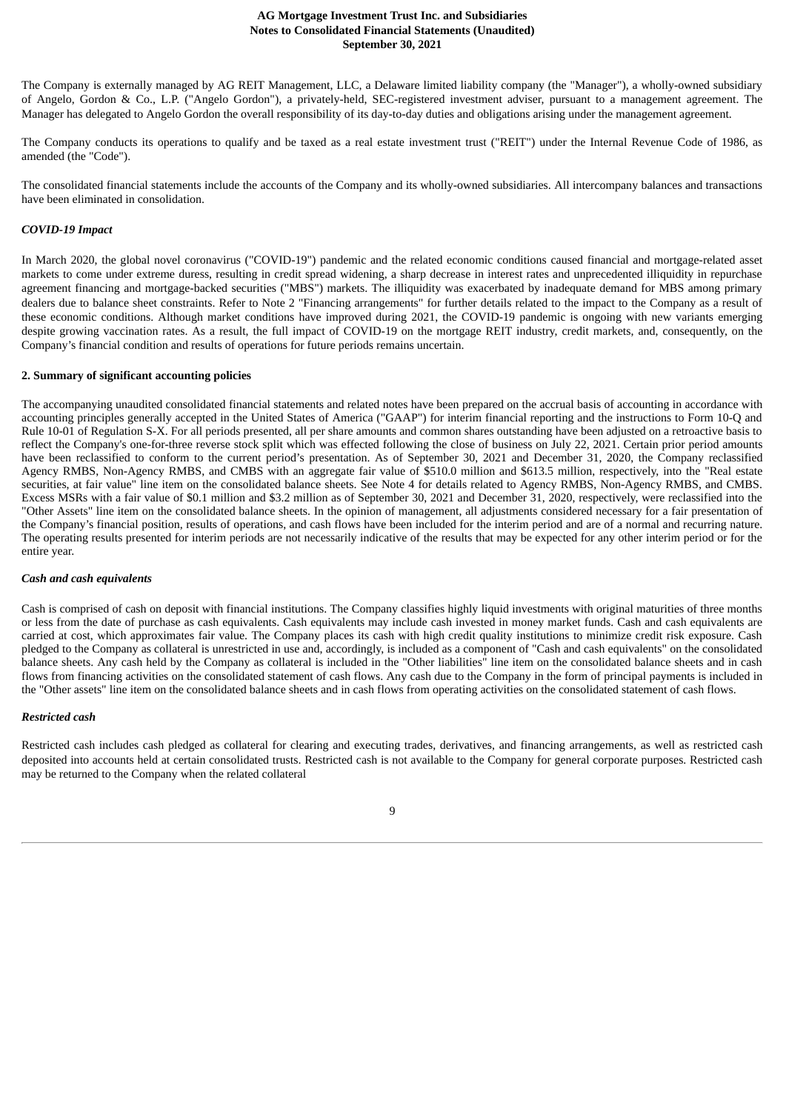The Company is externally managed by AG REIT Management, LLC, a Delaware limited liability company (the "Manager"), a wholly-owned subsidiary of Angelo, Gordon & Co., L.P. ("Angelo Gordon"), a privately-held, SEC-registered investment adviser, pursuant to a management agreement. The Manager has delegated to Angelo Gordon the overall responsibility of its day-to-day duties and obligations arising under the management agreement.

The Company conducts its operations to qualify and be taxed as a real estate investment trust ("REIT") under the Internal Revenue Code of 1986, as amended (the "Code").

The consolidated financial statements include the accounts of the Company and its wholly-owned subsidiaries. All intercompany balances and transactions have been eliminated in consolidation.

### *COVID-19 Impact*

In March 2020, the global novel coronavirus ("COVID-19") pandemic and the related economic conditions caused financial and mortgage-related asset markets to come under extreme duress, resulting in credit spread widening, a sharp decrease in interest rates and unprecedented illiquidity in repurchase agreement financing and mortgage-backed securities ("MBS") markets. The illiquidity was exacerbated by inadequate demand for MBS among primary dealers due to balance sheet constraints. Refer to Note 2 "Financing arrangements" for further details related to the impact to the Company as a result of these economic conditions. Although market conditions have improved during 2021, the COVID-19 pandemic is ongoing with new variants emerging despite growing vaccination rates. As a result, the full impact of COVID-19 on the mortgage REIT industry, credit markets, and, consequently, on the Company's financial condition and results of operations for future periods remains uncertain.

### **2. Summary of significant accounting policies**

The accompanying unaudited consolidated financial statements and related notes have been prepared on the accrual basis of accounting in accordance with accounting principles generally accepted in the United States of America ("GAAP") for interim financial reporting and the instructions to Form 10-Q and Rule 10-01 of Regulation S-X. For all periods presented, all per share amounts and common shares outstanding have been adjusted on a retroactive basis to reflect the Company's one-for-three reverse stock split which was effected following the close of business on July 22, 2021. Certain prior period amounts have been reclassified to conform to the current period's presentation. As of September 30, 2021 and December 31, 2020, the Company reclassified Agency RMBS, Non-Agency RMBS, and CMBS with an aggregate fair value of \$510.0 million and \$613.5 million, respectively, into the "Real estate securities, at fair value" line item on the consolidated balance sheets. See Note 4 for details related to Agency RMBS, Non-Agency RMBS, and CMBS. Excess MSRs with a fair value of \$0.1 million and \$3.2 million as of September 30, 2021 and December 31, 2020, respectively, were reclassified into the "Other Assets" line item on the consolidated balance sheets. In the opinion of management, all adjustments considered necessary for a fair presentation of the Company's financial position, results of operations, and cash flows have been included for the interim period and are of a normal and recurring nature. The operating results presented for interim periods are not necessarily indicative of the results that may be expected for any other interim period or for the entire year.

### *Cash and cash equivalents*

Cash is comprised of cash on deposit with financial institutions. The Company classifies highly liquid investments with original maturities of three months or less from the date of purchase as cash equivalents. Cash equivalents may include cash invested in money market funds. Cash and cash equivalents are carried at cost, which approximates fair value. The Company places its cash with high credit quality institutions to minimize credit risk exposure. Cash pledged to the Company as collateral is unrestricted in use and, accordingly, is included as a component of "Cash and cash equivalents" on the consolidated balance sheets. Any cash held by the Company as collateral is included in the "Other liabilities" line item on the consolidated balance sheets and in cash flows from financing activities on the consolidated statement of cash flows. Any cash due to the Company in the form of principal payments is included in the "Other assets" line item on the consolidated balance sheets and in cash flows from operating activities on the consolidated statement of cash flows.

### *Restricted cash*

Restricted cash includes cash pledged as collateral for clearing and executing trades, derivatives, and financing arrangements, as well as restricted cash deposited into accounts held at certain consolidated trusts. Restricted cash is not available to the Company for general corporate purposes. Restricted cash may be returned to the Company when the related collateral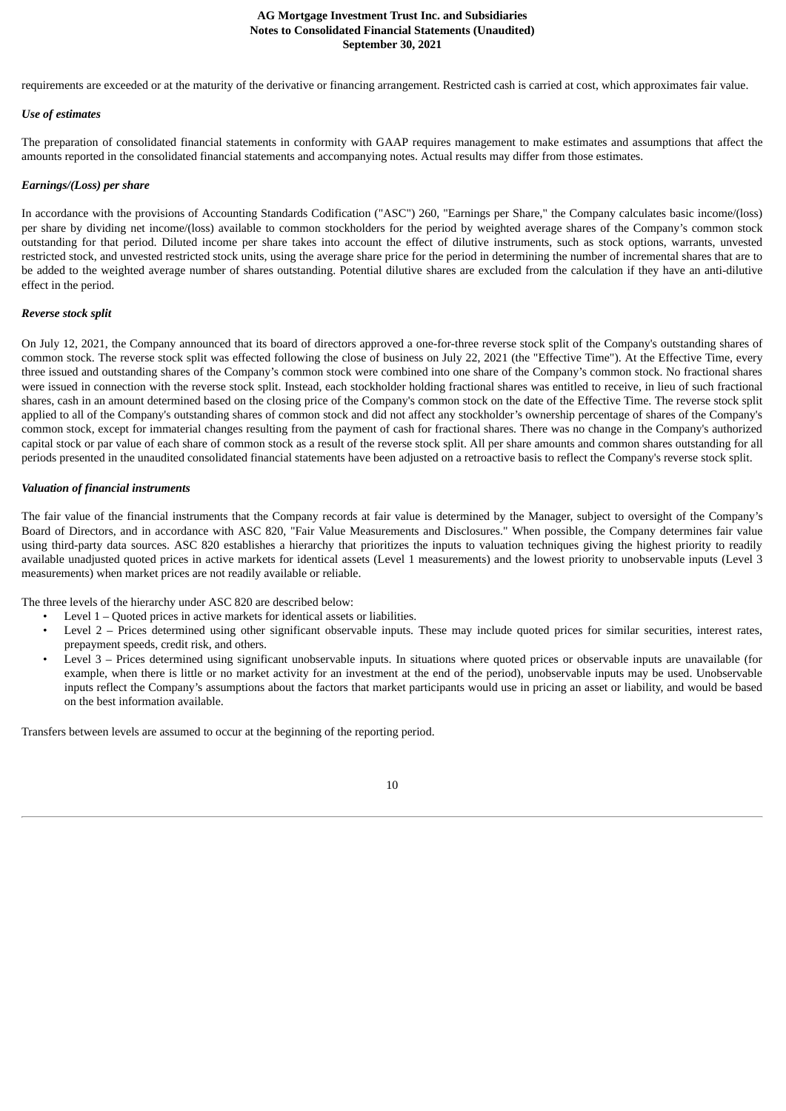requirements are exceeded or at the maturity of the derivative or financing arrangement. Restricted cash is carried at cost, which approximates fair value.

#### *Use of estimates*

The preparation of consolidated financial statements in conformity with GAAP requires management to make estimates and assumptions that affect the amounts reported in the consolidated financial statements and accompanying notes. Actual results may differ from those estimates.

### *Earnings/(Loss) per share*

In accordance with the provisions of Accounting Standards Codification ("ASC") 260, "Earnings per Share," the Company calculates basic income/(loss) per share by dividing net income/(loss) available to common stockholders for the period by weighted average shares of the Company's common stock outstanding for that period. Diluted income per share takes into account the effect of dilutive instruments, such as stock options, warrants, unvested restricted stock, and unvested restricted stock units, using the average share price for the period in determining the number of incremental shares that are to be added to the weighted average number of shares outstanding. Potential dilutive shares are excluded from the calculation if they have an anti-dilutive effect in the period.

### *Reverse stock split*

On July 12, 2021, the Company announced that its board of directors approved a one-for-three reverse stock split of the Company's outstanding shares of common stock. The reverse stock split was effected following the close of business on July 22, 2021 (the "Effective Time"). At the Effective Time, every three issued and outstanding shares of the Company's common stock were combined into one share of the Company's common stock. No fractional shares were issued in connection with the reverse stock split. Instead, each stockholder holding fractional shares was entitled to receive, in lieu of such fractional shares, cash in an amount determined based on the closing price of the Company's common stock on the date of the Effective Time. The reverse stock split applied to all of the Company's outstanding shares of common stock and did not affect any stockholder's ownership percentage of shares of the Company's common stock, except for immaterial changes resulting from the payment of cash for fractional shares. There was no change in the Company's authorized capital stock or par value of each share of common stock as a result of the reverse stock split. All per share amounts and common shares outstanding for all periods presented in the unaudited consolidated financial statements have been adjusted on a retroactive basis to reflect the Company's reverse stock split.

### *Valuation of financial instruments*

The fair value of the financial instruments that the Company records at fair value is determined by the Manager, subject to oversight of the Company's Board of Directors, and in accordance with ASC 820, "Fair Value Measurements and Disclosures." When possible, the Company determines fair value using third-party data sources. ASC 820 establishes a hierarchy that prioritizes the inputs to valuation techniques giving the highest priority to readily available unadjusted quoted prices in active markets for identical assets (Level 1 measurements) and the lowest priority to unobservable inputs (Level 3 measurements) when market prices are not readily available or reliable.

The three levels of the hierarchy under ASC 820 are described below:

- Level 1 Quoted prices in active markets for identical assets or liabilities.
- Level 2 Prices determined using other significant observable inputs. These may include quoted prices for similar securities, interest rates, prepayment speeds, credit risk, and others.
- Level 3 Prices determined using significant unobservable inputs. In situations where quoted prices or observable inputs are unavailable (for example, when there is little or no market activity for an investment at the end of the period), unobservable inputs may be used. Unobservable inputs reflect the Company's assumptions about the factors that market participants would use in pricing an asset or liability, and would be based on the best information available.

Transfers between levels are assumed to occur at the beginning of the reporting period.

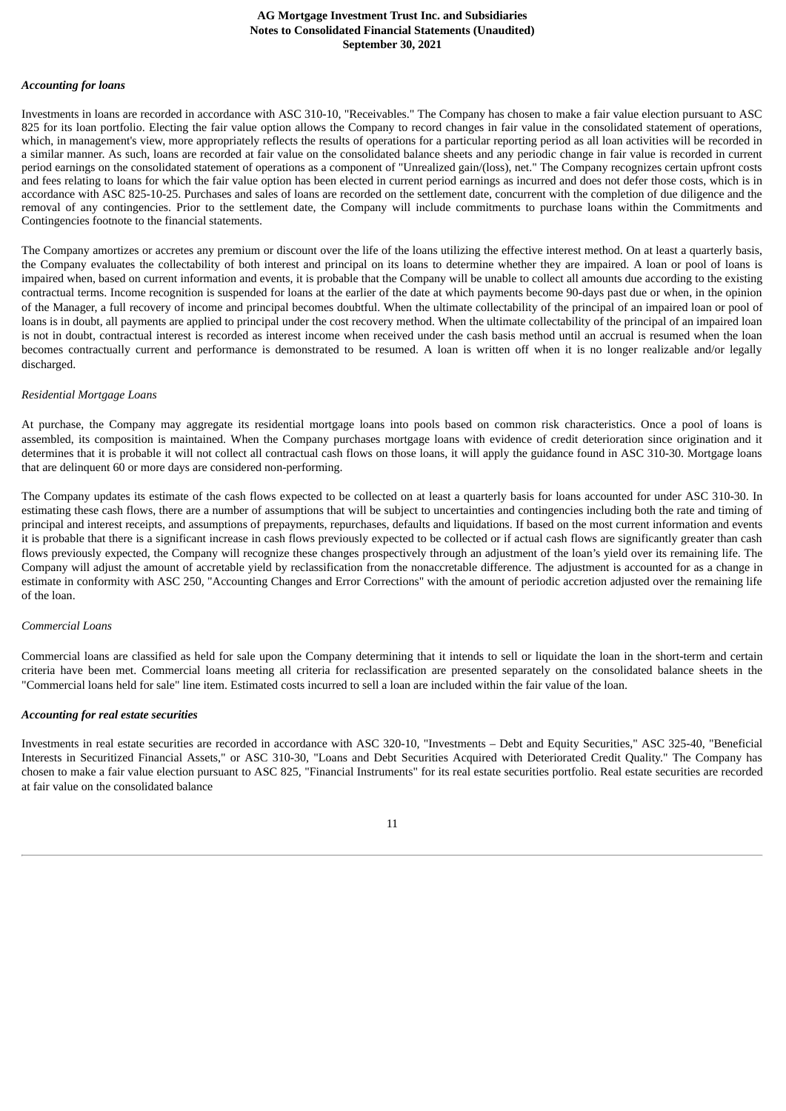#### *Accounting for loans*

Investments in loans are recorded in accordance with ASC 310-10, "Receivables." The Company has chosen to make a fair value election pursuant to ASC 825 for its loan portfolio. Electing the fair value option allows the Company to record changes in fair value in the consolidated statement of operations, which, in management's view, more appropriately reflects the results of operations for a particular reporting period as all loan activities will be recorded in a similar manner. As such, loans are recorded at fair value on the consolidated balance sheets and any periodic change in fair value is recorded in current period earnings on the consolidated statement of operations as a component of "Unrealized gain/(loss), net." The Company recognizes certain upfront costs and fees relating to loans for which the fair value option has been elected in current period earnings as incurred and does not defer those costs, which is in accordance with ASC 825-10-25. Purchases and sales of loans are recorded on the settlement date, concurrent with the completion of due diligence and the removal of any contingencies. Prior to the settlement date, the Company will include commitments to purchase loans within the Commitments and Contingencies footnote to the financial statements.

The Company amortizes or accretes any premium or discount over the life of the loans utilizing the effective interest method. On at least a quarterly basis, the Company evaluates the collectability of both interest and principal on its loans to determine whether they are impaired. A loan or pool of loans is impaired when, based on current information and events, it is probable that the Company will be unable to collect all amounts due according to the existing contractual terms. Income recognition is suspended for loans at the earlier of the date at which payments become 90-days past due or when, in the opinion of the Manager, a full recovery of income and principal becomes doubtful. When the ultimate collectability of the principal of an impaired loan or pool of loans is in doubt, all payments are applied to principal under the cost recovery method. When the ultimate collectability of the principal of an impaired loan is not in doubt, contractual interest is recorded as interest income when received under the cash basis method until an accrual is resumed when the loan becomes contractually current and performance is demonstrated to be resumed. A loan is written off when it is no longer realizable and/or legally discharged.

### *Residential Mortgage Loans*

At purchase, the Company may aggregate its residential mortgage loans into pools based on common risk characteristics. Once a pool of loans is assembled, its composition is maintained. When the Company purchases mortgage loans with evidence of credit deterioration since origination and it determines that it is probable it will not collect all contractual cash flows on those loans, it will apply the guidance found in ASC 310-30. Mortgage loans that are delinquent 60 or more days are considered non-performing.

The Company updates its estimate of the cash flows expected to be collected on at least a quarterly basis for loans accounted for under ASC 310-30. In estimating these cash flows, there are a number of assumptions that will be subject to uncertainties and contingencies including both the rate and timing of principal and interest receipts, and assumptions of prepayments, repurchases, defaults and liquidations. If based on the most current information and events it is probable that there is a significant increase in cash flows previously expected to be collected or if actual cash flows are significantly greater than cash flows previously expected, the Company will recognize these changes prospectively through an adjustment of the loan's yield over its remaining life. The Company will adjust the amount of accretable yield by reclassification from the nonaccretable difference. The adjustment is accounted for as a change in estimate in conformity with ASC 250, "Accounting Changes and Error Corrections" with the amount of periodic accretion adjusted over the remaining life of the loan.

#### *Commercial Loans*

Commercial loans are classified as held for sale upon the Company determining that it intends to sell or liquidate the loan in the short-term and certain criteria have been met. Commercial loans meeting all criteria for reclassification are presented separately on the consolidated balance sheets in the "Commercial loans held for sale" line item. Estimated costs incurred to sell a loan are included within the fair value of the loan.

### *Accounting for real estate securities*

Investments in real estate securities are recorded in accordance with ASC 320-10, "Investments – Debt and Equity Securities," ASC 325-40, "Beneficial Interests in Securitized Financial Assets," or ASC 310-30, "Loans and Debt Securities Acquired with Deteriorated Credit Quality." The Company has chosen to make a fair value election pursuant to ASC 825, "Financial Instruments" for its real estate securities portfolio. Real estate securities are recorded at fair value on the consolidated balance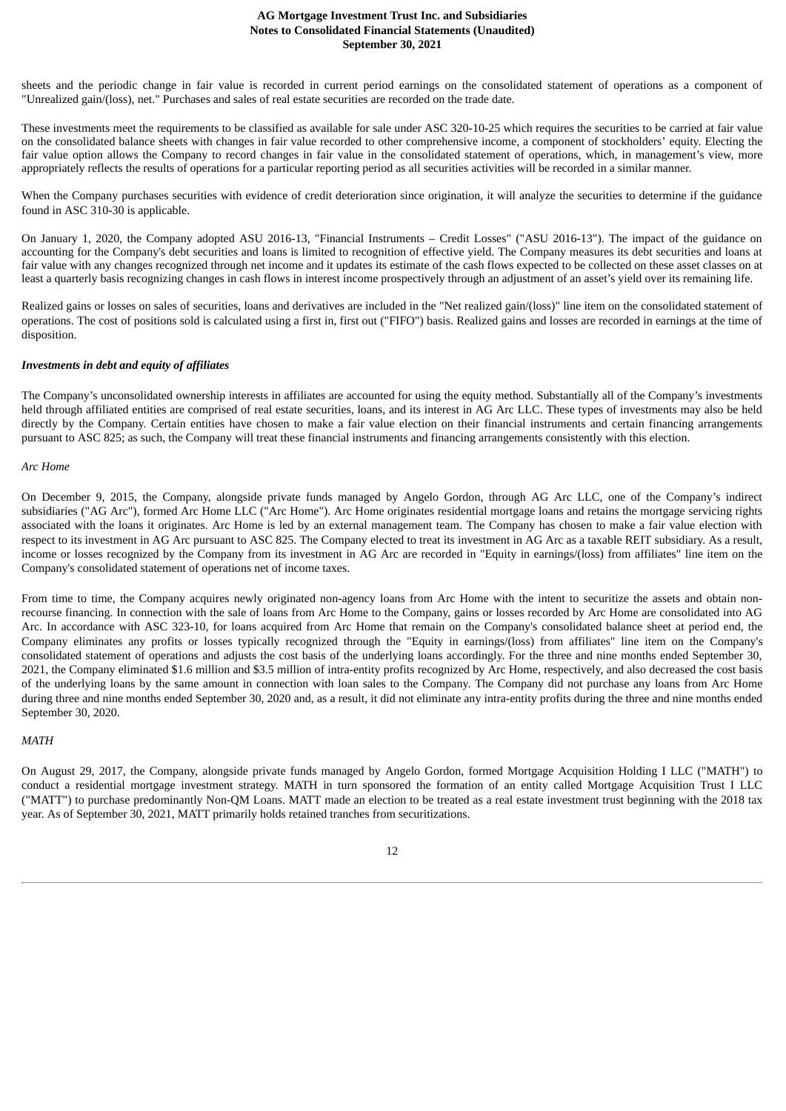sheets and the periodic change in fair value is recorded in current period earnings on the consolidated statement of operations as a component of "Unrealized gain/(loss), net." Purchases and sales of real estate securities are recorded on the trade date.

These investments meet the requirements to be classified as available for sale under ASC 320-10-25 which requires the securities to be carried at fair value on the consolidated balance sheets with changes in fair value recorded to other comprehensive income, a component of stockholders' equity. Electing the fair value option allows the Company to record changes in fair value in the consolidated statement of operations, which, in management's view, more appropriately reflects the results of operations for a particular reporting period as all securities activities will be recorded in a similar manner.

When the Company purchases securities with evidence of credit deterioration since origination, it will analyze the securities to determine if the guidance found in ASC 310-30 is applicable.

On January 1, 2020, the Company adopted ASU 2016-13, "Financial Instruments – Credit Losses" ("ASU 2016-13"). The impact of the guidance on accounting for the Company's debt securities and loans is limited to recognition of effective yield. The Company measures its debt securities and loans at fair value with any changes recognized through net income and it updates its estimate of the cash flows expected to be collected on these asset classes on at least a quarterly basis recognizing changes in cash flows in interest income prospectively through an adjustment of an asset's yield over its remaining life.

Realized gains or losses on sales of securities, loans and derivatives are included in the "Net realized gain/(loss)" line item on the consolidated statement of operations. The cost of positions sold is calculated using a first in, first out ("FIFO") basis. Realized gains and losses are recorded in earnings at the time of disposition.

### *Investments in debt and equity of affiliates*

The Company's unconsolidated ownership interests in affiliates are accounted for using the equity method. Substantially all of the Company's investments held through affiliated entities are comprised of real estate securities, loans, and its interest in AG Arc LLC. These types of investments may also be held directly by the Company. Certain entities have chosen to make a fair value election on their financial instruments and certain financing arrangements pursuant to ASC 825; as such, the Company will treat these financial instruments and financing arrangements consistently with this election.

### *Arc Home*

On December 9, 2015, the Company, alongside private funds managed by Angelo Gordon, through AG Arc LLC, one of the Company's indirect subsidiaries ("AG Arc"), formed Arc Home LLC ("Arc Home"). Arc Home originates residential mortgage loans and retains the mortgage servicing rights associated with the loans it originates. Arc Home is led by an external management team. The Company has chosen to make a fair value election with respect to its investment in AG Arc pursuant to ASC 825. The Company elected to treat its investment in AG Arc as a taxable REIT subsidiary. As a result, income or losses recognized by the Company from its investment in AG Arc are recorded in "Equity in earnings/(loss) from affiliates" line item on the Company's consolidated statement of operations net of income taxes.

From time to time, the Company acquires newly originated non-agency loans from Arc Home with the intent to securitize the assets and obtain nonrecourse financing. In connection with the sale of loans from Arc Home to the Company, gains or losses recorded by Arc Home are consolidated into AG Arc. In accordance with ASC 323-10, for loans acquired from Arc Home that remain on the Company's consolidated balance sheet at period end, the Company eliminates any profits or losses typically recognized through the "Equity in earnings/(loss) from affiliates" line item on the Company's consolidated statement of operations and adjusts the cost basis of the underlying loans accordingly. For the three and nine months ended September 30, 2021, the Company eliminated \$1.6 million and \$3.5 million of intra-entity profits recognized by Arc Home, respectively, and also decreased the cost basis of the underlying loans by the same amount in connection with loan sales to the Company. The Company did not purchase any loans from Arc Home during three and nine months ended September 30, 2020 and, as a result, it did not eliminate any intra-entity profits during the three and nine months ended September 30, 2020.

### *MATH*

On August 29, 2017, the Company, alongside private funds managed by Angelo Gordon, formed Mortgage Acquisition Holding I LLC ("MATH") to conduct a residential mortgage investment strategy. MATH in turn sponsored the formation of an entity called Mortgage Acquisition Trust I LLC ("MATT") to purchase predominantly Non-QM Loans. MATT made an election to be treated as a real estate investment trust beginning with the 2018 tax year. As of September 30, 2021, MATT primarily holds retained tranches from securitizations.

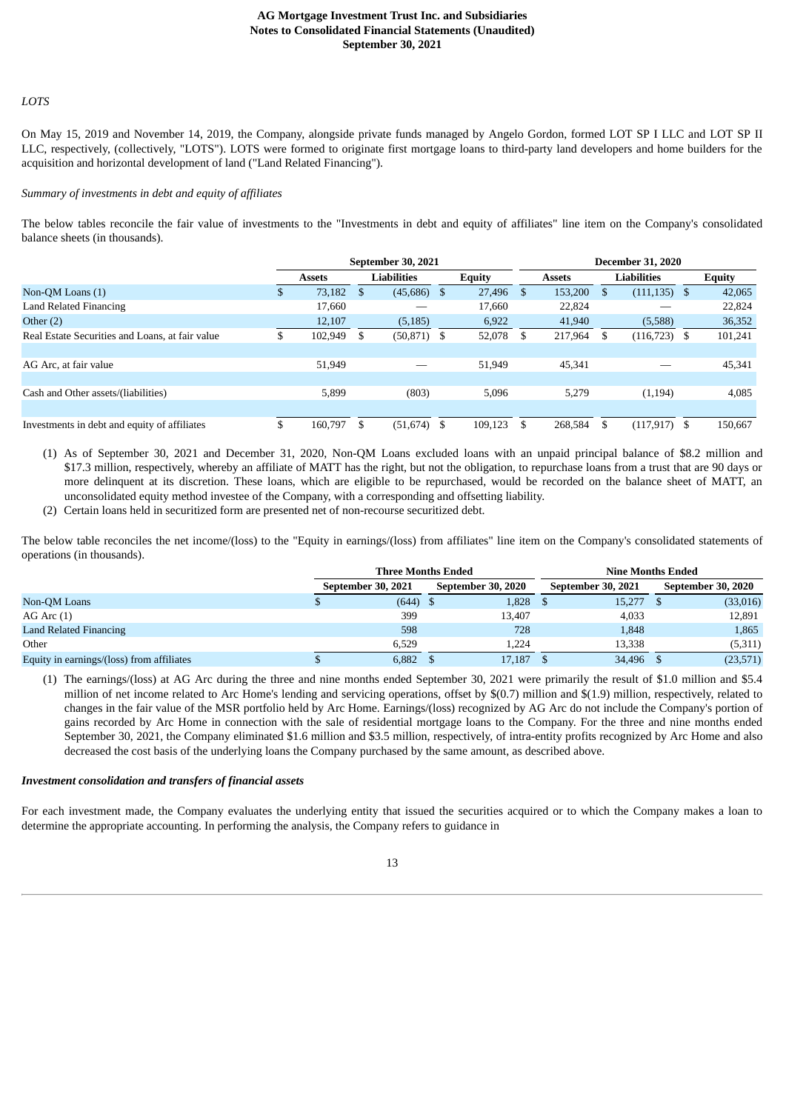#### *LOTS*

On May 15, 2019 and November 14, 2019, the Company, alongside private funds managed by Angelo Gordon, formed LOT SP I LLC and LOT SP II LLC, respectively, (collectively, "LOTS"). LOTS were formed to originate first mortgage loans to third-party land developers and home builders for the acquisition and horizontal development of land ("Land Related Financing").

### *Summary of investments in debt and equity of affiliates*

The below tables reconcile the fair value of investments to the "Investments in debt and equity of affiliates" line item on the Company's consolidated balance sheets (in thousands).

|                                                 |    |         |    | September 30, 2021 |               |    |               |     | <b>December 31, 2020</b> |               |
|-------------------------------------------------|----|---------|----|--------------------|---------------|----|---------------|-----|--------------------------|---------------|
|                                                 |    | Assets  |    | <b>Liabilities</b> | <b>Equity</b> |    | <b>Assets</b> |     | Liabilities              | <b>Equity</b> |
| Non-QM Loans (1)                                | \$ | 73,182  | -S | $(45,686)$ \$      | 27,496        | S  | 153,200       | S   | $(111, 135)$ \$          | 42,065        |
| Land Related Financing                          |    | 17,660  |    |                    | 17,660        |    | 22,824        |     |                          | 22,824        |
| Other $(2)$                                     |    | 12,107  |    | (5, 185)           | 6,922         |    | 41,940        |     | (5,588)                  | 36,352        |
| Real Estate Securities and Loans, at fair value | P  | 102,949 | S  | $(50, 871)$ \$     | 52,078        | S. | 217,964       | S   | $(116, 723)$ \$          | 101,241       |
| AG Arc, at fair value                           |    | 51,949  |    |                    | 51,949        |    | 45,341        |     |                          | 45,341        |
| Cash and Other assets/(liabilities)             |    | 5,899   |    | (803)              | 5,096         |    | 5,279         |     | (1, 194)                 | 4,085         |
| Investments in debt and equity of affiliates    | \$ | 160,797 | \$ | $(51,674)$ \$      | 109.123       |    | 268.584       | \$. | $(117, 917)$ \$          | 150,667       |

- (1) As of September 30, 2021 and December 31, 2020, Non-QM Loans excluded loans with an unpaid principal balance of \$8.2 million and \$17.3 million, respectively, whereby an affiliate of MATT has the right, but not the obligation, to repurchase loans from a trust that are 90 days or more delinquent at its discretion. These loans, which are eligible to be repurchased, would be recorded on the balance sheet of MATT, an unconsolidated equity method investee of the Company, with a corresponding and offsetting liability.
- (2) Certain loans held in securitized form are presented net of non-recourse securitized debt.

The below table reconciles the net income/(loss) to the "Equity in earnings/(loss) from affiliates" line item on the Company's consolidated statements of operations (in thousands).

|                                           | <b>Three Months Ended</b> |                    |                           | <b>Nine Months Ended</b> |           |  |
|-------------------------------------------|---------------------------|--------------------|---------------------------|--------------------------|-----------|--|
|                                           | September 30, 2021        | September 30, 2020 | <b>September 30, 2021</b> | September 30, 2020       |           |  |
| Non-OM Loans                              | (644)                     | 1,828              | 15,277                    |                          | (33,016)  |  |
| AG Arc $(1)$                              | 399                       | 13.407             | 4.033                     |                          | 12,891    |  |
| Land Related Financing                    | 598                       | 728                | 1,848                     |                          | 1,865     |  |
| Other                                     | 6.529                     | 1.224              | 13.338                    |                          | (5,311)   |  |
| Equity in earnings/(loss) from affiliates | 6,882                     | 17,187             | 34,496                    |                          | (23, 571) |  |

(1) The earnings/(loss) at AG Arc during the three and nine months ended September 30, 2021 were primarily the result of \$1.0 million and \$5.4 million of net income related to Arc Home's lending and servicing operations, offset by \$(0.7) million and \$(1.9) million, respectively, related to changes in the fair value of the MSR portfolio held by Arc Home. Earnings/(loss) recognized by AG Arc do not include the Company's portion of gains recorded by Arc Home in connection with the sale of residential mortgage loans to the Company. For the three and nine months ended September 30, 2021, the Company eliminated \$1.6 million and \$3.5 million, respectively, of intra-entity profits recognized by Arc Home and also decreased the cost basis of the underlying loans the Company purchased by the same amount, as described above.

#### *Investment consolidation and transfers of financial assets*

For each investment made, the Company evaluates the underlying entity that issued the securities acquired or to which the Company makes a loan to determine the appropriate accounting. In performing the analysis, the Company refers to guidance in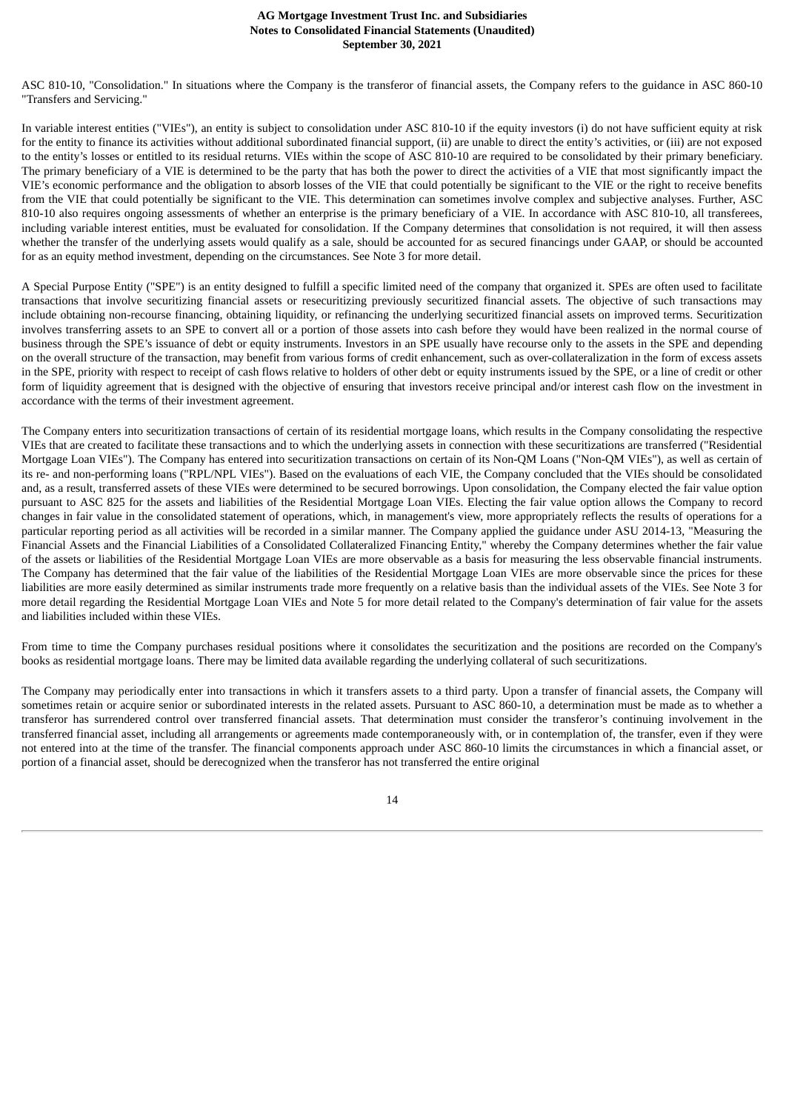ASC 810-10, "Consolidation." In situations where the Company is the transferor of financial assets, the Company refers to the guidance in ASC 860-10 "Transfers and Servicing."

In variable interest entities ("VIEs"), an entity is subject to consolidation under ASC 810-10 if the equity investors (i) do not have sufficient equity at risk for the entity to finance its activities without additional subordinated financial support, (ii) are unable to direct the entity's activities, or (iii) are not exposed to the entity's losses or entitled to its residual returns. VIEs within the scope of ASC 810-10 are required to be consolidated by their primary beneficiary. The primary beneficiary of a VIE is determined to be the party that has both the power to direct the activities of a VIE that most significantly impact the VIE's economic performance and the obligation to absorb losses of the VIE that could potentially be significant to the VIE or the right to receive benefits from the VIE that could potentially be significant to the VIE. This determination can sometimes involve complex and subjective analyses. Further, ASC 810-10 also requires ongoing assessments of whether an enterprise is the primary beneficiary of a VIE. In accordance with ASC 810-10, all transferees, including variable interest entities, must be evaluated for consolidation. If the Company determines that consolidation is not required, it will then assess whether the transfer of the underlying assets would qualify as a sale, should be accounted for as secured financings under GAAP, or should be accounted for as an equity method investment, depending on the circumstances. See Note 3 for more detail.

A Special Purpose Entity ("SPE") is an entity designed to fulfill a specific limited need of the company that organized it. SPEs are often used to facilitate transactions that involve securitizing financial assets or resecuritizing previously securitized financial assets. The objective of such transactions may include obtaining non-recourse financing, obtaining liquidity, or refinancing the underlying securitized financial assets on improved terms. Securitization involves transferring assets to an SPE to convert all or a portion of those assets into cash before they would have been realized in the normal course of business through the SPE's issuance of debt or equity instruments. Investors in an SPE usually have recourse only to the assets in the SPE and depending on the overall structure of the transaction, may benefit from various forms of credit enhancement, such as over-collateralization in the form of excess assets in the SPE, priority with respect to receipt of cash flows relative to holders of other debt or equity instruments issued by the SPE, or a line of credit or other form of liquidity agreement that is designed with the objective of ensuring that investors receive principal and/or interest cash flow on the investment in accordance with the terms of their investment agreement.

The Company enters into securitization transactions of certain of its residential mortgage loans, which results in the Company consolidating the respective VIEs that are created to facilitate these transactions and to which the underlying assets in connection with these securitizations are transferred ("Residential Mortgage Loan VIEs"). The Company has entered into securitization transactions on certain of its Non-QM Loans ("Non-QM VIEs"), as well as certain of its re- and non-performing loans ("RPL/NPL VIEs"). Based on the evaluations of each VIE, the Company concluded that the VIEs should be consolidated and, as a result, transferred assets of these VIEs were determined to be secured borrowings. Upon consolidation, the Company elected the fair value option pursuant to ASC 825 for the assets and liabilities of the Residential Mortgage Loan VIEs. Electing the fair value option allows the Company to record changes in fair value in the consolidated statement of operations, which, in management's view, more appropriately reflects the results of operations for a particular reporting period as all activities will be recorded in a similar manner. The Company applied the guidance under ASU 2014-13, "Measuring the Financial Assets and the Financial Liabilities of a Consolidated Collateralized Financing Entity," whereby the Company determines whether the fair value of the assets or liabilities of the Residential Mortgage Loan VIEs are more observable as a basis for measuring the less observable financial instruments. The Company has determined that the fair value of the liabilities of the Residential Mortgage Loan VIEs are more observable since the prices for these liabilities are more easily determined as similar instruments trade more frequently on a relative basis than the individual assets of the VIEs. See Note 3 for more detail regarding the Residential Mortgage Loan VIEs and Note 5 for more detail related to the Company's determination of fair value for the assets and liabilities included within these VIEs.

From time to time the Company purchases residual positions where it consolidates the securitization and the positions are recorded on the Company's books as residential mortgage loans. There may be limited data available regarding the underlying collateral of such securitizations.

The Company may periodically enter into transactions in which it transfers assets to a third party. Upon a transfer of financial assets, the Company will sometimes retain or acquire senior or subordinated interests in the related assets. Pursuant to ASC 860-10, a determination must be made as to whether a transferor has surrendered control over transferred financial assets. That determination must consider the transferor's continuing involvement in the transferred financial asset, including all arrangements or agreements made contemporaneously with, or in contemplation of, the transfer, even if they were not entered into at the time of the transfer. The financial components approach under ASC 860-10 limits the circumstances in which a financial asset, or portion of a financial asset, should be derecognized when the transferor has not transferred the entire original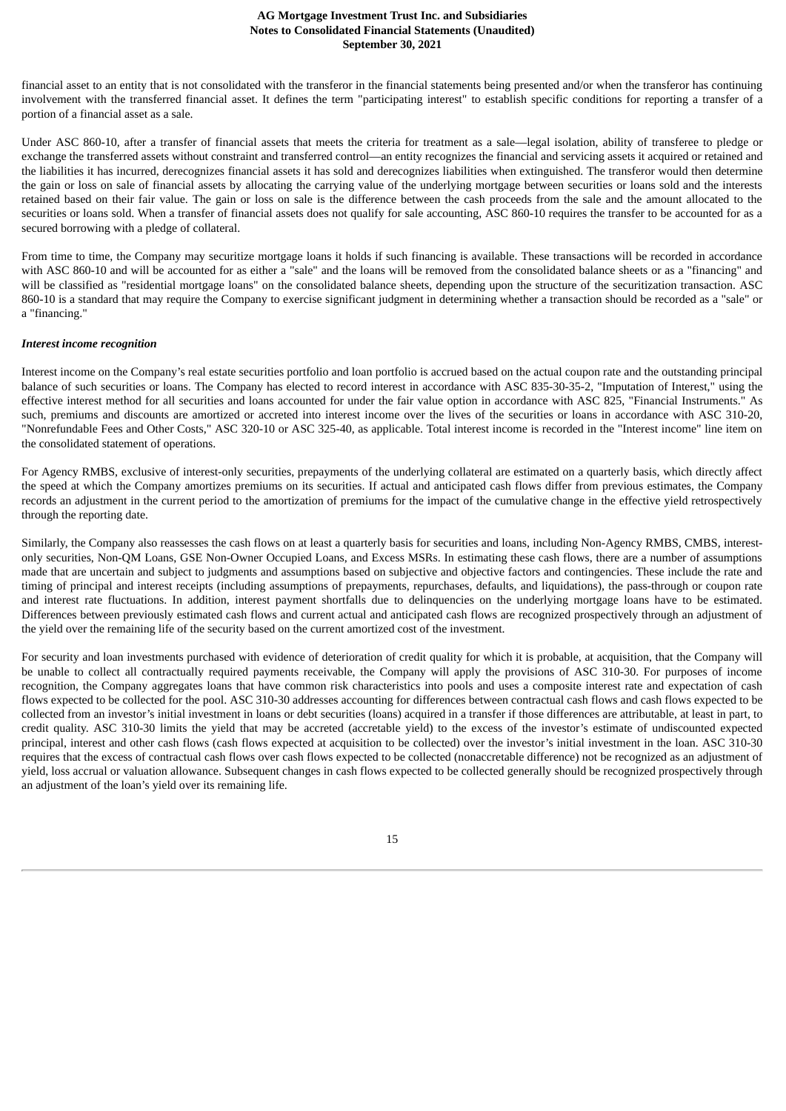financial asset to an entity that is not consolidated with the transferor in the financial statements being presented and/or when the transferor has continuing involvement with the transferred financial asset. It defines the term "participating interest" to establish specific conditions for reporting a transfer of a portion of a financial asset as a sale.

Under ASC 860-10, after a transfer of financial assets that meets the criteria for treatment as a sale—legal isolation, ability of transferee to pledge or exchange the transferred assets without constraint and transferred control—an entity recognizes the financial and servicing assets it acquired or retained and the liabilities it has incurred, derecognizes financial assets it has sold and derecognizes liabilities when extinguished. The transferor would then determine the gain or loss on sale of financial assets by allocating the carrying value of the underlying mortgage between securities or loans sold and the interests retained based on their fair value. The gain or loss on sale is the difference between the cash proceeds from the sale and the amount allocated to the securities or loans sold. When a transfer of financial assets does not qualify for sale accounting, ASC 860-10 requires the transfer to be accounted for as a secured borrowing with a pledge of collateral.

From time to time, the Company may securitize mortgage loans it holds if such financing is available. These transactions will be recorded in accordance with ASC 860-10 and will be accounted for as either a "sale" and the loans will be removed from the consolidated balance sheets or as a "financing" and will be classified as "residential mortgage loans" on the consolidated balance sheets, depending upon the structure of the securitization transaction. ASC 860-10 is a standard that may require the Company to exercise significant judgment in determining whether a transaction should be recorded as a "sale" or a "financing."

#### *Interest income recognition*

Interest income on the Company's real estate securities portfolio and loan portfolio is accrued based on the actual coupon rate and the outstanding principal balance of such securities or loans. The Company has elected to record interest in accordance with ASC 835-30-35-2, "Imputation of Interest," using the effective interest method for all securities and loans accounted for under the fair value option in accordance with ASC 825, "Financial Instruments." As such, premiums and discounts are amortized or accreted into interest income over the lives of the securities or loans in accordance with ASC 310-20, "Nonrefundable Fees and Other Costs," ASC 320-10 or ASC 325-40, as applicable. Total interest income is recorded in the "Interest income" line item on the consolidated statement of operations.

For Agency RMBS, exclusive of interest-only securities, prepayments of the underlying collateral are estimated on a quarterly basis, which directly affect the speed at which the Company amortizes premiums on its securities. If actual and anticipated cash flows differ from previous estimates, the Company records an adjustment in the current period to the amortization of premiums for the impact of the cumulative change in the effective yield retrospectively through the reporting date.

Similarly, the Company also reassesses the cash flows on at least a quarterly basis for securities and loans, including Non-Agency RMBS, CMBS, interestonly securities, Non-QM Loans, GSE Non-Owner Occupied Loans, and Excess MSRs. In estimating these cash flows, there are a number of assumptions made that are uncertain and subject to judgments and assumptions based on subjective and objective factors and contingencies. These include the rate and timing of principal and interest receipts (including assumptions of prepayments, repurchases, defaults, and liquidations), the pass-through or coupon rate and interest rate fluctuations. In addition, interest payment shortfalls due to delinquencies on the underlying mortgage loans have to be estimated. Differences between previously estimated cash flows and current actual and anticipated cash flows are recognized prospectively through an adjustment of the yield over the remaining life of the security based on the current amortized cost of the investment.

For security and loan investments purchased with evidence of deterioration of credit quality for which it is probable, at acquisition, that the Company will be unable to collect all contractually required payments receivable, the Company will apply the provisions of ASC 310-30. For purposes of income recognition, the Company aggregates loans that have common risk characteristics into pools and uses a composite interest rate and expectation of cash flows expected to be collected for the pool. ASC 310-30 addresses accounting for differences between contractual cash flows and cash flows expected to be collected from an investor's initial investment in loans or debt securities (loans) acquired in a transfer if those differences are attributable, at least in part, to credit quality. ASC 310-30 limits the yield that may be accreted (accretable yield) to the excess of the investor's estimate of undiscounted expected principal, interest and other cash flows (cash flows expected at acquisition to be collected) over the investor's initial investment in the loan. ASC 310-30 requires that the excess of contractual cash flows over cash flows expected to be collected (nonaccretable difference) not be recognized as an adjustment of yield, loss accrual or valuation allowance. Subsequent changes in cash flows expected to be collected generally should be recognized prospectively through an adjustment of the loan's yield over its remaining life.

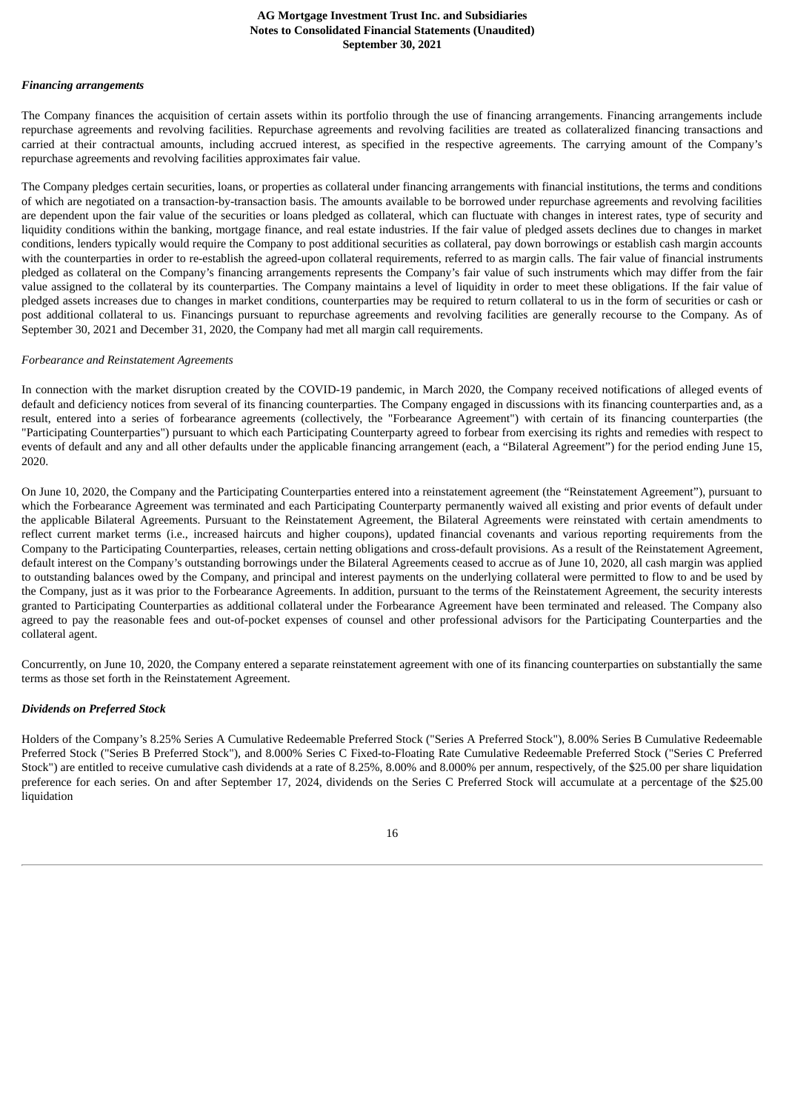#### *Financing arrangements*

The Company finances the acquisition of certain assets within its portfolio through the use of financing arrangements. Financing arrangements include repurchase agreements and revolving facilities. Repurchase agreements and revolving facilities are treated as collateralized financing transactions and carried at their contractual amounts, including accrued interest, as specified in the respective agreements. The carrying amount of the Company's repurchase agreements and revolving facilities approximates fair value.

The Company pledges certain securities, loans, or properties as collateral under financing arrangements with financial institutions, the terms and conditions of which are negotiated on a transaction-by-transaction basis. The amounts available to be borrowed under repurchase agreements and revolving facilities are dependent upon the fair value of the securities or loans pledged as collateral, which can fluctuate with changes in interest rates, type of security and liquidity conditions within the banking, mortgage finance, and real estate industries. If the fair value of pledged assets declines due to changes in market conditions, lenders typically would require the Company to post additional securities as collateral, pay down borrowings or establish cash margin accounts with the counterparties in order to re-establish the agreed-upon collateral requirements, referred to as margin calls. The fair value of financial instruments pledged as collateral on the Company's financing arrangements represents the Company's fair value of such instruments which may differ from the fair value assigned to the collateral by its counterparties. The Company maintains a level of liquidity in order to meet these obligations. If the fair value of pledged assets increases due to changes in market conditions, counterparties may be required to return collateral to us in the form of securities or cash or post additional collateral to us. Financings pursuant to repurchase agreements and revolving facilities are generally recourse to the Company. As of September 30, 2021 and December 31, 2020, the Company had met all margin call requirements.

### *Forbearance and Reinstatement Agreements*

In connection with the market disruption created by the COVID-19 pandemic, in March 2020, the Company received notifications of alleged events of default and deficiency notices from several of its financing counterparties. The Company engaged in discussions with its financing counterparties and, as a result, entered into a series of forbearance agreements (collectively, the "Forbearance Agreement") with certain of its financing counterparties (the "Participating Counterparties") pursuant to which each Participating Counterparty agreed to forbear from exercising its rights and remedies with respect to events of default and any and all other defaults under the applicable financing arrangement (each, a "Bilateral Agreement") for the period ending June 15, 2020.

On June 10, 2020, the Company and the Participating Counterparties entered into a reinstatement agreement (the "Reinstatement Agreement"), pursuant to which the Forbearance Agreement was terminated and each Participating Counterparty permanently waived all existing and prior events of default under the applicable Bilateral Agreements. Pursuant to the Reinstatement Agreement, the Bilateral Agreements were reinstated with certain amendments to reflect current market terms (i.e., increased haircuts and higher coupons), updated financial covenants and various reporting requirements from the Company to the Participating Counterparties, releases, certain netting obligations and cross-default provisions. As a result of the Reinstatement Agreement, default interest on the Company's outstanding borrowings under the Bilateral Agreements ceased to accrue as of June 10, 2020, all cash margin was applied to outstanding balances owed by the Company, and principal and interest payments on the underlying collateral were permitted to flow to and be used by the Company, just as it was prior to the Forbearance Agreements. In addition, pursuant to the terms of the Reinstatement Agreement, the security interests granted to Participating Counterparties as additional collateral under the Forbearance Agreement have been terminated and released. The Company also agreed to pay the reasonable fees and out-of-pocket expenses of counsel and other professional advisors for the Participating Counterparties and the collateral agent.

Concurrently, on June 10, 2020, the Company entered a separate reinstatement agreement with one of its financing counterparties on substantially the same terms as those set forth in the Reinstatement Agreement.

#### *Dividends on Preferred Stock*

Holders of the Company's 8.25% Series A Cumulative Redeemable Preferred Stock ("Series A Preferred Stock"), 8.00% Series B Cumulative Redeemable Preferred Stock ("Series B Preferred Stock"), and 8.000% Series C Fixed-to-Floating Rate Cumulative Redeemable Preferred Stock ("Series C Preferred Stock") are entitled to receive cumulative cash dividends at a rate of 8.25%, 8.00% and 8.000% per annum, respectively, of the \$25.00 per share liquidation preference for each series. On and after September 17, 2024, dividends on the Series C Preferred Stock will accumulate at a percentage of the \$25.00 liquidation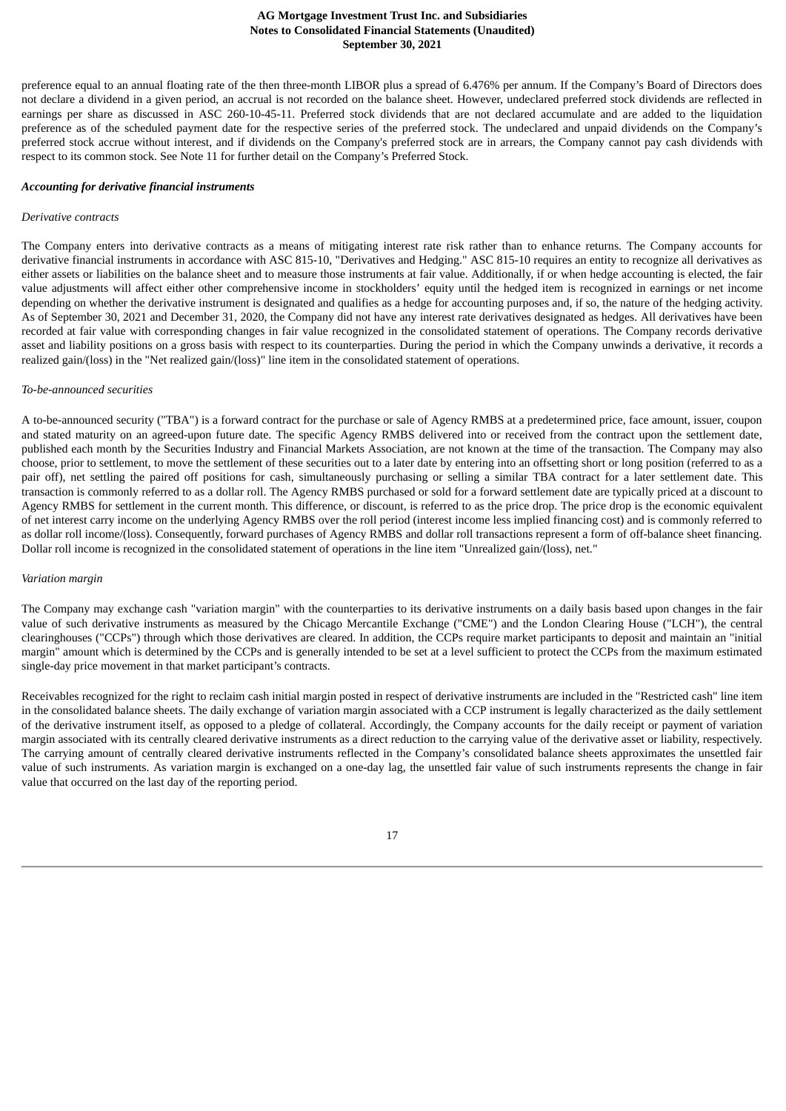preference equal to an annual floating rate of the then three-month LIBOR plus a spread of 6.476% per annum. If the Company's Board of Directors does not declare a dividend in a given period, an accrual is not recorded on the balance sheet. However, undeclared preferred stock dividends are reflected in earnings per share as discussed in ASC 260-10-45-11. Preferred stock dividends that are not declared accumulate and are added to the liquidation preference as of the scheduled payment date for the respective series of the preferred stock. The undeclared and unpaid dividends on the Company's preferred stock accrue without interest, and if dividends on the Company's preferred stock are in arrears, the Company cannot pay cash dividends with respect to its common stock. See Note 11 for further detail on the Company's Preferred Stock.

#### *Accounting for derivative financial instruments*

#### *Derivative contracts*

The Company enters into derivative contracts as a means of mitigating interest rate risk rather than to enhance returns. The Company accounts for derivative financial instruments in accordance with ASC 815-10, "Derivatives and Hedging." ASC 815-10 requires an entity to recognize all derivatives as either assets or liabilities on the balance sheet and to measure those instruments at fair value. Additionally, if or when hedge accounting is elected, the fair value adjustments will affect either other comprehensive income in stockholders' equity until the hedged item is recognized in earnings or net income depending on whether the derivative instrument is designated and qualifies as a hedge for accounting purposes and, if so, the nature of the hedging activity. As of September 30, 2021 and December 31, 2020, the Company did not have any interest rate derivatives designated as hedges. All derivatives have been recorded at fair value with corresponding changes in fair value recognized in the consolidated statement of operations. The Company records derivative asset and liability positions on a gross basis with respect to its counterparties. During the period in which the Company unwinds a derivative, it records a realized gain/(loss) in the "Net realized gain/(loss)" line item in the consolidated statement of operations.

#### *To-be-announced securities*

A to-be-announced security ("TBA") is a forward contract for the purchase or sale of Agency RMBS at a predetermined price, face amount, issuer, coupon and stated maturity on an agreed-upon future date. The specific Agency RMBS delivered into or received from the contract upon the settlement date, published each month by the Securities Industry and Financial Markets Association, are not known at the time of the transaction. The Company may also choose, prior to settlement, to move the settlement of these securities out to a later date by entering into an offsetting short or long position (referred to as a pair off), net settling the paired off positions for cash, simultaneously purchasing or selling a similar TBA contract for a later settlement date. This transaction is commonly referred to as a dollar roll. The Agency RMBS purchased or sold for a forward settlement date are typically priced at a discount to Agency RMBS for settlement in the current month. This difference, or discount, is referred to as the price drop. The price drop is the economic equivalent of net interest carry income on the underlying Agency RMBS over the roll period (interest income less implied financing cost) and is commonly referred to as dollar roll income/(loss). Consequently, forward purchases of Agency RMBS and dollar roll transactions represent a form of off-balance sheet financing. Dollar roll income is recognized in the consolidated statement of operations in the line item "Unrealized gain/(loss), net."

#### *Variation margin*

The Company may exchange cash "variation margin" with the counterparties to its derivative instruments on a daily basis based upon changes in the fair value of such derivative instruments as measured by the Chicago Mercantile Exchange ("CME") and the London Clearing House ("LCH"), the central clearinghouses ("CCPs") through which those derivatives are cleared. In addition, the CCPs require market participants to deposit and maintain an "initial margin" amount which is determined by the CCPs and is generally intended to be set at a level sufficient to protect the CCPs from the maximum estimated single-day price movement in that market participant's contracts.

Receivables recognized for the right to reclaim cash initial margin posted in respect of derivative instruments are included in the "Restricted cash" line item in the consolidated balance sheets. The daily exchange of variation margin associated with a CCP instrument is legally characterized as the daily settlement of the derivative instrument itself, as opposed to a pledge of collateral. Accordingly, the Company accounts for the daily receipt or payment of variation margin associated with its centrally cleared derivative instruments as a direct reduction to the carrying value of the derivative asset or liability, respectively. The carrying amount of centrally cleared derivative instruments reflected in the Company's consolidated balance sheets approximates the unsettled fair value of such instruments. As variation margin is exchanged on a one-day lag, the unsettled fair value of such instruments represents the change in fair value that occurred on the last day of the reporting period.

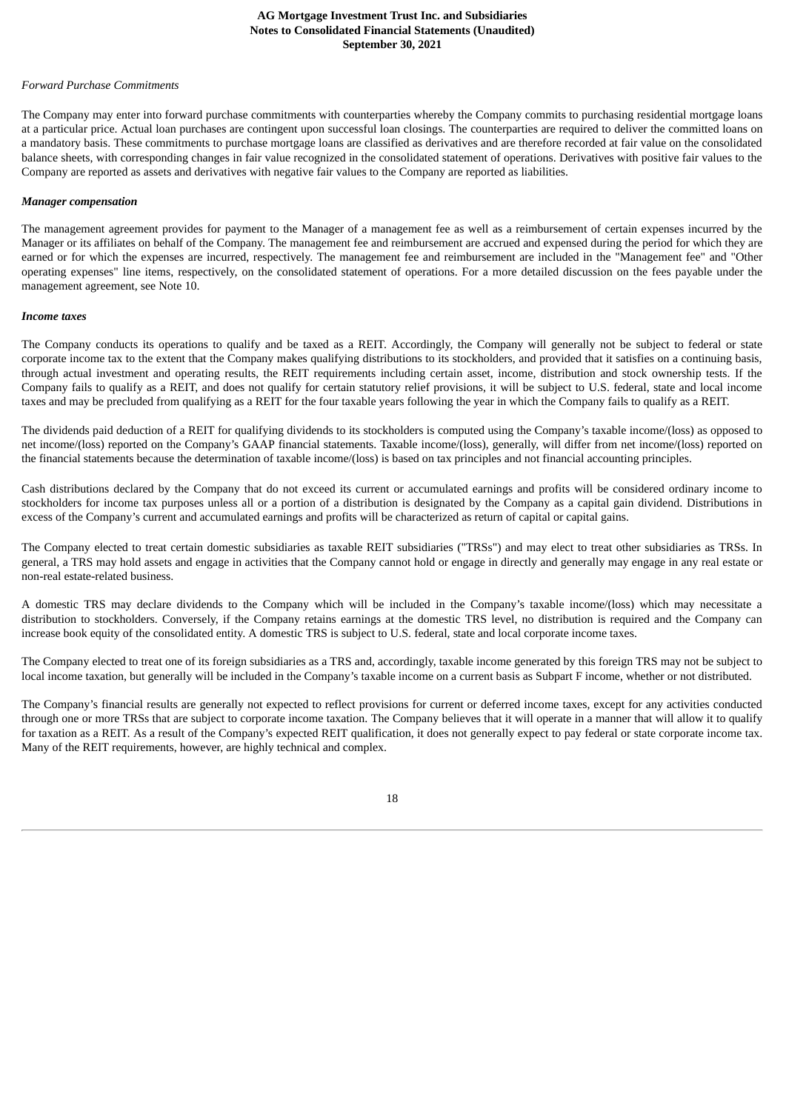### *Forward Purchase Commitments*

The Company may enter into forward purchase commitments with counterparties whereby the Company commits to purchasing residential mortgage loans at a particular price. Actual loan purchases are contingent upon successful loan closings. The counterparties are required to deliver the committed loans on a mandatory basis. These commitments to purchase mortgage loans are classified as derivatives and are therefore recorded at fair value on the consolidated balance sheets, with corresponding changes in fair value recognized in the consolidated statement of operations. Derivatives with positive fair values to the Company are reported as assets and derivatives with negative fair values to the Company are reported as liabilities.

#### *Manager compensation*

The management agreement provides for payment to the Manager of a management fee as well as a reimbursement of certain expenses incurred by the Manager or its affiliates on behalf of the Company. The management fee and reimbursement are accrued and expensed during the period for which they are earned or for which the expenses are incurred, respectively. The management fee and reimbursement are included in the "Management fee" and "Other operating expenses" line items, respectively, on the consolidated statement of operations. For a more detailed discussion on the fees payable under the management agreement, see Note 10.

#### *Income taxes*

The Company conducts its operations to qualify and be taxed as a REIT. Accordingly, the Company will generally not be subject to federal or state corporate income tax to the extent that the Company makes qualifying distributions to its stockholders, and provided that it satisfies on a continuing basis, through actual investment and operating results, the REIT requirements including certain asset, income, distribution and stock ownership tests. If the Company fails to qualify as a REIT, and does not qualify for certain statutory relief provisions, it will be subject to U.S. federal, state and local income taxes and may be precluded from qualifying as a REIT for the four taxable years following the year in which the Company fails to qualify as a REIT.

The dividends paid deduction of a REIT for qualifying dividends to its stockholders is computed using the Company's taxable income/(loss) as opposed to net income/(loss) reported on the Company's GAAP financial statements. Taxable income/(loss), generally, will differ from net income/(loss) reported on the financial statements because the determination of taxable income/(loss) is based on tax principles and not financial accounting principles.

Cash distributions declared by the Company that do not exceed its current or accumulated earnings and profits will be considered ordinary income to stockholders for income tax purposes unless all or a portion of a distribution is designated by the Company as a capital gain dividend. Distributions in excess of the Company's current and accumulated earnings and profits will be characterized as return of capital or capital gains.

The Company elected to treat certain domestic subsidiaries as taxable REIT subsidiaries ("TRSs") and may elect to treat other subsidiaries as TRSs. In general, a TRS may hold assets and engage in activities that the Company cannot hold or engage in directly and generally may engage in any real estate or non-real estate-related business.

A domestic TRS may declare dividends to the Company which will be included in the Company's taxable income/(loss) which may necessitate a distribution to stockholders. Conversely, if the Company retains earnings at the domestic TRS level, no distribution is required and the Company can increase book equity of the consolidated entity. A domestic TRS is subject to U.S. federal, state and local corporate income taxes.

The Company elected to treat one of its foreign subsidiaries as a TRS and, accordingly, taxable income generated by this foreign TRS may not be subject to local income taxation, but generally will be included in the Company's taxable income on a current basis as Subpart F income, whether or not distributed.

The Company's financial results are generally not expected to reflect provisions for current or deferred income taxes, except for any activities conducted through one or more TRSs that are subject to corporate income taxation. The Company believes that it will operate in a manner that will allow it to qualify for taxation as a REIT. As a result of the Company's expected REIT qualification, it does not generally expect to pay federal or state corporate income tax. Many of the REIT requirements, however, are highly technical and complex.

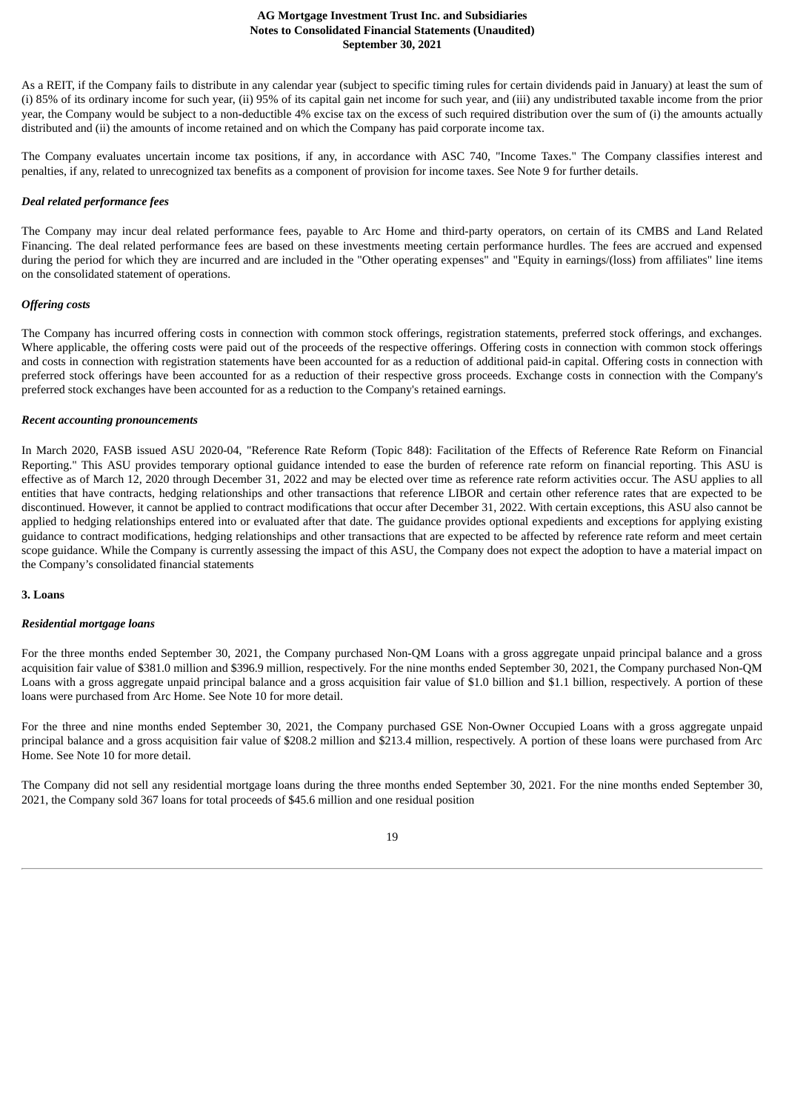As a REIT, if the Company fails to distribute in any calendar year (subject to specific timing rules for certain dividends paid in January) at least the sum of (i) 85% of its ordinary income for such year, (ii) 95% of its capital gain net income for such year, and (iii) any undistributed taxable income from the prior year, the Company would be subject to a non-deductible 4% excise tax on the excess of such required distribution over the sum of (i) the amounts actually distributed and (ii) the amounts of income retained and on which the Company has paid corporate income tax.

The Company evaluates uncertain income tax positions, if any, in accordance with ASC 740, "Income Taxes." The Company classifies interest and penalties, if any, related to unrecognized tax benefits as a component of provision for income taxes. See Note 9 for further details.

#### *Deal related performance fees*

The Company may incur deal related performance fees, payable to Arc Home and third-party operators, on certain of its CMBS and Land Related Financing. The deal related performance fees are based on these investments meeting certain performance hurdles. The fees are accrued and expensed during the period for which they are incurred and are included in the "Other operating expenses" and "Equity in earnings/(loss) from affiliates" line items on the consolidated statement of operations.

### *Offering costs*

The Company has incurred offering costs in connection with common stock offerings, registration statements, preferred stock offerings, and exchanges. Where applicable, the offering costs were paid out of the proceeds of the respective offerings. Offering costs in connection with common stock offerings and costs in connection with registration statements have been accounted for as a reduction of additional paid-in capital. Offering costs in connection with preferred stock offerings have been accounted for as a reduction of their respective gross proceeds. Exchange costs in connection with the Company's preferred stock exchanges have been accounted for as a reduction to the Company's retained earnings.

#### *Recent accounting pronouncements*

In March 2020, FASB issued ASU 2020-04, "Reference Rate Reform (Topic 848): Facilitation of the Effects of Reference Rate Reform on Financial Reporting." This ASU provides temporary optional guidance intended to ease the burden of reference rate reform on financial reporting. This ASU is effective as of March 12, 2020 through December 31, 2022 and may be elected over time as reference rate reform activities occur. The ASU applies to all entities that have contracts, hedging relationships and other transactions that reference LIBOR and certain other reference rates that are expected to be discontinued. However, it cannot be applied to contract modifications that occur after December 31, 2022. With certain exceptions, this ASU also cannot be applied to hedging relationships entered into or evaluated after that date. The guidance provides optional expedients and exceptions for applying existing guidance to contract modifications, hedging relationships and other transactions that are expected to be affected by reference rate reform and meet certain scope guidance. While the Company is currently assessing the impact of this ASU, the Company does not expect the adoption to have a material impact on the Company's consolidated financial statements

#### **3. Loans**

#### *Residential mortgage loans*

For the three months ended September 30, 2021, the Company purchased Non-QM Loans with a gross aggregate unpaid principal balance and a gross acquisition fair value of \$381.0 million and \$396.9 million, respectively. For the nine months ended September 30, 2021, the Company purchased Non-QM Loans with a gross aggregate unpaid principal balance and a gross acquisition fair value of \$1.0 billion and \$1.1 billion, respectively. A portion of these loans were purchased from Arc Home. See Note 10 for more detail.

For the three and nine months ended September 30, 2021, the Company purchased GSE Non-Owner Occupied Loans with a gross aggregate unpaid principal balance and a gross acquisition fair value of \$208.2 million and \$213.4 million, respectively. A portion of these loans were purchased from Arc Home. See Note 10 for more detail.

The Company did not sell any residential mortgage loans during the three months ended September 30, 2021. For the nine months ended September 30, 2021, the Company sold 367 loans for total proceeds of \$45.6 million and one residual position

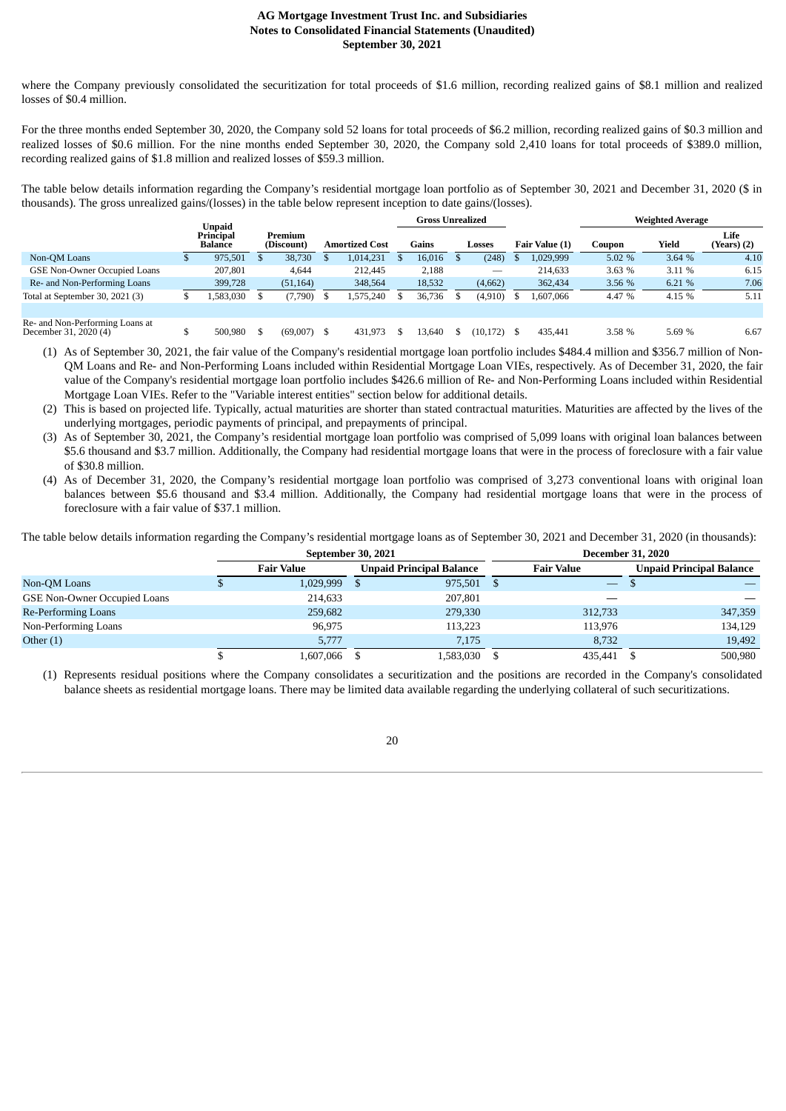where the Company previously consolidated the securitization for total proceeds of \$1.6 million, recording realized gains of \$8.1 million and realized losses of \$0.4 million.

For the three months ended September 30, 2020, the Company sold 52 loans for total proceeds of \$6.2 million, recording realized gains of \$0.3 million and realized losses of \$0.6 million. For the nine months ended September 30, 2020, the Company sold 2,410 loans for total proceeds of \$389.0 million, recording realized gains of \$1.8 million and realized losses of \$59.3 million.

The table below details information regarding the Company's residential mortgage loan portfolio as of September 30, 2021 and December 31, 2020 (\$ in thousands). The gross unrealized gains/(losses) in the table below represent inception to date gains/(losses).

|                                                          |    | Unpaid                      |                       |   |                | Gross Unrealized |           |                |        | <b>Weighted Average</b> |                     |
|----------------------------------------------------------|----|-----------------------------|-----------------------|---|----------------|------------------|-----------|----------------|--------|-------------------------|---------------------|
|                                                          |    | Principal<br><b>Balance</b> | Premium<br>(Discount) |   | Amortized Cost | Gains            | Losses    | Fair Value (1) | Coupon | Yield                   | Life<br>(Years) (2) |
| Non-OM Loans                                             | ۰D | 975.501                     | 38,730                |   | 1,014,231      | 16,016           | (248)     | 1,029,999      | 5.02%  | 3.64%                   | 4.10                |
| GSE Non-Owner Occupied Loans                             |    | 207,801                     | 4,644                 |   | 212,445        | 2,188            |           | 214,633        | 3.63 % | 3.11 %                  | 6.15                |
| Re- and Non-Performing Loans                             |    | 399,728                     | (51, 164)             |   | 348,564        | 18,532           | (4,662)   | 362,434        | 3.56 % | 6.21 %                  | 7.06                |
| Total at September 30, 2021 (3)                          |    | .583,030                    | (7,790)               | £ | 1,575,240      | 36,736           | (4,910)   | .607.066       | 4.47 % | 4.15 %                  | 5.11                |
| Re- and Non-Performing Loans at<br>December 31, 2020 (4) |    | 500.980                     | (69,007)              |   | 431.973        | 13.640           | (10, 172) | 435.441        | 3.58 % | 5.69 %                  | 6.67                |

(1) As of September 30, 2021, the fair value of the Company's residential mortgage loan portfolio includes \$484.4 million and \$356.7 million of Non-QM Loans and Re- and Non-Performing Loans included within Residential Mortgage Loan VIEs, respectively. As of December 31, 2020, the fair value of the Company's residential mortgage loan portfolio includes \$426.6 million of Re- and Non-Performing Loans included within Residential Mortgage Loan VIEs. Refer to the "Variable interest entities" section below for additional details.

(2) This is based on projected life. Typically, actual maturities are shorter than stated contractual maturities. Maturities are affected by the lives of the underlying mortgages, periodic payments of principal, and prepayments of principal.

(3) As of September 30, 2021, the Company's residential mortgage loan portfolio was comprised of 5,099 loans with original loan balances between \$5.6 thousand and \$3.7 million. Additionally, the Company had residential mortgage loans that were in the process of foreclosure with a fair value of \$30.8 million.

(4) As of December 31, 2020, the Company's residential mortgage loan portfolio was comprised of 3,273 conventional loans with original loan balances between \$5.6 thousand and \$3.4 million. Additionally, the Company had residential mortgage loans that were in the process of foreclosure with a fair value of \$37.1 million.

The table below details information regarding the Company's residential mortgage loans as of September 30, 2021 and December 31, 2020 (in thousands):

|                              | September 30, 2021 |                                 | <b>December 31, 2020</b> |                                 |
|------------------------------|--------------------|---------------------------------|--------------------------|---------------------------------|
|                              | <b>Fair Value</b>  | <b>Unpaid Principal Balance</b> | <b>Fair Value</b>        | <b>Unpaid Principal Balance</b> |
| Non-OM Loans                 | 1,029,999          | 975,501 \$                      | $\hspace{0.05cm}$        |                                 |
| GSE Non-Owner Occupied Loans | 214,633            | 207,801                         |                          |                                 |
| Re-Performing Loans          | 259,682            | 279,330                         | 312,733                  | 347,359                         |
| Non-Performing Loans         | 96,975             | 113.223                         | 113.976                  | 134,129                         |
| Other $(1)$                  | 5,777              | 7,175                           | 8,732                    | 19,492                          |
|                              | 1,607,066          | 1,583,030                       | 435,441 \$               | 500,980                         |

(1) Represents residual positions where the Company consolidates a securitization and the positions are recorded in the Company's consolidated balance sheets as residential mortgage loans. There may be limited data available regarding the underlying collateral of such securitizations.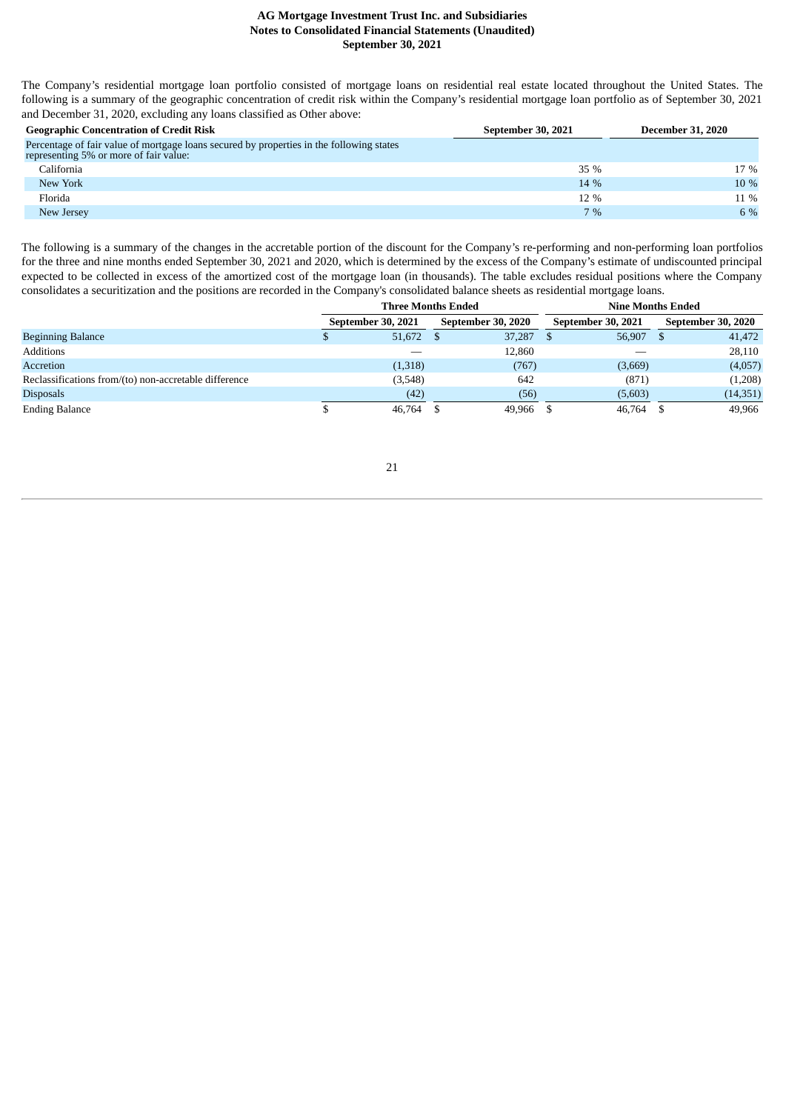The Company's residential mortgage loan portfolio consisted of mortgage loans on residential real estate located throughout the United States. The following is a summary of the geographic concentration of credit risk within the Company's residential mortgage loan portfolio as of September 30, 2021 and December 31, 2020, excluding any loans classified as Other above:

| <b>Geographic Concentration of Credit Risk</b>                                                                                     | <b>September 30, 2021</b> | <b>December 31, 2020</b> |
|------------------------------------------------------------------------------------------------------------------------------------|---------------------------|--------------------------|
| Percentage of fair value of mortgage loans secured by properties in the following states<br>representing 5% or more of fair value: |                           |                          |
| California                                                                                                                         | $35\%$                    | 17 %                     |
| New York                                                                                                                           | 14 %                      | 10 %                     |
| Florida                                                                                                                            | 12 %                      | 11 %                     |
| New Jersey                                                                                                                         | 7%                        | 6 %                      |

The following is a summary of the changes in the accretable portion of the discount for the Company's re-performing and non-performing loan portfolios for the three and nine months ended September 30, 2021 and 2020, which is determined by the excess of the Company's estimate of undiscounted principal expected to be collected in excess of the amortized cost of the mortgage loan (in thousands). The table excludes residual positions where the Company consolidates a securitization and the positions are recorded in the Company's consolidated balance sheets as residential mortgage loans.

|                                                       | <b>Three Months Ended</b> |                    |                    | <b>Nine Months Ended</b> |                    |  |
|-------------------------------------------------------|---------------------------|--------------------|--------------------|--------------------------|--------------------|--|
|                                                       | September 30, 2021        | September 30, 2020 | September 30, 2021 |                          | September 30, 2020 |  |
| <b>Beginning Balance</b>                              | 51,672                    | 37,287             | 56,907             |                          | 41,472             |  |
| <b>Additions</b>                                      |                           | 12.860             |                    |                          | 28,110             |  |
| Accretion                                             | (1,318)                   | (767)              | (3,669)            |                          | (4,057)            |  |
| Reclassifications from/(to) non-accretable difference | (3,548)                   | 642                | (871)              |                          | (1,208)            |  |
| <b>Disposals</b>                                      | (42)                      | (56)               | (5,603)            |                          | (14, 351)          |  |
| <b>Ending Balance</b>                                 | 46.764                    | 49.966             | 46,764             |                          | 49,966             |  |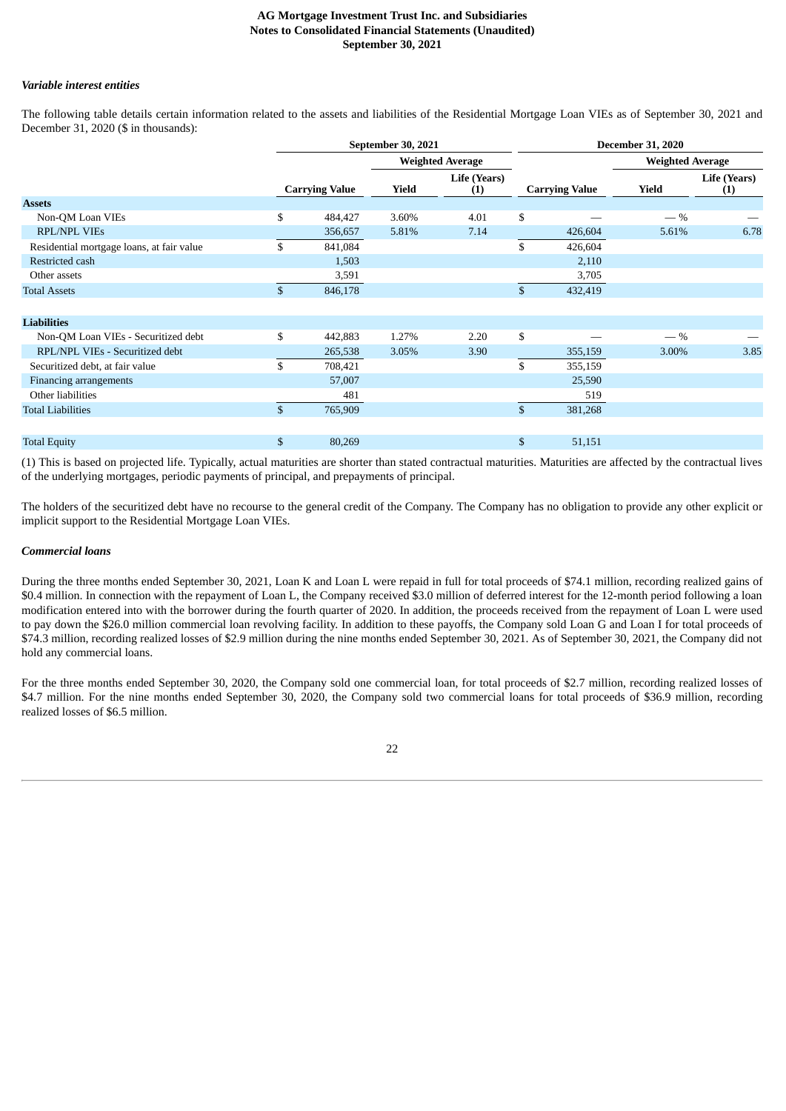### *Variable interest entities*

The following table details certain information related to the assets and liabilities of the Residential Mortgage Loan VIEs as of September 30, 2021 and December 31, 2020 (\$ in thousands):

|                                           |              |                       | September 30, 2021 |                         |                       | <b>December 31, 2020</b><br><b>Weighted Average</b> |                                  |  |  |  |  |  |
|-------------------------------------------|--------------|-----------------------|--------------------|-------------------------|-----------------------|-----------------------------------------------------|----------------------------------|--|--|--|--|--|
|                                           |              |                       |                    | <b>Weighted Average</b> |                       |                                                     |                                  |  |  |  |  |  |
|                                           |              | <b>Carrying Value</b> | Yield              | Life (Years)<br>(1)     | <b>Carrying Value</b> | Yield                                               | Life (Years)<br>$\left(1\right)$ |  |  |  |  |  |
| <b>Assets</b>                             |              |                       |                    |                         |                       |                                                     |                                  |  |  |  |  |  |
| Non-QM Loan VIEs                          | \$           | 484,427               | 3.60%              | 4.01                    | \$                    | $-$ %                                               |                                  |  |  |  |  |  |
| <b>RPL/NPL VIES</b>                       |              | 356,657               | 5.81%              | 7.14                    | 426,604               | 5.61%                                               | 6.78                             |  |  |  |  |  |
| Residential mortgage loans, at fair value | \$           | 841,084               |                    |                         | \$<br>426,604         |                                                     |                                  |  |  |  |  |  |
| Restricted cash                           |              | 1,503                 |                    |                         | 2,110                 |                                                     |                                  |  |  |  |  |  |
| Other assets                              |              | 3,591                 |                    |                         | 3,705                 |                                                     |                                  |  |  |  |  |  |
| <b>Total Assets</b>                       | \$           | 846,178               |                    |                         | \$<br>432,419         |                                                     |                                  |  |  |  |  |  |
|                                           |              |                       |                    |                         |                       |                                                     |                                  |  |  |  |  |  |
| <b>Liabilities</b>                        |              |                       |                    |                         |                       |                                                     |                                  |  |  |  |  |  |
| Non-QM Loan VIEs - Securitized debt       | \$           | 442,883               | 1.27%              | 2.20                    | \$                    | $-$ %                                               |                                  |  |  |  |  |  |
| RPL/NPL VIEs - Securitized debt           |              | 265,538               | 3.05%              | 3.90                    | 355,159               | 3.00%                                               | 3.85                             |  |  |  |  |  |
| Securitized debt, at fair value           | \$           | 708,421               |                    |                         | \$<br>355,159         |                                                     |                                  |  |  |  |  |  |
| Financing arrangements                    |              | 57,007                |                    |                         | 25,590                |                                                     |                                  |  |  |  |  |  |
| Other liabilities                         |              | 481                   |                    |                         | 519                   |                                                     |                                  |  |  |  |  |  |
| <b>Total Liabilities</b>                  | $\mathbb{S}$ | 765,909               |                    |                         | \$<br>381,268         |                                                     |                                  |  |  |  |  |  |
|                                           |              |                       |                    |                         |                       |                                                     |                                  |  |  |  |  |  |
| <b>Total Equity</b>                       | \$           | 80,269                |                    |                         | \$<br>51,151          |                                                     |                                  |  |  |  |  |  |
|                                           |              |                       |                    |                         |                       |                                                     |                                  |  |  |  |  |  |

(1) This is based on projected life. Typically, actual maturities are shorter than stated contractual maturities. Maturities are affected by the contractual lives of the underlying mortgages, periodic payments of principal, and prepayments of principal.

The holders of the securitized debt have no recourse to the general credit of the Company. The Company has no obligation to provide any other explicit or implicit support to the Residential Mortgage Loan VIEs.

#### *Commercial loans*

During the three months ended September 30, 2021, Loan K and Loan L were repaid in full for total proceeds of \$74.1 million, recording realized gains of \$0.4 million. In connection with the repayment of Loan L, the Company received \$3.0 million of deferred interest for the 12-month period following a loan modification entered into with the borrower during the fourth quarter of 2020. In addition, the proceeds received from the repayment of Loan L were used to pay down the \$26.0 million commercial loan revolving facility. In addition to these payoffs, the Company sold Loan G and Loan I for total proceeds of \$74.3 million, recording realized losses of \$2.9 million during the nine months ended September 30, 2021. As of September 30, 2021, the Company did not hold any commercial loans.

For the three months ended September 30, 2020, the Company sold one commercial loan, for total proceeds of \$2.7 million, recording realized losses of \$4.7 million. For the nine months ended September 30, 2020, the Company sold two commercial loans for total proceeds of \$36.9 million, recording realized losses of \$6.5 million.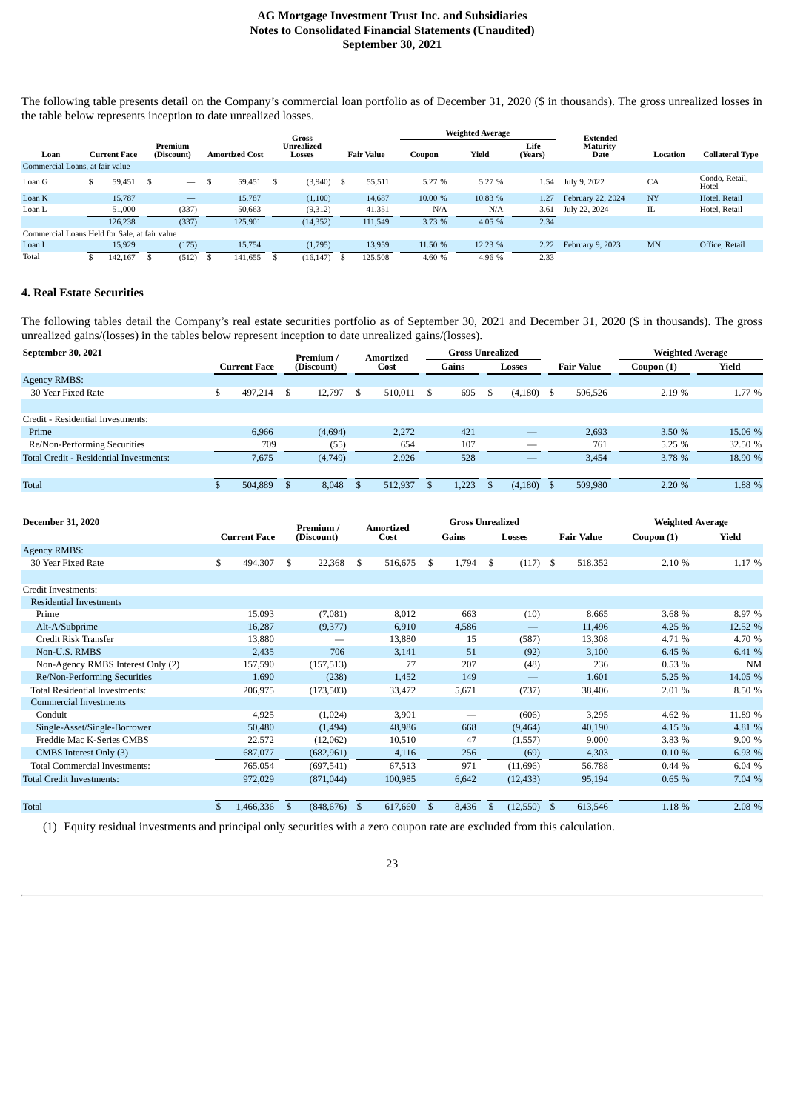The following table presents detail on the Company's commercial loan portfolio as of December 31, 2020 (\$ in thousands). The gross unrealized losses in the table below represents inception to date unrealized losses.

|                                               |                     |                                           |    | Gross                 |  |                      |     |                   |         | <b>Weighted Average</b> |                 | <b>Extended</b>   |           |                         |
|-----------------------------------------------|---------------------|-------------------------------------------|----|-----------------------|--|----------------------|-----|-------------------|---------|-------------------------|-----------------|-------------------|-----------|-------------------------|
| Loan                                          | <b>Current Face</b> | Premium<br>(Discount)                     |    | <b>Amortized Cost</b> |  | Unrealized<br>Losses |     | <b>Fair Value</b> | Coupon  | Yield                   | Life<br>(Years) | Maturity<br>Date  | Location  | <b>Collateral Type</b>  |
| Commercial Loans, at fair value               |                     |                                           |    |                       |  |                      |     |                   |         |                         |                 |                   |           |                         |
| Loan G                                        | 59.451              | $\qquad \qquad \overline{\qquad \qquad }$ | -S | 59,451                |  | (3,940)              | - S | 55,511            | 5.27 %  | 5.27 %                  | 1.54            | July 9, 2022      | CA        | Condo, Retail,<br>Hotel |
| Loan K                                        | 15,787              |                                           |    | 15,787                |  | (1,100)              |     | 14,687            | 10.00 % | 10.83 %                 | 1.27            | February 22, 2024 | <b>NY</b> | Hotel, Retail           |
| Loan L                                        | 51,000              | (337)                                     |    | 50,663                |  | (9,312)              |     | 41,351            | N/A     | N/A                     | 3.61            | July 22, 2024     | IL        | Hotel, Retail           |
|                                               | 126,238             | (337)                                     |    | 125,901               |  | (14, 352)            |     | 111,549           | 3.73 %  | 4.05 %                  | 2.34            |                   |           |                         |
| Commercial Loans Held for Sale, at fair value |                     |                                           |    |                       |  |                      |     |                   |         |                         |                 |                   |           |                         |
| Loan I                                        | 15,929              | (175)                                     |    | 15,754                |  | (1,795)              |     | 13.959            | 11.50 % | 12.23 %                 | 2.22            | February 9, 2023  | MN        | Office, Retail          |
| Total                                         | 142.167             | (512)                                     |    | 141.655               |  | (16, 147)            |     | 125.508           | 4.60 %  | 4.96 %                  | 2.33            |                   |           |                         |

### **4. Real Estate Securities**

The following tables detail the Company's real estate securities portfolio as of September 30, 2021 and December 31, 2020 (\$ in thousands). The gross unrealized gains/(losses) in the tables below represent inception to date unrealized gains/(losses).

| September 30, 2021                      |   | Premium/            |  |            | <b>Amortized</b> |         | <b>Gross Unrealized</b> |       |   |                          |                   | <b>Weighted Average</b> |            |         |
|-----------------------------------------|---|---------------------|--|------------|------------------|---------|-------------------------|-------|---|--------------------------|-------------------|-------------------------|------------|---------|
|                                         |   | <b>Current Face</b> |  | (Discount) |                  | Cost    |                         | Gains |   | Losses                   | <b>Fair Value</b> |                         | Coupon (1) | Yield   |
| <b>Agency RMBS:</b>                     |   |                     |  |            |                  |         |                         |       |   |                          |                   |                         |            |         |
| 30 Year Fixed Rate                      | S | 497,214             |  | 12,797     | -S               | 510,011 |                         | 695   | ъ | (4, 180)                 | -S                | 506,526                 | 2.19 %     | 1.77 %  |
|                                         |   |                     |  |            |                  |         |                         |       |   |                          |                   |                         |            |         |
| Credit - Residential Investments:       |   |                     |  |            |                  |         |                         |       |   |                          |                   |                         |            |         |
| Prime                                   |   | 6,966               |  | (4,694)    |                  | 2,272   |                         | 421   |   | —                        |                   | 2,693                   | 3.50 %     | 15.06 % |
| Re/Non-Performing Securities            |   | 709                 |  | (55)       |                  | 654     |                         | 107   |   |                          |                   | 761                     | 5.25 %     | 32.50 % |
| Total Credit - Residential Investments: |   | 7,675               |  | (4,749)    |                  | 2,926   |                         | 528   |   | $\overline{\phantom{m}}$ |                   | 3,454                   | 3.78 %     | 18.90 % |
|                                         |   |                     |  |            |                  |         |                         |       |   |                          |                   |                         |            |         |
| <b>Total</b>                            |   | 504,889             |  | 8,048      |                  | 512,937 |                         | 1,223 |   | (4, 180)                 | \$                | 509,980                 | 2.20%      | 1.88 %  |

| <b>December 31, 2020</b>              |                     | Premium /    |      | Amortized |   | <b>Gross Unrealized</b> |    |           |                   | <b>Weighted Average</b> |           |
|---------------------------------------|---------------------|--------------|------|-----------|---|-------------------------|----|-----------|-------------------|-------------------------|-----------|
|                                       | <b>Current Face</b> | (Discount)   |      | Cost      |   | Gains                   |    | Losses    | <b>Fair Value</b> | Coupon (1)              | Yield     |
| <b>Agency RMBS:</b>                   |                     |              |      |           |   |                         |    |           |                   |                         |           |
| 30 Year Fixed Rate                    | \$<br>494,307       | \$<br>22,368 | \$   | 516,675   | S | 1,794                   | \$ | (117)     | \$<br>518,352     | 2.10 %                  | 1.17 %    |
|                                       |                     |              |      |           |   |                         |    |           |                   |                         |           |
| Credit Investments:                   |                     |              |      |           |   |                         |    |           |                   |                         |           |
| <b>Residential Investments</b>        |                     |              |      |           |   |                         |    |           |                   |                         |           |
| Prime                                 | 15,093              | (7,081)      |      | 8,012     |   | 663                     |    | (10)      | 8,665             | 3.68 %                  | 8.97 %    |
| Alt-A/Subprime                        | 16,287              | (9,377)      |      | 6,910     |   | 4,586                   |    |           | 11,496            | 4.25 %                  | 12.52 %   |
| Credit Risk Transfer                  | 13,880              |              |      | 13,880    |   | 15                      |    | (587)     | 13,308            | 4.71 %                  | 4.70 %    |
| Non-U.S. RMBS                         | 2,435               | 706          |      | 3,141     |   | 51                      |    | (92)      | 3,100             | 6.45 %                  | 6.41 %    |
| Non-Agency RMBS Interest Only (2)     | 157,590             | (157, 513)   |      | 77        |   | 207                     |    | (48)      | 236               | 0.53%                   | <b>NM</b> |
| Re/Non-Performing Securities          | 1,690               | (238)        |      | 1,452     |   | 149                     |    |           | 1,601             | 5.25 %                  | 14.05 %   |
| <b>Total Residential Investments:</b> | 206,975             | (173,503)    |      | 33,472    |   | 5,671                   |    | (737)     | 38,406            | 2.01 %                  | 8.50 %    |
| Commercial Investments                |                     |              |      |           |   |                         |    |           |                   |                         |           |
| Conduit                               | 4,925               | (1,024)      |      | 3,901     |   |                         |    | (606)     | 3,295             | 4.62 %                  | 11.89 %   |
| Single-Asset/Single-Borrower          | 50,480              | (1,494)      |      | 48,986    |   | 668                     |    | (9,464)   | 40,190            | 4.15 %                  | 4.81 %    |
| Freddie Mac K-Series CMBS             | 22,572              | (12,062)     |      | 10,510    |   | 47                      |    | (1,557)   | 9,000             | 3.83 %                  | 9.00 %    |
| CMBS Interest Only (3)                | 687,077             | (682, 961)   |      | 4,116     |   | 256                     |    | (69)      | 4,303             | 0.10 %                  | 6.93 %    |
| Total Commercial Investments:         | 765,054             | (697, 541)   |      | 67,513    |   | 971                     |    | (11,696)  | 56,788            | 0.44%                   | 6.04 %    |
| <b>Total Credit Investments:</b>      | 972,029             | (871, 044)   |      | 100,985   |   | 6,642                   |    | (12, 433) | 95,194            | 0.65%                   | 7.04 %    |
| <b>Total</b>                          | \$<br>1,466,336     | (848, 676)   | - \$ | 617,660   | S | 8,436                   | S  | (12,550)  | \$<br>613,546     | 1.18 %                  | 2.08 %    |

(1) Equity residual investments and principal only securities with a zero coupon rate are excluded from this calculation.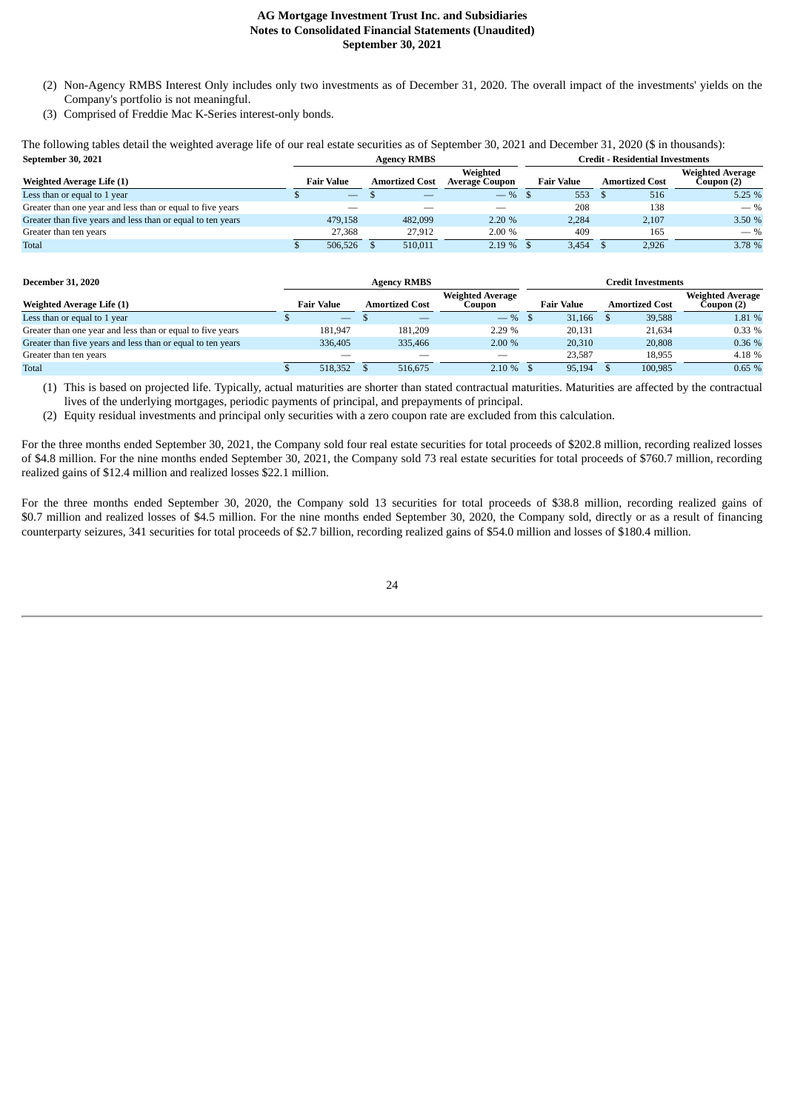- (2) Non-Agency RMBS Interest Only includes only two investments as of December 31, 2020. The overall impact of the investments' yields on the Company's portfolio is not meaningful.
- (3) Comprised of Freddie Mac K-Series interest-only bonds.

The following tables detail the weighted average life of our real estate securities as of September 30, 2021 and December 31, 2020 (\$ in thousands): **September 30, 2021 Agency RMBS Credit - Residential Investments**

| Weighted Average Life (1)                                   | <b>Fair Value</b> | <b>Amortized Cost</b> | Weighted<br>Average Coupon | <b>Fair Value</b> | <b>Amortized Cost</b> | <b>Weighted Average</b><br>Coupon (2) |
|-------------------------------------------------------------|-------------------|-----------------------|----------------------------|-------------------|-----------------------|---------------------------------------|
| Less than or equal to 1 year                                | $\hspace{0.05cm}$ |                       | $-$ % \$                   | 553               | 516                   | 5.25%                                 |
| Greater than one year and less than or equal to five years  |                   |                       | __                         | 208               | 138                   | $-$ %                                 |
| Greater than five years and less than or equal to ten years | 479.158           | 482,099               | 2.20 %                     | 2,284             | 2,107                 | 3.50 %                                |
| Greater than ten years                                      | 27.368            | 27,912                | 2.00 %                     | 409               | 165                   | $-$ %                                 |
| <b>Total</b>                                                | 506,526           | 510.011               | 2.19%                      | 3,454             | 2,926                 | 3.78 %                                |

| <b>December 31, 2020</b>                                    |                   | <b>Agency RMBS</b>    |                                   |                   | Credit Investments    |                                       |
|-------------------------------------------------------------|-------------------|-----------------------|-----------------------------------|-------------------|-----------------------|---------------------------------------|
| <b>Weighted Average Life (1)</b>                            | <b>Fair Value</b> | <b>Amortized Cost</b> | <b>Weighted Average</b><br>Coupon | <b>Fair Value</b> | <b>Amortized Cost</b> | <b>Weighted Average</b><br>Coupon (2) |
| Less than or equal to 1 year                                | $\frac{1}{2}$     | __                    | $-$ % \$                          | 31.166            | 39,588                | 1.81 %                                |
| Greater than one year and less than or equal to five years  | 181.947           | 181.209               | 2.29 %                            | 20.131            | 21.634                | $0.33\%$                              |
| Greater than five years and less than or equal to ten years | 336,405           | 335,466               | 2.00%                             | 20,310            | 20,808                | 0.36%                                 |
| Greater than ten years                                      |                   |                       |                                   | 23.587            | 18.955                | 4.18 %                                |
| <b>Total</b>                                                | 518,352           | 516,675               | 2.10 %                            | 95.194            | 100.985               | 0.65%                                 |

(1) This is based on projected life. Typically, actual maturities are shorter than stated contractual maturities. Maturities are affected by the contractual lives of the underlying mortgages, periodic payments of principal, and prepayments of principal.

(2) Equity residual investments and principal only securities with a zero coupon rate are excluded from this calculation.

For the three months ended September 30, 2021, the Company sold four real estate securities for total proceeds of \$202.8 million, recording realized losses of \$4.8 million. For the nine months ended September 30, 2021, the Company sold 73 real estate securities for total proceeds of \$760.7 million, recording realized gains of \$12.4 million and realized losses \$22.1 million.

For the three months ended September 30, 2020, the Company sold 13 securities for total proceeds of \$38.8 million, recording realized gains of \$0.7 million and realized losses of \$4.5 million. For the nine months ended September 30, 2020, the Company sold, directly or as a result of financing counterparty seizures, 341 securities for total proceeds of \$2.7 billion, recording realized gains of \$54.0 million and losses of \$180.4 million.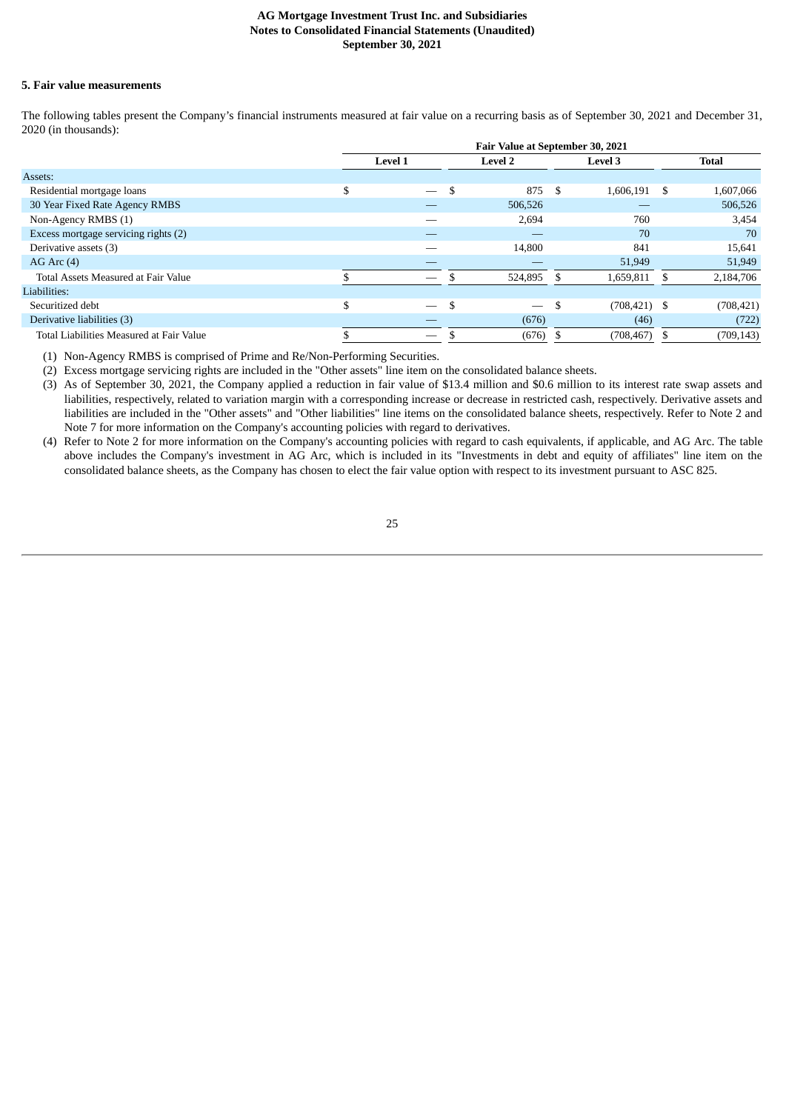### **5. Fair value measurements**

The following tables present the Company's financial instruments measured at fair value on a recurring basis as of September 30, 2021 and December 31, 2020 (in thousands):

|                                          | Fair Value at September 30, 2021      |              |                |    |                 |    |              |  |  |  |
|------------------------------------------|---------------------------------------|--------------|----------------|----|-----------------|----|--------------|--|--|--|
|                                          | Level 1                               |              | <b>Level 2</b> |    | <b>Level 3</b>  |    | <b>Total</b> |  |  |  |
| Assets:                                  |                                       |              |                |    |                 |    |              |  |  |  |
| Residential mortgage loans               | \$<br>$\hspace{0.1mm}-\hspace{0.1mm}$ | $\mathbf{s}$ | 875            | \$ | 1,606,191       | \$ | 1,607,066    |  |  |  |
| 30 Year Fixed Rate Agency RMBS           |                                       |              | 506,526        |    |                 |    | 506,526      |  |  |  |
| Non-Agency RMBS (1)                      |                                       |              | 2,694          |    | 760             |    | 3,454        |  |  |  |
| Excess mortgage servicing rights (2)     |                                       |              | _              |    | 70              |    | 70           |  |  |  |
| Derivative assets (3)                    |                                       |              | 14,800         |    | 841             |    | 15,641       |  |  |  |
| AG Arc $(4)$                             |                                       |              |                |    | 51,949          |    | 51,949       |  |  |  |
| Total Assets Measured at Fair Value      |                                       |              | 524,895        | S  | 1,659,811       |    | 2,184,706    |  |  |  |
| Liabilities:                             |                                       |              |                |    |                 |    |              |  |  |  |
| Securitized debt                         | \$                                    | \$           |                | \$ | $(708, 421)$ \$ |    | (708, 421)   |  |  |  |
| Derivative liabilities (3)               |                                       |              | (676)          |    | (46)            |    | (722)        |  |  |  |
| Total Liabilities Measured at Fair Value |                                       |              | (676)          | S  | (708, 467)      |    | (709, 143)   |  |  |  |

(1) Non-Agency RMBS is comprised of Prime and Re/Non-Performing Securities.

(2) Excess mortgage servicing rights are included in the "Other assets" line item on the consolidated balance sheets.

(3) As of September 30, 2021, the Company applied a reduction in fair value of \$13.4 million and \$0.6 million to its interest rate swap assets and liabilities, respectively, related to variation margin with a corresponding increase or decrease in restricted cash, respectively. Derivative assets and liabilities are included in the "Other assets" and "Other liabilities" line items on the consolidated balance sheets, respectively. Refer to Note 2 and Note 7 for more information on the Company's accounting policies with regard to derivatives.

(4) Refer to Note 2 for more information on the Company's accounting policies with regard to cash equivalents, if applicable, and AG Arc. The table above includes the Company's investment in AG Arc, which is included in its "Investments in debt and equity of affiliates" line item on the consolidated balance sheets, as the Company has chosen to elect the fair value option with respect to its investment pursuant to ASC 825.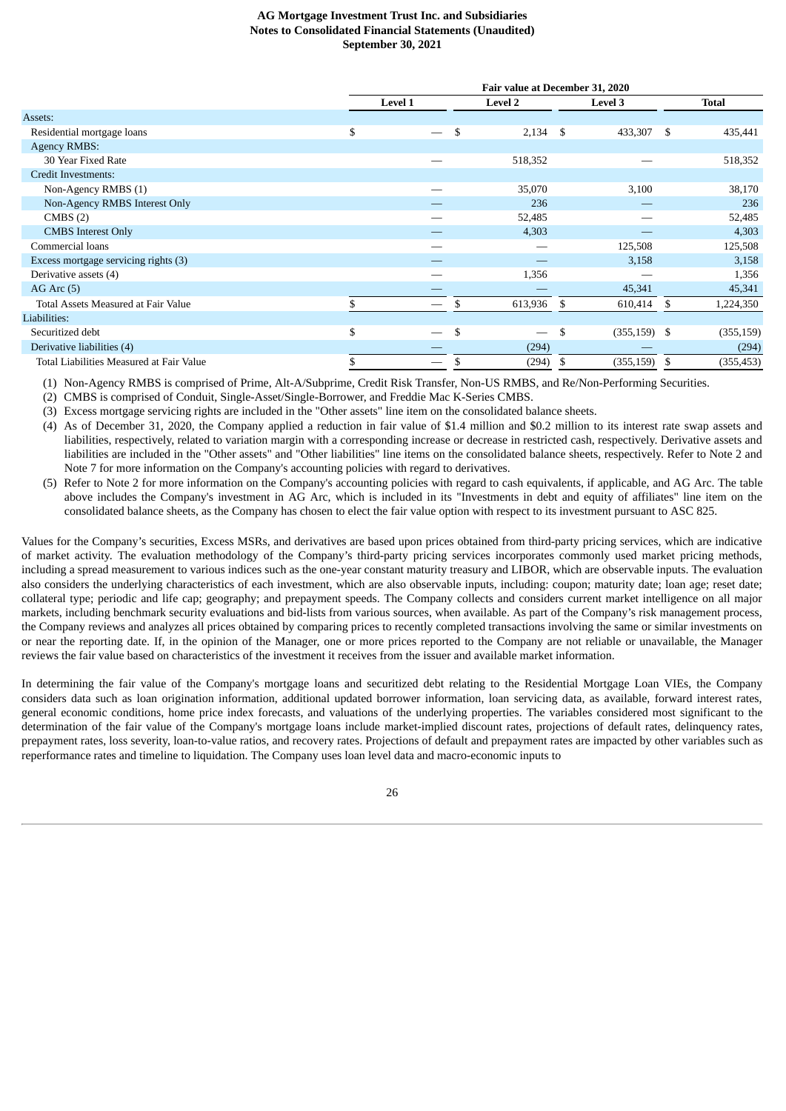|                                          | Fair value at December 31, 2020 |                                    |                          |                         |    |              |  |  |  |
|------------------------------------------|---------------------------------|------------------------------------|--------------------------|-------------------------|----|--------------|--|--|--|
|                                          |                                 | <b>Level 1</b>                     | <b>Level 2</b>           | <b>Level 3</b>          |    | <b>Total</b> |  |  |  |
| Assets:                                  |                                 |                                    |                          |                         |    |              |  |  |  |
| Residential mortgage loans               | \$                              | \$                                 | $2,134$ \$               | 433,307                 | \$ | 435,441      |  |  |  |
| <b>Agency RMBS:</b>                      |                                 |                                    |                          |                         |    |              |  |  |  |
| 30 Year Fixed Rate                       |                                 |                                    | 518,352                  |                         |    | 518,352      |  |  |  |
| Credit Investments:                      |                                 |                                    |                          |                         |    |              |  |  |  |
| Non-Agency RMBS (1)                      |                                 |                                    | 35,070                   | 3,100                   |    | 38,170       |  |  |  |
| Non-Agency RMBS Interest Only            |                                 |                                    | 236                      |                         |    | 236          |  |  |  |
| CMBS(2)                                  |                                 |                                    | 52,485                   |                         |    | 52,485       |  |  |  |
| <b>CMBS</b> Interest Only                |                                 |                                    | 4,303                    |                         |    | 4,303        |  |  |  |
| Commercial loans                         |                                 |                                    |                          | 125,508                 |    | 125,508      |  |  |  |
| Excess mortgage servicing rights (3)     |                                 |                                    |                          | 3,158                   |    | 3,158        |  |  |  |
| Derivative assets (4)                    |                                 |                                    | 1,356                    |                         |    | 1,356        |  |  |  |
| $AG$ Arc $(5)$                           |                                 |                                    |                          | 45,341                  |    | 45,341       |  |  |  |
| Total Assets Measured at Fair Value      | \$                              | S<br>$\overbrace{\phantom{aaaaa}}$ | 613,936                  | 610,414<br>- \$         | \$ | 1,224,350    |  |  |  |
| Liabilities:                             |                                 |                                    |                          |                         |    |              |  |  |  |
| Securitized debt                         | \$                              | \$                                 | $\overline{\phantom{m}}$ | \$<br>$(355, 159)$ \$   |    | (355, 159)   |  |  |  |
| Derivative liabilities (4)               |                                 |                                    | (294)                    |                         |    | (294)        |  |  |  |
| Total Liabilities Measured at Fair Value | \$                              | \$                                 | (294)                    | $(355, 159)$ \$<br>- \$ |    | (355, 453)   |  |  |  |

(1) Non-Agency RMBS is comprised of Prime, Alt-A/Subprime, Credit Risk Transfer, Non-US RMBS, and Re/Non-Performing Securities.

(2) CMBS is comprised of Conduit, Single-Asset/Single-Borrower, and Freddie Mac K-Series CMBS.

(3) Excess mortgage servicing rights are included in the "Other assets" line item on the consolidated balance sheets.

(4) As of December 31, 2020, the Company applied a reduction in fair value of \$1.4 million and \$0.2 million to its interest rate swap assets and liabilities, respectively, related to variation margin with a corresponding increase or decrease in restricted cash, respectively. Derivative assets and liabilities are included in the "Other assets" and "Other liabilities" line items on the consolidated balance sheets, respectively. Refer to Note 2 and Note 7 for more information on the Company's accounting policies with regard to derivatives.

(5) Refer to Note 2 for more information on the Company's accounting policies with regard to cash equivalents, if applicable, and AG Arc. The table above includes the Company's investment in AG Arc, which is included in its "Investments in debt and equity of affiliates" line item on the consolidated balance sheets, as the Company has chosen to elect the fair value option with respect to its investment pursuant to ASC 825.

Values for the Company's securities, Excess MSRs, and derivatives are based upon prices obtained from third-party pricing services, which are indicative of market activity. The evaluation methodology of the Company's third-party pricing services incorporates commonly used market pricing methods, including a spread measurement to various indices such as the one-year constant maturity treasury and LIBOR, which are observable inputs. The evaluation also considers the underlying characteristics of each investment, which are also observable inputs, including: coupon; maturity date; loan age; reset date; collateral type; periodic and life cap; geography; and prepayment speeds. The Company collects and considers current market intelligence on all major markets, including benchmark security evaluations and bid-lists from various sources, when available. As part of the Company's risk management process, the Company reviews and analyzes all prices obtained by comparing prices to recently completed transactions involving the same or similar investments on or near the reporting date. If, in the opinion of the Manager, one or more prices reported to the Company are not reliable or unavailable, the Manager reviews the fair value based on characteristics of the investment it receives from the issuer and available market information.

In determining the fair value of the Company's mortgage loans and securitized debt relating to the Residential Mortgage Loan VIEs, the Company considers data such as loan origination information, additional updated borrower information, loan servicing data, as available, forward interest rates, general economic conditions, home price index forecasts, and valuations of the underlying properties. The variables considered most significant to the determination of the fair value of the Company's mortgage loans include market-implied discount rates, projections of default rates, delinquency rates, prepayment rates, loss severity, loan-to-value ratios, and recovery rates. Projections of default and prepayment rates are impacted by other variables such as reperformance rates and timeline to liquidation. The Company uses loan level data and macro-economic inputs to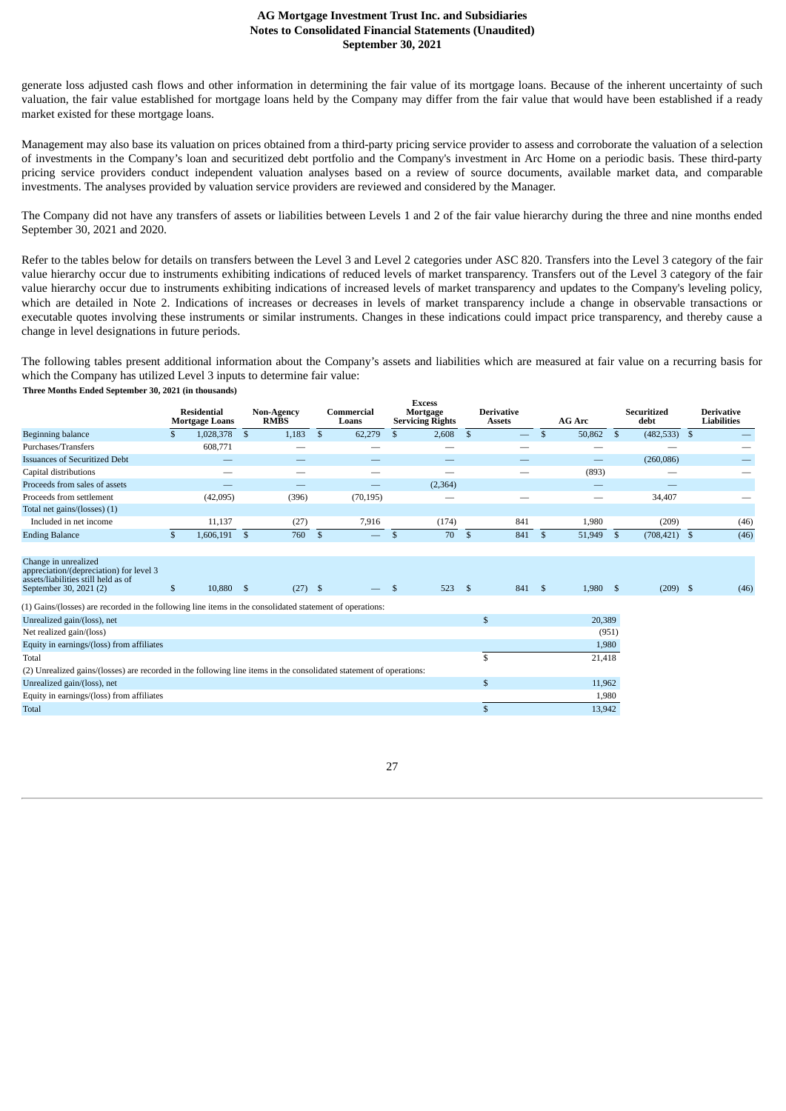generate loss adjusted cash flows and other information in determining the fair value of its mortgage loans. Because of the inherent uncertainty of such valuation, the fair value established for mortgage loans held by the Company may differ from the fair value that would have been established if a ready market existed for these mortgage loans.

Management may also base its valuation on prices obtained from a third-party pricing service provider to assess and corroborate the valuation of a selection of investments in the Company's loan and securitized debt portfolio and the Company's investment in Arc Home on a periodic basis. These third-party pricing service providers conduct independent valuation analyses based on a review of source documents, available market data, and comparable investments. The analyses provided by valuation service providers are reviewed and considered by the Manager.

The Company did not have any transfers of assets or liabilities between Levels 1 and 2 of the fair value hierarchy during the three and nine months ended September 30, 2021 and 2020.

Refer to the tables below for details on transfers between the Level 3 and Level 2 categories under ASC 820. Transfers into the Level 3 category of the fair value hierarchy occur due to instruments exhibiting indications of reduced levels of market transparency. Transfers out of the Level 3 category of the fair value hierarchy occur due to instruments exhibiting indications of increased levels of market transparency and updates to the Company's leveling policy, which are detailed in Note 2. Indications of increases or decreases in levels of market transparency include a change in observable transactions or executable quotes involving these instruments or similar instruments. Changes in these indications could impact price transparency, and thereby cause a change in level designations in future periods.

The following tables present additional information about the Company's assets and liabilities which are measured at fair value on a recurring basis for which the Company has utilized Level 3 inputs to determine fair value:

**Excess**

| Three Months Ended September 30, 2021 (in thousands) |                                  |     |
|------------------------------------------------------|----------------------------------|-----|
| Residential<br><b>Mortgage Loans</b>                 | <b>Non-Agency</b><br><b>RMBS</b> | Con |

|                                                                                                                     |     | <b>Residential</b><br><b>Mortgage Loans</b> | <b>Non-Agency</b><br><b>RMBS</b> |              | Commercial<br>Loans                       |              | Mortgage<br><b>Servicing Rights</b> |              | <b>Derivative</b><br><b>Assets</b> |                | AG Arc                         |       | Securitized<br>debt | <b>Derivative</b><br><b>Liabilities</b> |
|---------------------------------------------------------------------------------------------------------------------|-----|---------------------------------------------|----------------------------------|--------------|-------------------------------------------|--------------|-------------------------------------|--------------|------------------------------------|----------------|--------------------------------|-------|---------------------|-----------------------------------------|
| Beginning balance                                                                                                   | \$. | 1,028,378                                   | \$<br>1,183                      | $\mathbb{S}$ | 62,279                                    | \$           | 2,608                               | \$           | $\overline{\phantom{m}}$           | $\mathfrak{s}$ | 50,862                         | S.    | $(482,533)$ \$      |                                         |
| Purchases/Transfers                                                                                                 |     | 608,771                                     | –                                |              | --                                        |              | $\sim$                              |              |                                    |                | $\overline{\phantom{a}}$       |       |                     |                                         |
| <b>Issuances of Securitized Debt</b>                                                                                |     |                                             | -                                |              | $\overline{\phantom{0}}$                  |              | $\overline{\phantom{a}}$            |              |                                    |                | $\qquad \qquad \longleftarrow$ |       | (260,086)           |                                         |
| Capital distributions                                                                                               |     | $\overline{\phantom{0}}$                    | –                                |              | --                                        |              | $\overline{\phantom{a}}$            |              |                                    |                | (893)                          |       |                     |                                         |
| Proceeds from sales of assets                                                                                       |     |                                             | --                               |              |                                           |              | (2,364)                             |              |                                    |                |                                |       |                     |                                         |
| Proceeds from settlement                                                                                            |     | (42,095)                                    | (396)                            |              | (70, 195)                                 |              |                                     |              |                                    |                |                                |       | 34,407              |                                         |
| Total net gains/(losses) (1)                                                                                        |     |                                             |                                  |              |                                           |              |                                     |              |                                    |                |                                |       |                     |                                         |
| Included in net income                                                                                              |     | 11,137                                      | (27)                             |              | 7,916                                     |              | (174)                               |              | 841                                |                | 1,980                          |       | (209)               | (46)                                    |
| <b>Ending Balance</b>                                                                                               | \$  | 1,606,191 \$                                | 760                              | $\mathbb{S}$ | $\qquad \qquad \overline{\qquad \qquad }$ | $\mathbf{s}$ | 70                                  | $\mathbf{s}$ | 841                                | $\mathbf{s}$   | 51,949                         | S.    | $(708, 421)$ \$     | (46)                                    |
|                                                                                                                     |     |                                             |                                  |              |                                           |              |                                     |              |                                    |                |                                |       |                     |                                         |
| Change in unrealized<br>appreciation/(depreciation) for level 3<br>assets/liabilities still held as of              |     |                                             |                                  |              |                                           |              |                                     |              |                                    |                |                                |       |                     |                                         |
| September 30, 2021 (2)                                                                                              | \$  | 10,880 \$                                   | (27)                             | $\mathbb{S}$ |                                           | $\mathbf{s}$ | 523                                 | - \$         | 841                                | - \$           | $1,980$ \$                     |       | $(209)$ \$          | (46)                                    |
| (1) Gains/(losses) are recorded in the following line items in the consolidated statement of operations:            |     |                                             |                                  |              |                                           |              |                                     |              |                                    |                |                                |       |                     |                                         |
| Unrealized gain/(loss), net                                                                                         |     |                                             |                                  |              |                                           |              |                                     |              | \$                                 |                | 20,389                         |       |                     |                                         |
| Net realized gain/(loss)                                                                                            |     |                                             |                                  |              |                                           |              |                                     |              |                                    |                |                                | (951) |                     |                                         |
| Equity in earnings/(loss) from affiliates                                                                           |     |                                             |                                  |              |                                           |              |                                     |              |                                    |                | 1,980                          |       |                     |                                         |
| Total                                                                                                               |     |                                             |                                  |              |                                           |              |                                     |              | \$                                 |                | 21,418                         |       |                     |                                         |
| (2) Unrealized gains/(losses) are recorded in the following line items in the consolidated statement of operations: |     |                                             |                                  |              |                                           |              |                                     |              |                                    |                |                                |       |                     |                                         |
| Unrealized gain/(loss), net                                                                                         |     |                                             |                                  |              |                                           |              |                                     |              | $\mathbb{S}$                       |                | 11,962                         |       |                     |                                         |
| Equity in earnings/(loss) from affiliates                                                                           |     |                                             |                                  |              |                                           |              |                                     |              |                                    |                | 1,980                          |       |                     |                                         |
| Total                                                                                                               |     |                                             |                                  |              |                                           |              |                                     |              | $\mathbb{S}$                       |                | 13,942                         |       |                     |                                         |
|                                                                                                                     |     |                                             |                                  |              |                                           |              |                                     |              |                                    |                |                                |       |                     |                                         |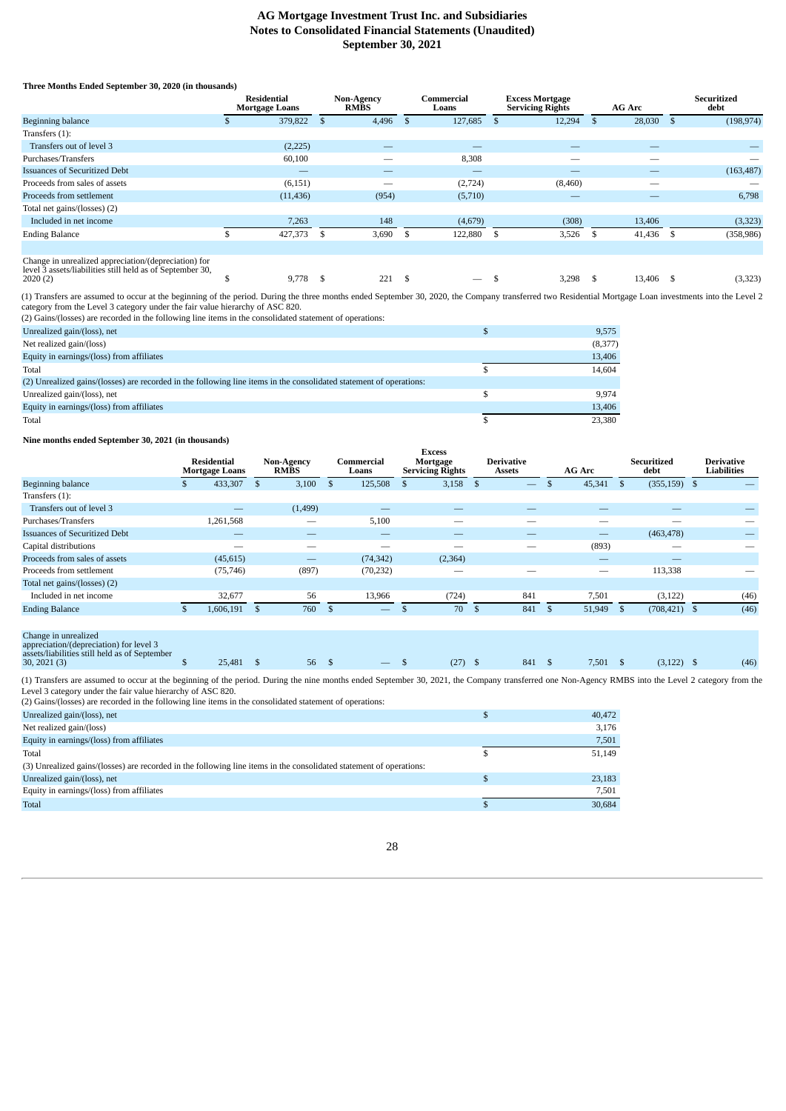| Three Months Ended September 30, 2020 (in thousands)                                                                         |               |                                             |    |                                  |      |                     |      |                                                   |      |        |    |                     |
|------------------------------------------------------------------------------------------------------------------------------|---------------|---------------------------------------------|----|----------------------------------|------|---------------------|------|---------------------------------------------------|------|--------|----|---------------------|
|                                                                                                                              |               | <b>Residential</b><br><b>Mortgage Loans</b> |    | <b>Non-Agency</b><br><b>RMBS</b> |      | Commercial<br>Loans |      | <b>Excess Mortgage</b><br><b>Servicing Rights</b> |      | AG Arc |    | Securitized<br>debt |
| Beginning balance                                                                                                            | $\mathcal{L}$ | 379,822                                     | \$ | 4,496                            | -S   | 127,685             | - \$ | 12,294                                            | - \$ | 28,030 | -S | (198, 974)          |
| Transfers (1):                                                                                                               |               |                                             |    |                                  |      |                     |      |                                                   |      |        |    |                     |
| Transfers out of level 3                                                                                                     |               | (2,225)                                     |    |                                  |      |                     |      |                                                   |      |        |    |                     |
| Purchases/Transfers                                                                                                          |               | 60,100                                      |    |                                  |      | 8,308               |      |                                                   |      |        |    |                     |
| Issuances of Securitized Debt                                                                                                |               | —                                           |    |                                  |      |                     |      |                                                   |      |        |    | (163, 487)          |
| Proceeds from sales of assets                                                                                                |               | (6, 151)                                    |    |                                  |      | (2,724)             |      | (8,460)                                           |      |        |    |                     |
| Proceeds from settlement                                                                                                     |               | (11, 436)                                   |    | (954)                            |      | (5,710)             |      | $\overline{\phantom{a}}$                          |      |        |    | 6,798               |
| Total net gains/(losses) (2)                                                                                                 |               |                                             |    |                                  |      |                     |      |                                                   |      |        |    |                     |
| Included in net income                                                                                                       |               | 7,263                                       |    | 148                              |      | (4,679)             |      | (308)                                             |      | 13,406 |    | (3,323)             |
| <b>Ending Balance</b>                                                                                                        |               | 427,373                                     | .S | 3,690                            | - \$ | 122,880             | - \$ | 3,526                                             | £.   | 41,436 | -S | (358, 986)          |
|                                                                                                                              |               |                                             |    |                                  |      |                     |      |                                                   |      |        |    |                     |
| Change in unrealized appreciation/(depreciation) for<br>level 3 assets/liabilities still held as of September 30,<br>2020(2) |               | 9.778                                       | -S | 221                              | -S   |                     | £.   | 3,298                                             | -S   | 13,406 | -S | (3,323)             |

(1) Transfers are assumed to occur at the beginning of the period. During the three months ended September 30, 2020, the Company transferred two Residential Mortgage Loan investments into the Level 2 category from the Level 3 category under the fair value hierarchy of ASC 820.

| (2) Gains/(losses) are recorded in the following line items in the consolidated statement of operations:            |          |
|---------------------------------------------------------------------------------------------------------------------|----------|
| Unrealized gain/(loss), net                                                                                         | 9,575    |
| Net realized gain/(loss)                                                                                            | (8, 377) |
| Equity in earnings/(loss) from affiliates                                                                           | 13,406   |
| Total                                                                                                               | 14.604   |
| (2) Unrealized gains/(losses) are recorded in the following line items in the consolidated statement of operations: |          |
| Unrealized gain/(loss), net                                                                                         | 9.974    |
| Equity in earnings/(loss) from affiliates                                                                           | 13,406   |
| Total                                                                                                               | 23.380   |

#### **Nine months ended September 30, 2021 (in thousands)**

|                               |     | <b>Residential</b><br><b>Mortgage Loans</b> |               | <b>Non-Agency</b><br><b>RMBS</b> |     | Commercial<br>Loans      |          | <b>Excess</b><br>Mortgage<br><b>Servicing Rights</b> |    | <b>Derivative</b><br><b>Assets</b> |      | AG Arc                   | Securitized<br>debt   | <b>Derivative</b><br><b>Liabilities</b> |
|-------------------------------|-----|---------------------------------------------|---------------|----------------------------------|-----|--------------------------|----------|------------------------------------------------------|----|------------------------------------|------|--------------------------|-----------------------|-----------------------------------------|
| Beginning balance             | S.  | 433,307                                     |               | 3,100                            | \$. | 125,508                  |          | 3,158                                                | \$ | $\hspace{0.1mm}-\hspace{0.1mm}$    |      | 45,341                   | \$<br>$(355, 159)$ \$ |                                         |
| Transfers (1):                |     |                                             |               |                                  |     |                          |          |                                                      |    |                                    |      |                          |                       |                                         |
| Transfers out of level 3      |     |                                             |               | (1,499)                          |     |                          |          |                                                      |    |                                    |      |                          |                       |                                         |
| Purchases/Transfers           |     | 1,261,568                                   |               | $\overline{\phantom{a}}$         |     | 5,100                    |          | $\overline{\phantom{a}}$                             |    |                                    |      |                          |                       |                                         |
| Issuances of Securitized Debt |     |                                             |               |                                  |     |                          |          |                                                      |    |                                    |      | $\overline{\phantom{a}}$ | (463, 478)            |                                         |
| Capital distributions         |     | __                                          |               |                                  |     | $\overline{\phantom{a}}$ |          |                                                      |    | $-$                                |      | (893)                    |                       |                                         |
| Proceeds from sales of assets |     | (45, 615)                                   |               | $\qquad \qquad -$                |     | (74, 342)                |          | (2,364)                                              |    |                                    |      | $\overline{\phantom{m}}$ |                       |                                         |
| Proceeds from settlement      |     | (75, 746)                                   |               | (897)                            |     | (70, 232)                |          |                                                      |    |                                    |      | —                        | 113,338               |                                         |
| Total net gains/(losses) (2)  |     |                                             |               |                                  |     |                          |          |                                                      |    |                                    |      |                          |                       |                                         |
| Included in net income        |     | 32,677                                      |               | 56                               |     | 13,966                   |          | (724)                                                |    | 841                                |      | 7,501                    | (3, 122)              | (46)                                    |
| <b>Ending Balance</b>         | \$. | 1,606,191                                   | $\mathcal{F}$ | 760                              | \$. | $\overline{\phantom{m}}$ | <b>D</b> | 70                                                   | ъ  | 841                                | - \$ | 51,949                   | $(708, 421)$ \$       | (46)                                    |
|                               |     |                                             |               |                                  |     |                          |          |                                                      |    |                                    |      |                          |                       |                                         |

| Change in unrealized<br>appreciation/(depreciation) for level 3<br>assets/liabilities still held as of September<br>30, 2021(3) | 25,481 | 56S |  | (27) | 841 | 7,501 | (3, 122) | (46) |
|---------------------------------------------------------------------------------------------------------------------------------|--------|-----|--|------|-----|-------|----------|------|
|                                                                                                                                 |        |     |  |      |     |       |          |      |

(1) Transfers are assumed to occur at the beginning of the period. During the nine months ended September 30, 2021, the Company transferred one Non-Agency RMBS into the Level 2 category from the Level 3 category under the fair value hierarchy of ASC 820.

(2) Gains/(losses) are recorded in the following line items in the consolidated statement of operations:

| Unrealized gain/(loss), net                                                                                         | 40,472 |
|---------------------------------------------------------------------------------------------------------------------|--------|
| Net realized gain/(loss)                                                                                            | 3,176  |
| Equity in earnings/(loss) from affiliates                                                                           | 7,501  |
| Total                                                                                                               | 51,149 |
| (3) Unrealized gains/(losses) are recorded in the following line items in the consolidated statement of operations: |        |
| Unrealized gain/(loss), net                                                                                         | 23,183 |
| Equity in earnings/(loss) from affiliates                                                                           | 7.501  |
| Total                                                                                                               | 30,684 |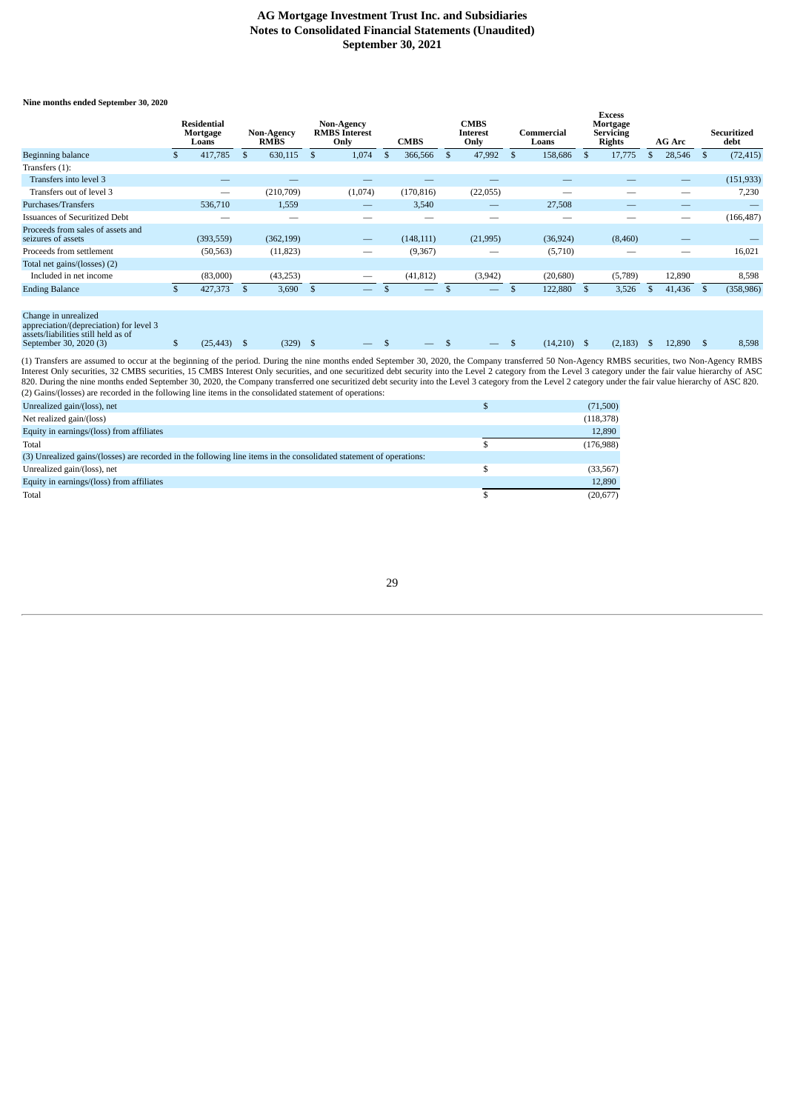**Nine months ended September 30, 2020**

|                                                                                                                                  |     | <b>Residential</b><br>Mortgage<br>Loans |              | <b>Non-Agency</b><br><b>RMBS</b> |                | <b>Non-Agency</b><br><b>RMBS</b> Interest<br>Only | <b>CMBS</b> | <b>CMBS</b><br><b>Interest</b><br>Only |      | Commercial<br>Loans |    | <b>Excess</b><br>Mortgage<br><b>Servicing</b><br><b>Rights</b> |     | AG Arc |     | Securitized<br>debt |
|----------------------------------------------------------------------------------------------------------------------------------|-----|-----------------------------------------|--------------|----------------------------------|----------------|---------------------------------------------------|-------------|----------------------------------------|------|---------------------|----|----------------------------------------------------------------|-----|--------|-----|---------------------|
| Beginning balance                                                                                                                |     | 417,785                                 | $\mathbf{s}$ | 630,115                          | $\mathfrak{F}$ | 1,074                                             | 366,566     | \$<br>47,992                           | -\$  | 158,686             | \$ | 17,775                                                         | \$  | 28,546 | S.  | (72, 415)           |
| Transfers (1):                                                                                                                   |     |                                         |              |                                  |                |                                                   |             |                                        |      |                     |    |                                                                |     |        |     |                     |
| Transfers into level 3                                                                                                           |     |                                         |              | --                               |                |                                                   |             |                                        |      |                     |    |                                                                |     |        |     | (151, 933)          |
| Transfers out of level 3                                                                                                         |     |                                         |              | (210,709)                        |                | (1,074)                                           | (170, 816)  | (22,055)                               |      |                     |    |                                                                |     | —      |     | 7,230               |
| Purchases/Transfers                                                                                                              |     | 536,710                                 |              | 1,559                            |                |                                                   | 3,540       | $\overline{\phantom{a}}$               |      | 27,508              |    | $\overline{\phantom{a}}$                                       |     |        |     |                     |
| Issuances of Securitized Debt                                                                                                    |     |                                         |              | –                                |                |                                                   |             |                                        |      | —                   |    | __                                                             |     |        |     | (166, 487)          |
| Proceeds from sales of assets and<br>seizures of assets                                                                          |     | (393, 559)                              |              | (362, 199)                       |                |                                                   | (148, 111)  | (21,995)                               |      | (36, 924)           |    | (8,460)                                                        |     |        |     |                     |
| Proceeds from settlement                                                                                                         |     | (50, 563)                               |              | (11, 823)                        |                |                                                   | (9,367)     |                                        |      | (5,710)             |    |                                                                |     | $-$    |     | 16,021              |
| Total net gains/(losses) (2)                                                                                                     |     |                                         |              |                                  |                |                                                   |             |                                        |      |                     |    |                                                                |     |        |     |                     |
| Included in net income                                                                                                           |     | (83,000)                                |              | (43,253)                         |                |                                                   | (41, 812)   | (3,942)                                |      | (20, 680)           |    | (5,789)                                                        |     | 12,890 |     | 8,598               |
| <b>Ending Balance</b>                                                                                                            | \$. | 427,373                                 | \$           | 3,690                            | $\mathbf{s}$   | —                                                 |             | $\overline{\phantom{0}}$               | \$.  | 122,880             | S  | 3,526                                                          | \$  | 41,436 | \$. | (358, 986)          |
|                                                                                                                                  |     |                                         |              |                                  |                |                                                   |             |                                        |      |                     |    |                                                                |     |        |     |                     |
| Change in unrealized<br>appreciation/(depreciation) for level 3<br>assets/liabilities still held as of<br>September 30, 2020 (3) | \$  | (25, 443)                               | - \$         | (329)                            | -\$            | $\qquad \qquad \overline{\qquad \qquad }$         |             | $\overline{\phantom{a}}$               | - 55 | $(14,210)$ \$       |    | (2, 183)                                                       | - 5 | 12,890 | S.  | 8,598               |
|                                                                                                                                  |     |                                         |              |                                  |                |                                                   |             |                                        |      |                     |    |                                                                |     |        |     |                     |

(1) Transfers are assumed to occur at the beginning of the period. During the nine months ended September 30, 2020, the Company transferred 50 Non-Agency RMBS securities, two Non-Agency RMBS Interest Only securities, 32 CMBS securities, 15 CMBS Interest Only securities, and one securitized debt security into the Level 2 category from the Level 3 category under the fair value hierarchy of ASC 820. During the nine months ended September 30, 2020, the Company transferred one securitized debt security into the Level 3 category from the Level 2 category under the fair value hierarchy of ASC 820. 820. During the nin (2) Gains/(losses) are recorded in the following line items in the consolidated statement of operations:

| Unrealized gain/(loss), net                                                                                         | (71,500)   |
|---------------------------------------------------------------------------------------------------------------------|------------|
| Net realized gain/(loss)                                                                                            | (118, 378) |
| Equity in earnings/(loss) from affiliates                                                                           | 12,890     |
| Total                                                                                                               | (176, 988) |
| (3) Unrealized gains/(losses) are recorded in the following line items in the consolidated statement of operations: |            |
| Unrealized gain/(loss), net                                                                                         | (33, 567)  |
| Equity in earnings/(loss) from affiliates                                                                           | 12,890     |
| Total                                                                                                               | (20, 677)  |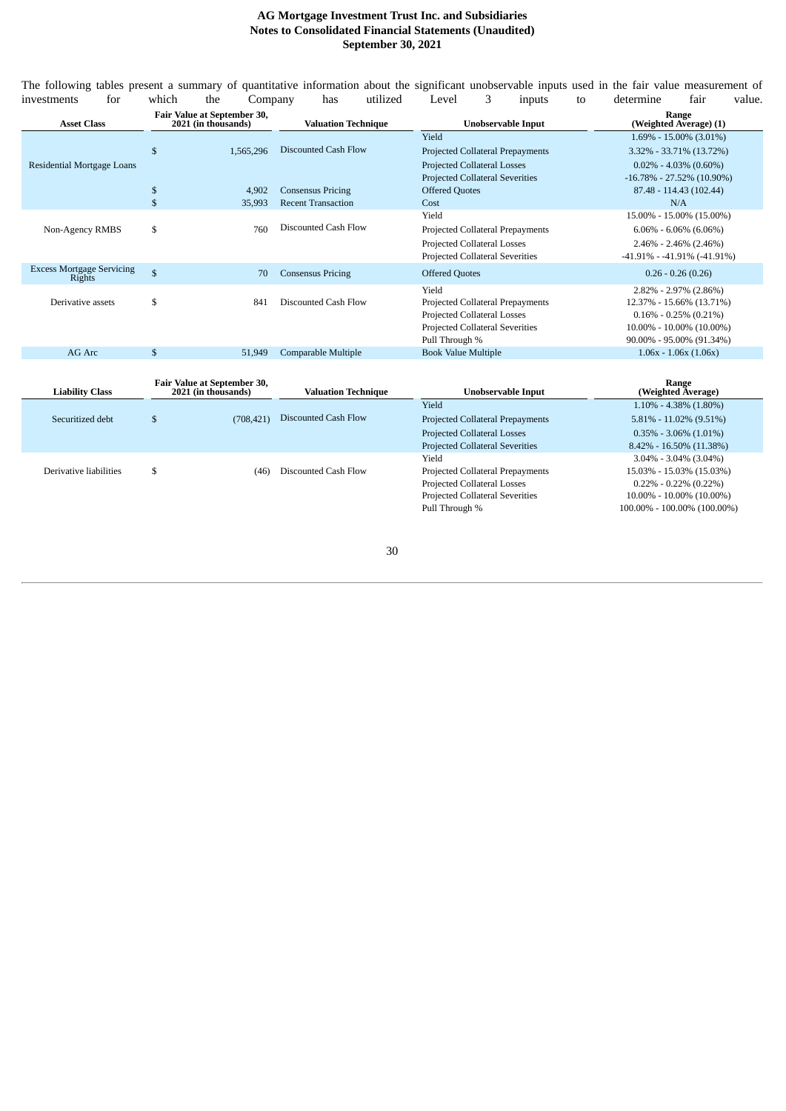The following tables present a summary of quantitative information about the significant unobservable inputs used in the fair value measurement of investments for which the Company has utilized Level 3 inputs to determine investments for which the Company has utilized Level 3 inputs to determine fair value.

| <b>Asset Class</b>                         |              | <b>Fair Value at September 30,</b><br>2021 (in thousands) | <b>Valuation Technique</b> | Unobservable Input                     | Range<br>(Weighted Average) (1)     |
|--------------------------------------------|--------------|-----------------------------------------------------------|----------------------------|----------------------------------------|-------------------------------------|
|                                            |              |                                                           |                            | Yield                                  | $1.69\% - 15.00\%$ (3.01%)          |
|                                            | $\mathbf{s}$ | 1,565,296                                                 | Discounted Cash Flow       | Projected Collateral Prepayments       | 3.32% - 33.71% (13.72%)             |
| Residential Mortgage Loans                 |              |                                                           |                            | <b>Projected Collateral Losses</b>     | $0.02\% - 4.03\%$ (0.60%)           |
|                                            |              |                                                           |                            | <b>Projected Collateral Severities</b> | $-16.78\% - 27.52\%$ (10.90%)       |
|                                            |              | 4,902                                                     | <b>Consensus Pricing</b>   | <b>Offered Quotes</b>                  | 87.48 - 114.43 (102.44)             |
|                                            |              | 35,993                                                    | <b>Recent Transaction</b>  | Cost                                   | N/A                                 |
|                                            |              |                                                           |                            | Yield                                  | 15.00% - 15.00% (15.00%)            |
| Non-Agency RMBS                            | \$           | 760                                                       | Discounted Cash Flow       | Projected Collateral Prepayments       | $6.06\% - 6.06\%$ (6.06%)           |
|                                            |              |                                                           |                            | <b>Projected Collateral Losses</b>     | $2.46\% - 2.46\%$ (2.46%)           |
|                                            |              |                                                           |                            | <b>Projected Collateral Severities</b> | $-41.91\% - 41.91\%$ ( $-41.91\%$ ) |
| <b>Excess Mortgage Servicing</b><br>Rights | \$           | 70                                                        | <b>Consensus Pricing</b>   | <b>Offered Quotes</b>                  | $0.26 - 0.26(0.26)$                 |
|                                            |              |                                                           |                            | Yield                                  | 2.82% - 2.97% (2.86%)               |
| Derivative assets                          | \$           | 841                                                       | Discounted Cash Flow       | Projected Collateral Prepayments       | 12.37% - 15.66% (13.71%)            |
|                                            |              |                                                           |                            | Projected Collateral Losses            | $0.16\% - 0.25\%$ (0.21%)           |
|                                            |              |                                                           |                            | <b>Projected Collateral Severities</b> | 10.00% - 10.00% (10.00%)            |
|                                            |              |                                                           |                            | Pull Through %                         | 90.00% - 95.00% (91.34%)            |
| AG Arc                                     | \$           | 51,949                                                    | Comparable Multiple        | <b>Book Value Multiple</b>             | $1.06x - 1.06x(1.06x)$              |
|                                            |              |                                                           |                            |                                        |                                     |

| Liability Class        | <b>Fair Value at September 30,</b><br>2021 (in thousands) | <b>Valuation Technique</b> | Unobservable Input                     | Range<br>(Weighted Average) |
|------------------------|-----------------------------------------------------------|----------------------------|----------------------------------------|-----------------------------|
|                        |                                                           |                            | Yield                                  | $1.10\%$ - 4.38% $(1.80\%)$ |
| Securitized debt       | (708, 421)                                                | Discounted Cash Flow       | Projected Collateral Prepayments       | $5.81\% - 11.02\%$ (9.51%)  |
|                        |                                                           |                            | <b>Projected Collateral Losses</b>     | $0.35\% - 3.06\%$ (1.01%)   |
|                        |                                                           |                            | <b>Projected Collateral Severities</b> | 8.42% - 16.50% (11.38%)     |
|                        |                                                           |                            | Yield                                  | $3.04\% - 3.04\%$ (3.04%)   |
| Derivative liabilities | (46)                                                      | Discounted Cash Flow       | Projected Collateral Prepayments       | 15.03% - 15.03% (15.03%)    |
|                        |                                                           |                            | Projected Collateral Losses            | $0.22\% - 0.22\% (0.22\%)$  |
|                        |                                                           |                            | Projected Collateral Severities        | 10.00% - 10.00% (10.00%)    |
|                        |                                                           |                            | Pull Through %                         | 100.00% - 100.00% (100.00%) |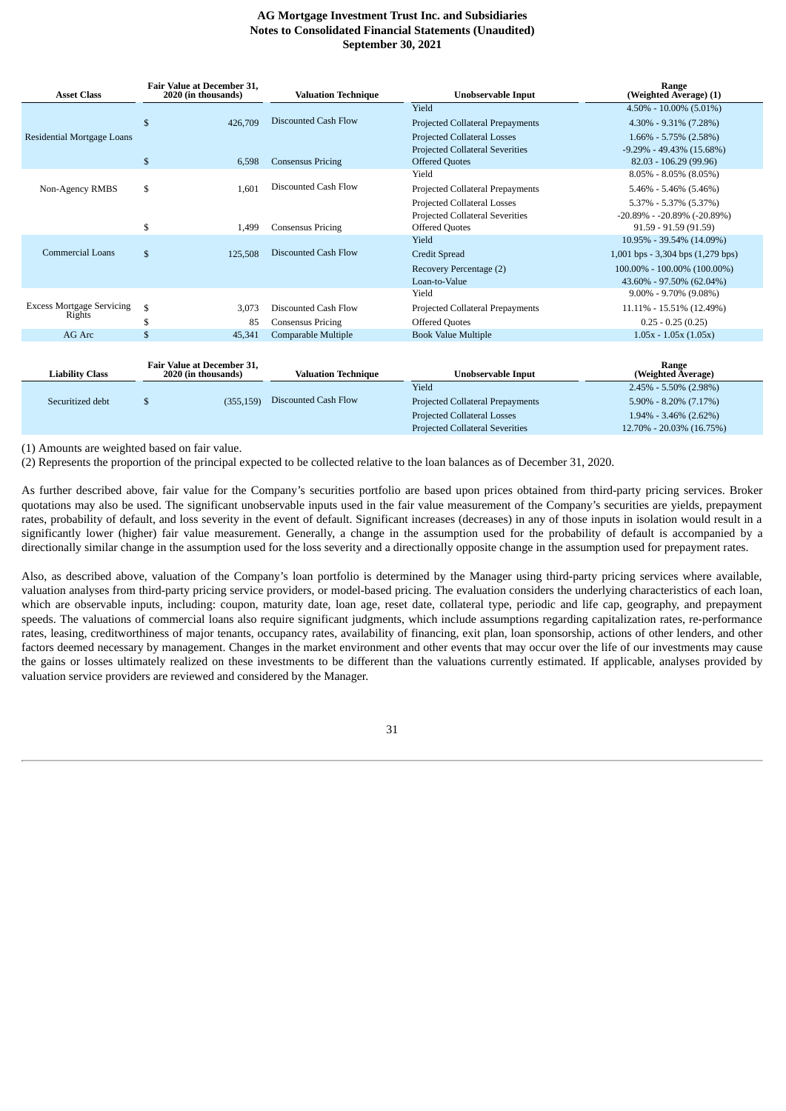| <b>Asset Class</b>               | <b>Fair Value at December 31,</b><br>2020 (in thousands) | <b>Valuation Technique</b>  | Unobservable Input                      | Range<br>(Weighted Average) (1)       |
|----------------------------------|----------------------------------------------------------|-----------------------------|-----------------------------------------|---------------------------------------|
|                                  |                                                          |                             | Yield                                   | 4.50% - 10.00% (5.01%)                |
|                                  | \$<br>426,709                                            | Discounted Cash Flow        | <b>Projected Collateral Prepayments</b> | 4.30% - 9.31% (7.28%)                 |
| Residential Mortgage Loans       |                                                          |                             | <b>Projected Collateral Losses</b>      | $1.66\% - 5.75\%$ (2.58%)             |
|                                  |                                                          |                             | <b>Projected Collateral Severities</b>  | $-9.29\% - 49.43\%$ (15.68%)          |
|                                  | \$<br>6,598                                              | <b>Consensus Pricing</b>    | <b>Offered Quotes</b>                   | 82.03 - 106.29 (99.96)                |
|                                  |                                                          |                             | Yield                                   | $8.05\% - 8.05\%$ (8.05%)             |
| Non-Agency RMBS                  | \$<br>1,601                                              | Discounted Cash Flow        | <b>Projected Collateral Prepayments</b> | $5.46\% - 5.46\%$ (5.46%)             |
|                                  |                                                          |                             | <b>Projected Collateral Losses</b>      | 5.37% - 5.37% (5.37%)                 |
|                                  |                                                          |                             | <b>Projected Collateral Severities</b>  | $-20.89\% - 20.89\%$ ( $-20.89\%$ )   |
|                                  | \$<br>1,499                                              | <b>Consensus Pricing</b>    | <b>Offered Quotes</b>                   | $91.59 - 91.59(91.59)$                |
|                                  |                                                          |                             | Yield                                   | 10.95% - 39.54% (14.09%)              |
| <b>Commercial Loans</b>          | \$<br>125,508                                            | <b>Discounted Cash Flow</b> | <b>Credit Spread</b>                    | $1,001$ bps - 3,304 bps $(1,279$ bps) |
|                                  |                                                          |                             | Recovery Percentage (2)                 | 100.00% - 100.00% (100.00%)           |
|                                  |                                                          |                             | Loan-to-Value                           | 43.60% - 97.50% (62.04%)              |
|                                  |                                                          |                             | Yield                                   | $9.00\% - 9.70\%$ (9.08%)             |
| <b>Excess Mortgage Servicing</b> | \$<br>3,073                                              | Discounted Cash Flow        | <b>Projected Collateral Prepayments</b> | 11.11% - 15.51% (12.49%)              |
| Rights                           | \$<br>85                                                 | <b>Consensus Pricing</b>    | <b>Offered Quotes</b>                   | $0.25 - 0.25(0.25)$                   |
| AG Arc                           | \$<br>45,341                                             | Comparable Multiple         | <b>Book Value Multiple</b>              | $1.05x - 1.05x(1.05x)$                |
|                                  |                                                          |                             |                                         |                                       |
| <b>Liability Class</b>           | <b>Fair Value at December 31.</b><br>2020 (in thousands) | <b>Valuation Technique</b>  | Unobservable Input                      | Range<br>(Weighted Average)           |
|                                  |                                                          |                             | Yield                                   | $2.45\% - 5.50\%$ (2.98%)             |
| Securitized debt                 | \$<br>(355, 159)                                         | Discounted Cash Flow        | <b>Projected Collateral Prepayments</b> | $5.90\% - 8.20\%$ (7.17%)             |
|                                  |                                                          |                             | <b>Projected Collateral Losses</b>      | $1.94\% - 3.46\%$ (2.62%)             |
|                                  |                                                          |                             | <b>Projected Collateral Severities</b>  | 12.70% - 20.03% (16.75%)              |

(1) Amounts are weighted based on fair value.

(2) Represents the proportion of the principal expected to be collected relative to the loan balances as of December 31, 2020.

As further described above, fair value for the Company's securities portfolio are based upon prices obtained from third-party pricing services. Broker quotations may also be used. The significant unobservable inputs used in the fair value measurement of the Company's securities are yields, prepayment rates, probability of default, and loss severity in the event of default. Significant increases (decreases) in any of those inputs in isolation would result in a significantly lower (higher) fair value measurement. Generally, a change in the assumption used for the probability of default is accompanied by a directionally similar change in the assumption used for the loss severity and a directionally opposite change in the assumption used for prepayment rates.

Also, as described above, valuation of the Company's loan portfolio is determined by the Manager using third-party pricing services where available, valuation analyses from third-party pricing service providers, or model-based pricing. The evaluation considers the underlying characteristics of each loan, which are observable inputs, including: coupon, maturity date, loan age, reset date, collateral type, periodic and life cap, geography, and prepayment speeds. The valuations of commercial loans also require significant judgments, which include assumptions regarding capitalization rates, re-performance rates, leasing, creditworthiness of major tenants, occupancy rates, availability of financing, exit plan, loan sponsorship, actions of other lenders, and other factors deemed necessary by management. Changes in the market environment and other events that may occur over the life of our investments may cause the gains or losses ultimately realized on these investments to be different than the valuations currently estimated. If applicable, analyses provided by valuation service providers are reviewed and considered by the Manager.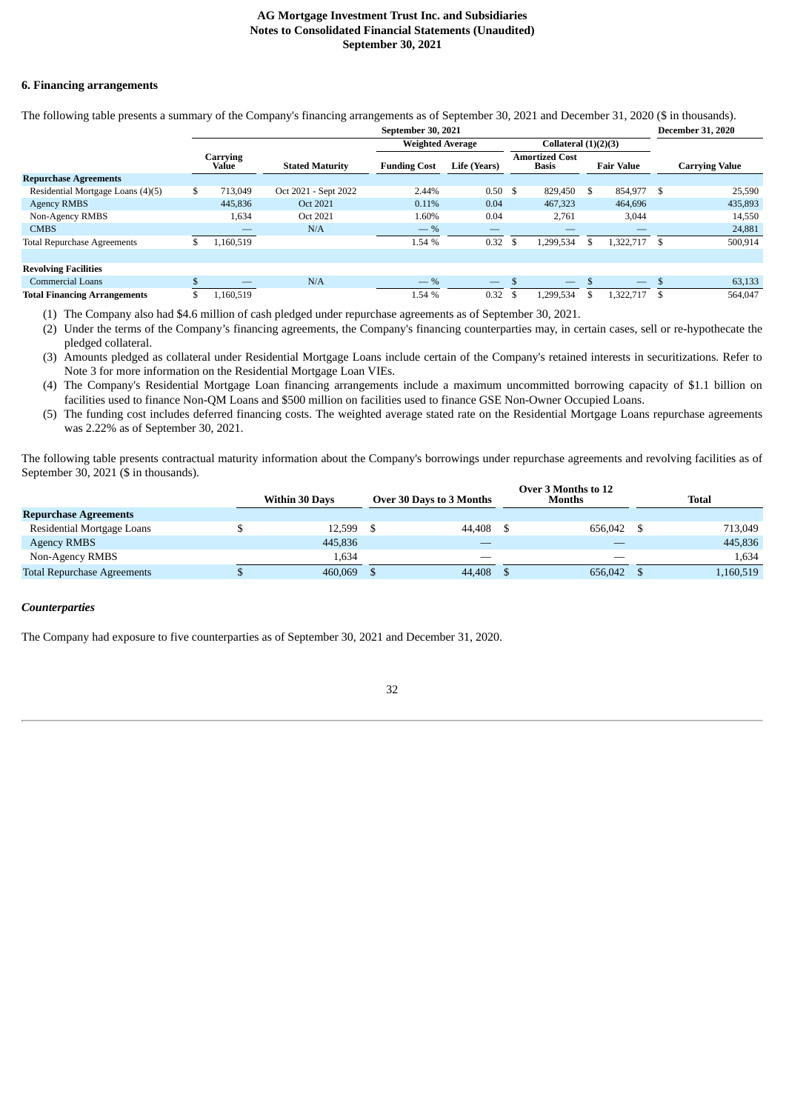## **6. Financing arrangements**

| The following table presents a summary of the Company's financing arrangements as of September 30, 2021 and December 31, 2020 (\$ in thousands). |    |                   |                        |                          |                          |                                |                          |                   |           |     |                       |
|--------------------------------------------------------------------------------------------------------------------------------------------------|----|-------------------|------------------------|--------------------------|--------------------------|--------------------------------|--------------------------|-------------------|-----------|-----|-----------------------|
|                                                                                                                                                  |    |                   |                        | <b>December 31, 2020</b> |                          |                                |                          |                   |           |     |                       |
|                                                                                                                                                  |    |                   |                        | <b>Weighted Average</b>  |                          |                                | Collateral $(1)(2)(3)$   |                   |           |     |                       |
|                                                                                                                                                  |    | Carrying<br>Value | <b>Stated Maturity</b> | <b>Funding Cost</b>      | Life (Years)             | <b>Amortized Cost</b><br>Basis |                          | <b>Fair Value</b> |           |     | <b>Carrying Value</b> |
| <b>Repurchase Agreements</b>                                                                                                                     |    |                   |                        |                          |                          |                                |                          |                   |           |     |                       |
| Residential Mortgage Loans (4)(5)                                                                                                                | \$ | 713,049           | Oct 2021 - Sept 2022   | 2.44%                    | 0.50 <sup>5</sup>        |                                | 829,450                  | \$                | 854,977   | -\$ | 25,590                |
| <b>Agency RMBS</b>                                                                                                                               |    | 445,836           | <b>Oct 2021</b>        | 0.11%                    | 0.04                     |                                | 467,323                  |                   | 464,696   |     | 435,893               |
| Non-Agency RMBS                                                                                                                                  |    | 1,634             | <b>Oct 2021</b>        | 1.60%                    | 0.04                     |                                | 2,761                    |                   | 3,044     |     | 14,550                |
| <b>CMBS</b>                                                                                                                                      |    |                   | N/A                    | $-$ %                    |                          |                                |                          |                   |           |     | 24,881                |
| <b>Total Repurchase Agreements</b>                                                                                                               |    | 1,160,519         |                        | 1.54 %                   | 0.32                     |                                | 1,299,534                | Эħ                | 1,322,717 |     | 500,914               |
|                                                                                                                                                  |    |                   |                        |                          |                          |                                |                          |                   |           |     |                       |
| <b>Revolving Facilities</b>                                                                                                                      |    |                   |                        |                          |                          |                                |                          |                   |           |     |                       |
| <b>Commercial Loans</b>                                                                                                                          |    |                   | N/A                    | $-$ %                    | $\overline{\phantom{m}}$ |                                | $\overline{\phantom{m}}$ |                   |           |     | 63,133                |
| <b>Total Financing Arrangements</b>                                                                                                              |    | 1,160,519         |                        | 1.54 %                   | 0.32                     |                                | 1,299,534                | ъ.                | 1,322,717 |     | 564,047               |

(1) The Company also had \$4.6 million of cash pledged under repurchase agreements as of September 30, 2021.

(2) Under the terms of the Company's financing agreements, the Company's financing counterparties may, in certain cases, sell or re-hypothecate the pledged collateral.

(3) Amounts pledged as collateral under Residential Mortgage Loans include certain of the Company's retained interests in securitizations. Refer to Note 3 for more information on the Residential Mortgage Loan VIEs.

(4) The Company's Residential Mortgage Loan financing arrangements include a maximum uncommitted borrowing capacity of \$1.1 billion on facilities used to finance Non-QM Loans and \$500 million on facilities used to finance GSE Non-Owner Occupied Loans.

(5) The funding cost includes deferred financing costs. The weighted average stated rate on the Residential Mortgage Loans repurchase agreements was 2.22% as of September 30, 2021.

The following table presents contractual maturity information about the Company's borrowings under repurchase agreements and revolving facilities as of September 30, 2021 (\$ in thousands).

|                                    | Within 30 Days | <b>Over 30 Days to 3 Months</b> | Over 3 Months to 12<br>Months | <b>Total</b> |
|------------------------------------|----------------|---------------------------------|-------------------------------|--------------|
| <b>Repurchase Agreements</b>       |                |                                 |                               |              |
| Residential Mortgage Loans         | 12,599         | 44,408                          | 656.042                       | 713.049      |
| Agency RMBS                        | 445,836        | __                              |                               | 445,836      |
| Non-Agency RMBS                    | 1,634          |                                 |                               | 1,634        |
| <b>Total Repurchase Agreements</b> | 460,069        | 44,408                          | 656,042                       | 1,160,519    |

### *Counterparties*

The Company had exposure to five counterparties as of September 30, 2021 and December 31, 2020.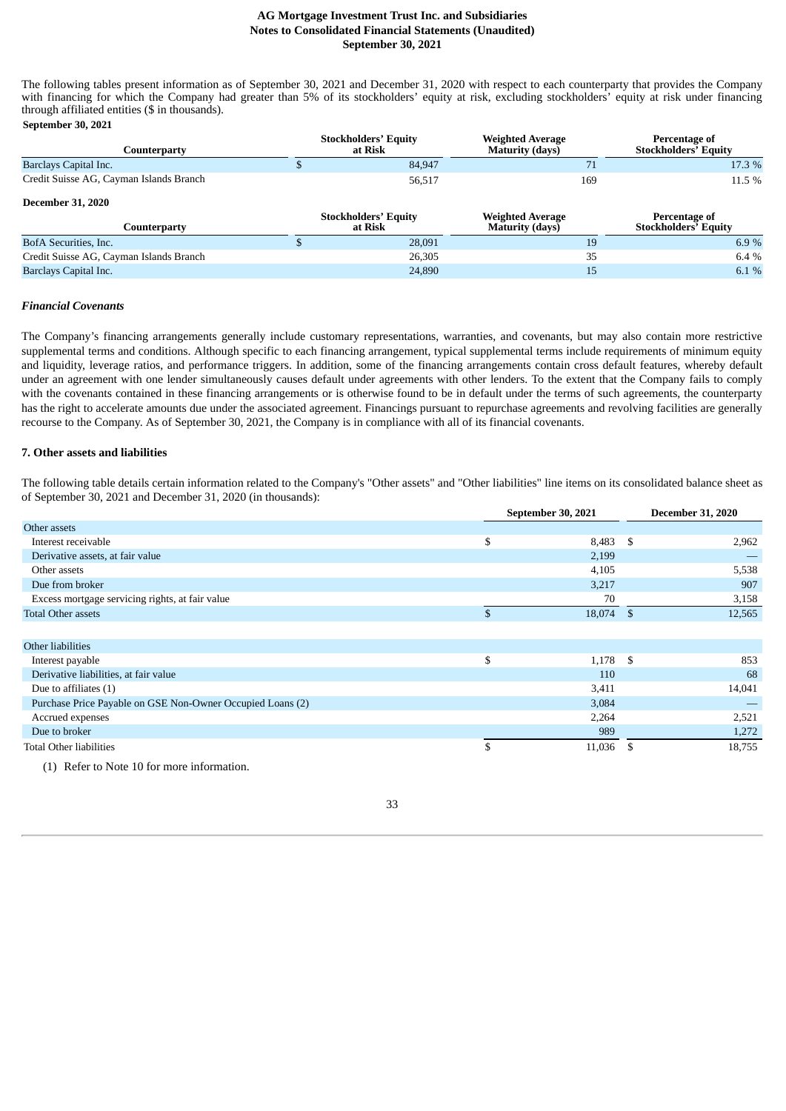The following tables present information as of September 30, 2021 and December 31, 2020 with respect to each counterparty that provides the Company with financing for which the Company had greater than 5% of its stockholders' equity at risk, excluding stockholders' equity at risk under financing through affiliated entities (\$ in thousands). **September 30, 2021**

| Counterparty                            | <b>Stockholders' Equity</b><br>at Risk | <b>Weighted Average</b><br><b>Maturity (days)</b> | Percentage of<br>Stockholders <sup>3</sup> Equity |
|-----------------------------------------|----------------------------------------|---------------------------------------------------|---------------------------------------------------|
| Barclays Capital Inc.                   | 84,947                                 |                                                   | 17.3 %                                            |
| Credit Suisse AG, Cayman Islands Branch | 56,517                                 | 169                                               | 11.5 %                                            |
| <b>December 31, 2020</b>                |                                        |                                                   |                                                   |
| Counterparty                            | <b>Stockholders' Equity</b><br>at Risk | <b>Weighted Average</b><br><b>Maturity (days)</b> | Percentage of<br><b>Stockholders' Equity</b>      |
| BofA Securities, Inc.                   | 28.091                                 | 19                                                | 6.9 %                                             |
| Credit Suisse AG, Cayman Islands Branch | 26.305                                 | 35                                                | 6.4%                                              |
| Barclays Capital Inc.                   | 24.890                                 | 15                                                | 6.1 %                                             |

### *Financial Covenants*

The Company's financing arrangements generally include customary representations, warranties, and covenants, but may also contain more restrictive supplemental terms and conditions. Although specific to each financing arrangement, typical supplemental terms include requirements of minimum equity and liquidity, leverage ratios, and performance triggers. In addition, some of the financing arrangements contain cross default features, whereby default under an agreement with one lender simultaneously causes default under agreements with other lenders. To the extent that the Company fails to comply with the covenants contained in these financing arrangements or is otherwise found to be in default under the terms of such agreements, the counterparty has the right to accelerate amounts due under the associated agreement. Financings pursuant to repurchase agreements and revolving facilities are generally recourse to the Company. As of September 30, 2021, the Company is in compliance with all of its financial covenants.

### **7. Other assets and liabilities**

The following table details certain information related to the Company's "Other assets" and "Other liabilities" line items on its consolidated balance sheet as of September 30, 2021 and December 31, 2020 (in thousands):

|                                                            | September 30, 2021 |        |      |        |
|------------------------------------------------------------|--------------------|--------|------|--------|
| Other assets                                               |                    |        |      |        |
| Interest receivable                                        | \$                 | 8,483  | \$   | 2,962  |
| Derivative assets, at fair value                           |                    | 2,199  |      |        |
| Other assets                                               |                    | 4,105  |      | 5,538  |
| Due from broker                                            |                    | 3,217  |      | 907    |
| Excess mortgage servicing rights, at fair value            |                    | 70     |      | 3,158  |
| <b>Total Other assets</b>                                  | \$                 | 18,074 | -\$  | 12,565 |
|                                                            |                    |        |      |        |
| Other liabilities                                          |                    |        |      |        |
| Interest payable                                           | \$                 | 1,178  | - \$ | 853    |
| Derivative liabilities, at fair value                      |                    | 110    |      | 68     |
| Due to affiliates $(1)$                                    |                    | 3,411  |      | 14,041 |
| Purchase Price Payable on GSE Non-Owner Occupied Loans (2) |                    | 3,084  |      |        |
| Accrued expenses                                           |                    | 2,264  |      | 2,521  |
| Due to broker                                              |                    | 989    |      | 1,272  |
| Total Other liabilities                                    | \$                 | 11,036 | \$.  | 18,755 |

(1) Refer to Note 10 for more information.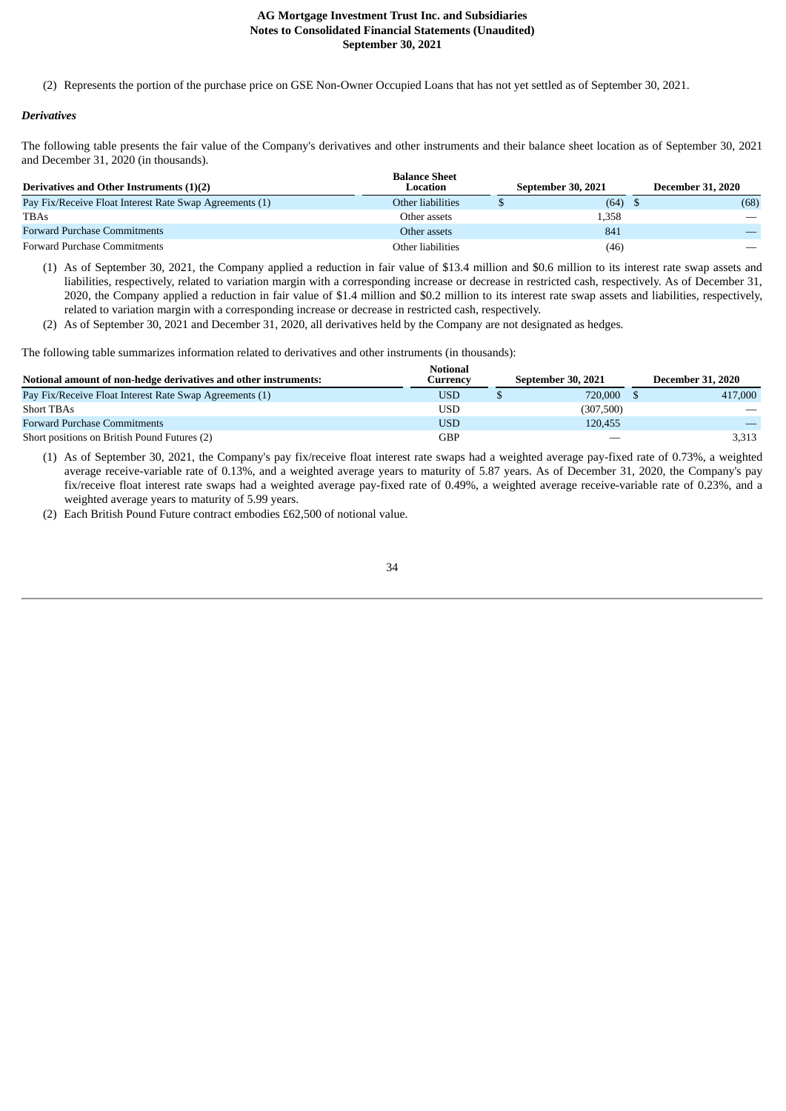(2) Represents the portion of the purchase price on GSE Non-Owner Occupied Loans that has not yet settled as of September 30, 2021.

# *Derivatives*

The following table presents the fair value of the Company's derivatives and other instruments and their balance sheet location as of September 30, 2021 and December 31, 2020 (in thousands).

| Derivatives and Other Instruments (1)(2)                | <b>Balance Sheet</b><br>Location | September 30, 2021 | <b>December 31, 2020</b> |  |  |
|---------------------------------------------------------|----------------------------------|--------------------|--------------------------|--|--|
| Pay Fix/Receive Float Interest Rate Swap Agreements (1) | Other liabilities                | (64)               | (68)                     |  |  |
| <b>TBAs</b>                                             | Other assets                     | 1,358              |                          |  |  |
| <b>Forward Purchase Commitments</b>                     | Other assets                     | 841                |                          |  |  |
| <b>Forward Purchase Commitments</b>                     | Other liabilities                | (46)               |                          |  |  |

- (1) As of September 30, 2021, the Company applied a reduction in fair value of \$13.4 million and \$0.6 million to its interest rate swap assets and liabilities, respectively, related to variation margin with a corresponding increase or decrease in restricted cash, respectively. As of December 31, 2020, the Company applied a reduction in fair value of \$1.4 million and \$0.2 million to its interest rate swap assets and liabilities, respectively, related to variation margin with a corresponding increase or decrease in restricted cash, respectively.
- (2) As of September 30, 2021 and December 31, 2020, all derivatives held by the Company are not designated as hedges.

The following table summarizes information related to derivatives and other instruments (in thousands):

| Notional amount of non-hedge derivatives and other instruments: | Notional<br>Currencv | September 30, 2021 | <b>December 31, 2020</b> |         |  |
|-----------------------------------------------------------------|----------------------|--------------------|--------------------------|---------|--|
| Pay Fix/Receive Float Interest Rate Swap Agreements (1)         | USD                  | 720,000            |                          | 417,000 |  |
| Short TBAs                                                      | USD                  | (307,500)          |                          |         |  |
| <b>Forward Purchase Commitments</b>                             | USD                  | 120.455            |                          |         |  |
| Short positions on British Pound Futures (2)                    | GBP                  |                    |                          | 3.313   |  |

(1) As of September 30, 2021, the Company's pay fix/receive float interest rate swaps had a weighted average pay-fixed rate of 0.73%, a weighted average receive-variable rate of 0.13%, and a weighted average years to maturity of 5.87 years. As of December 31, 2020, the Company's pay fix/receive float interest rate swaps had a weighted average pay-fixed rate of 0.49%, a weighted average receive-variable rate of 0.23%, and a weighted average years to maturity of 5.99 years.

(2) Each British Pound Future contract embodies £62,500 of notional value.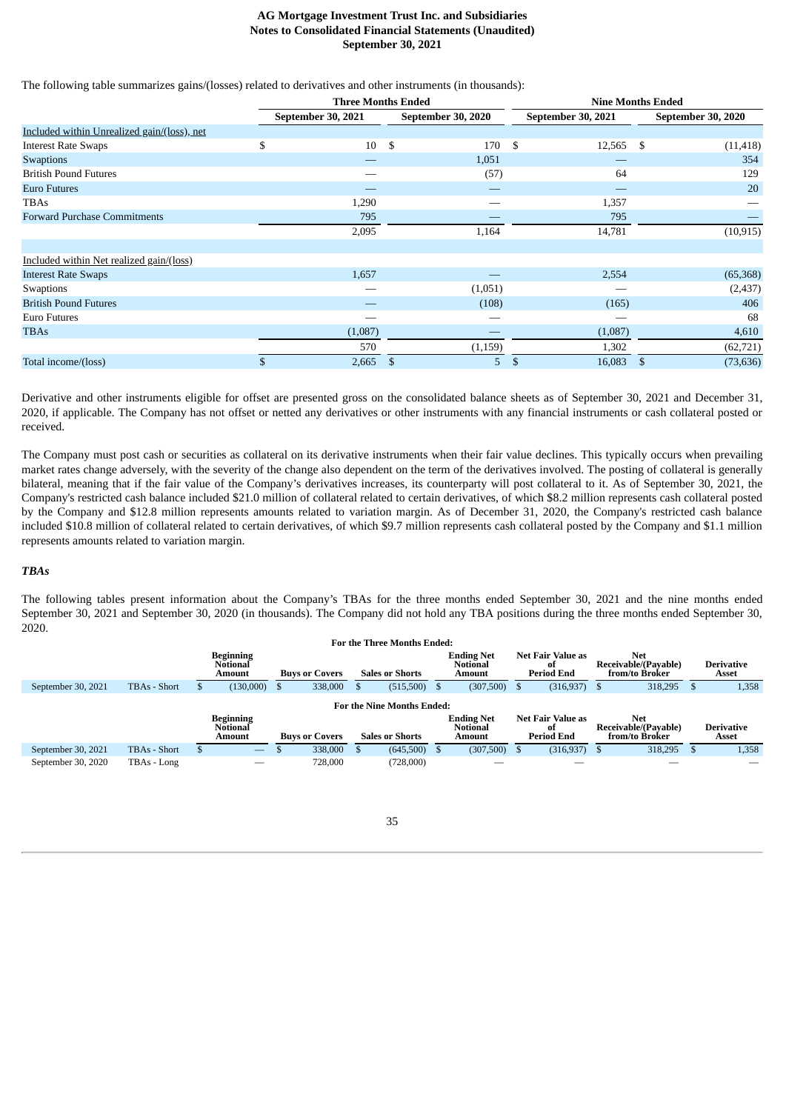The following table summarizes gains/(losses) related to derivatives and other instruments (in thousands):

|                                             | <b>Three Months Ended</b> |              |                    | <b>Nine Months Ended</b> |    |                    |  |
|---------------------------------------------|---------------------------|--------------|--------------------|--------------------------|----|--------------------|--|
|                                             | September 30, 2021        |              | September 30, 2020 | September 30, 2021       |    | September 30, 2020 |  |
| Included within Unrealized gain/(loss), net |                           |              |                    |                          |    |                    |  |
| <b>Interest Rate Swaps</b>                  | 10<br>\$                  | \$           | 170                | - \$<br>12,565           | \$ | (11, 418)          |  |
| <b>Swaptions</b>                            |                           |              | 1,051              |                          |    | 354                |  |
| <b>British Pound Futures</b>                |                           |              | (57)               | 64                       |    | 129                |  |
| <b>Euro Futures</b>                         |                           |              |                    |                          |    | 20                 |  |
| <b>TBAs</b>                                 | 1,290                     |              |                    | 1,357                    |    |                    |  |
| <b>Forward Purchase Commitments</b>         | 795                       |              |                    | 795                      |    |                    |  |
|                                             | 2,095                     |              | 1,164              | 14,781                   |    | (10, 915)          |  |
|                                             |                           |              |                    |                          |    |                    |  |
| Included within Net realized gain/(loss)    |                           |              |                    |                          |    |                    |  |
| <b>Interest Rate Swaps</b>                  | 1,657                     |              |                    | 2,554                    |    | (65, 368)          |  |
| Swaptions                                   |                           |              | (1,051)            |                          |    | (2,437)            |  |
| <b>British Pound Futures</b>                |                           |              | (108)              | (165)                    |    | 406                |  |
| Euro Futures                                |                           |              |                    |                          |    | 68                 |  |
| <b>TBAs</b>                                 | (1,087)                   |              |                    | (1,087)                  |    | 4,610              |  |
|                                             | 570                       |              | (1, 159)           | 1,302                    |    | (62, 721)          |  |
| Total income/(loss)                         | 2,665<br>\$               | $\mathbb{S}$ | 5                  | 16,083<br>\$             | \$ | (73, 636)          |  |

Derivative and other instruments eligible for offset are presented gross on the consolidated balance sheets as of September 30, 2021 and December 31, 2020, if applicable. The Company has not offset or netted any derivatives or other instruments with any financial instruments or cash collateral posted or received.

The Company must post cash or securities as collateral on its derivative instruments when their fair value declines. This typically occurs when prevailing market rates change adversely, with the severity of the change also dependent on the term of the derivatives involved. The posting of collateral is generally bilateral, meaning that if the fair value of the Company's derivatives increases, its counterparty will post collateral to it. As of September 30, 2021, the Company's restricted cash balance included \$21.0 million of collateral related to certain derivatives, of which \$8.2 million represents cash collateral posted by the Company and \$12.8 million represents amounts related to variation margin. As of December 31, 2020, the Company's restricted cash balance included \$10.8 million of collateral related to certain derivatives, of which \$9.7 million represents cash collateral posted by the Company and \$1.1 million represents amounts related to variation margin.

### *TBAs*

The following tables present information about the Company's TBAs for the three months ended September 30, 2021 and the nine months ended September 30, 2021 and September 30, 2020 (in thousands). The Company did not hold any TBA positions during the three months ended September 30, 2020.

| <b>For the Three Months Ended:</b> |              |  |                                               |  |                       |                        |           |                                                |           |                                                     |                |                                               |         |                            |                            |  |
|------------------------------------|--------------|--|-----------------------------------------------|--|-----------------------|------------------------|-----------|------------------------------------------------|-----------|-----------------------------------------------------|----------------|-----------------------------------------------|---------|----------------------------|----------------------------|--|
|                                    |              |  | <b>Beginning</b><br><b>Notional</b><br>Amount |  | <b>Buys or Covers</b> | <b>Sales or Shorts</b> |           | <b>Ending Net</b><br><b>Notional</b><br>Amount |           | Net Fair Value as<br>0t<br><b>Period End</b>        |                | Net<br>Receivable/(Pavable)<br>from/to Broker |         |                            | <b>Derivative</b><br>Asset |  |
| September 30, 2021                 | TBAs - Short |  | (130,000)                                     |  | 338,000               |                        | (515,500) |                                                | (307,500) |                                                     | $(316,937)$ \$ |                                               | 318,295 |                            | 1,358                      |  |
| For the Nine Months Ended:         |              |  |                                               |  |                       |                        |           |                                                |           |                                                     |                |                                               |         |                            |                            |  |
|                                    |              |  | <b>Beginning</b><br>Notional<br>Amount        |  | <b>Buys or Covers</b> | <b>Sales or Shorts</b> |           | <b>Ending Net</b><br><b>Notional</b><br>Amount |           | <b>Net Fair Value as</b><br>0Ī<br><b>Period End</b> |                | Net<br>Receivable/(Payable)<br>from/to Broker |         | <b>Derivative</b><br>Asset |                            |  |
| September 30, 2021                 | TBAs - Short |  | $\overline{\phantom{0}}$                      |  | 338,000               |                        | (645,500) |                                                | (307,500) |                                                     | $(316,937)$ \$ |                                               | 318,295 |                            | 1,358                      |  |
| September 30, 2020                 | TBAs - Long  |  |                                               |  | 728,000               |                        | (728,000) |                                                |           |                                                     |                |                                               |         |                            |                            |  |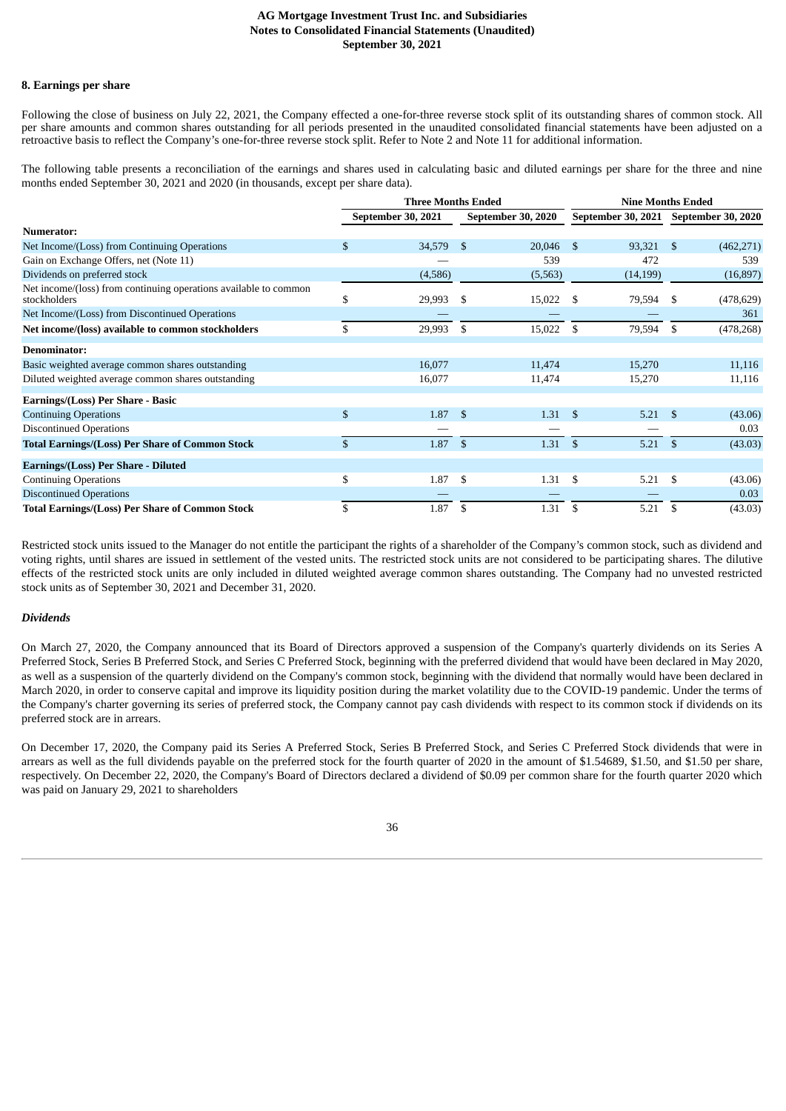#### **8. Earnings per share**

Following the close of business on July 22, 2021, the Company effected a one-for-three reverse stock split of its outstanding shares of common stock. All per share amounts and common shares outstanding for all periods presented in the unaudited consolidated financial statements have been adjusted on a retroactive basis to reflect the Company's one-for-three reverse stock split. Refer to Note 2 and Note 11 for additional information.

The following table presents a reconciliation of the earnings and shares used in calculating basic and diluted earnings per share for the three and nine months ended September 30, 2021 and 2020 (in thousands, except per share data).

|                                                                                  | <b>Three Months Ended</b> |                    |      |                    |                                       | <b>Nine Months Ended</b> |            |            |  |  |
|----------------------------------------------------------------------------------|---------------------------|--------------------|------|--------------------|---------------------------------------|--------------------------|------------|------------|--|--|
|                                                                                  |                           | September 30, 2021 |      | September 30, 2020 | September 30, 2021 September 30, 2020 |                          |            |            |  |  |
| Numerator:                                                                       |                           |                    |      |                    |                                       |                          |            |            |  |  |
| Net Income/(Loss) from Continuing Operations                                     | \$                        | 34,579             | - \$ | $20,046$ \$        |                                       | 93,321 \$                |            | (462, 271) |  |  |
| Gain on Exchange Offers, net (Note 11)                                           |                           |                    |      | 539                |                                       | 472                      |            | 539        |  |  |
| Dividends on preferred stock                                                     |                           | (4,586)            |      | (5,563)            |                                       | (14, 199)                |            | (16, 897)  |  |  |
| Net income/(loss) from continuing operations available to common<br>stockholders | \$                        | 29,993             | - \$ | 15,022             | -S                                    | 79,594                   | - \$       | (478, 629) |  |  |
| Net Income/(Loss) from Discontinued Operations                                   |                           |                    |      |                    |                                       |                          |            | 361        |  |  |
| Net income/(loss) available to common stockholders                               | \$                        | 29,993             | -\$  | 15,022             | - \$                                  | 79,594                   | - \$       | (478, 268) |  |  |
| Denominator:                                                                     |                           |                    |      |                    |                                       |                          |            |            |  |  |
| Basic weighted average common shares outstanding                                 |                           | 16,077             |      | 11,474             |                                       | 15,270                   |            | 11,116     |  |  |
| Diluted weighted average common shares outstanding                               |                           | 16,077             |      | 11,474             |                                       | 15,270                   |            | 11,116     |  |  |
| Earnings/(Loss) Per Share - Basic                                                |                           |                    |      |                    |                                       |                          |            |            |  |  |
| <b>Continuing Operations</b>                                                     | \$                        | 1.87               | -\$  | $1.31 \quad $$     |                                       | $5.21 \quad $$           |            | (43.06)    |  |  |
| <b>Discontinued Operations</b>                                                   |                           |                    |      |                    |                                       |                          |            | 0.03       |  |  |
| <b>Total Earnings/(Loss) Per Share of Common Stock</b>                           | \$                        | 1.87               | \$   | 1.31               | $\mathbf{s}$                          | 5.21                     | $^{\circ}$ | (43.03)    |  |  |
| Earnings/(Loss) Per Share - Diluted                                              |                           |                    |      |                    |                                       |                          |            |            |  |  |
| <b>Continuing Operations</b>                                                     | \$                        | 1.87               | \$   | 1.31               | -\$                                   | 5.21                     | - \$       | (43.06)    |  |  |
| <b>Discontinued Operations</b>                                                   |                           |                    |      |                    |                                       |                          |            | 0.03       |  |  |
| <b>Total Earnings/(Loss) Per Share of Common Stock</b>                           | \$                        | 1.87               | \$.  | 1.31               | - \$                                  | 5.21                     | - \$       | (43.03)    |  |  |

Restricted stock units issued to the Manager do not entitle the participant the rights of a shareholder of the Company's common stock, such as dividend and voting rights, until shares are issued in settlement of the vested units. The restricted stock units are not considered to be participating shares. The dilutive effects of the restricted stock units are only included in diluted weighted average common shares outstanding. The Company had no unvested restricted stock units as of September 30, 2021 and December 31, 2020.

#### *Dividends*

On March 27, 2020, the Company announced that its Board of Directors approved a suspension of the Company's quarterly dividends on its Series A Preferred Stock, Series B Preferred Stock, and Series C Preferred Stock, beginning with the preferred dividend that would have been declared in May 2020, as well as a suspension of the quarterly dividend on the Company's common stock, beginning with the dividend that normally would have been declared in March 2020, in order to conserve capital and improve its liquidity position during the market volatility due to the COVID-19 pandemic. Under the terms of the Company's charter governing its series of preferred stock, the Company cannot pay cash dividends with respect to its common stock if dividends on its preferred stock are in arrears.

On December 17, 2020, the Company paid its Series A Preferred Stock, Series B Preferred Stock, and Series C Preferred Stock dividends that were in arrears as well as the full dividends payable on the preferred stock for the fourth quarter of 2020 in the amount of \$1.54689, \$1.50, and \$1.50 per share, respectively. On December 22, 2020, the Company's Board of Directors declared a dividend of \$0.09 per common share for the fourth quarter 2020 which was paid on January 29, 2021 to shareholders

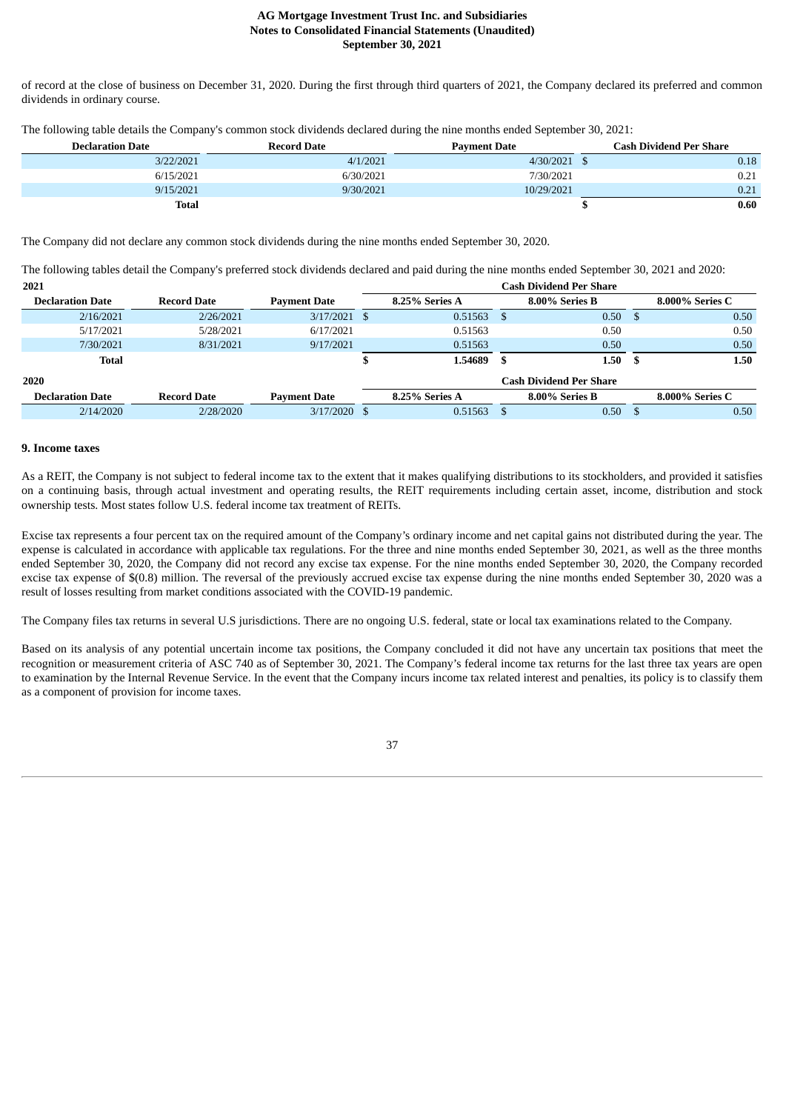of record at the close of business on December 31, 2020. During the first through third quarters of 2021, the Company declared its preferred and common dividends in ordinary course.

The following table details the Company's common stock dividends declared during the nine months ended September 30, 2021:

| <b>Declaration Date</b> | <b>Record Date</b> | <b>Payment Date</b> | Cash Dividend Per Share |
|-------------------------|--------------------|---------------------|-------------------------|
| 3/22/2021               | 4/1/2021           | 4/30/2021           | 0.18                    |
| 6/15/2021               | 6/30/2021          | 7/30/2021           | 0.21                    |
| 9/15/2021               | 9/30/2021          | 10/29/2021          | 0.21                    |
| <b>Total</b>            |                    |                     | 0.60                    |

The Company did not declare any common stock dividends during the nine months ended September 30, 2020.

The following tables detail the Company's preferred stock dividends declared and paid during the nine months ended September 30, 2021 and 2020:

| 2021                    |                    |                     | <b>Cash Dividend Per Share</b> |    |                                |    |                 |  |  |
|-------------------------|--------------------|---------------------|--------------------------------|----|--------------------------------|----|-----------------|--|--|
| <b>Declaration Date</b> | <b>Record Date</b> | <b>Payment Date</b> | 8.25% Series A                 |    | 8.00% Series B                 |    | 8.000% Series C |  |  |
| 2/16/2021               | 2/26/2021          | $3/17/2021$ \$      | 0.51563                        | S. | 0.50                           | -5 | 0.50            |  |  |
| 5/17/2021               | 5/28/2021          | 6/17/2021           | 0.51563                        |    | 0.50                           |    | 0.50            |  |  |
| 7/30/2021               | 8/31/2021          | 9/17/2021           | 0.51563                        |    | 0.50                           |    | 0.50            |  |  |
| <b>Total</b>            |                    |                     | 1.54689                        |    | 1.50                           |    | 1.50            |  |  |
| 2020                    |                    |                     |                                |    | <b>Cash Dividend Per Share</b> |    |                 |  |  |
| <b>Declaration Date</b> | <b>Record Date</b> | <b>Payment Date</b> | 8.25% Series A                 |    | 8.00% Series B                 |    | 8.000% Series C |  |  |
| 2/14/2020               | 2/28/2020          | 3/17/2020           | 0.51563                        |    | 0.50                           |    | 0.50            |  |  |

# **9. Income taxes**

As a REIT, the Company is not subject to federal income tax to the extent that it makes qualifying distributions to its stockholders, and provided it satisfies on a continuing basis, through actual investment and operating results, the REIT requirements including certain asset, income, distribution and stock ownership tests. Most states follow U.S. federal income tax treatment of REITs.

Excise tax represents a four percent tax on the required amount of the Company's ordinary income and net capital gains not distributed during the year. The expense is calculated in accordance with applicable tax regulations. For the three and nine months ended September 30, 2021, as well as the three months ended September 30, 2020, the Company did not record any excise tax expense. For the nine months ended September 30, 2020, the Company recorded excise tax expense of \$(0.8) million. The reversal of the previously accrued excise tax expense during the nine months ended September 30, 2020 was a result of losses resulting from market conditions associated with the COVID-19 pandemic.

The Company files tax returns in several U.S jurisdictions. There are no ongoing U.S. federal, state or local tax examinations related to the Company.

Based on its analysis of any potential uncertain income tax positions, the Company concluded it did not have any uncertain tax positions that meet the recognition or measurement criteria of ASC 740 as of September 30, 2021. The Company's federal income tax returns for the last three tax years are open to examination by the Internal Revenue Service. In the event that the Company incurs income tax related interest and penalties, its policy is to classify them as a component of provision for income taxes.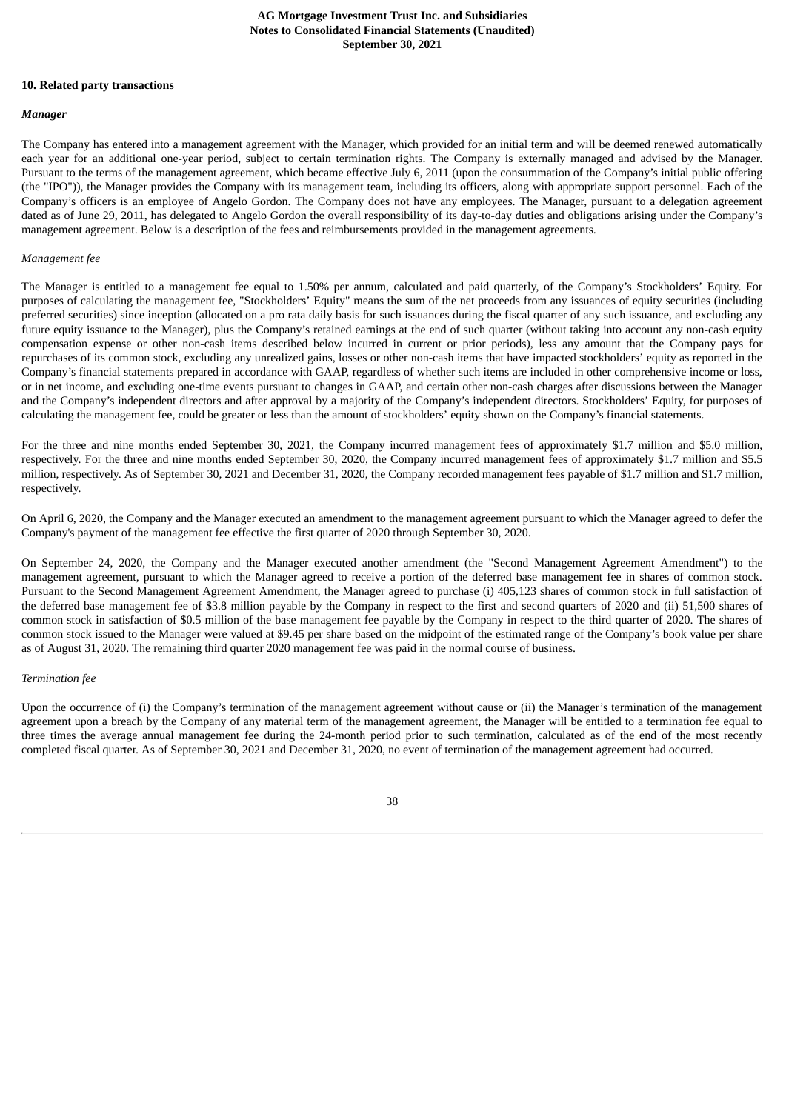#### **10. Related party transactions**

#### *Manager*

The Company has entered into a management agreement with the Manager, which provided for an initial term and will be deemed renewed automatically each year for an additional one-year period, subject to certain termination rights. The Company is externally managed and advised by the Manager. Pursuant to the terms of the management agreement, which became effective July 6, 2011 (upon the consummation of the Company's initial public offering (the "IPO")), the Manager provides the Company with its management team, including its officers, along with appropriate support personnel. Each of the Company's officers is an employee of Angelo Gordon. The Company does not have any employees. The Manager, pursuant to a delegation agreement dated as of June 29, 2011, has delegated to Angelo Gordon the overall responsibility of its day-to-day duties and obligations arising under the Company's management agreement. Below is a description of the fees and reimbursements provided in the management agreements.

### *Management fee*

The Manager is entitled to a management fee equal to 1.50% per annum, calculated and paid quarterly, of the Company's Stockholders' Equity. For purposes of calculating the management fee, "Stockholders' Equity" means the sum of the net proceeds from any issuances of equity securities (including preferred securities) since inception (allocated on a pro rata daily basis for such issuances during the fiscal quarter of any such issuance, and excluding any future equity issuance to the Manager), plus the Company's retained earnings at the end of such quarter (without taking into account any non-cash equity compensation expense or other non-cash items described below incurred in current or prior periods), less any amount that the Company pays for repurchases of its common stock, excluding any unrealized gains, losses or other non-cash items that have impacted stockholders' equity as reported in the Company's financial statements prepared in accordance with GAAP, regardless of whether such items are included in other comprehensive income or loss, or in net income, and excluding one-time events pursuant to changes in GAAP, and certain other non-cash charges after discussions between the Manager and the Company's independent directors and after approval by a majority of the Company's independent directors. Stockholders' Equity, for purposes of calculating the management fee, could be greater or less than the amount of stockholders' equity shown on the Company's financial statements.

For the three and nine months ended September 30, 2021, the Company incurred management fees of approximately \$1.7 million and \$5.0 million, respectively. For the three and nine months ended September 30, 2020, the Company incurred management fees of approximately \$1.7 million and \$5.5 million, respectively. As of September 30, 2021 and December 31, 2020, the Company recorded management fees payable of \$1.7 million and \$1.7 million, respectively.

On April 6, 2020, the Company and the Manager executed an amendment to the management agreement pursuant to which the Manager agreed to defer the Company's payment of the management fee effective the first quarter of 2020 through September 30, 2020.

On September 24, 2020, the Company and the Manager executed another amendment (the "Second Management Agreement Amendment") to the management agreement, pursuant to which the Manager agreed to receive a portion of the deferred base management fee in shares of common stock. Pursuant to the Second Management Agreement Amendment, the Manager agreed to purchase (i) 405,123 shares of common stock in full satisfaction of the deferred base management fee of \$3.8 million payable by the Company in respect to the first and second quarters of 2020 and (ii) 51,500 shares of common stock in satisfaction of \$0.5 million of the base management fee payable by the Company in respect to the third quarter of 2020. The shares of common stock issued to the Manager were valued at \$9.45 per share based on the midpoint of the estimated range of the Company's book value per share as of August 31, 2020. The remaining third quarter 2020 management fee was paid in the normal course of business.

# *Termination fee*

Upon the occurrence of (i) the Company's termination of the management agreement without cause or (ii) the Manager's termination of the management agreement upon a breach by the Company of any material term of the management agreement, the Manager will be entitled to a termination fee equal to three times the average annual management fee during the 24-month period prior to such termination, calculated as of the end of the most recently completed fiscal quarter. As of September 30, 2021 and December 31, 2020, no event of termination of the management agreement had occurred.

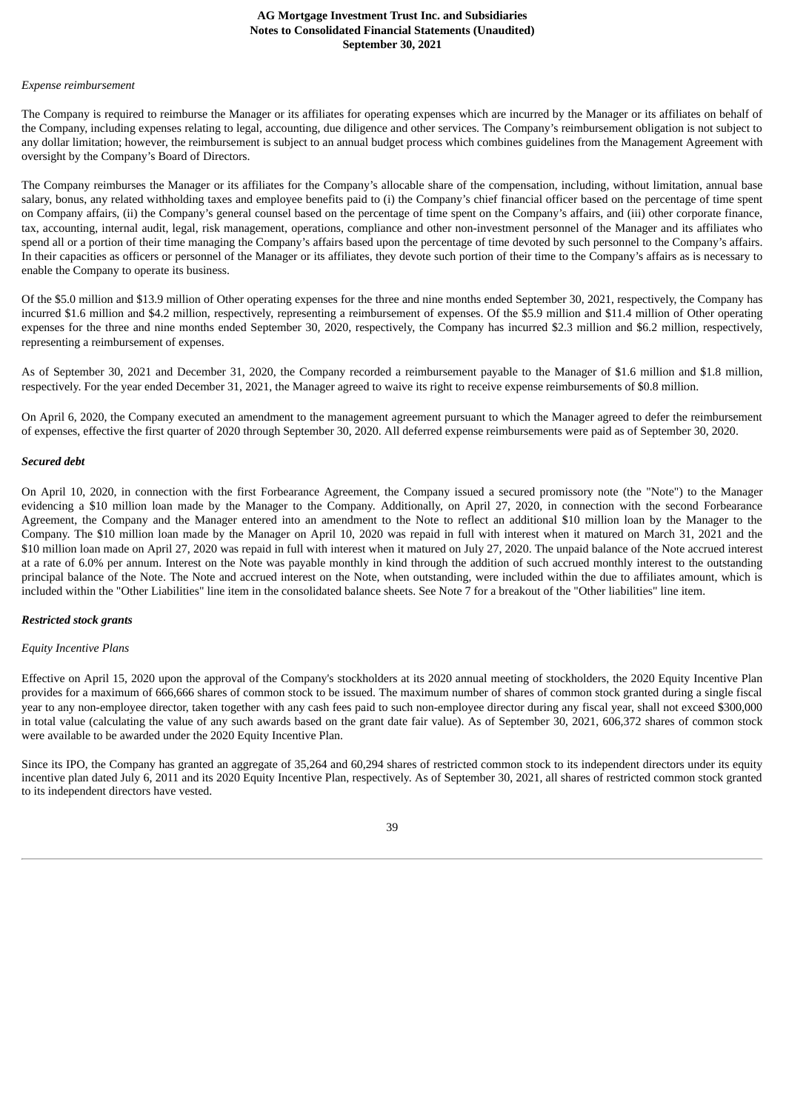#### *Expense reimbursement*

The Company is required to reimburse the Manager or its affiliates for operating expenses which are incurred by the Manager or its affiliates on behalf of the Company, including expenses relating to legal, accounting, due diligence and other services. The Company's reimbursement obligation is not subject to any dollar limitation; however, the reimbursement is subject to an annual budget process which combines guidelines from the Management Agreement with oversight by the Company's Board of Directors.

The Company reimburses the Manager or its affiliates for the Company's allocable share of the compensation, including, without limitation, annual base salary, bonus, any related withholding taxes and employee benefits paid to (i) the Company's chief financial officer based on the percentage of time spent on Company affairs, (ii) the Company's general counsel based on the percentage of time spent on the Company's affairs, and (iii) other corporate finance, tax, accounting, internal audit, legal, risk management, operations, compliance and other non-investment personnel of the Manager and its affiliates who spend all or a portion of their time managing the Company's affairs based upon the percentage of time devoted by such personnel to the Company's affairs. In their capacities as officers or personnel of the Manager or its affiliates, they devote such portion of their time to the Company's affairs as is necessary to enable the Company to operate its business.

Of the \$5.0 million and \$13.9 million of Other operating expenses for the three and nine months ended September 30, 2021, respectively, the Company has incurred \$1.6 million and \$4.2 million, respectively, representing a reimbursement of expenses. Of the \$5.9 million and \$11.4 million of Other operating expenses for the three and nine months ended September 30, 2020, respectively, the Company has incurred \$2.3 million and \$6.2 million, respectively, representing a reimbursement of expenses.

As of September 30, 2021 and December 31, 2020, the Company recorded a reimbursement payable to the Manager of \$1.6 million and \$1.8 million, respectively. For the year ended December 31, 2021, the Manager agreed to waive its right to receive expense reimbursements of \$0.8 million.

On April 6, 2020, the Company executed an amendment to the management agreement pursuant to which the Manager agreed to defer the reimbursement of expenses, effective the first quarter of 2020 through September 30, 2020. All deferred expense reimbursements were paid as of September 30, 2020.

### *Secured debt*

On April 10, 2020, in connection with the first Forbearance Agreement, the Company issued a secured promissory note (the "Note") to the Manager evidencing a \$10 million loan made by the Manager to the Company. Additionally, on April 27, 2020, in connection with the second Forbearance Agreement, the Company and the Manager entered into an amendment to the Note to reflect an additional \$10 million loan by the Manager to the Company. The \$10 million loan made by the Manager on April 10, 2020 was repaid in full with interest when it matured on March 31, 2021 and the \$10 million loan made on April 27, 2020 was repaid in full with interest when it matured on July 27, 2020. The unpaid balance of the Note accrued interest at a rate of 6.0% per annum. Interest on the Note was payable monthly in kind through the addition of such accrued monthly interest to the outstanding principal balance of the Note. The Note and accrued interest on the Note, when outstanding, were included within the due to affiliates amount, which is included within the "Other Liabilities" line item in the consolidated balance sheets. See Note 7 for a breakout of the "Other liabilities" line item.

#### *Restricted stock grants*

#### *Equity Incentive Plans*

Effective on April 15, 2020 upon the approval of the Company's stockholders at its 2020 annual meeting of stockholders, the 2020 Equity Incentive Plan provides for a maximum of 666,666 shares of common stock to be issued. The maximum number of shares of common stock granted during a single fiscal year to any non-employee director, taken together with any cash fees paid to such non-employee director during any fiscal year, shall not exceed \$300,000 in total value (calculating the value of any such awards based on the grant date fair value). As of September 30, 2021, 606,372 shares of common stock were available to be awarded under the 2020 Equity Incentive Plan.

Since its IPO, the Company has granted an aggregate of 35,264 and 60,294 shares of restricted common stock to its independent directors under its equity incentive plan dated July 6, 2011 and its 2020 Equity Incentive Plan, respectively. As of September 30, 2021, all shares of restricted common stock granted to its independent directors have vested.

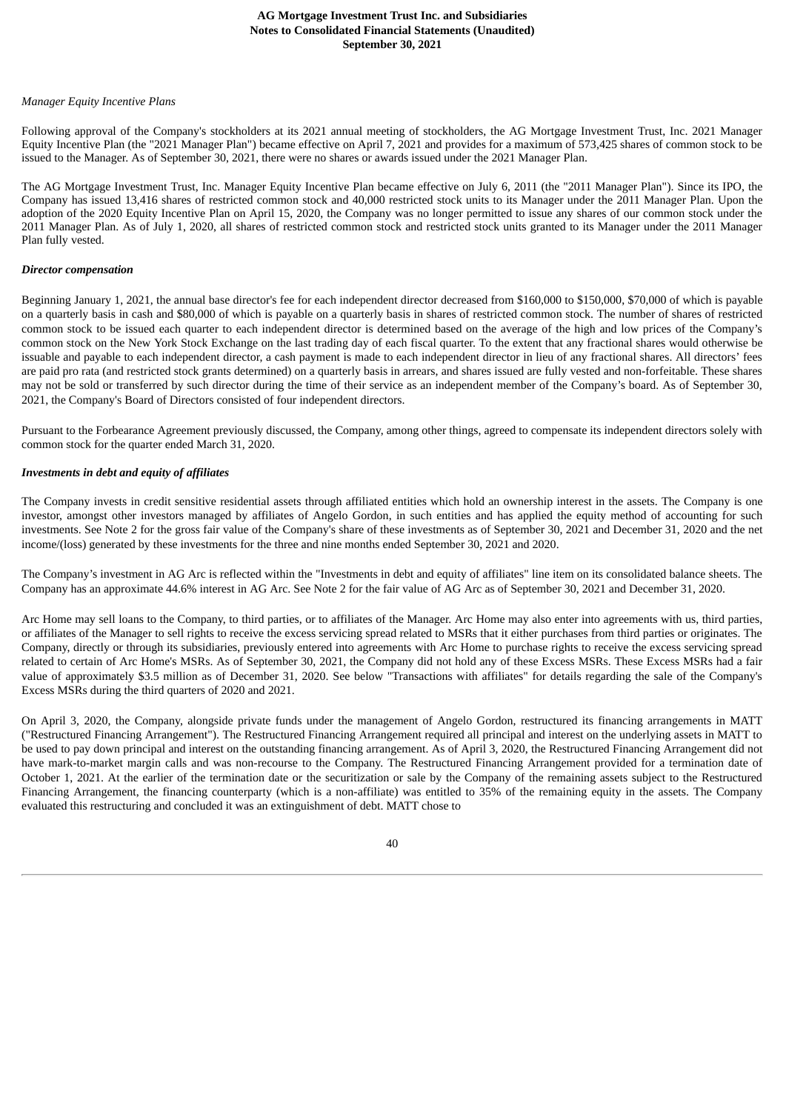### *Manager Equity Incentive Plans*

Following approval of the Company's stockholders at its 2021 annual meeting of stockholders, the AG Mortgage Investment Trust, Inc. 2021 Manager Equity Incentive Plan (the "2021 Manager Plan") became effective on April 7, 2021 and provides for a maximum of 573,425 shares of common stock to be issued to the Manager. As of September 30, 2021, there were no shares or awards issued under the 2021 Manager Plan.

The AG Mortgage Investment Trust, Inc. Manager Equity Incentive Plan became effective on July 6, 2011 (the "2011 Manager Plan"). Since its IPO, the Company has issued 13,416 shares of restricted common stock and 40,000 restricted stock units to its Manager under the 2011 Manager Plan. Upon the adoption of the 2020 Equity Incentive Plan on April 15, 2020, the Company was no longer permitted to issue any shares of our common stock under the 2011 Manager Plan. As of July 1, 2020, all shares of restricted common stock and restricted stock units granted to its Manager under the 2011 Manager Plan fully vested.

## *Director compensation*

Beginning January 1, 2021, the annual base director's fee for each independent director decreased from \$160,000 to \$150,000, \$70,000 of which is payable on a quarterly basis in cash and \$80,000 of which is payable on a quarterly basis in shares of restricted common stock. The number of shares of restricted common stock to be issued each quarter to each independent director is determined based on the average of the high and low prices of the Company's common stock on the New York Stock Exchange on the last trading day of each fiscal quarter. To the extent that any fractional shares would otherwise be issuable and payable to each independent director, a cash payment is made to each independent director in lieu of any fractional shares. All directors' fees are paid pro rata (and restricted stock grants determined) on a quarterly basis in arrears, and shares issued are fully vested and non-forfeitable. These shares may not be sold or transferred by such director during the time of their service as an independent member of the Company's board. As of September 30, 2021, the Company's Board of Directors consisted of four independent directors.

Pursuant to the Forbearance Agreement previously discussed, the Company, among other things, agreed to compensate its independent directors solely with common stock for the quarter ended March 31, 2020.

### *Investments in debt and equity of affiliates*

The Company invests in credit sensitive residential assets through affiliated entities which hold an ownership interest in the assets. The Company is one investor, amongst other investors managed by affiliates of Angelo Gordon, in such entities and has applied the equity method of accounting for such investments. See Note 2 for the gross fair value of the Company's share of these investments as of September 30, 2021 and December 31, 2020 and the net income/(loss) generated by these investments for the three and nine months ended September 30, 2021 and 2020.

The Company's investment in AG Arc is reflected within the "Investments in debt and equity of affiliates" line item on its consolidated balance sheets. The Company has an approximate 44.6% interest in AG Arc. See Note 2 for the fair value of AG Arc as of September 30, 2021 and December 31, 2020.

Arc Home may sell loans to the Company, to third parties, or to affiliates of the Manager. Arc Home may also enter into agreements with us, third parties, or affiliates of the Manager to sell rights to receive the excess servicing spread related to MSRs that it either purchases from third parties or originates. The Company, directly or through its subsidiaries, previously entered into agreements with Arc Home to purchase rights to receive the excess servicing spread related to certain of Arc Home's MSRs. As of September 30, 2021, the Company did not hold any of these Excess MSRs. These Excess MSRs had a fair value of approximately \$3.5 million as of December 31, 2020. See below "Transactions with affiliates" for details regarding the sale of the Company's Excess MSRs during the third quarters of 2020 and 2021.

On April 3, 2020, the Company, alongside private funds under the management of Angelo Gordon, restructured its financing arrangements in MATT ("Restructured Financing Arrangement"). The Restructured Financing Arrangement required all principal and interest on the underlying assets in MATT to be used to pay down principal and interest on the outstanding financing arrangement. As of April 3, 2020, the Restructured Financing Arrangement did not have mark-to-market margin calls and was non-recourse to the Company. The Restructured Financing Arrangement provided for a termination date of October 1, 2021. At the earlier of the termination date or the securitization or sale by the Company of the remaining assets subject to the Restructured Financing Arrangement, the financing counterparty (which is a non-affiliate) was entitled to 35% of the remaining equity in the assets. The Company evaluated this restructuring and concluded it was an extinguishment of debt. MATT chose to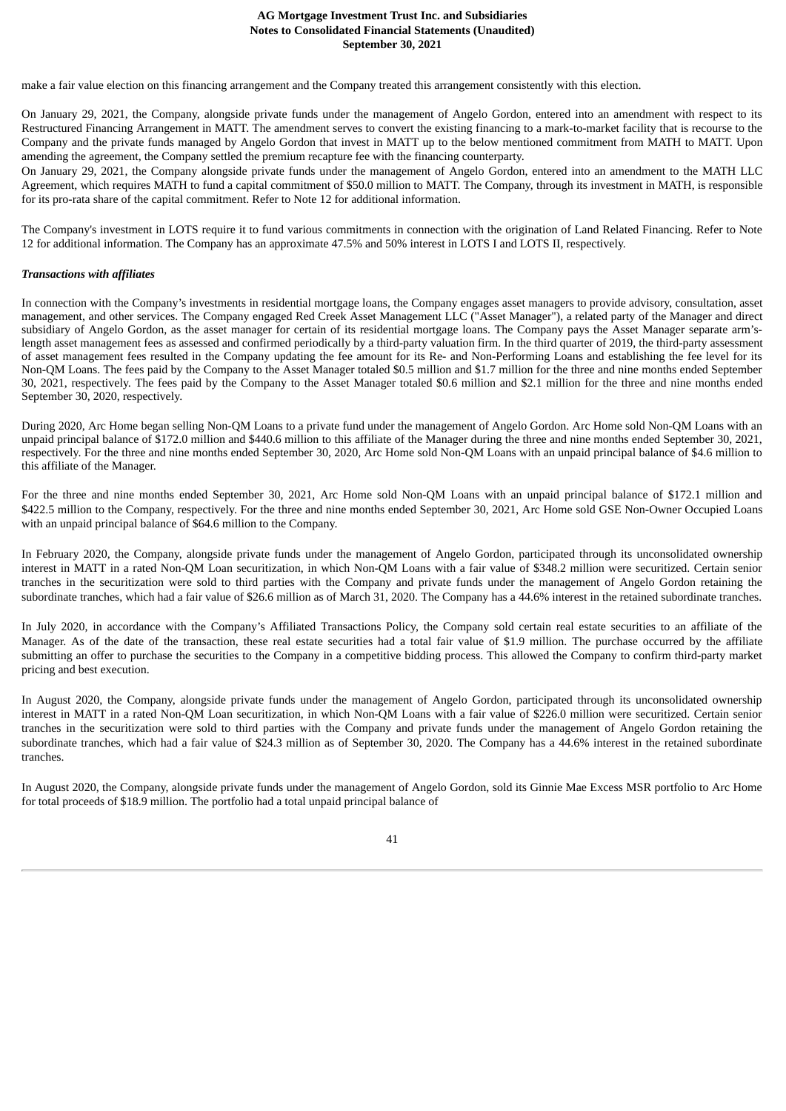make a fair value election on this financing arrangement and the Company treated this arrangement consistently with this election.

On January 29, 2021, the Company, alongside private funds under the management of Angelo Gordon, entered into an amendment with respect to its Restructured Financing Arrangement in MATT. The amendment serves to convert the existing financing to a mark-to-market facility that is recourse to the Company and the private funds managed by Angelo Gordon that invest in MATT up to the below mentioned commitment from MATH to MATT. Upon amending the agreement, the Company settled the premium recapture fee with the financing counterparty.

On January 29, 2021, the Company alongside private funds under the management of Angelo Gordon, entered into an amendment to the MATH LLC Agreement, which requires MATH to fund a capital commitment of \$50.0 million to MATT. The Company, through its investment in MATH, is responsible for its pro-rata share of the capital commitment. Refer to Note 12 for additional information.

The Company's investment in LOTS require it to fund various commitments in connection with the origination of Land Related Financing. Refer to Note 12 for additional information. The Company has an approximate 47.5% and 50% interest in LOTS I and LOTS II, respectively.

## *Transactions with affiliates*

In connection with the Company's investments in residential mortgage loans, the Company engages asset managers to provide advisory, consultation, asset management, and other services. The Company engaged Red Creek Asset Management LLC ("Asset Manager"), a related party of the Manager and direct subsidiary of Angelo Gordon, as the asset manager for certain of its residential mortgage loans. The Company pays the Asset Manager separate arm'slength asset management fees as assessed and confirmed periodically by a third-party valuation firm. In the third quarter of 2019, the third-party assessment of asset management fees resulted in the Company updating the fee amount for its Re- and Non-Performing Loans and establishing the fee level for its Non-QM Loans. The fees paid by the Company to the Asset Manager totaled \$0.5 million and \$1.7 million for the three and nine months ended September 30, 2021, respectively. The fees paid by the Company to the Asset Manager totaled \$0.6 million and \$2.1 million for the three and nine months ended September 30, 2020, respectively.

During 2020, Arc Home began selling Non-QM Loans to a private fund under the management of Angelo Gordon. Arc Home sold Non-QM Loans with an unpaid principal balance of \$172.0 million and \$440.6 million to this affiliate of the Manager during the three and nine months ended September 30, 2021, respectively. For the three and nine months ended September 30, 2020, Arc Home sold Non-QM Loans with an unpaid principal balance of \$4.6 million to this affiliate of the Manager.

For the three and nine months ended September 30, 2021, Arc Home sold Non-QM Loans with an unpaid principal balance of \$172.1 million and \$422.5 million to the Company, respectively. For the three and nine months ended September 30, 2021, Arc Home sold GSE Non-Owner Occupied Loans with an unpaid principal balance of \$64.6 million to the Company.

In February 2020, the Company, alongside private funds under the management of Angelo Gordon, participated through its unconsolidated ownership interest in MATT in a rated Non-QM Loan securitization, in which Non-QM Loans with a fair value of \$348.2 million were securitized. Certain senior tranches in the securitization were sold to third parties with the Company and private funds under the management of Angelo Gordon retaining the subordinate tranches, which had a fair value of \$26.6 million as of March 31, 2020. The Company has a 44.6% interest in the retained subordinate tranches.

In July 2020, in accordance with the Company's Affiliated Transactions Policy, the Company sold certain real estate securities to an affiliate of the Manager. As of the date of the transaction, these real estate securities had a total fair value of \$1.9 million. The purchase occurred by the affiliate submitting an offer to purchase the securities to the Company in a competitive bidding process. This allowed the Company to confirm third-party market pricing and best execution.

In August 2020, the Company, alongside private funds under the management of Angelo Gordon, participated through its unconsolidated ownership interest in MATT in a rated Non-QM Loan securitization, in which Non-QM Loans with a fair value of \$226.0 million were securitized. Certain senior tranches in the securitization were sold to third parties with the Company and private funds under the management of Angelo Gordon retaining the subordinate tranches, which had a fair value of \$24.3 million as of September 30, 2020. The Company has a 44.6% interest in the retained subordinate tranches.

In August 2020, the Company, alongside private funds under the management of Angelo Gordon, sold its Ginnie Mae Excess MSR portfolio to Arc Home for total proceeds of \$18.9 million. The portfolio had a total unpaid principal balance of

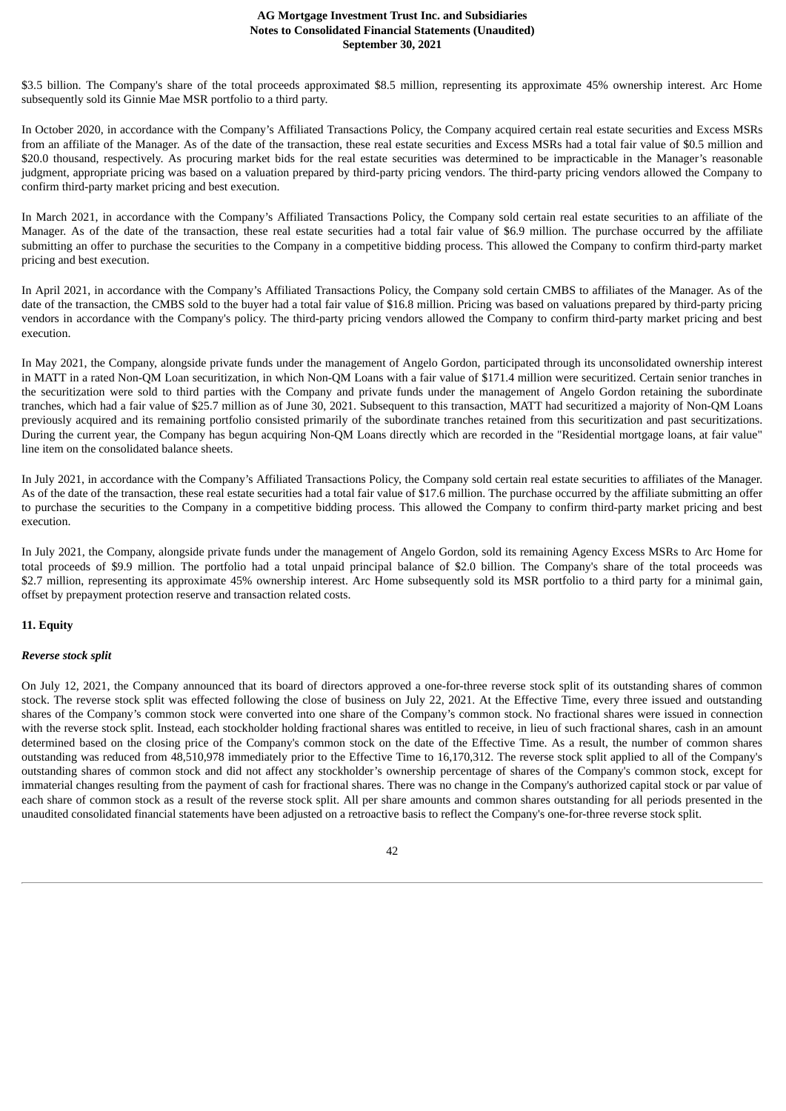\$3.5 billion. The Company's share of the total proceeds approximated \$8.5 million, representing its approximate 45% ownership interest. Arc Home subsequently sold its Ginnie Mae MSR portfolio to a third party.

In October 2020, in accordance with the Company's Affiliated Transactions Policy, the Company acquired certain real estate securities and Excess MSRs from an affiliate of the Manager. As of the date of the transaction, these real estate securities and Excess MSRs had a total fair value of \$0.5 million and \$20.0 thousand, respectively. As procuring market bids for the real estate securities was determined to be impracticable in the Manager's reasonable judgment, appropriate pricing was based on a valuation prepared by third-party pricing vendors. The third-party pricing vendors allowed the Company to confirm third-party market pricing and best execution.

In March 2021, in accordance with the Company's Affiliated Transactions Policy, the Company sold certain real estate securities to an affiliate of the Manager. As of the date of the transaction, these real estate securities had a total fair value of \$6.9 million. The purchase occurred by the affiliate submitting an offer to purchase the securities to the Company in a competitive bidding process. This allowed the Company to confirm third-party market pricing and best execution.

In April 2021, in accordance with the Company's Affiliated Transactions Policy, the Company sold certain CMBS to affiliates of the Manager. As of the date of the transaction, the CMBS sold to the buyer had a total fair value of \$16.8 million. Pricing was based on valuations prepared by third-party pricing vendors in accordance with the Company's policy. The third-party pricing vendors allowed the Company to confirm third-party market pricing and best execution.

In May 2021, the Company, alongside private funds under the management of Angelo Gordon, participated through its unconsolidated ownership interest in MATT in a rated Non-QM Loan securitization, in which Non-QM Loans with a fair value of \$171.4 million were securitized. Certain senior tranches in the securitization were sold to third parties with the Company and private funds under the management of Angelo Gordon retaining the subordinate tranches, which had a fair value of \$25.7 million as of June 30, 2021. Subsequent to this transaction, MATT had securitized a majority of Non-QM Loans previously acquired and its remaining portfolio consisted primarily of the subordinate tranches retained from this securitization and past securitizations. During the current year, the Company has begun acquiring Non-QM Loans directly which are recorded in the "Residential mortgage loans, at fair value" line item on the consolidated balance sheets.

In July 2021, in accordance with the Company's Affiliated Transactions Policy, the Company sold certain real estate securities to affiliates of the Manager. As of the date of the transaction, these real estate securities had a total fair value of \$17.6 million. The purchase occurred by the affiliate submitting an offer to purchase the securities to the Company in a competitive bidding process. This allowed the Company to confirm third-party market pricing and best execution.

In July 2021, the Company, alongside private funds under the management of Angelo Gordon, sold its remaining Agency Excess MSRs to Arc Home for total proceeds of \$9.9 million. The portfolio had a total unpaid principal balance of \$2.0 billion. The Company's share of the total proceeds was \$2.7 million, representing its approximate 45% ownership interest. Arc Home subsequently sold its MSR portfolio to a third party for a minimal gain, offset by prepayment protection reserve and transaction related costs.

# **11. Equity**

# *Reverse stock split*

On July 12, 2021, the Company announced that its board of directors approved a one-for-three reverse stock split of its outstanding shares of common stock. The reverse stock split was effected following the close of business on July 22, 2021. At the Effective Time, every three issued and outstanding shares of the Company's common stock were converted into one share of the Company's common stock. No fractional shares were issued in connection with the reverse stock split. Instead, each stockholder holding fractional shares was entitled to receive, in lieu of such fractional shares, cash in an amount determined based on the closing price of the Company's common stock on the date of the Effective Time. As a result, the number of common shares outstanding was reduced from 48,510,978 immediately prior to the Effective Time to 16,170,312. The reverse stock split applied to all of the Company's outstanding shares of common stock and did not affect any stockholder's ownership percentage of shares of the Company's common stock, except for immaterial changes resulting from the payment of cash for fractional shares. There was no change in the Company's authorized capital stock or par value of each share of common stock as a result of the reverse stock split. All per share amounts and common shares outstanding for all periods presented in the unaudited consolidated financial statements have been adjusted on a retroactive basis to reflect the Company's one-for-three reverse stock split.

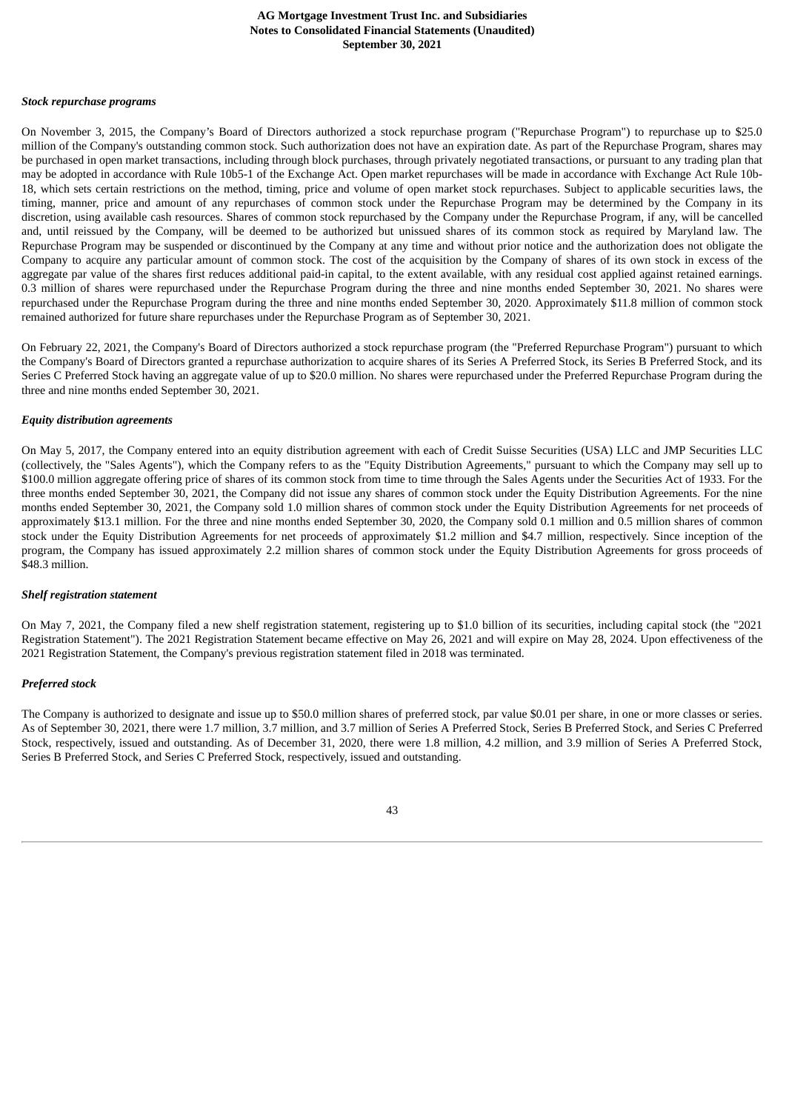#### *Stock repurchase programs*

On November 3, 2015, the Company's Board of Directors authorized a stock repurchase program ("Repurchase Program") to repurchase up to \$25.0 million of the Company's outstanding common stock. Such authorization does not have an expiration date. As part of the Repurchase Program, shares may be purchased in open market transactions, including through block purchases, through privately negotiated transactions, or pursuant to any trading plan that may be adopted in accordance with Rule 10b5-1 of the Exchange Act. Open market repurchases will be made in accordance with Exchange Act Rule 10b-18, which sets certain restrictions on the method, timing, price and volume of open market stock repurchases. Subject to applicable securities laws, the timing, manner, price and amount of any repurchases of common stock under the Repurchase Program may be determined by the Company in its discretion, using available cash resources. Shares of common stock repurchased by the Company under the Repurchase Program, if any, will be cancelled and, until reissued by the Company, will be deemed to be authorized but unissued shares of its common stock as required by Maryland law. The Repurchase Program may be suspended or discontinued by the Company at any time and without prior notice and the authorization does not obligate the Company to acquire any particular amount of common stock. The cost of the acquisition by the Company of shares of its own stock in excess of the aggregate par value of the shares first reduces additional paid-in capital, to the extent available, with any residual cost applied against retained earnings. 0.3 million of shares were repurchased under the Repurchase Program during the three and nine months ended September 30, 2021. No shares were repurchased under the Repurchase Program during the three and nine months ended September 30, 2020. Approximately \$11.8 million of common stock remained authorized for future share repurchases under the Repurchase Program as of September 30, 2021.

On February 22, 2021, the Company's Board of Directors authorized a stock repurchase program (the "Preferred Repurchase Program") pursuant to which the Company's Board of Directors granted a repurchase authorization to acquire shares of its Series A Preferred Stock, its Series B Preferred Stock, and its Series C Preferred Stock having an aggregate value of up to \$20.0 million. No shares were repurchased under the Preferred Repurchase Program during the three and nine months ended September 30, 2021.

#### *Equity distribution agreements*

On May 5, 2017, the Company entered into an equity distribution agreement with each of Credit Suisse Securities (USA) LLC and JMP Securities LLC (collectively, the "Sales Agents"), which the Company refers to as the "Equity Distribution Agreements," pursuant to which the Company may sell up to \$100.0 million aggregate offering price of shares of its common stock from time to time through the Sales Agents under the Securities Act of 1933. For the three months ended September 30, 2021, the Company did not issue any shares of common stock under the Equity Distribution Agreements. For the nine months ended September 30, 2021, the Company sold 1.0 million shares of common stock under the Equity Distribution Agreements for net proceeds of approximately \$13.1 million. For the three and nine months ended September 30, 2020, the Company sold 0.1 million and 0.5 million shares of common stock under the Equity Distribution Agreements for net proceeds of approximately \$1.2 million and \$4.7 million, respectively. Since inception of the program, the Company has issued approximately 2.2 million shares of common stock under the Equity Distribution Agreements for gross proceeds of \$48.3 million.

#### *Shelf registration statement*

On May 7, 2021, the Company filed a new shelf registration statement, registering up to \$1.0 billion of its securities, including capital stock (the "2021 Registration Statement"). The 2021 Registration Statement became effective on May 26, 2021 and will expire on May 28, 2024. Upon effectiveness of the 2021 Registration Statement, the Company's previous registration statement filed in 2018 was terminated.

#### *Preferred stock*

The Company is authorized to designate and issue up to \$50.0 million shares of preferred stock, par value \$0.01 per share, in one or more classes or series. As of September 30, 2021, there were 1.7 million, 3.7 million, and 3.7 million of Series A Preferred Stock, Series B Preferred Stock, and Series C Preferred Stock, respectively, issued and outstanding. As of December 31, 2020, there were 1.8 million, 4.2 million, and 3.9 million of Series A Preferred Stock, Series B Preferred Stock, and Series C Preferred Stock, respectively, issued and outstanding.

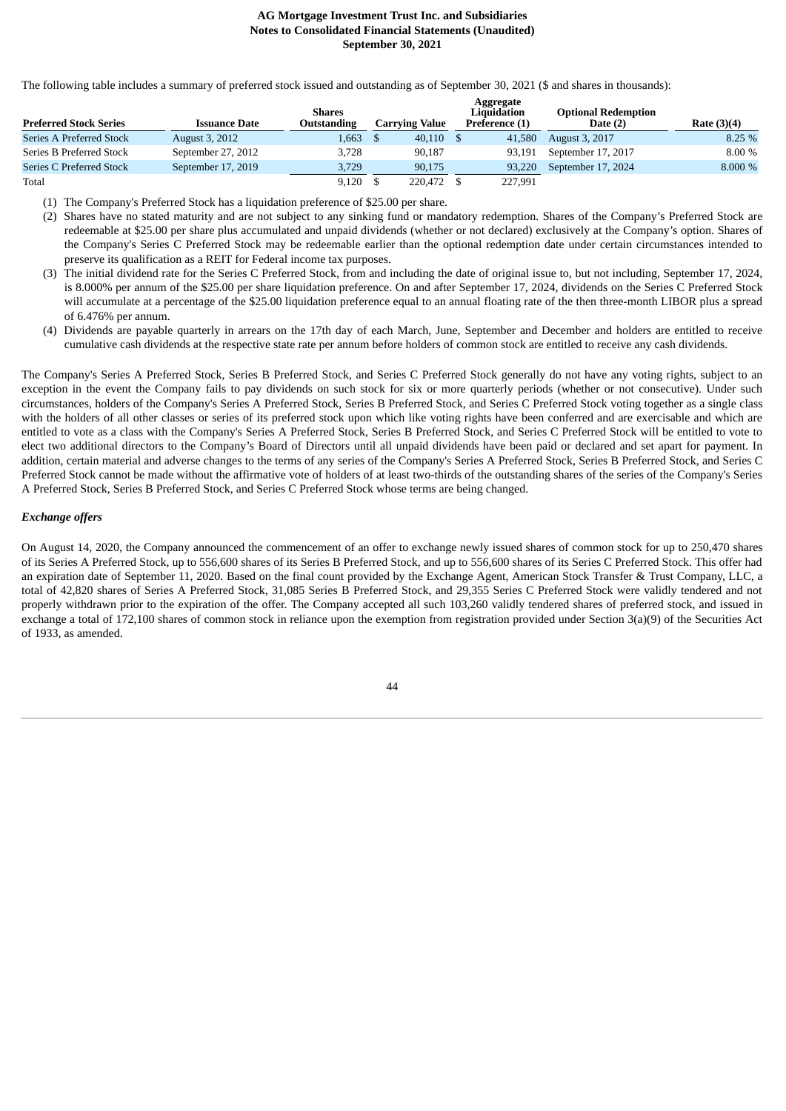The following table includes a summary of preferred stock issued and outstanding as of September 30, 2021 (\$ and shares in thousands):

| <b>Preferred Stock Series</b>   | <b>Issuance Date</b>  | <b>Shares</b><br>Outstanding | Carrving Value |         | Aggregate<br>Liauidation<br>Preference (1) |         | <b>Optional Redemption</b><br>Date $(2)$ | Rate $(3)(4)$ |
|---------------------------------|-----------------------|------------------------------|----------------|---------|--------------------------------------------|---------|------------------------------------------|---------------|
| <b>Series A Preferred Stock</b> | <b>August 3, 2012</b> | 1,663                        |                | 40,110  |                                            | 41,580  | <b>August 3, 2017</b>                    | 8.25%         |
| Series B Preferred Stock        | September 27, 2012    | 3,728                        |                | 90,187  |                                            | 93.191  | September 17, 2017                       | 8.00%         |
| Series C Preferred Stock        | September 17, 2019    | 3.729                        |                | 90,175  |                                            | 93,220  | September 17, 2024                       | 8.000 %       |
| Total                           |                       | 9,120                        |                | 220,472 |                                            | 227,991 |                                          |               |

(1) The Company's Preferred Stock has a liquidation preference of \$25.00 per share.

- (2) Shares have no stated maturity and are not subject to any sinking fund or mandatory redemption. Shares of the Company's Preferred Stock are redeemable at \$25.00 per share plus accumulated and unpaid dividends (whether or not declared) exclusively at the Company's option. Shares of the Company's Series C Preferred Stock may be redeemable earlier than the optional redemption date under certain circumstances intended to preserve its qualification as a REIT for Federal income tax purposes.
- (3) The initial dividend rate for the Series C Preferred Stock, from and including the date of original issue to, but not including, September 17, 2024, is 8.000% per annum of the \$25.00 per share liquidation preference. On and after September 17, 2024, dividends on the Series C Preferred Stock will accumulate at a percentage of the \$25.00 liquidation preference equal to an annual floating rate of the then three-month LIBOR plus a spread of 6.476% per annum.
- (4) Dividends are payable quarterly in arrears on the 17th day of each March, June, September and December and holders are entitled to receive cumulative cash dividends at the respective state rate per annum before holders of common stock are entitled to receive any cash dividends.

The Company's Series A Preferred Stock, Series B Preferred Stock, and Series C Preferred Stock generally do not have any voting rights, subject to an exception in the event the Company fails to pay dividends on such stock for six or more quarterly periods (whether or not consecutive). Under such circumstances, holders of the Company's Series A Preferred Stock, Series B Preferred Stock, and Series C Preferred Stock voting together as a single class with the holders of all other classes or series of its preferred stock upon which like voting rights have been conferred and are exercisable and which are entitled to vote as a class with the Company's Series A Preferred Stock, Series B Preferred Stock, and Series C Preferred Stock will be entitled to vote to elect two additional directors to the Company's Board of Directors until all unpaid dividends have been paid or declared and set apart for payment. In addition, certain material and adverse changes to the terms of any series of the Company's Series A Preferred Stock, Series B Preferred Stock, and Series C Preferred Stock cannot be made without the affirmative vote of holders of at least two-thirds of the outstanding shares of the series of the Company's Series A Preferred Stock, Series B Preferred Stock, and Series C Preferred Stock whose terms are being changed.

# *Exchange offers*

On August 14, 2020, the Company announced the commencement of an offer to exchange newly issued shares of common stock for up to 250,470 shares of its Series A Preferred Stock, up to 556,600 shares of its Series B Preferred Stock, and up to 556,600 shares of its Series C Preferred Stock. This offer had an expiration date of September 11, 2020. Based on the final count provided by the Exchange Agent, American Stock Transfer & Trust Company, LLC, a total of 42,820 shares of Series A Preferred Stock, 31,085 Series B Preferred Stock, and 29,355 Series C Preferred Stock were validly tendered and not properly withdrawn prior to the expiration of the offer. The Company accepted all such 103,260 validly tendered shares of preferred stock, and issued in exchange a total of 172,100 shares of common stock in reliance upon the exemption from registration provided under Section 3(a)(9) of the Securities Act of 1933, as amended.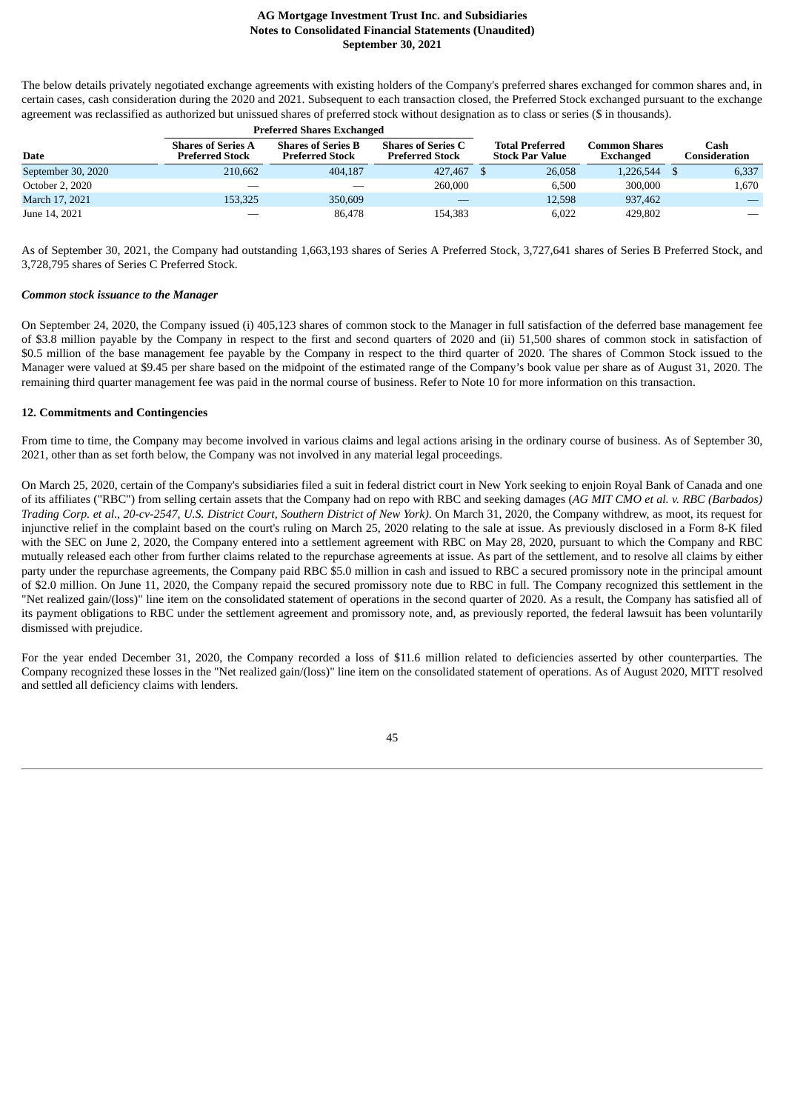The below details privately negotiated exchange agreements with existing holders of the Company's preferred shares exchanged for common shares and, in certain cases, cash consideration during the 2020 and 2021. Subsequent to each transaction closed, the Preferred Stock exchanged pursuant to the exchange agreement was reclassified as authorized but unissued shares of preferred stock without designation as to class or series (\$ in thousands).

|                    |                                                     | <b>Preferred Shares Exchanged</b>                   |                                                     |                                                  |                            |                       |
|--------------------|-----------------------------------------------------|-----------------------------------------------------|-----------------------------------------------------|--------------------------------------------------|----------------------------|-----------------------|
| <b>Date</b>        | <b>Shares of Series A</b><br><b>Preferred Stock</b> | <b>Shares of Series B</b><br><b>Preferred Stock</b> | <b>Shares of Series C</b><br><b>Preferred Stock</b> | <b>Total Preferred</b><br><b>Stock Par Value</b> | Common Shares<br>Exchanged | Cash<br>Consideration |
| September 30, 2020 | 210,662                                             | 404,187                                             | 427,467                                             | 26,058                                           | 1,226,544                  | 6,337                 |
| October 2, 2020    |                                                     |                                                     | 260,000                                             | 6.500                                            | 300,000                    | 1,670                 |
| March 17, 2021     | 153,325                                             | 350,609                                             | _                                                   | 12.598                                           | 937,462                    |                       |
| June 14, 2021      | $\overline{\phantom{a}}$                            | 86,478                                              | 154.383                                             | 6,022                                            | 429,802                    |                       |

As of September 30, 2021, the Company had outstanding 1,663,193 shares of Series A Preferred Stock, 3,727,641 shares of Series B Preferred Stock, and 3,728,795 shares of Series C Preferred Stock.

# *Common stock issuance to the Manager*

On September 24, 2020, the Company issued (i) 405,123 shares of common stock to the Manager in full satisfaction of the deferred base management fee of \$3.8 million payable by the Company in respect to the first and second quarters of 2020 and (ii) 51,500 shares of common stock in satisfaction of \$0.5 million of the base management fee payable by the Company in respect to the third quarter of 2020. The shares of Common Stock issued to the Manager were valued at \$9.45 per share based on the midpoint of the estimated range of the Company's book value per share as of August 31, 2020. The remaining third quarter management fee was paid in the normal course of business. Refer to Note 10 for more information on this transaction.

### **12. Commitments and Contingencies**

From time to time, the Company may become involved in various claims and legal actions arising in the ordinary course of business. As of September 30, 2021, other than as set forth below, the Company was not involved in any material legal proceedings.

On March 25, 2020, certain of the Company's subsidiaries filed a suit in federal district court in New York seeking to enjoin Royal Bank of Canada and one of its affiliates ("RBC") from selling certain assets that the Company had on repo with RBC and seeking damages (*AG MIT CMO et al. v. RBC (Barbados)* Trading Corp. et al., 20-cv-2547, U.S. District Court, Southern District of New York). On March 31, 2020, the Company withdrew, as moot, its request for injunctive relief in the complaint based on the court's ruling on March 25, 2020 relating to the sale at issue. As previously disclosed in a Form 8-K filed with the SEC on June 2, 2020, the Company entered into a settlement agreement with RBC on May 28, 2020, pursuant to which the Company and RBC mutually released each other from further claims related to the repurchase agreements at issue. As part of the settlement, and to resolve all claims by either party under the repurchase agreements, the Company paid RBC \$5.0 million in cash and issued to RBC a secured promissory note in the principal amount of \$2.0 million. On June 11, 2020, the Company repaid the secured promissory note due to RBC in full. The Company recognized this settlement in the "Net realized gain/(loss)" line item on the consolidated statement of operations in the second quarter of 2020. As a result, the Company has satisfied all of its payment obligations to RBC under the settlement agreement and promissory note, and, as previously reported, the federal lawsuit has been voluntarily dismissed with prejudice.

For the year ended December 31, 2020, the Company recorded a loss of \$11.6 million related to deficiencies asserted by other counterparties. The Company recognized these losses in the "Net realized gain/(loss)" line item on the consolidated statement of operations. As of August 2020, MITT resolved and settled all deficiency claims with lenders.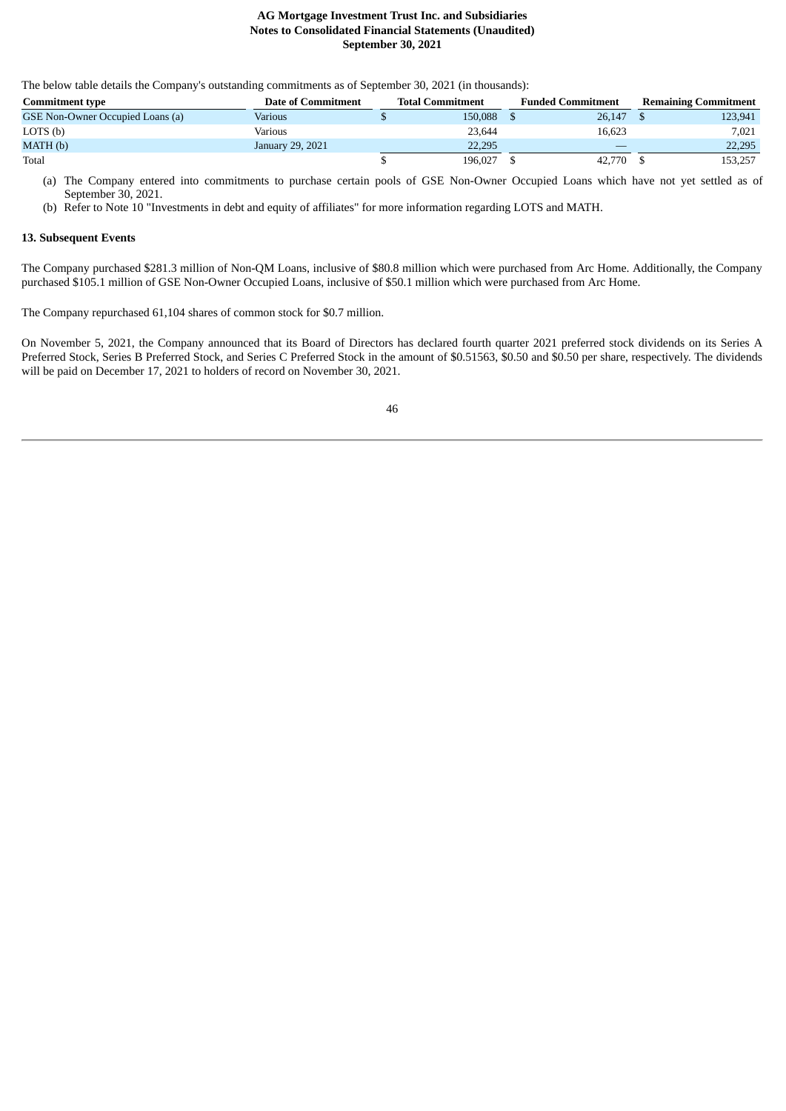The below table details the Company's outstanding commitments as of September 30, 2021 (in thousands):

| <b>Commitment type</b>           | Date of Commitment | <b>Total Commitment</b> |         | <b>Funded Commitment</b> |        | <b>Remaining Commitment</b> |         |
|----------------------------------|--------------------|-------------------------|---------|--------------------------|--------|-----------------------------|---------|
| GSE Non-Owner Occupied Loans (a) | Various            |                         | 150,088 |                          | 26,147 |                             | 123,941 |
| LOTS(b)                          | Various            |                         | 23.644  |                          | 16,623 |                             | 7,021   |
| MATH(b)                          | January 29, 2021   |                         | 22.295  |                          |        |                             | 22,295  |
| Total                            |                    |                         | 196,027 |                          | 42,770 |                             | 153,257 |

(a) The Company entered into commitments to purchase certain pools of GSE Non-Owner Occupied Loans which have not yet settled as of September 30, 2021.

(b) Refer to Note 10 "Investments in debt and equity of affiliates" for more information regarding LOTS and MATH.

# **13. Subsequent Events**

The Company purchased \$281.3 million of Non-QM Loans, inclusive of \$80.8 million which were purchased from Arc Home. Additionally, the Company purchased \$105.1 million of GSE Non-Owner Occupied Loans, inclusive of \$50.1 million which were purchased from Arc Home.

The Company repurchased 61,104 shares of common stock for \$0.7 million.

On November 5, 2021, the Company announced that its Board of Directors has declared fourth quarter 2021 preferred stock dividends on its Series A Preferred Stock, Series B Preferred Stock, and Series C Preferred Stock in the amount of \$0.51563, \$0.50 and \$0.50 per share, respectively. The dividends will be paid on December 17, 2021 to holders of record on November 30, 2021.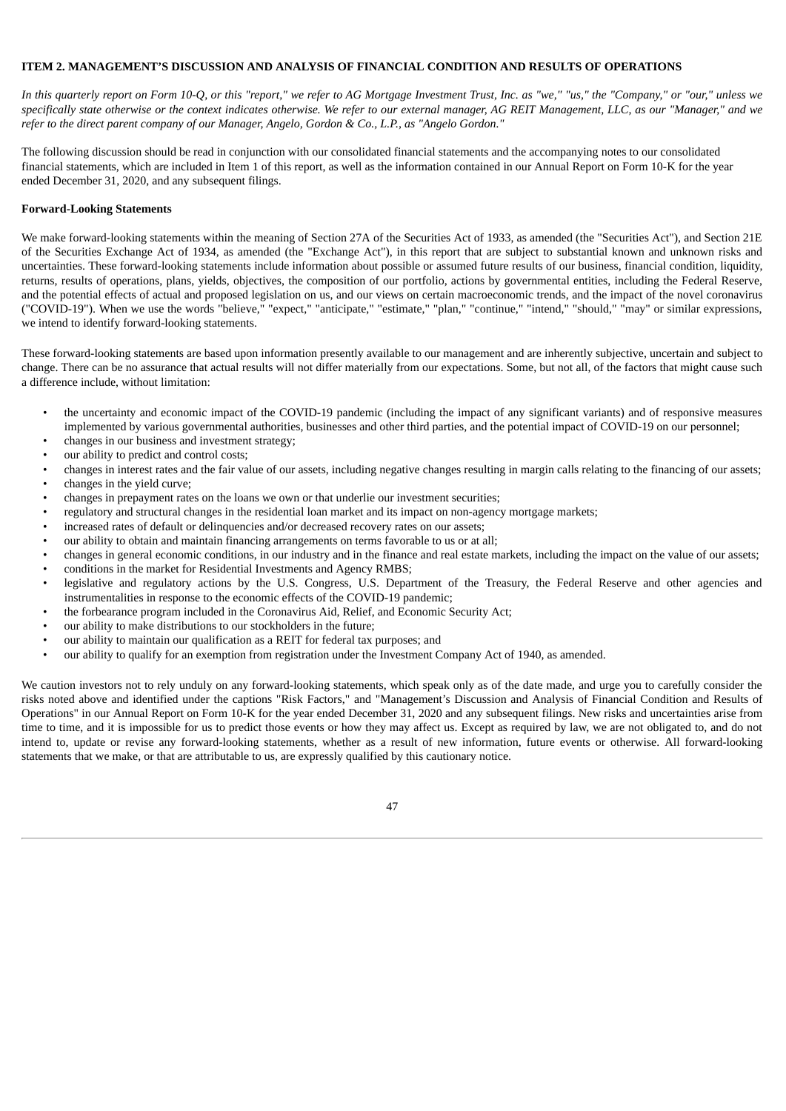## **ITEM 2. MANAGEMENT'S DISCUSSION AND ANALYSIS OF FINANCIAL CONDITION AND RESULTS OF OPERATIONS**

In this quarterly report on Form 10-Q, or this "report," we refer to AG Mortgage Investment Trust, Inc. as "we," "us," the "Company," or "our," unless we specifically state otherwise or the context indicates otherwise. We refer to our external manager, AG REIT Management, LLC, as our "Manager," and we *refer to the direct parent company of our Manager, Angelo, Gordon & Co., L.P., as "Angelo Gordon."*

The following discussion should be read in conjunction with our consolidated financial statements and the accompanying notes to our consolidated financial statements, which are included in Item 1 of this report, as well as the information contained in our Annual Report on Form 10-K for the year ended December 31, 2020, and any subsequent filings.

### **Forward-Looking Statements**

We make forward-looking statements within the meaning of Section 27A of the Securities Act of 1933, as amended (the "Securities Act"), and Section 21E of the Securities Exchange Act of 1934, as amended (the "Exchange Act"), in this report that are subject to substantial known and unknown risks and uncertainties. These forward-looking statements include information about possible or assumed future results of our business, financial condition, liquidity, returns, results of operations, plans, yields, objectives, the composition of our portfolio, actions by governmental entities, including the Federal Reserve, and the potential effects of actual and proposed legislation on us, and our views on certain macroeconomic trends, and the impact of the novel coronavirus ("COVID-19"). When we use the words "believe," "expect," "anticipate," "estimate," "plan," "continue," "intend," "should," "may" or similar expressions, we intend to identify forward-looking statements.

These forward-looking statements are based upon information presently available to our management and are inherently subjective, uncertain and subject to change. There can be no assurance that actual results will not differ materially from our expectations. Some, but not all, of the factors that might cause such a difference include, without limitation:

- the uncertainty and economic impact of the COVID-19 pandemic (including the impact of any significant variants) and of responsive measures implemented by various governmental authorities, businesses and other third parties, and the potential impact of COVID-19 on our personnel;
- changes in our business and investment strategy;
- our ability to predict and control costs;
- changes in interest rates and the fair value of our assets, including negative changes resulting in margin calls relating to the financing of our assets;
- changes in the yield curve;
- changes in prepayment rates on the loans we own or that underlie our investment securities;
- regulatory and structural changes in the residential loan market and its impact on non-agency mortgage markets;
- increased rates of default or delinquencies and/or decreased recovery rates on our assets;
- our ability to obtain and maintain financing arrangements on terms favorable to us or at all;
- changes in general economic conditions, in our industry and in the finance and real estate markets, including the impact on the value of our assets;
- conditions in the market for Residential Investments and Agency RMBS;
- legislative and regulatory actions by the U.S. Congress, U.S. Department of the Treasury, the Federal Reserve and other agencies and instrumentalities in response to the economic effects of the COVID-19 pandemic;
- the forbearance program included in the Coronavirus Aid, Relief, and Economic Security Act;
- our ability to make distributions to our stockholders in the future;
- our ability to maintain our qualification as a REIT for federal tax purposes; and
- our ability to qualify for an exemption from registration under the Investment Company Act of 1940, as amended.

We caution investors not to rely unduly on any forward-looking statements, which speak only as of the date made, and urge you to carefully consider the risks noted above and identified under the captions "Risk Factors," and "Management's Discussion and Analysis of Financial Condition and Results of Operations" in our Annual Report on Form 10-K for the year ended December 31, 2020 and any subsequent filings. New risks and uncertainties arise from time to time, and it is impossible for us to predict those events or how they may affect us. Except as required by law, we are not obligated to, and do not intend to, update or revise any forward-looking statements, whether as a result of new information, future events or otherwise. All forward-looking statements that we make, or that are attributable to us, are expressly qualified by this cautionary notice.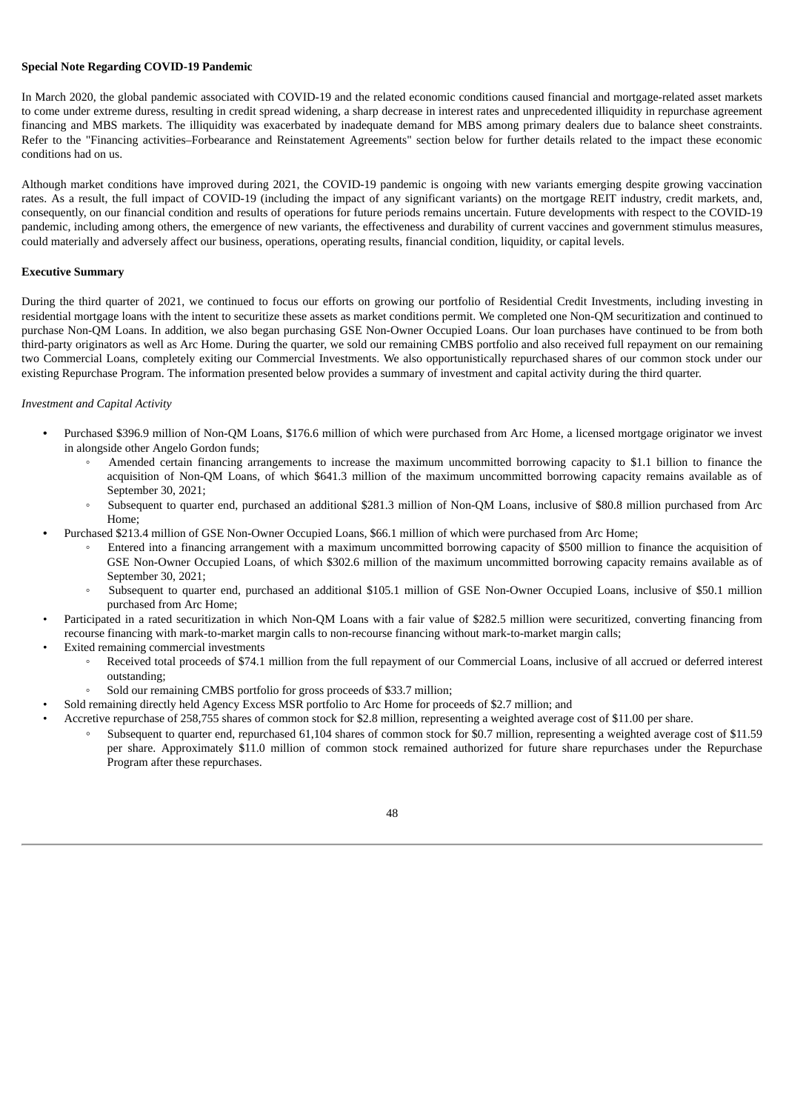# **Special Note Regarding COVID-19 Pandemic**

In March 2020, the global pandemic associated with COVID-19 and the related economic conditions caused financial and mortgage-related asset markets to come under extreme duress, resulting in credit spread widening, a sharp decrease in interest rates and unprecedented illiquidity in repurchase agreement financing and MBS markets. The illiquidity was exacerbated by inadequate demand for MBS among primary dealers due to balance sheet constraints. Refer to the "Financing activities–Forbearance and Reinstatement Agreements" section below for further details related to the impact these economic conditions had on us.

Although market conditions have improved during 2021, the COVID-19 pandemic is ongoing with new variants emerging despite growing vaccination rates. As a result, the full impact of COVID-19 (including the impact of any significant variants) on the mortgage REIT industry, credit markets, and, consequently, on our financial condition and results of operations for future periods remains uncertain. Future developments with respect to the COVID-19 pandemic, including among others, the emergence of new variants, the effectiveness and durability of current vaccines and government stimulus measures, could materially and adversely affect our business, operations, operating results, financial condition, liquidity, or capital levels.

## **Executive Summary**

During the third quarter of 2021, we continued to focus our efforts on growing our portfolio of Residential Credit Investments, including investing in residential mortgage loans with the intent to securitize these assets as market conditions permit. We completed one Non-QM securitization and continued to purchase Non-QM Loans. In addition, we also began purchasing GSE Non-Owner Occupied Loans. Our loan purchases have continued to be from both third-party originators as well as Arc Home. During the quarter, we sold our remaining CMBS portfolio and also received full repayment on our remaining two Commercial Loans, completely exiting our Commercial Investments. We also opportunistically repurchased shares of our common stock under our existing Repurchase Program. The information presented below provides a summary of investment and capital activity during the third quarter.

# *Investment and Capital Activity*

- **•** Purchased \$396.9 million of Non-QM Loans, \$176.6 million of which were purchased from Arc Home, a licensed mortgage originator we invest in alongside other Angelo Gordon funds;
	- Amended certain financing arrangements to increase the maximum uncommitted borrowing capacity to \$1.1 billion to finance the acquisition of Non-QM Loans, of which \$641.3 million of the maximum uncommitted borrowing capacity remains available as of September 30, 2021;
	- Subsequent to quarter end, purchased an additional \$281.3 million of Non-OM Loans, inclusive of \$80.8 million purchased from Arc Home;
- **•** Purchased \$213.4 million of GSE Non-Owner Occupied Loans, \$66.1 million of which were purchased from Arc Home;
	- Entered into a financing arrangement with a maximum uncommitted borrowing capacity of \$500 million to finance the acquisition of GSE Non-Owner Occupied Loans, of which \$302.6 million of the maximum uncommitted borrowing capacity remains available as of September 30, 2021;
	- Subsequent to quarter end, purchased an additional \$105.1 million of GSE Non-Owner Occupied Loans, inclusive of \$50.1 million purchased from Arc Home;
- Participated in a rated securitization in which Non-QM Loans with a fair value of \$282.5 million were securitized, converting financing from recourse financing with mark-to-market margin calls to non-recourse financing without mark-to-market margin calls;
- Exited remaining commercial investments
	- Received total proceeds of \$74.1 million from the full repayment of our Commercial Loans, inclusive of all accrued or deferred interest outstanding;
	- Sold our remaining CMBS portfolio for gross proceeds of \$33.7 million;
- Sold remaining directly held Agency Excess MSR portfolio to Arc Home for proceeds of \$2.7 million; and
- Accretive repurchase of 258,755 shares of common stock for \$2.8 million, representing a weighted average cost of \$11.00 per share.
	- Subsequent to quarter end, repurchased 61,104 shares of common stock for \$0.7 million, representing a weighted average cost of \$11.59 per share. Approximately \$11.0 million of common stock remained authorized for future share repurchases under the Repurchase Program after these repurchases.

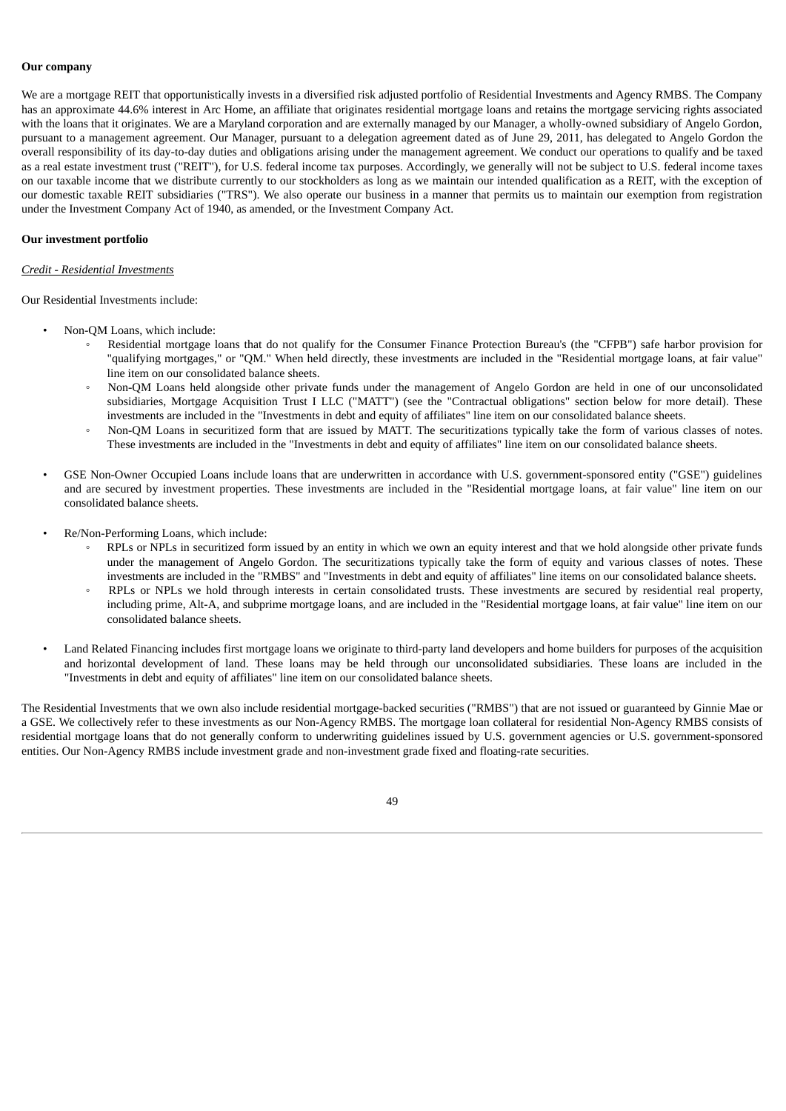# **Our company**

We are a mortgage REIT that opportunistically invests in a diversified risk adjusted portfolio of Residential Investments and Agency RMBS. The Company has an approximate 44.6% interest in Arc Home, an affiliate that originates residential mortgage loans and retains the mortgage servicing rights associated with the loans that it originates. We are a Maryland corporation and are externally managed by our Manager, a wholly-owned subsidiary of Angelo Gordon, pursuant to a management agreement. Our Manager, pursuant to a delegation agreement dated as of June 29, 2011, has delegated to Angelo Gordon the overall responsibility of its day-to-day duties and obligations arising under the management agreement. We conduct our operations to qualify and be taxed as a real estate investment trust ("REIT"), for U.S. federal income tax purposes. Accordingly, we generally will not be subject to U.S. federal income taxes on our taxable income that we distribute currently to our stockholders as long as we maintain our intended qualification as a REIT, with the exception of our domestic taxable REIT subsidiaries ("TRS"). We also operate our business in a manner that permits us to maintain our exemption from registration under the Investment Company Act of 1940, as amended, or the Investment Company Act.

#### **Our investment portfolio**

## *Credit - Residential Investments*

Our Residential Investments include:

- Non-QM Loans, which include:
	- Residential mortgage loans that do not qualify for the Consumer Finance Protection Bureau's (the "CFPB") safe harbor provision for "qualifying mortgages," or "QM." When held directly, these investments are included in the "Residential mortgage loans, at fair value" line item on our consolidated balance sheets.
	- Non-QM Loans held alongside other private funds under the management of Angelo Gordon are held in one of our unconsolidated subsidiaries, Mortgage Acquisition Trust I LLC ("MATT") (see the "Contractual obligations" section below for more detail). These investments are included in the "Investments in debt and equity of affiliates" line item on our consolidated balance sheets.
	- Non-OM Loans in securitized form that are issued by MATT. The securitizations typically take the form of various classes of notes. These investments are included in the "Investments in debt and equity of affiliates" line item on our consolidated balance sheets.
- GSE Non-Owner Occupied Loans include loans that are underwritten in accordance with U.S. government-sponsored entity ("GSE") guidelines and are secured by investment properties. These investments are included in the "Residential mortgage loans, at fair value" line item on our consolidated balance sheets.
- Re/Non-Performing Loans, which include:
	- RPLs or NPLs in securitized form issued by an entity in which we own an equity interest and that we hold alongside other private funds under the management of Angelo Gordon. The securitizations typically take the form of equity and various classes of notes. These investments are included in the "RMBS" and "Investments in debt and equity of affiliates" line items on our consolidated balance sheets.
	- RPLs or NPLs we hold through interests in certain consolidated trusts. These investments are secured by residential real property, including prime, Alt-A, and subprime mortgage loans, and are included in the "Residential mortgage loans, at fair value" line item on our consolidated balance sheets.
- Land Related Financing includes first mortgage loans we originate to third-party land developers and home builders for purposes of the acquisition and horizontal development of land. These loans may be held through our unconsolidated subsidiaries. These loans are included in the "Investments in debt and equity of affiliates" line item on our consolidated balance sheets.

The Residential Investments that we own also include residential mortgage-backed securities ("RMBS") that are not issued or guaranteed by Ginnie Mae or a GSE. We collectively refer to these investments as our Non-Agency RMBS. The mortgage loan collateral for residential Non-Agency RMBS consists of residential mortgage loans that do not generally conform to underwriting guidelines issued by U.S. government agencies or U.S. government-sponsored entities. Our Non-Agency RMBS include investment grade and non-investment grade fixed and floating-rate securities.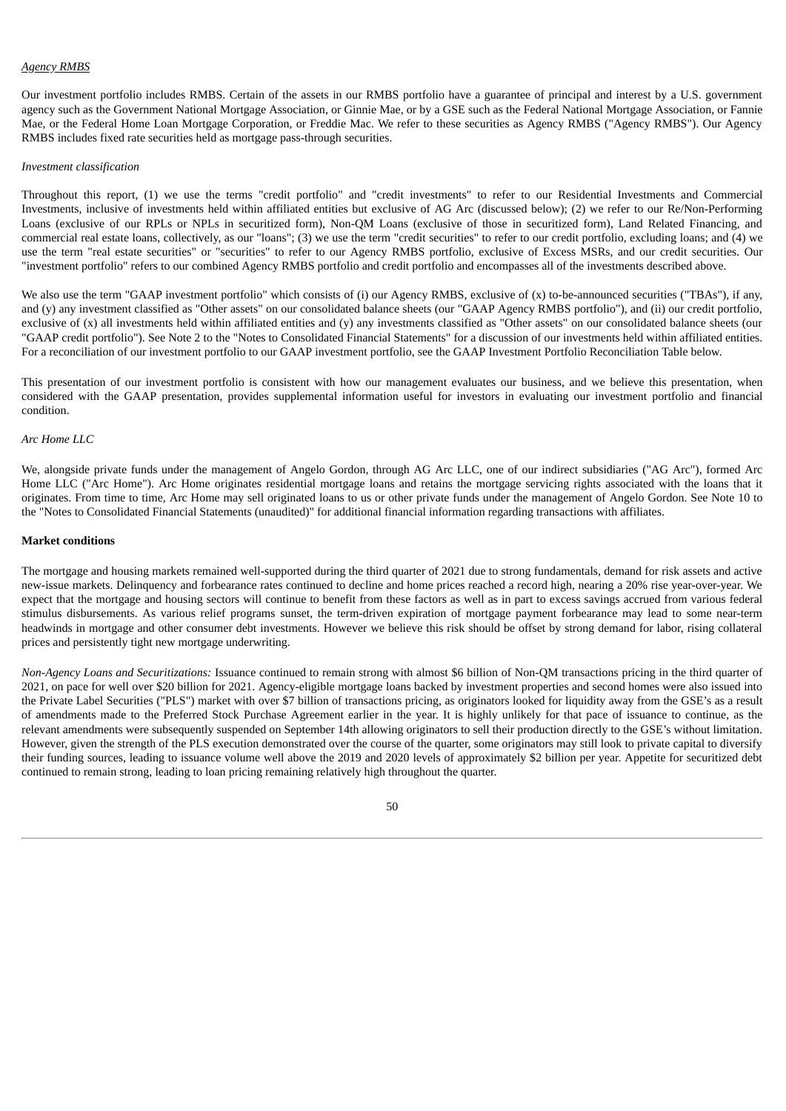# *Agency RMBS*

Our investment portfolio includes RMBS. Certain of the assets in our RMBS portfolio have a guarantee of principal and interest by a U.S. government agency such as the Government National Mortgage Association, or Ginnie Mae, or by a GSE such as the Federal National Mortgage Association, or Fannie Mae, or the Federal Home Loan Mortgage Corporation, or Freddie Mac. We refer to these securities as Agency RMBS ("Agency RMBS"). Our Agency RMBS includes fixed rate securities held as mortgage pass-through securities.

### *Investment classification*

Throughout this report, (1) we use the terms "credit portfolio" and "credit investments" to refer to our Residential Investments and Commercial Investments, inclusive of investments held within affiliated entities but exclusive of AG Arc (discussed below); (2) we refer to our Re/Non-Performing Loans (exclusive of our RPLs or NPLs in securitized form), Non-QM Loans (exclusive of those in securitized form), Land Related Financing, and commercial real estate loans, collectively, as our "loans"; (3) we use the term "credit securities" to refer to our credit portfolio, excluding loans; and (4) we use the term "real estate securities" or "securities" to refer to our Agency RMBS portfolio, exclusive of Excess MSRs, and our credit securities. Our "investment portfolio" refers to our combined Agency RMBS portfolio and credit portfolio and encompasses all of the investments described above.

We also use the term "GAAP investment portfolio" which consists of (i) our Agency RMBS, exclusive of (x) to-be-announced securities ("TBAs"), if any, and (y) any investment classified as "Other assets" on our consolidated balance sheets (our "GAAP Agency RMBS portfolio"), and (ii) our credit portfolio, exclusive of (x) all investments held within affiliated entities and (y) any investments classified as "Other assets" on our consolidated balance sheets (our "GAAP credit portfolio"). See Note 2 to the "Notes to Consolidated Financial Statements" for a discussion of our investments held within affiliated entities. For a reconciliation of our investment portfolio to our GAAP investment portfolio, see the GAAP Investment Portfolio Reconciliation Table below.

This presentation of our investment portfolio is consistent with how our management evaluates our business, and we believe this presentation, when considered with the GAAP presentation, provides supplemental information useful for investors in evaluating our investment portfolio and financial condition.

### *Arc Home LLC*

We, alongside private funds under the management of Angelo Gordon, through AG Arc LLC, one of our indirect subsidiaries ("AG Arc"), formed Arc Home LLC ("Arc Home"). Arc Home originates residential mortgage loans and retains the mortgage servicing rights associated with the loans that it originates. From time to time, Arc Home may sell originated loans to us or other private funds under the management of Angelo Gordon. See Note 10 to the "Notes to Consolidated Financial Statements (unaudited)" for additional financial information regarding transactions with affiliates.

### **Market conditions**

The mortgage and housing markets remained well-supported during the third quarter of 2021 due to strong fundamentals, demand for risk assets and active new-issue markets. Delinquency and forbearance rates continued to decline and home prices reached a record high, nearing a 20% rise year-over-year. We expect that the mortgage and housing sectors will continue to benefit from these factors as well as in part to excess savings accrued from various federal stimulus disbursements. As various relief programs sunset, the term-driven expiration of mortgage payment forbearance may lead to some near-term headwinds in mortgage and other consumer debt investments. However we believe this risk should be offset by strong demand for labor, rising collateral prices and persistently tight new mortgage underwriting.

*Non-Agency Loans and Securitizations:* Issuance continued to remain strong with almost \$6 billion of Non-QM transactions pricing in the third quarter of 2021, on pace for well over \$20 billion for 2021. Agency-eligible mortgage loans backed by investment properties and second homes were also issued into the Private Label Securities ("PLS") market with over \$7 billion of transactions pricing, as originators looked for liquidity away from the GSE's as a result of amendments made to the Preferred Stock Purchase Agreement earlier in the year. It is highly unlikely for that pace of issuance to continue, as the relevant amendments were subsequently suspended on September 14th allowing originators to sell their production directly to the GSE's without limitation. However, given the strength of the PLS execution demonstrated over the course of the quarter, some originators may still look to private capital to diversify their funding sources, leading to issuance volume well above the 2019 and 2020 levels of approximately \$2 billion per year. Appetite for securitized debt continued to remain strong, leading to loan pricing remaining relatively high throughout the quarter.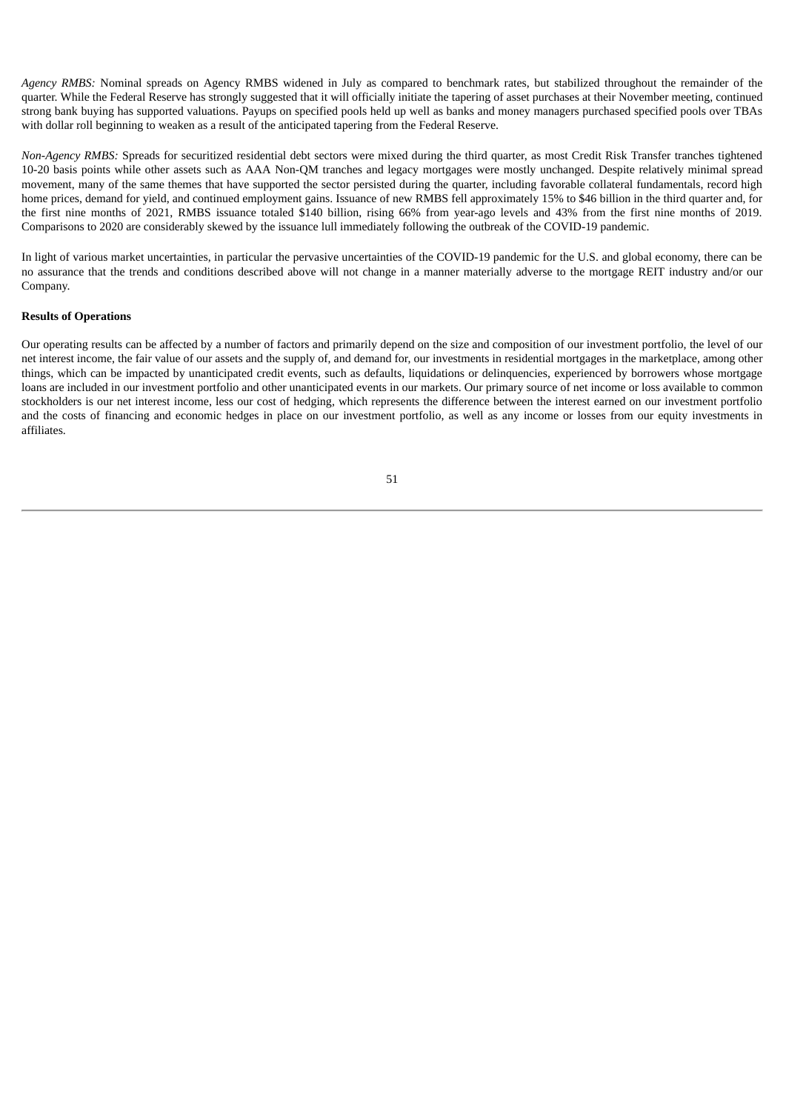*Agency RMBS:* Nominal spreads on Agency RMBS widened in July as compared to benchmark rates, but stabilized throughout the remainder of the quarter. While the Federal Reserve has strongly suggested that it will officially initiate the tapering of asset purchases at their November meeting, continued strong bank buying has supported valuations. Payups on specified pools held up well as banks and money managers purchased specified pools over TBAs with dollar roll beginning to weaken as a result of the anticipated tapering from the Federal Reserve.

*Non-Agency RMBS:* Spreads for securitized residential debt sectors were mixed during the third quarter, as most Credit Risk Transfer tranches tightened 10-20 basis points while other assets such as AAA Non-QM tranches and legacy mortgages were mostly unchanged. Despite relatively minimal spread movement, many of the same themes that have supported the sector persisted during the quarter, including favorable collateral fundamentals, record high home prices, demand for yield, and continued employment gains. Issuance of new RMBS fell approximately 15% to \$46 billion in the third quarter and, for the first nine months of 2021, RMBS issuance totaled \$140 billion, rising 66% from year-ago levels and 43% from the first nine months of 2019. Comparisons to 2020 are considerably skewed by the issuance lull immediately following the outbreak of the COVID-19 pandemic.

In light of various market uncertainties, in particular the pervasive uncertainties of the COVID-19 pandemic for the U.S. and global economy, there can be no assurance that the trends and conditions described above will not change in a manner materially adverse to the mortgage REIT industry and/or our Company.

### **Results of Operations**

Our operating results can be affected by a number of factors and primarily depend on the size and composition of our investment portfolio, the level of our net interest income, the fair value of our assets and the supply of, and demand for, our investments in residential mortgages in the marketplace, among other things, which can be impacted by unanticipated credit events, such as defaults, liquidations or delinquencies, experienced by borrowers whose mortgage loans are included in our investment portfolio and other unanticipated events in our markets. Our primary source of net income or loss available to common stockholders is our net interest income, less our cost of hedging, which represents the difference between the interest earned on our investment portfolio and the costs of financing and economic hedges in place on our investment portfolio, as well as any income or losses from our equity investments in affiliates.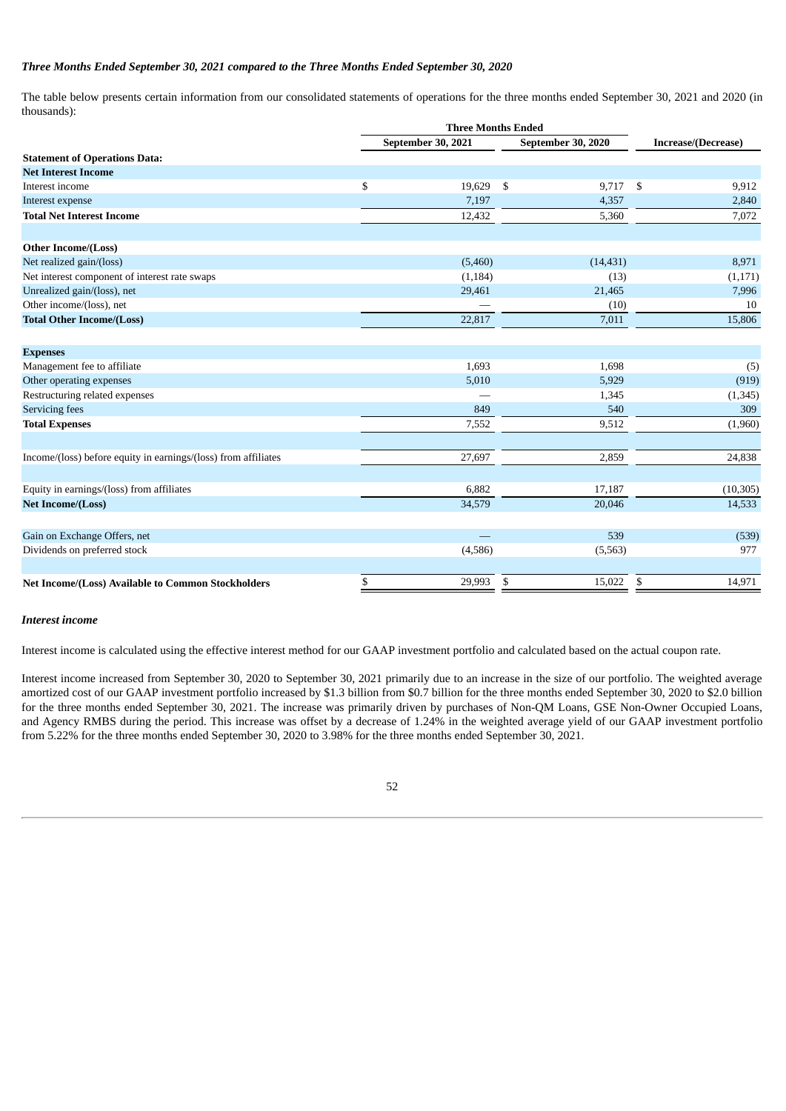# *Three Months Ended September 30, 2021 compared to the Three Months Ended September 30, 2020*

The table below presents certain information from our consolidated statements of operations for the three months ended September 30, 2021 and 2020 (in thousands):

|                                                                |    | September 30, 2021 | September 30, 2020 | Increase/(Decrease) |           |
|----------------------------------------------------------------|----|--------------------|--------------------|---------------------|-----------|
| <b>Statement of Operations Data:</b>                           |    |                    |                    |                     |           |
| <b>Net Interest Income</b>                                     |    |                    |                    |                     |           |
| Interest income                                                | \$ | 19,629             | \$<br>9,717        | \$                  | 9,912     |
| Interest expense                                               |    | 7,197              | 4,357              |                     | 2,840     |
| <b>Total Net Interest Income</b>                               |    | 12,432             | 5,360              |                     | 7,072     |
| Other Income/(Loss)                                            |    |                    |                    |                     |           |
| Net realized gain/(loss)                                       |    | (5,460)            | (14, 431)          |                     | 8,971     |
| Net interest component of interest rate swaps                  |    | (1, 184)           | (13)               |                     | (1,171)   |
| Unrealized gain/(loss), net                                    |    | 29,461             | 21,465             |                     | 7,996     |
| Other income/(loss), net                                       |    |                    | (10)               |                     | 10        |
| <b>Total Other Income/(Loss)</b>                               |    | 22,817             | 7,011              |                     | 15,806    |
| <b>Expenses</b>                                                |    |                    |                    |                     |           |
| Management fee to affiliate                                    |    | 1,693              | 1,698              |                     | (5)       |
| Other operating expenses                                       |    | 5,010              | 5,929              |                     | (919)     |
| Restructuring related expenses                                 |    |                    | 1,345              |                     | (1, 345)  |
| Servicing fees                                                 |    | 849                | 540                |                     | 309       |
| <b>Total Expenses</b>                                          |    | 7,552              | 9,512              |                     | (1,960)   |
| Income/(loss) before equity in earnings/(loss) from affiliates |    | 27,697             | 2,859              |                     | 24,838    |
|                                                                |    |                    |                    |                     |           |
| Equity in earnings/(loss) from affiliates                      |    | 6,882              | 17,187             |                     | (10, 305) |
| Net Income/(Loss)                                              |    | 34,579             | 20,046             |                     | 14,533    |
| Gain on Exchange Offers, net                                   |    |                    | 539                |                     | (539)     |
| Dividends on preferred stock                                   |    | (4,586)            | (5,563)            |                     | 977       |
| Net Income/(Loss) Available to Common Stockholders             | \$ | 29,993             | \$<br>15,022       | \$                  | 14,971    |

#### *Interest income*

Interest income is calculated using the effective interest method for our GAAP investment portfolio and calculated based on the actual coupon rate.

Interest income increased from September 30, 2020 to September 30, 2021 primarily due to an increase in the size of our portfolio. The weighted average amortized cost of our GAAP investment portfolio increased by \$1.3 billion from \$0.7 billion for the three months ended September 30, 2020 to \$2.0 billion for the three months ended September 30, 2021. The increase was primarily driven by purchases of Non-QM Loans, GSE Non-Owner Occupied Loans, and Agency RMBS during the period. This increase was offset by a decrease of 1.24% in the weighted average yield of our GAAP investment portfolio from 5.22% for the three months ended September 30, 2020 to 3.98% for the three months ended September 30, 2021.

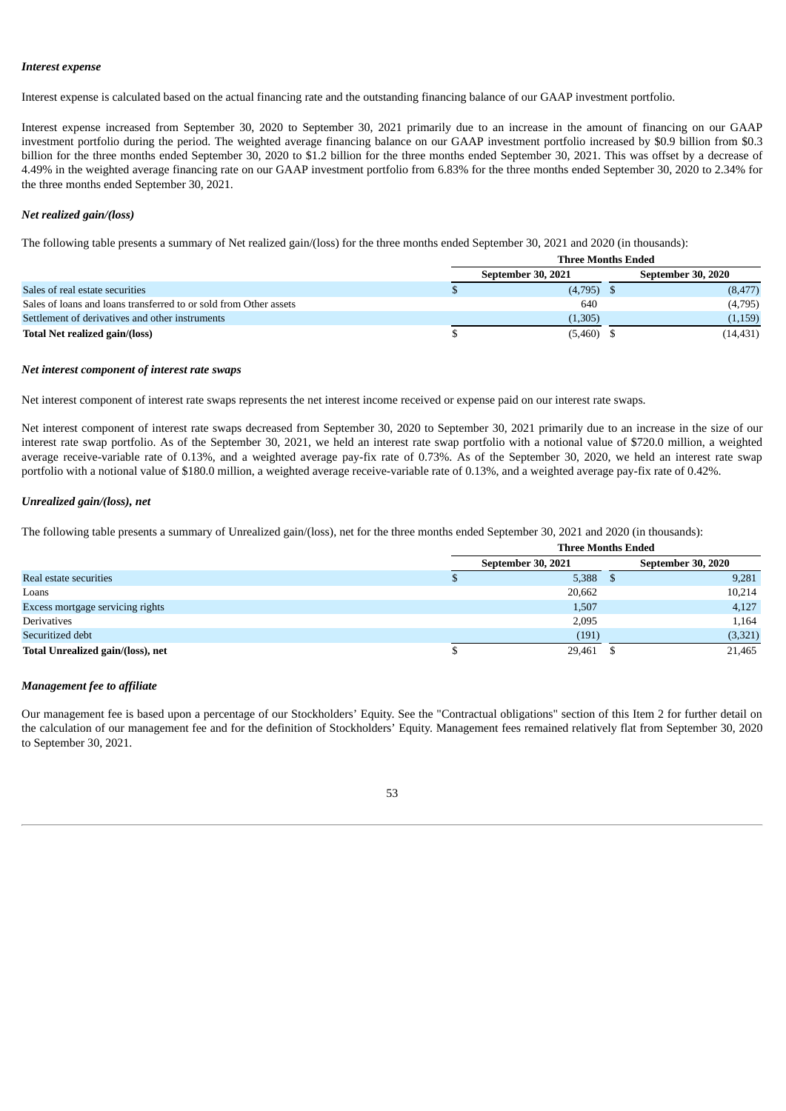## *Interest expense*

Interest expense is calculated based on the actual financing rate and the outstanding financing balance of our GAAP investment portfolio.

Interest expense increased from September 30, 2020 to September 30, 2021 primarily due to an increase in the amount of financing on our GAAP investment portfolio during the period. The weighted average financing balance on our GAAP investment portfolio increased by \$0.9 billion from \$0.3 billion for the three months ended September 30, 2020 to \$1.2 billion for the three months ended September 30, 2021. This was offset by a decrease of 4.49% in the weighted average financing rate on our GAAP investment portfolio from 6.83% for the three months ended September 30, 2020 to 2.34% for the three months ended September 30, 2021.

## *Net realized gain/(loss)*

The following table presents a summary of Net realized gain/(loss) for the three months ended September 30, 2021 and 2020 (in thousands):

|                                                                   | <b>Three Months Ended</b> |                    |  |                    |  |  |
|-------------------------------------------------------------------|---------------------------|--------------------|--|--------------------|--|--|
|                                                                   |                           | September 30, 2021 |  | September 30, 2020 |  |  |
| Sales of real estate securities                                   |                           | $(4,795)$ \$       |  | (8, 477)           |  |  |
| Sales of loans and loans transferred to or sold from Other assets |                           | 640                |  | (4,795)            |  |  |
| Settlement of derivatives and other instruments                   |                           | (1,305)            |  | (1, 159)           |  |  |
| Total Net realized gain/(loss)                                    |                           | (5,460)            |  | (14, 431)          |  |  |

### *Net interest component of interest rate swaps*

Net interest component of interest rate swaps represents the net interest income received or expense paid on our interest rate swaps.

Net interest component of interest rate swaps decreased from September 30, 2020 to September 30, 2021 primarily due to an increase in the size of our interest rate swap portfolio. As of the September 30, 2021, we held an interest rate swap portfolio with a notional value of \$720.0 million, a weighted average receive-variable rate of 0.13%, and a weighted average pay-fix rate of 0.73%. As of the September 30, 2020, we held an interest rate swap portfolio with a notional value of \$180.0 million, a weighted average receive-variable rate of 0.13%, and a weighted average pay-fix rate of 0.42%.

### *Unrealized gain/(loss), net*

The following table presents a summary of Unrealized gain/(loss), net for the three months ended September 30, 2021 and 2020 (in thousands):

|                                   | <b>Three Months Ended</b> |                    |  |  |  |
|-----------------------------------|---------------------------|--------------------|--|--|--|
|                                   | September 30, 2021        | September 30, 2020 |  |  |  |
| Real estate securities            | $5,388$ \$                | 9,281              |  |  |  |
| Loans                             | 20,662                    | 10,214             |  |  |  |
| Excess mortgage servicing rights  | 1,507                     | 4,127              |  |  |  |
| <b>Derivatives</b>                | 2,095                     | 1,164              |  |  |  |
| Securitized debt                  | (191)                     | (3,321)            |  |  |  |
| Total Unrealized gain/(loss), net | 29,461 \$                 | 21,465             |  |  |  |

# *Management fee to affiliate*

Our management fee is based upon a percentage of our Stockholders' Equity. See the "Contractual obligations" section of this Item 2 for further detail on the calculation of our management fee and for the definition of Stockholders' Equity. Management fees remained relatively flat from September 30, 2020 to September 30, 2021.

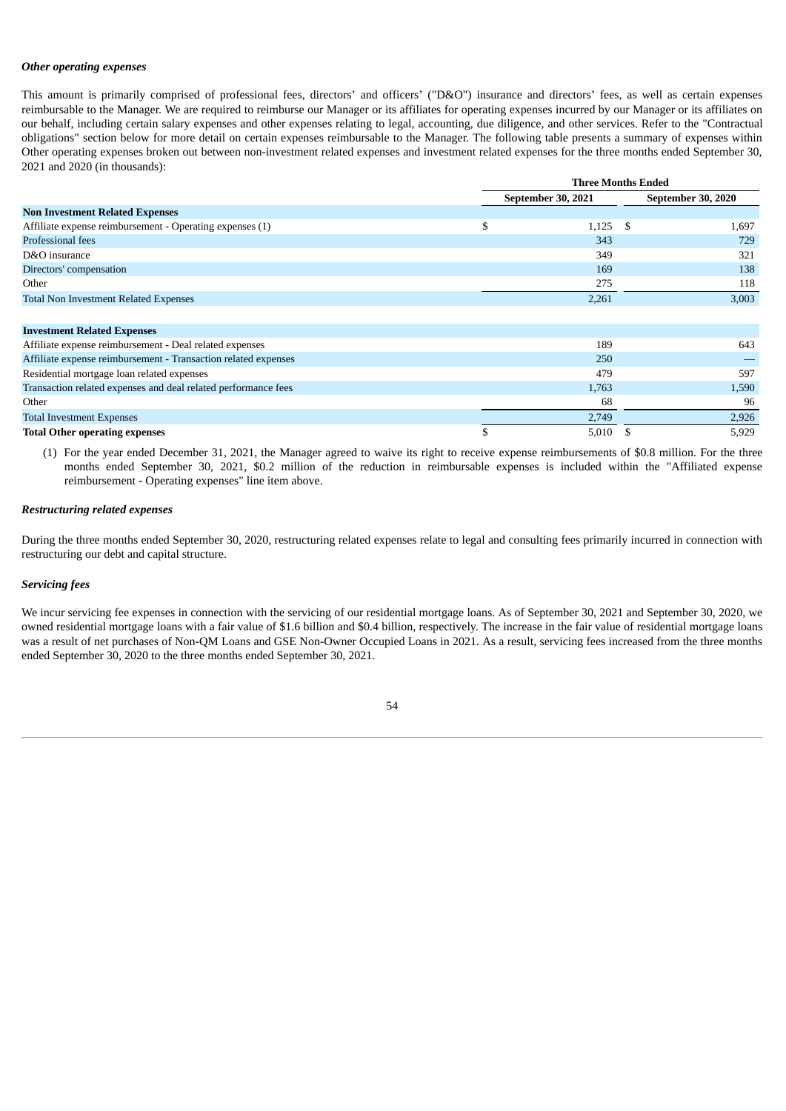# *Other operating expenses*

This amount is primarily comprised of professional fees, directors' and officers' ("D&O") insurance and directors' fees, as well as certain expenses reimbursable to the Manager. We are required to reimburse our Manager or its affiliates for operating expenses incurred by our Manager or its affiliates on our behalf, including certain salary expenses and other expenses relating to legal, accounting, due diligence, and other services. Refer to the "Contractual obligations" section below for more detail on certain expenses reimbursable to the Manager. The following table presents a summary of expenses within Other operating expenses broken out between non-investment related expenses and investment related expenses for the three months ended September 30, 2021 and 2020 (in thousands):

|                                                               | <b>Three Months Ended</b> |      |                    |  |
|---------------------------------------------------------------|---------------------------|------|--------------------|--|
|                                                               | September 30, 2021        |      | September 30, 2020 |  |
| <b>Non Investment Related Expenses</b>                        |                           |      |                    |  |
| Affiliate expense reimbursement - Operating expenses (1)      | 1,125                     | - \$ | 1,697              |  |
| Professional fees                                             | 343                       |      | 729                |  |
| D&O insurance                                                 | 349                       |      | 321                |  |
| Directors' compensation                                       | 169                       |      | 138                |  |
| Other                                                         | 275                       |      | 118                |  |
| <b>Total Non Investment Related Expenses</b>                  | 2,261                     |      | 3,003              |  |
|                                                               |                           |      |                    |  |
| <b>Investment Related Expenses</b>                            |                           |      |                    |  |
| Affiliate expense reimbursement - Deal related expenses       | 189                       |      | 643                |  |
| Affiliate expanse reimburgement. Transaction related expenses | 250                       |      |                    |  |

| Affiliate expense reimbursement - Transaction related expenses | 250   |       |
|----------------------------------------------------------------|-------|-------|
| Residential mortgage loan related expenses                     | 479   | 597   |
| Transaction related expenses and deal related performance fees | 1,763 | 1,590 |
| Other                                                          | 68    | 96    |
| <b>Total Investment Expenses</b>                               | 2.749 | 2,926 |
| <b>Total Other operating expenses</b>                          | 5,010 | 5.929 |

(1) For the year ended December 31, 2021, the Manager agreed to waive its right to receive expense reimbursements of \$0.8 million. For the three months ended September 30, 2021, \$0.2 million of the reduction in reimbursable expenses is included within the "Affiliated expense reimbursement - Operating expenses" line item above.

### *Restructuring related expenses*

During the three months ended September 30, 2020, restructuring related expenses relate to legal and consulting fees primarily incurred in connection with restructuring our debt and capital structure.

# *Servicing fees*

We incur servicing fee expenses in connection with the servicing of our residential mortgage loans. As of September 30, 2021 and September 30, 2020, we owned residential mortgage loans with a fair value of \$1.6 billion and \$0.4 billion, respectively. The increase in the fair value of residential mortgage loans was a result of net purchases of Non-QM Loans and GSE Non-Owner Occupied Loans in 2021. As a result, servicing fees increased from the three months ended September 30, 2020 to the three months ended September 30, 2021.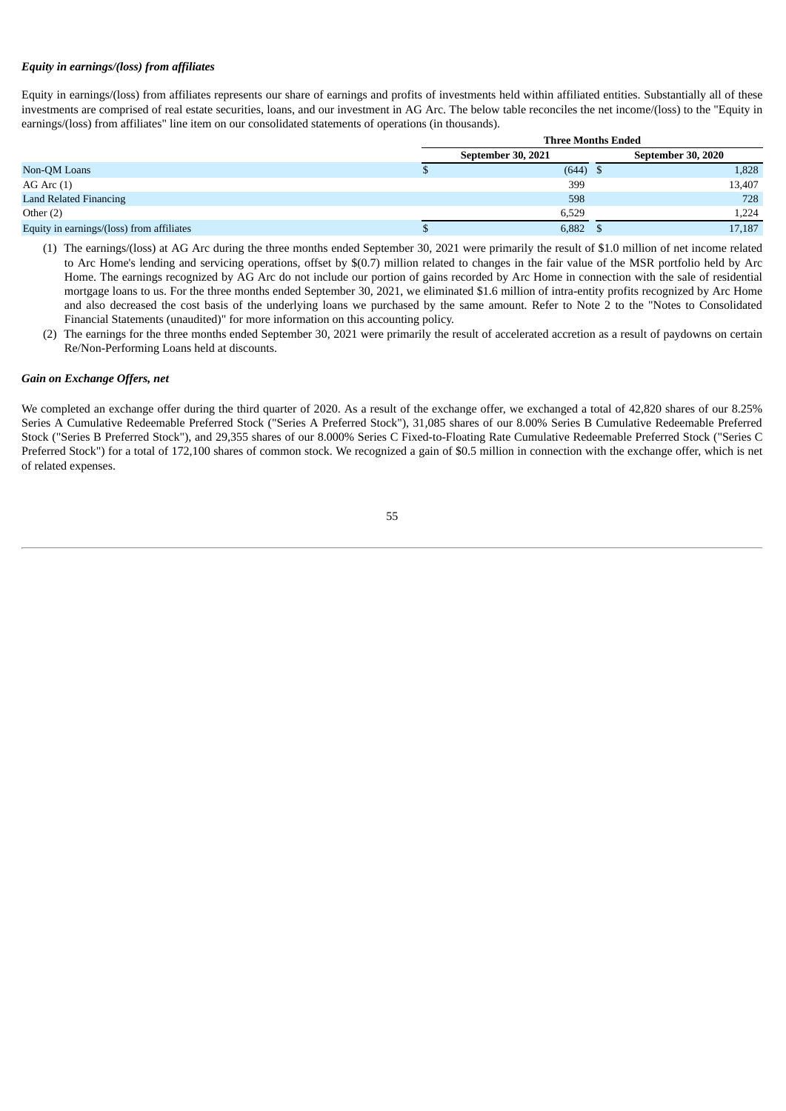# *Equity in earnings/(loss) from affiliates*

Equity in earnings/(loss) from affiliates represents our share of earnings and profits of investments held within affiliated entities. Substantially all of these investments are comprised of real estate securities, loans, and our investment in AG Arc. The below table reconciles the net income/(loss) to the "Equity in earnings/(loss) from affiliates" line item on our consolidated statements of operations (in thousands).

|                                           |   | <b>Three Months Ended</b> |                    |  |  |  |  |
|-------------------------------------------|---|---------------------------|--------------------|--|--|--|--|
|                                           |   | September 30, 2021        | September 30, 2020 |  |  |  |  |
| Non-QM Loans                              | w | $(644)$ \$                | 1,828              |  |  |  |  |
| $AG$ Arc $(1)$                            |   | 399                       | 13,407             |  |  |  |  |
| <b>Land Related Financing</b>             |   | 598                       | 728                |  |  |  |  |
| Other $(2)$                               |   | 6,529                     | 1,224              |  |  |  |  |
| Equity in earnings/(loss) from affiliates |   | 6,882                     | 17,187             |  |  |  |  |

- (1) The earnings/(loss) at AG Arc during the three months ended September 30, 2021 were primarily the result of \$1.0 million of net income related to Arc Home's lending and servicing operations, offset by \$(0.7) million related to changes in the fair value of the MSR portfolio held by Arc Home. The earnings recognized by AG Arc do not include our portion of gains recorded by Arc Home in connection with the sale of residential mortgage loans to us. For the three months ended September 30, 2021, we eliminated \$1.6 million of intra-entity profits recognized by Arc Home and also decreased the cost basis of the underlying loans we purchased by the same amount. Refer to Note 2 to the "Notes to Consolidated Financial Statements (unaudited)" for more information on this accounting policy.
- (2) The earnings for the three months ended September 30, 2021 were primarily the result of accelerated accretion as a result of paydowns on certain Re/Non-Performing Loans held at discounts.

#### *Gain on Exchange Offers, net*

We completed an exchange offer during the third quarter of 2020. As a result of the exchange offer, we exchanged a total of 42,820 shares of our 8.25% Series A Cumulative Redeemable Preferred Stock ("Series A Preferred Stock"), 31,085 shares of our 8.00% Series B Cumulative Redeemable Preferred Stock ("Series B Preferred Stock"), and 29,355 shares of our 8.000% Series C Fixed-to-Floating Rate Cumulative Redeemable Preferred Stock ("Series C Preferred Stock") for a total of 172,100 shares of common stock. We recognized a gain of \$0.5 million in connection with the exchange offer, which is net of related expenses.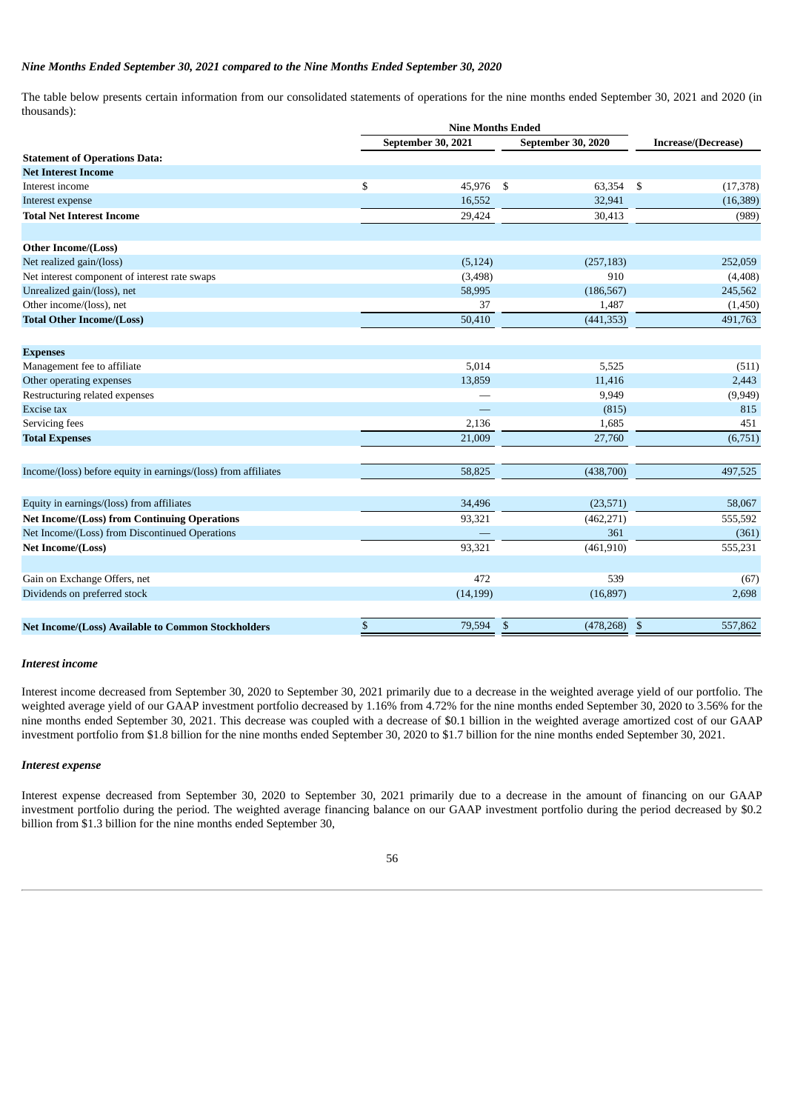# *Nine Months Ended September 30, 2021 compared to the Nine Months Ended September 30, 2020*

The table below presents certain information from our consolidated statements of operations for the nine months ended September 30, 2021 and 2020 (in thousands):

|                                                                |    | September 30, 2021 |              | September 30, 2020 | Increase/(Decrease) |           |
|----------------------------------------------------------------|----|--------------------|--------------|--------------------|---------------------|-----------|
| <b>Statement of Operations Data:</b>                           |    |                    |              |                    |                     |           |
| <b>Net Interest Income</b>                                     |    |                    |              |                    |                     |           |
| Interest income                                                | \$ | 45,976 \$          |              | 63,354             | -\$                 | (17, 378) |
| Interest expense                                               |    | 16,552             |              | 32,941             |                     | (16, 389) |
| <b>Total Net Interest Income</b>                               |    | 29,424             |              | 30,413             |                     | (989)     |
| <b>Other Income/(Loss)</b>                                     |    |                    |              |                    |                     |           |
| Net realized gain/(loss)                                       |    | (5, 124)           |              | (257, 183)         |                     | 252,059   |
| Net interest component of interest rate swaps                  |    | (3, 498)           |              | 910                |                     | (4, 408)  |
| Unrealized gain/(loss), net                                    |    | 58,995             |              | (186, 567)         |                     | 245,562   |
| Other income/(loss), net                                       |    | 37                 |              | 1,487              |                     | (1,450)   |
| <b>Total Other Income/(Loss)</b>                               |    | 50,410             |              | (441, 353)         |                     | 491,763   |
| <b>Expenses</b>                                                |    |                    |              |                    |                     |           |
| Management fee to affiliate                                    |    | 5,014              |              | 5,525              |                     | (511)     |
| Other operating expenses                                       |    | 13,859             |              | 11,416             |                     | 2,443     |
| Restructuring related expenses                                 |    |                    |              | 9,949              |                     | (9,949)   |
| Excise tax                                                     |    |                    |              | (815)              |                     | 815       |
| Servicing fees                                                 |    | 2,136              |              | 1,685              |                     | 451       |
| <b>Total Expenses</b>                                          |    | 21,009             |              | 27,760             |                     | (6,751)   |
| Income/(loss) before equity in earnings/(loss) from affiliates |    | 58,825             |              | (438,700)          |                     | 497,525   |
| Equity in earnings/(loss) from affiliates                      |    | 34,496             |              | (23, 571)          |                     | 58,067    |
| Net Income/(Loss) from Continuing Operations                   |    | 93,321             |              | (462, 271)         |                     | 555,592   |
| Net Income/(Loss) from Discontinued Operations                 |    |                    |              | 361                |                     | (361)     |
| Net Income/(Loss)                                              |    | 93,321             |              | (461, 910)         |                     | 555,231   |
| Gain on Exchange Offers, net                                   |    | 472                |              | 539                |                     | (67)      |
| Dividends on preferred stock                                   |    | (14, 199)          |              | (16, 897)          |                     | 2,698     |
| Net Income/(Loss) Available to Common Stockholders             | \$ | 79,594             | $\mathbf{s}$ | $(478, 268)$ \$    |                     | 557,862   |

#### *Interest income*

Interest income decreased from September 30, 2020 to September 30, 2021 primarily due to a decrease in the weighted average yield of our portfolio. The weighted average yield of our GAAP investment portfolio decreased by 1.16% from 4.72% for the nine months ended September 30, 2020 to 3.56% for the nine months ended September 30, 2021. This decrease was coupled with a decrease of \$0.1 billion in the weighted average amortized cost of our GAAP investment portfolio from \$1.8 billion for the nine months ended September 30, 2020 to \$1.7 billion for the nine months ended September 30, 2021.

#### *Interest expense*

Interest expense decreased from September 30, 2020 to September 30, 2021 primarily due to a decrease in the amount of financing on our GAAP investment portfolio during the period. The weighted average financing balance on our GAAP investment portfolio during the period decreased by \$0.2 billion from \$1.3 billion for the nine months ended September 30,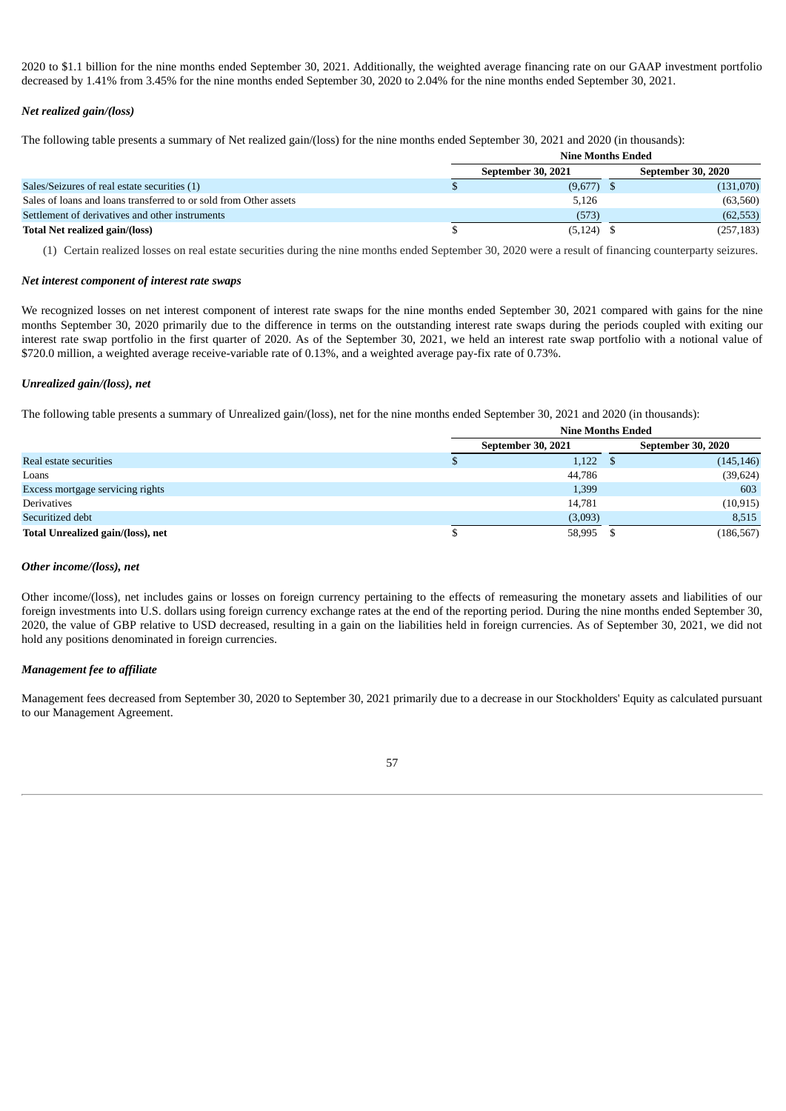2020 to \$1.1 billion for the nine months ended September 30, 2021. Additionally, the weighted average financing rate on our GAAP investment portfolio decreased by 1.41% from 3.45% for the nine months ended September 30, 2020 to 2.04% for the nine months ended September 30, 2021.

# *Net realized gain/(loss)*

The following table presents a summary of Net realized gain/(loss) for the nine months ended September 30, 2021 and 2020 (in thousands):

|                                                                   | <b>Nine Months Ended</b> |  |                    |  |  |  |  |  |  |
|-------------------------------------------------------------------|--------------------------|--|--------------------|--|--|--|--|--|--|
|                                                                   | September 30, 2021       |  | September 30, 2020 |  |  |  |  |  |  |
| Sales/Seizures of real estate securities (1)                      | $(9,677)$ \$             |  | (131,070)          |  |  |  |  |  |  |
| Sales of loans and loans transferred to or sold from Other assets | 5,126                    |  | (63,560)           |  |  |  |  |  |  |
| Settlement of derivatives and other instruments                   | (573)                    |  | (62, 553)          |  |  |  |  |  |  |
| Total Net realized gain/(loss)                                    | (5, 124)                 |  | (257, 183)         |  |  |  |  |  |  |

(1) Certain realized losses on real estate securities during the nine months ended September 30, 2020 were a result of financing counterparty seizures.

# *Net interest component of interest rate swaps*

We recognized losses on net interest component of interest rate swaps for the nine months ended September 30, 2021 compared with gains for the nine months September 30, 2020 primarily due to the difference in terms on the outstanding interest rate swaps during the periods coupled with exiting our interest rate swap portfolio in the first quarter of 2020. As of the September 30, 2021, we held an interest rate swap portfolio with a notional value of \$720.0 million, a weighted average receive-variable rate of 0.13%, and a weighted average pay-fix rate of 0.73%.

# *Unrealized gain/(loss), net*

The following table presents a summary of Unrealized gain/(loss), net for the nine months ended September 30, 2021 and 2020 (in thousands):

|                                   | <b>Nine Months Ended</b> |                    |  |                    |  |  |  |  |  |
|-----------------------------------|--------------------------|--------------------|--|--------------------|--|--|--|--|--|
|                                   |                          | September 30, 2021 |  | September 30, 2020 |  |  |  |  |  |
| Real estate securities            |                          | 1,122              |  | (145, 146)         |  |  |  |  |  |
| Loans                             |                          | 44,786             |  | (39, 624)          |  |  |  |  |  |
| Excess mortgage servicing rights  |                          | 1,399              |  | 603                |  |  |  |  |  |
| <b>Derivatives</b>                |                          | 14,781             |  | (10, 915)          |  |  |  |  |  |
| Securitized debt                  |                          | (3,093)            |  | 8,515              |  |  |  |  |  |
| Total Unrealized gain/(loss), net |                          | 58,995             |  | (186, 567)         |  |  |  |  |  |

# *Other income/(loss), net*

Other income/(loss), net includes gains or losses on foreign currency pertaining to the effects of remeasuring the monetary assets and liabilities of our foreign investments into U.S. dollars using foreign currency exchange rates at the end of the reporting period. During the nine months ended September 30, 2020, the value of GBP relative to USD decreased, resulting in a gain on the liabilities held in foreign currencies. As of September 30, 2021, we did not hold any positions denominated in foreign currencies.

# *Management fee to affiliate*

Management fees decreased from September 30, 2020 to September 30, 2021 primarily due to a decrease in our Stockholders' Equity as calculated pursuant to our Management Agreement.

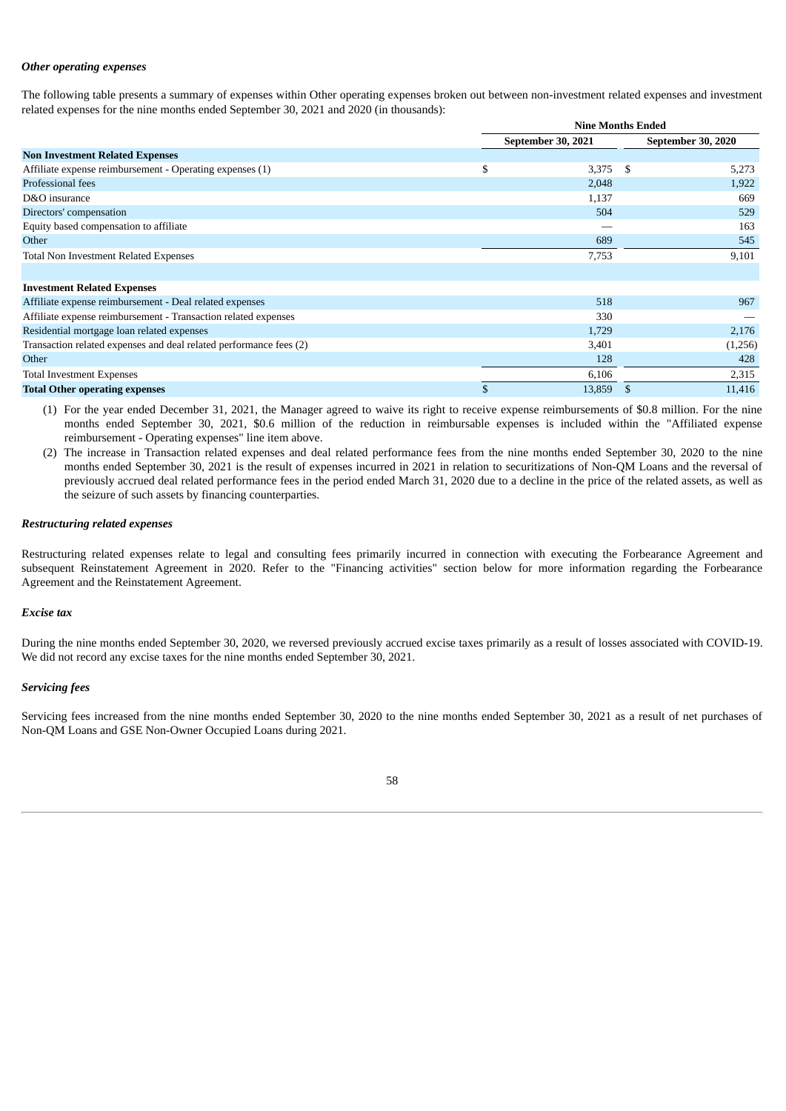# *Other operating expenses*

The following table presents a summary of expenses within Other operating expenses broken out between non-investment related expenses and investment related expenses for the nine months ended September 30, 2021 and 2020 (in thousands):

|                                                                    | <b>Nine Months Ended</b> |                    |    |                    |  |  |  |
|--------------------------------------------------------------------|--------------------------|--------------------|----|--------------------|--|--|--|
|                                                                    |                          | September 30, 2021 |    | September 30, 2020 |  |  |  |
| <b>Non Investment Related Expenses</b>                             |                          |                    |    |                    |  |  |  |
| Affiliate expense reimbursement - Operating expenses (1)           | \$                       | 3,375              | \$ | 5,273              |  |  |  |
| Professional fees                                                  |                          | 2,048              |    | 1,922              |  |  |  |
| D&O insurance                                                      |                          | 1,137              |    | 669                |  |  |  |
| Directors' compensation                                            |                          | 504                |    | 529                |  |  |  |
| Equity based compensation to affiliate                             |                          |                    |    | 163                |  |  |  |
| Other                                                              |                          | 689                |    | 545                |  |  |  |
| <b>Total Non Investment Related Expenses</b>                       |                          | 7,753              |    | 9,101              |  |  |  |
|                                                                    |                          |                    |    |                    |  |  |  |
| <b>Investment Related Expenses</b>                                 |                          |                    |    |                    |  |  |  |
| Affiliate expense reimbursement - Deal related expenses            |                          | 518                |    | 967                |  |  |  |
| Affiliate expense reimbursement - Transaction related expenses     |                          | 330                |    |                    |  |  |  |
| Residential mortgage loan related expenses                         |                          | 1,729              |    | 2,176              |  |  |  |
| Transaction related expenses and deal related performance fees (2) |                          | 3,401              |    | (1,256)            |  |  |  |
| Other                                                              |                          | 128                |    | 428                |  |  |  |
| <b>Total Investment Expenses</b>                                   |                          | 6,106              |    | 2,315              |  |  |  |
| <b>Total Other operating expenses</b>                              | \$                       | 13,859             | Ъ  | 11,416             |  |  |  |

(1) For the year ended December 31, 2021, the Manager agreed to waive its right to receive expense reimbursements of \$0.8 million. For the nine months ended September 30, 2021, \$0.6 million of the reduction in reimbursable expenses is included within the "Affiliated expense reimbursement - Operating expenses" line item above.

(2) The increase in Transaction related expenses and deal related performance fees from the nine months ended September 30, 2020 to the nine months ended September 30, 2021 is the result of expenses incurred in 2021 in relation to securitizations of Non-QM Loans and the reversal of previously accrued deal related performance fees in the period ended March 31, 2020 due to a decline in the price of the related assets, as well as the seizure of such assets by financing counterparties.

### *Restructuring related expenses*

Restructuring related expenses relate to legal and consulting fees primarily incurred in connection with executing the Forbearance Agreement and subsequent Reinstatement Agreement in 2020. Refer to the "Financing activities" section below for more information regarding the Forbearance Agreement and the Reinstatement Agreement.

# *Excise tax*

During the nine months ended September 30, 2020, we reversed previously accrued excise taxes primarily as a result of losses associated with COVID-19. We did not record any excise taxes for the nine months ended September 30, 2021.

# *Servicing fees*

Servicing fees increased from the nine months ended September 30, 2020 to the nine months ended September 30, 2021 as a result of net purchases of Non-QM Loans and GSE Non-Owner Occupied Loans during 2021.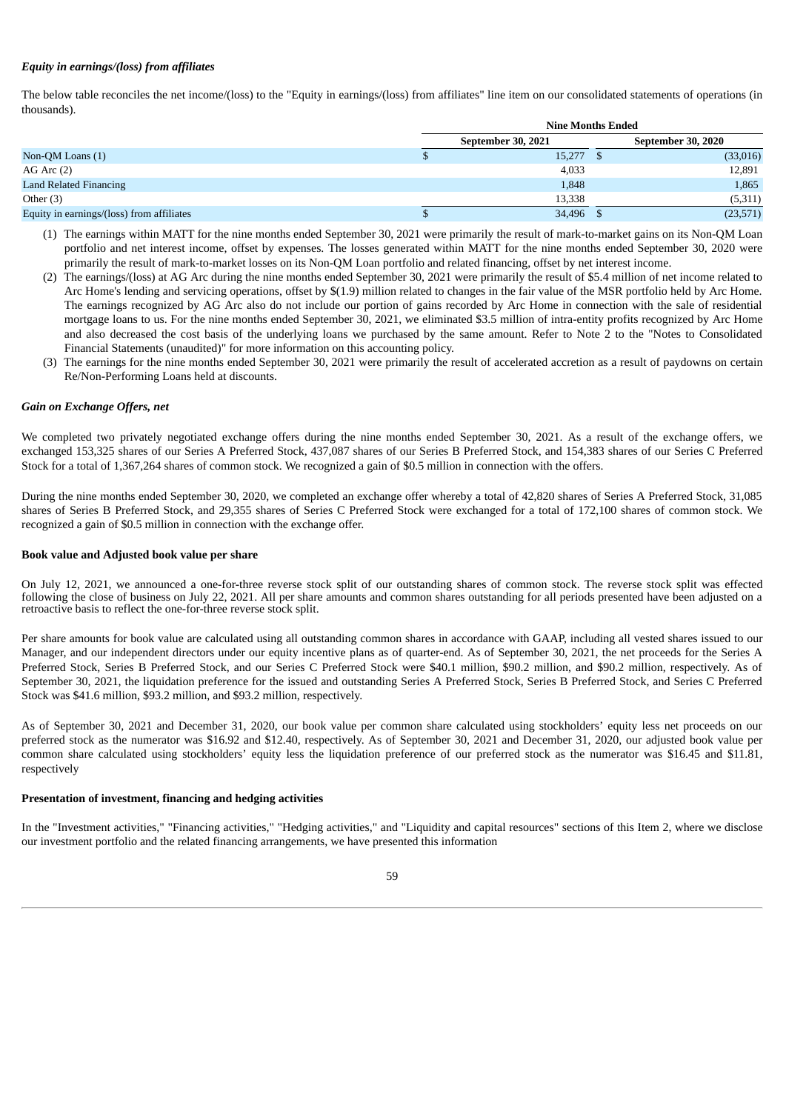# *Equity in earnings/(loss) from affiliates*

The below table reconciles the net income/(loss) to the "Equity in earnings/(loss) from affiliates" line item on our consolidated statements of operations (in thousands).

|                                           | <b>Nine Months Ended</b>  |  |                    |  |  |  |  |  |  |
|-------------------------------------------|---------------------------|--|--------------------|--|--|--|--|--|--|
|                                           | <b>September 30, 2021</b> |  | September 30, 2020 |  |  |  |  |  |  |
| Non-QM Loans (1)                          | 15,277                    |  | (33,016)           |  |  |  |  |  |  |
| AG Arc $(2)$                              | 4,033                     |  | 12,891             |  |  |  |  |  |  |
| <b>Land Related Financing</b>             | 1,848                     |  | 1,865              |  |  |  |  |  |  |
| Other (3)                                 | 13,338                    |  | (5,311)            |  |  |  |  |  |  |
| Equity in earnings/(loss) from affiliates | 34,496                    |  | (23,571)           |  |  |  |  |  |  |

- (1) The earnings within MATT for the nine months ended September 30, 2021 were primarily the result of mark-to-market gains on its Non-QM Loan portfolio and net interest income, offset by expenses. The losses generated within MATT for the nine months ended September 30, 2020 were primarily the result of mark-to-market losses on its Non-QM Loan portfolio and related financing, offset by net interest income.
- (2) The earnings/(loss) at AG Arc during the nine months ended September 30, 2021 were primarily the result of \$5.4 million of net income related to Arc Home's lending and servicing operations, offset by \$(1.9) million related to changes in the fair value of the MSR portfolio held by Arc Home. The earnings recognized by AG Arc also do not include our portion of gains recorded by Arc Home in connection with the sale of residential mortgage loans to us. For the nine months ended September 30, 2021, we eliminated \$3.5 million of intra-entity profits recognized by Arc Home and also decreased the cost basis of the underlying loans we purchased by the same amount. Refer to Note 2 to the "Notes to Consolidated Financial Statements (unaudited)" for more information on this accounting policy.
- (3) The earnings for the nine months ended September 30, 2021 were primarily the result of accelerated accretion as a result of paydowns on certain Re/Non-Performing Loans held at discounts.

#### *Gain on Exchange Offers, net*

We completed two privately negotiated exchange offers during the nine months ended September 30, 2021. As a result of the exchange offers, we exchanged 153,325 shares of our Series A Preferred Stock, 437,087 shares of our Series B Preferred Stock, and 154,383 shares of our Series C Preferred Stock for a total of 1,367,264 shares of common stock. We recognized a gain of \$0.5 million in connection with the offers.

During the nine months ended September 30, 2020, we completed an exchange offer whereby a total of 42,820 shares of Series A Preferred Stock, 31,085 shares of Series B Preferred Stock, and 29,355 shares of Series C Preferred Stock were exchanged for a total of 172,100 shares of common stock. We recognized a gain of \$0.5 million in connection with the exchange offer.

### **Book value and Adjusted book value per share**

On July 12, 2021, we announced a one-for-three reverse stock split of our outstanding shares of common stock. The reverse stock split was effected following the close of business on July 22, 2021. All per share amounts and common shares outstanding for all periods presented have been adjusted on a retroactive basis to reflect the one-for-three reverse stock split.

Per share amounts for book value are calculated using all outstanding common shares in accordance with GAAP, including all vested shares issued to our Manager, and our independent directors under our equity incentive plans as of quarter-end. As of September 30, 2021, the net proceeds for the Series A Preferred Stock, Series B Preferred Stock, and our Series C Preferred Stock were \$40.1 million, \$90.2 million, and \$90.2 million, respectively. As of September 30, 2021, the liquidation preference for the issued and outstanding Series A Preferred Stock, Series B Preferred Stock, and Series C Preferred Stock was \$41.6 million, \$93.2 million, and \$93.2 million, respectively.

As of September 30, 2021 and December 31, 2020, our book value per common share calculated using stockholders' equity less net proceeds on our preferred stock as the numerator was \$16.92 and \$12.40, respectively. As of September 30, 2021 and December 31, 2020, our adjusted book value per common share calculated using stockholders' equity less the liquidation preference of our preferred stock as the numerator was \$16.45 and \$11.81, respectively

#### **Presentation of investment, financing and hedging activities**

In the "Investment activities," "Financing activities," "Hedging activities," and "Liquidity and capital resources" sections of this Item 2, where we disclose our investment portfolio and the related financing arrangements, we have presented this information

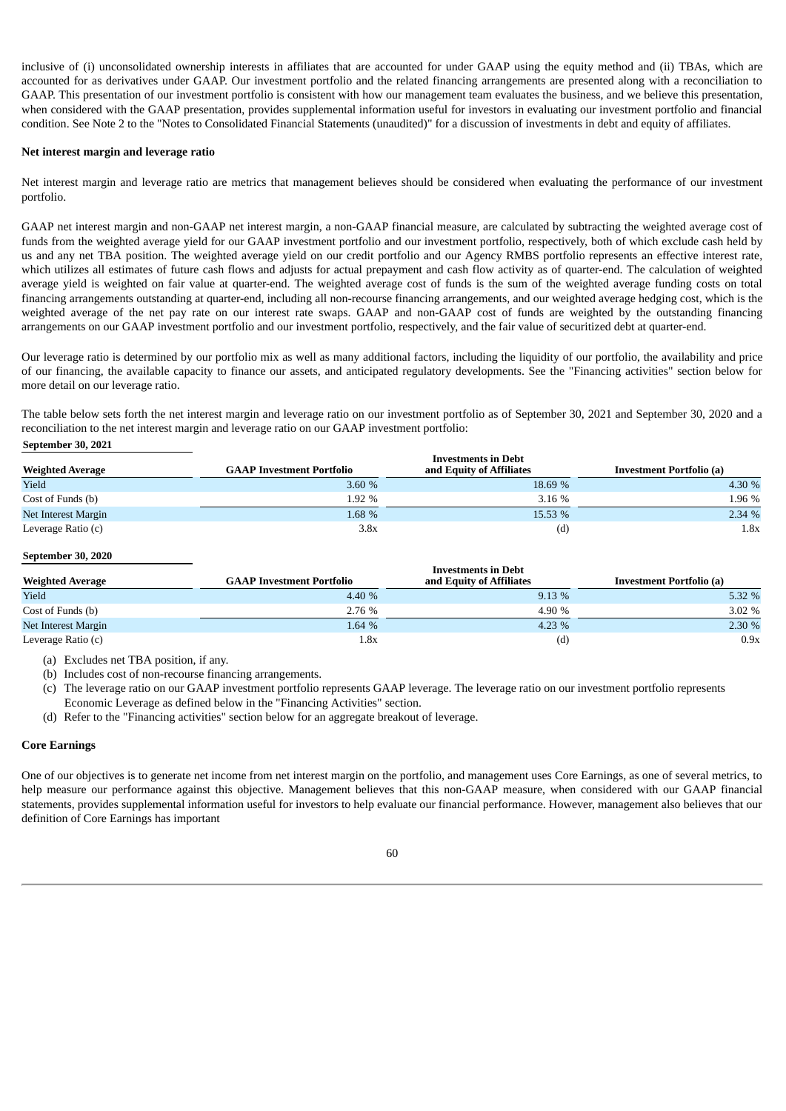inclusive of (i) unconsolidated ownership interests in affiliates that are accounted for under GAAP using the equity method and (ii) TBAs, which are accounted for as derivatives under GAAP. Our investment portfolio and the related financing arrangements are presented along with a reconciliation to GAAP. This presentation of our investment portfolio is consistent with how our management team evaluates the business, and we believe this presentation, when considered with the GAAP presentation, provides supplemental information useful for investors in evaluating our investment portfolio and financial condition. See Note 2 to the "Notes to Consolidated Financial Statements (unaudited)" for a discussion of investments in debt and equity of affiliates.

### **Net interest margin and leverage ratio**

Net interest margin and leverage ratio are metrics that management believes should be considered when evaluating the performance of our investment portfolio.

GAAP net interest margin and non-GAAP net interest margin, a non-GAAP financial measure, are calculated by subtracting the weighted average cost of funds from the weighted average yield for our GAAP investment portfolio and our investment portfolio, respectively, both of which exclude cash held by us and any net TBA position. The weighted average yield on our credit portfolio and our Agency RMBS portfolio represents an effective interest rate, which utilizes all estimates of future cash flows and adjusts for actual prepayment and cash flow activity as of quarter-end. The calculation of weighted average yield is weighted on fair value at quarter-end. The weighted average cost of funds is the sum of the weighted average funding costs on total financing arrangements outstanding at quarter-end, including all non-recourse financing arrangements, and our weighted average hedging cost, which is the weighted average of the net pay rate on our interest rate swaps. GAAP and non-GAAP cost of funds are weighted by the outstanding financing arrangements on our GAAP investment portfolio and our investment portfolio, respectively, and the fair value of securitized debt at quarter-end.

Our leverage ratio is determined by our portfolio mix as well as many additional factors, including the liquidity of our portfolio, the availability and price of our financing, the available capacity to finance our assets, and anticipated regulatory developments. See the "Financing activities" section below for more detail on our leverage ratio.

The table below sets forth the net interest margin and leverage ratio on our investment portfolio as of September 30, 2021 and September 30, 2020 and a reconciliation to the net interest margin and leverage ratio on our GAAP investment portfolio: **September 30, 2021**

|                         | <b>Investments in Debt</b>       |                          |                                 |  |  |  |  |  |  |  |  |
|-------------------------|----------------------------------|--------------------------|---------------------------------|--|--|--|--|--|--|--|--|
| <b>Weighted Average</b> | <b>GAAP Investment Portfolio</b> | and Equity of Affiliates | <b>Investment Portfolio (a)</b> |  |  |  |  |  |  |  |  |
| Yield                   | 3.60%                            | 18.69 %                  | 4.30 %                          |  |  |  |  |  |  |  |  |
| Cost of Funds (b)       | 1.92 %                           | 3.16%                    | 1.96 %                          |  |  |  |  |  |  |  |  |
| Net Interest Margin     | 1.68 %                           | 15.53 %                  | 2.34%                           |  |  |  |  |  |  |  |  |
| Leverage Ratio (c)      | 3.8x                             | (d)                      | 1.8x                            |  |  |  |  |  |  |  |  |

#### **September 30, 2020**

| <b>Weighted Average</b> | <b>GAAP Investment Portfolio</b> | <b>Investments in Debt</b><br>and Equity of Affiliates | <b>Investment Portfolio (a)</b> |
|-------------------------|----------------------------------|--------------------------------------------------------|---------------------------------|
| Yield                   | 4.40 %                           | 9.13%                                                  | 5.32 %                          |
| Cost of Funds (b)       | 2.76 %                           | 4.90 %                                                 | $3.02\%$                        |
| Net Interest Margin     | 1.64 %                           | 4.23 $%$                                               | 2.30 %                          |
| Leverage Ratio (c)      | 1.8x                             | (d)                                                    | 0.9x                            |

(a) Excludes net TBA position, if any.

- (b) Includes cost of non-recourse financing arrangements.
- (c) The leverage ratio on our GAAP investment portfolio represents GAAP leverage. The leverage ratio on our investment portfolio represents Economic Leverage as defined below in the "Financing Activities" section.
- (d) Refer to the "Financing activities" section below for an aggregate breakout of leverage.

# **Core Earnings**

One of our objectives is to generate net income from net interest margin on the portfolio, and management uses Core Earnings, as one of several metrics, to help measure our performance against this objective. Management believes that this non-GAAP measure, when considered with our GAAP financial statements, provides supplemental information useful for investors to help evaluate our financial performance. However, management also believes that our definition of Core Earnings has important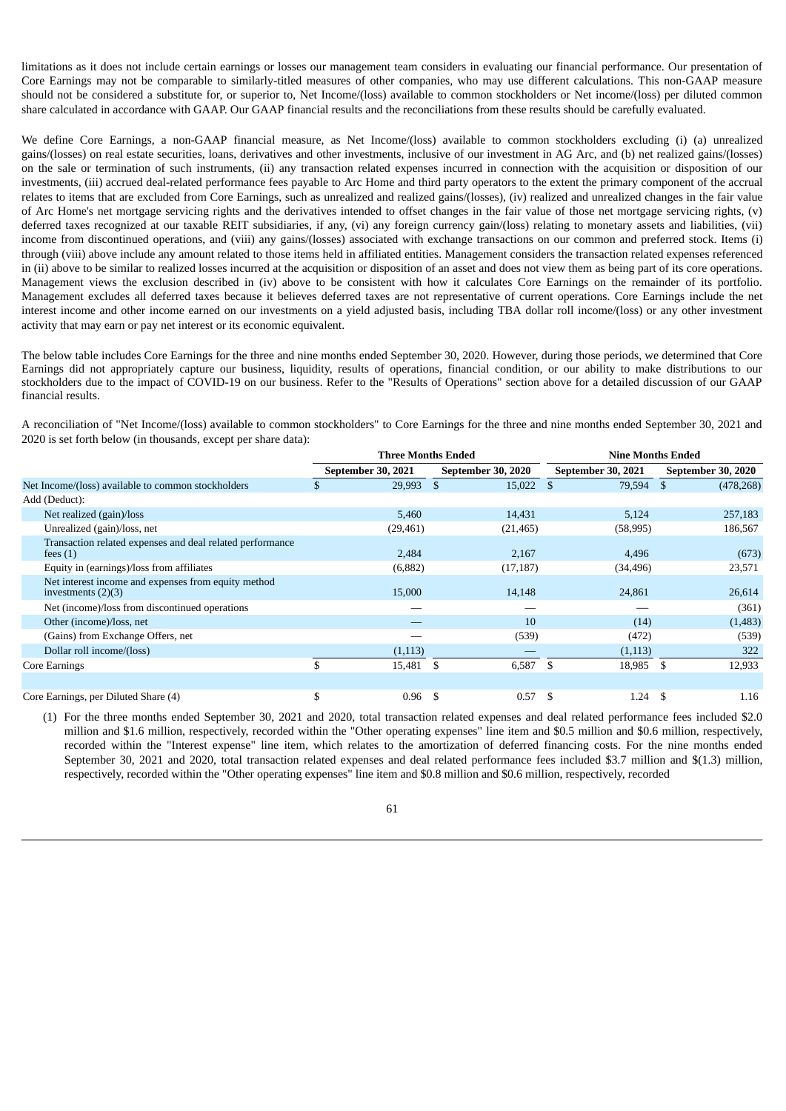limitations as it does not include certain earnings or losses our management team considers in evaluating our financial performance. Our presentation of Core Earnings may not be comparable to similarly-titled measures of other companies, who may use different calculations. This non-GAAP measure should not be considered a substitute for, or superior to, Net Income/(loss) available to common stockholders or Net income/(loss) per diluted common share calculated in accordance with GAAP. Our GAAP financial results and the reconciliations from these results should be carefully evaluated.

We define Core Earnings, a non-GAAP financial measure, as Net Income/(loss) available to common stockholders excluding (i) (a) unrealized gains/(losses) on real estate securities, loans, derivatives and other investments, inclusive of our investment in AG Arc, and (b) net realized gains/(losses) on the sale or termination of such instruments, (ii) any transaction related expenses incurred in connection with the acquisition or disposition of our investments, (iii) accrued deal-related performance fees payable to Arc Home and third party operators to the extent the primary component of the accrual relates to items that are excluded from Core Earnings, such as unrealized and realized gains/(losses), (iv) realized and unrealized changes in the fair value of Arc Home's net mortgage servicing rights and the derivatives intended to offset changes in the fair value of those net mortgage servicing rights, (v) deferred taxes recognized at our taxable REIT subsidiaries, if any, (vi) any foreign currency gain/(loss) relating to monetary assets and liabilities, (vii) income from discontinued operations, and (viii) any gains/(losses) associated with exchange transactions on our common and preferred stock. Items (i) through (viii) above include any amount related to those items held in affiliated entities. Management considers the transaction related expenses referenced in (ii) above to be similar to realized losses incurred at the acquisition or disposition of an asset and does not view them as being part of its core operations. Management views the exclusion described in (iv) above to be consistent with how it calculates Core Earnings on the remainder of its portfolio. Management excludes all deferred taxes because it believes deferred taxes are not representative of current operations. Core Earnings include the net interest income and other income earned on our investments on a yield adjusted basis, including TBA dollar roll income/(loss) or any other investment activity that may earn or pay net interest or its economic equivalent.

The below table includes Core Earnings for the three and nine months ended September 30, 2020. However, during those periods, we determined that Core Earnings did not appropriately capture our business, liquidity, results of operations, financial condition, or our ability to make distributions to our stockholders due to the impact of COVID-19 on our business. Refer to the "Results of Operations" section above for a detailed discussion of our GAAP financial results.

A reconciliation of "Net Income/(loss) available to common stockholders" to Core Earnings for the three and nine months ended September 30, 2021 and 2020 is set forth below (in thousands, except per share data):

|                                                                             | <b>Three Months Ended</b> |          |                    | <b>Nine Months Ended</b> |                    |      |                    |  |  |
|-----------------------------------------------------------------------------|---------------------------|----------|--------------------|--------------------------|--------------------|------|--------------------|--|--|
|                                                                             | September 30, 2021        |          | September 30, 2020 |                          | September 30, 2021 |      | September 30, 2020 |  |  |
| Net Income/(loss) available to common stockholders                          | 29,993 \$                 |          | 15,022             | \$                       | 79,594             |      | (478, 268)         |  |  |
| Add (Deduct):                                                               |                           |          |                    |                          |                    |      |                    |  |  |
| Net realized (gain)/loss                                                    | 5,460                     |          | 14,431             |                          | 5,124              |      | 257,183            |  |  |
| Unrealized (gain)/loss, net                                                 | (29, 461)                 |          | (21, 465)          |                          | (58, 995)          |      | 186,567            |  |  |
| Transaction related expenses and deal related performance<br>fees $(1)$     | 2,484                     |          | 2,167              |                          | 4,496              |      | (673)              |  |  |
| Equity in (earnings)/loss from affiliates                                   | (6,882)                   |          | (17, 187)          |                          | (34, 496)          |      | 23,571             |  |  |
| Net interest income and expenses from equity method<br>investments $(2)(3)$ | 15,000                    |          | 14,148             |                          | 24,861             |      | 26,614             |  |  |
| Net (income)/loss from discontinued operations                              |                           |          |                    |                          |                    |      | (361)              |  |  |
| Other (income)/loss, net                                                    |                           |          | 10                 |                          | (14)               |      | (1,483)            |  |  |
| (Gains) from Exchange Offers, net                                           |                           |          | (539)              |                          | (472)              |      | (539)              |  |  |
| Dollar roll income/(loss)                                                   | (1, 113)                  |          |                    |                          | (1, 113)           |      | 322                |  |  |
| Core Earnings                                                               | \$<br>15,481              | <b>S</b> | 6,587              | \$                       | 18,985             | - \$ | 12,933             |  |  |
|                                                                             |                           |          |                    |                          |                    |      |                    |  |  |
| Core Earnings, per Diluted Share (4)                                        | \$<br>0.96 <sup>5</sup>   |          | 0.57               | \$                       | 1.24               | - \$ | 1.16               |  |  |

(1) For the three months ended September 30, 2021 and 2020, total transaction related expenses and deal related performance fees included \$2.0 million and \$1.6 million, respectively, recorded within the "Other operating expenses" line item and \$0.5 million and \$0.6 million, respectively, recorded within the "Interest expense" line item, which relates to the amortization of deferred financing costs. For the nine months ended September 30, 2021 and 2020, total transaction related expenses and deal related performance fees included \$3.7 million and \$(1.3) million, respectively, recorded within the "Other operating expenses" line item and \$0.8 million and \$0.6 million, respectively, recorded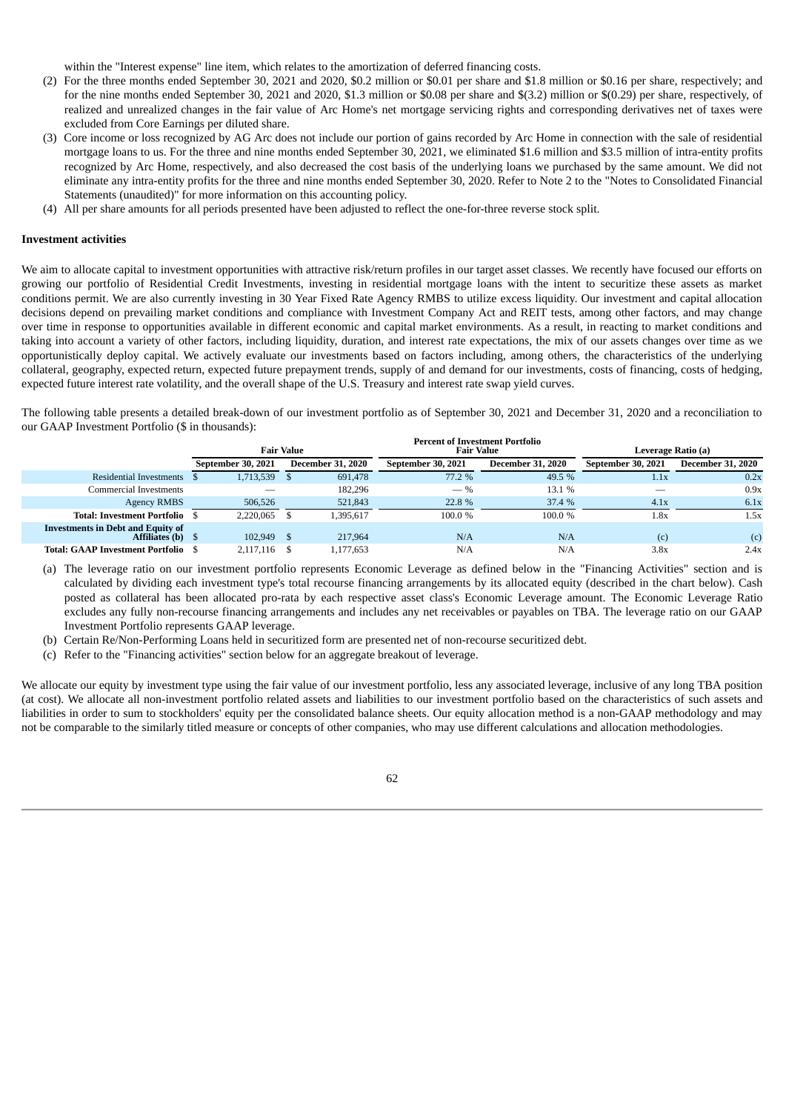within the "Interest expense" line item, which relates to the amortization of deferred financing costs.

- (2) For the three months ended September 30, 2021 and 2020, \$0.2 million or \$0.01 per share and \$1.8 million or \$0.16 per share, respectively; and for the nine months ended September 30, 2021 and 2020, \$1.3 million or \$0.08 per share and \$(3.2) million or \$(0.29) per share, respectively, of realized and unrealized changes in the fair value of Arc Home's net mortgage servicing rights and corresponding derivatives net of taxes were excluded from Core Earnings per diluted share.
- (3) Core income or loss recognized by AG Arc does not include our portion of gains recorded by Arc Home in connection with the sale of residential mortgage loans to us. For the three and nine months ended September 30, 2021, we eliminated \$1.6 million and \$3.5 million of intra-entity profits recognized by Arc Home, respectively, and also decreased the cost basis of the underlying loans we purchased by the same amount. We did not eliminate any intra-entity profits for the three and nine months ended September 30, 2020. Refer to Note 2 to the "Notes to Consolidated Financial Statements (unaudited)" for more information on this accounting policy.
- (4) All per share amounts for all periods presented have been adjusted to reflect the one-for-three reverse stock split.

#### **Investment activities**

We aim to allocate capital to investment opportunities with attractive risk/return profiles in our target asset classes. We recently have focused our efforts on growing our portfolio of Residential Credit Investments, investing in residential mortgage loans with the intent to securitize these assets as market conditions permit. We are also currently investing in 30 Year Fixed Rate Agency RMBS to utilize excess liquidity. Our investment and capital allocation decisions depend on prevailing market conditions and compliance with Investment Company Act and REIT tests, among other factors, and may change over time in response to opportunities available in different economic and capital market environments. As a result, in reacting to market conditions and taking into account a variety of other factors, including liquidity, duration, and interest rate expectations, the mix of our assets changes over time as we opportunistically deploy capital. We actively evaluate our investments based on factors including, among others, the characteristics of the underlying collateral, geography, expected return, expected future prepayment trends, supply of and demand for our investments, costs of financing, costs of hedging, expected future interest rate volatility, and the overall shape of the U.S. Treasury and interest rate swap yield curves.

The following table presents a detailed break-down of our investment portfolio as of September 30, 2021 and December 31, 2020 and a reconciliation to our GAAP Investment Portfolio (\$ in thousands):

|                                                               |                    | <b>Fair Value</b> |                          | <b>Percent of Investment Portfolio</b><br><b>Fair Value</b> |                          | Leverage Ratio (a)        |                          |  |  |  |
|---------------------------------------------------------------|--------------------|-------------------|--------------------------|-------------------------------------------------------------|--------------------------|---------------------------|--------------------------|--|--|--|
|                                                               | September 30, 2021 |                   | <b>December 31, 2020</b> | September 30, 2021                                          | <b>December 31, 2020</b> | <b>September 30, 2021</b> | <b>December 31, 2020</b> |  |  |  |
| Residential Investments \$                                    | 1,713,539          |                   | 691,478                  | 77.2 %                                                      | 49.5 %                   | 1.1x                      | 0.2x                     |  |  |  |
| Commercial Investments                                        |                    |                   | 182,296                  | $-$ %                                                       | 13.1 %                   |                           | 0.9x                     |  |  |  |
| Agency RMBS                                                   | 506,526            |                   | 521,843                  | 22.8 %                                                      | 37.4 %                   | 4.1x                      | 6.1x                     |  |  |  |
| <b>Total: Investment Portfolio</b> \$                         | 2,220,065          |                   | 1,395,617                | 100.0 %                                                     | 100.0 %                  | 1.8x                      | 1.5x                     |  |  |  |
| <b>Investments in Debt and Equity of</b><br>Affiliates (b) \$ | 102.949 \$         |                   | 217,964                  | N/A                                                         | N/A                      | (c)                       | (c)                      |  |  |  |
| Total: GAAP Investment Portfolio \$                           | 2,117,116          |                   | 1,177,653                | N/A                                                         | N/A                      | 3.8x                      | 2.4x                     |  |  |  |

(a) The leverage ratio on our investment portfolio represents Economic Leverage as defined below in the "Financing Activities" section and is calculated by dividing each investment type's total recourse financing arrangements by its allocated equity (described in the chart below). Cash posted as collateral has been allocated pro-rata by each respective asset class's Economic Leverage amount. The Economic Leverage Ratio excludes any fully non-recourse financing arrangements and includes any net receivables or payables on TBA. The leverage ratio on our GAAP Investment Portfolio represents GAAP leverage.

- (b) Certain Re/Non-Performing Loans held in securitized form are presented net of non-recourse securitized debt.
- (c) Refer to the "Financing activities" section below for an aggregate breakout of leverage.

We allocate our equity by investment type using the fair value of our investment portfolio, less any associated leverage, inclusive of any long TBA position (at cost). We allocate all non-investment portfolio related assets and liabilities to our investment portfolio based on the characteristics of such assets and liabilities in order to sum to stockholders' equity per the consolidated balance sheets. Our equity allocation method is a non-GAAP methodology and may not be comparable to the similarly titled measure or concepts of other companies, who may use different calculations and allocation methodologies.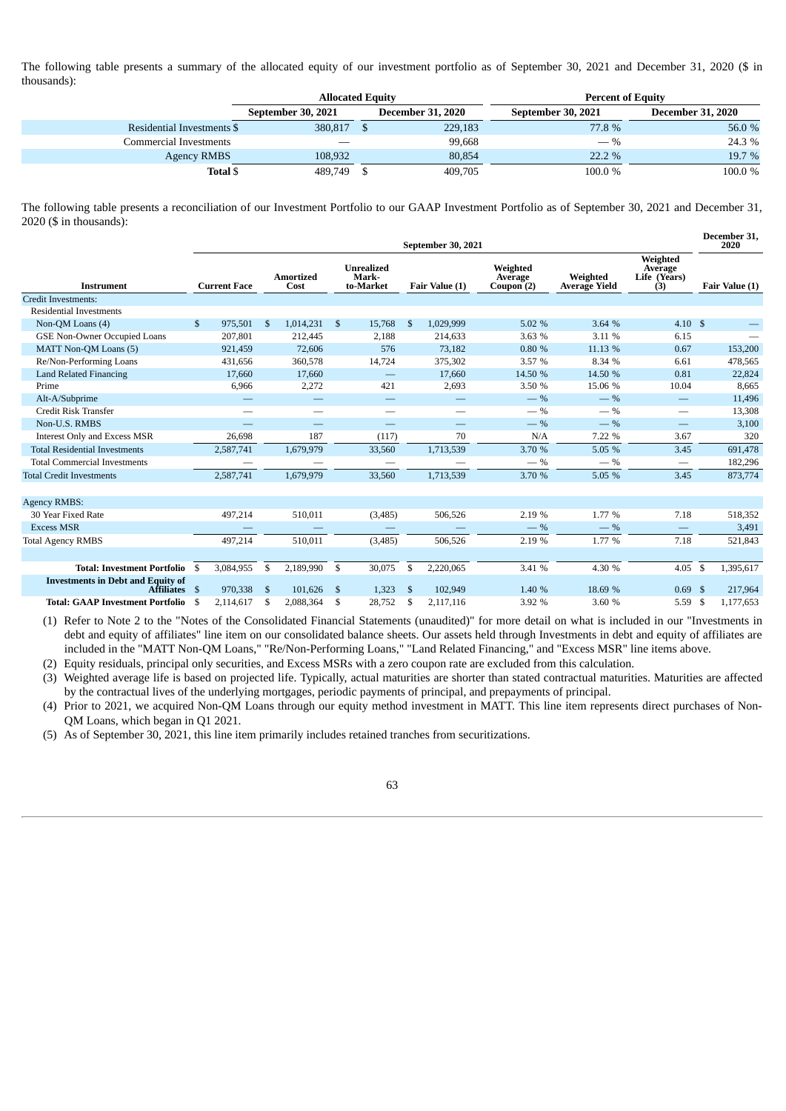The following table presents a summary of the allocated equity of our investment portfolio as of September 30, 2021 and December 31, 2020 (\$ in thousands):

|                            | <b>Allocated Equity</b> |                          | <b>Percent of Equity</b> |                          |  |  |  |
|----------------------------|-------------------------|--------------------------|--------------------------|--------------------------|--|--|--|
|                            | September 30, 2021      | <b>December 31, 2020</b> | September 30, 2021       | <b>December 31, 2020</b> |  |  |  |
| Residential Investments \$ | 380,817                 | 229,183                  | 77.8 %                   | 56.0 %                   |  |  |  |
| Commercial Investments     |                         | 99.668                   | $-$ %                    | 24.3 %                   |  |  |  |
| Agency RMBS                | 108.932                 | 80,854                   | $22.2\%$                 | 19.7 %                   |  |  |  |
| Total \$                   | 489,749                 | 409,705                  | 100.0 %                  | 100.0 %                  |  |  |  |

The following table presents a reconciliation of our Investment Portfolio to our GAAP Investment Portfolio as of September 30, 2021 and December 31, 2020 (\$ in thousands):

**December 31,**

|                                                               | September 30, 2021 |                     |               |                          |                |                                         |                |                   |                                  |                                  |                                            |                |           |  |
|---------------------------------------------------------------|--------------------|---------------------|---------------|--------------------------|----------------|-----------------------------------------|----------------|-------------------|----------------------------------|----------------------------------|--------------------------------------------|----------------|-----------|--|
| <b>Instrument</b>                                             |                    | <b>Current Face</b> |               | <b>Amortized</b><br>Cost |                | <b>Unrealized</b><br>Mark-<br>to-Market |                | Fair Value (1)    | Weighted<br>Average<br>Coupon(2) | Weighted<br><b>Average Yield</b> | Weighted<br>Average<br>Life (Years)<br>(3) | Fair Value (1) |           |  |
| <b>Credit Investments:</b>                                    |                    |                     |               |                          |                |                                         |                |                   |                                  |                                  |                                            |                |           |  |
| <b>Residential Investments</b>                                |                    |                     |               |                          |                |                                         |                |                   |                                  |                                  |                                            |                |           |  |
| Non-QM Loans (4)                                              | \$                 | 975,501             | $\mathbb{S}$  | 1,014,231                | $\mathfrak{s}$ | 15,768                                  | $\mathfrak{s}$ | 1,029,999         | 5.02 %                           | 3.64 %                           | $4.10\quad$                                |                |           |  |
| <b>GSE Non-Owner Occupied Loans</b>                           |                    | 207,801             |               | 212,445                  |                | 2,188                                   |                | 214,633           | 3.63 %                           | 3.11 %                           | 6.15                                       |                |           |  |
| MATT Non-QM Loans (5)                                         |                    | 921,459             |               | 72,606                   |                | 576                                     |                | 73,182            | 0.80%                            | 11.13 %                          | 0.67                                       |                | 153,200   |  |
| Re/Non-Performing Loans                                       |                    | 431,656             |               | 360,578                  |                | 14,724                                  |                | 375,302           | 3.57 %                           | 8.34 %                           | 6.61                                       |                | 478,565   |  |
| <b>Land Related Financing</b>                                 |                    | 17,660              |               | 17,660                   |                |                                         |                | 17,660            | 14.50 %                          | 14.50 %                          | 0.81                                       |                | 22,824    |  |
| Prime                                                         |                    | 6,966               |               | 2,272                    |                | 421                                     |                | 2,693             | 3.50 %                           | 15.06 %                          | 10.04                                      |                | 8,665     |  |
| Alt-A/Subprime                                                |                    |                     |               |                          |                | $\hspace{0.1mm}-\hspace{0.1mm}$         |                |                   | $-$ %                            | $-$ %                            | $\hspace{0.05cm}$                          |                | 11,496    |  |
| Credit Risk Transfer                                          |                    |                     |               |                          |                |                                         |                |                   | $-$ %                            | $-$ %                            |                                            |                | 13,308    |  |
| Non-U.S. RMBS                                                 |                    |                     |               | $\overline{\phantom{0}}$ |                | $\qquad \qquad -$                       |                | $\qquad \qquad -$ | $-$ %                            | $-$ %                            | $\overline{\phantom{0}}$                   |                | 3,100     |  |
| Interest Only and Excess MSR                                  |                    | 26,698              |               | 187                      |                | (117)                                   |                | 70                | N/A                              | 7.22 %                           | 3.67                                       |                | 320       |  |
| <b>Total Residential Investments</b>                          |                    | 2,587,741           |               | 1,679,979                |                | 33,560                                  |                | 1,713,539         | 3.70 %                           | 5.05 %                           | 3.45                                       |                | 691,478   |  |
| <b>Total Commercial Investments</b>                           |                    |                     |               |                          |                |                                         |                |                   | $-$ %                            | $-$ %                            | $\hspace{0.05cm}$                          |                | 182,296   |  |
| <b>Total Credit Investments</b>                               |                    | 2,587,741           |               | 1,679,979                |                | 33,560                                  |                | 1,713,539         | 3.70 %                           | 5.05 %                           | 3.45                                       |                | 873,774   |  |
|                                                               |                    |                     |               |                          |                |                                         |                |                   |                                  |                                  |                                            |                |           |  |
| <b>Agency RMBS:</b>                                           |                    |                     |               |                          |                |                                         |                |                   |                                  |                                  |                                            |                |           |  |
| 30 Year Fixed Rate                                            |                    | 497,214             |               | 510,011                  |                | (3, 485)                                |                | 506,526           | 2.19 %                           | 1.77 %                           | 7.18                                       |                | 518,352   |  |
| <b>Excess MSR</b>                                             |                    |                     |               |                          |                |                                         |                |                   | $-$ %                            | $-$ %                            | $\qquad \qquad -$                          |                | 3,491     |  |
| <b>Total Agency RMBS</b>                                      |                    | 497,214             |               | 510,011                  |                | (3, 485)                                |                | 506,526           | 2.19 %                           | 1.77 %                           | 7.18                                       |                | 521,843   |  |
|                                                               |                    |                     |               |                          |                |                                         |                |                   |                                  |                                  |                                            |                |           |  |
| <b>Total: Investment Portfolio</b>                            | \$.                | 3,084,955           | \$            | 2,189,990                | <sup>\$</sup>  | 30,075                                  | $\mathbb{S}$   | 2,220,065         | 3.41 %                           | 4.30 %                           | 4.05                                       | $\mathbf{s}$   | 1,395,617 |  |
| <b>Investments in Debt and Equity of</b><br><b>Affiliates</b> | -S                 | 970,338             | <sup>\$</sup> | 101,626                  | $\mathbf{s}$   | 1,323                                   | \$             | 102,949           | 1.40 %                           | 18.69 %                          | $0.69$ \$                                  |                | 217,964   |  |
| <b>Total: GAAP Investment Portfolio</b>                       |                    | 2,114,617           | \$            | 2,088,364                | -S             | 28,752                                  | \$             | 2,117,116         | 3.92 %                           | 3.60 %                           | 5.59                                       | - \$           | 1,177,653 |  |

(1) Refer to Note 2 to the "Notes of the Consolidated Financial Statements (unaudited)" for more detail on what is included in our "Investments in debt and equity of affiliates" line item on our consolidated balance sheets. Our assets held through Investments in debt and equity of affiliates are included in the "MATT Non-QM Loans," "Re/Non-Performing Loans," "Land Related Financing," and "Excess MSR" line items above.

(2) Equity residuals, principal only securities, and Excess MSRs with a zero coupon rate are excluded from this calculation.

(3) Weighted average life is based on projected life. Typically, actual maturities are shorter than stated contractual maturities. Maturities are affected by the contractual lives of the underlying mortgages, periodic payments of principal, and prepayments of principal.

(4) Prior to 2021, we acquired Non-QM Loans through our equity method investment in MATT. This line item represents direct purchases of Non-QM Loans, which began in Q1 2021.

(5) As of September 30, 2021, this line item primarily includes retained tranches from securitizations.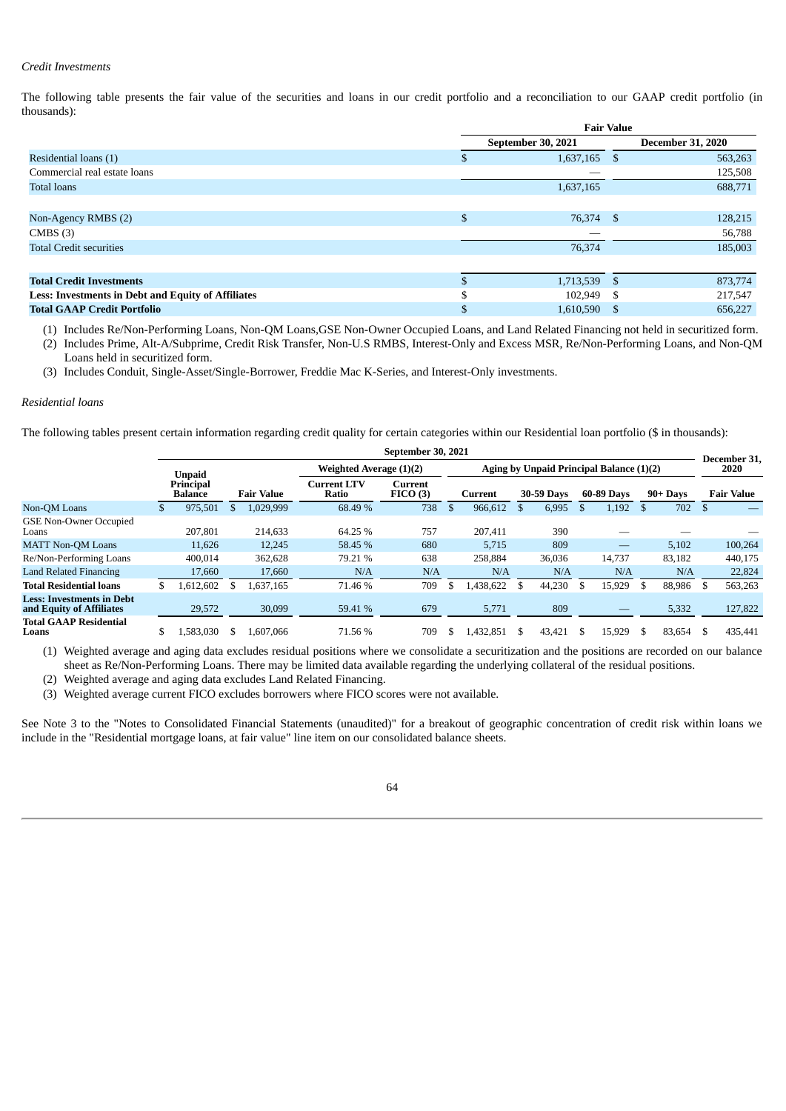## *Credit Investments*

The following table presents the fair value of the securities and loans in our credit portfolio and a reconciliation to our GAAP credit portfolio (in thousands):

|                                                           |    | <b>Fair Value</b>  |              |                          |  |  |  |  |  |
|-----------------------------------------------------------|----|--------------------|--------------|--------------------------|--|--|--|--|--|
|                                                           |    | September 30, 2021 |              | <b>December 31, 2020</b> |  |  |  |  |  |
| Residential loans (1)                                     | J. | 1,637,165 \$       |              | 563,263                  |  |  |  |  |  |
| Commercial real estate loans                              |    |                    |              | 125,508                  |  |  |  |  |  |
| <b>Total loans</b>                                        |    | 1,637,165          |              | 688,771                  |  |  |  |  |  |
|                                                           |    |                    |              |                          |  |  |  |  |  |
| Non-Agency RMBS (2)                                       | \$ | 76,374 \$          |              | 128,215                  |  |  |  |  |  |
| CMBS(3)                                                   |    |                    |              | 56,788                   |  |  |  |  |  |
| <b>Total Credit securities</b>                            |    | 76,374             |              | 185,003                  |  |  |  |  |  |
|                                                           |    |                    |              |                          |  |  |  |  |  |
| <b>Total Credit Investments</b>                           |    | 1,713,539 \$       |              | 873,774                  |  |  |  |  |  |
| <b>Less: Investments in Debt and Equity of Affiliates</b> | \$ | 102.949            | - \$         | 217,547                  |  |  |  |  |  |
| <b>Total GAAP Credit Portfolio</b>                        |    | 1,610,590          | <sup>S</sup> | 656,227                  |  |  |  |  |  |

(1) Includes Re/Non-Performing Loans, Non-QM Loans,GSE Non-Owner Occupied Loans, and Land Related Financing not held in securitized form.

(2) Includes Prime, Alt-A/Subprime, Credit Risk Transfer, Non-U.S RMBS, Interest-Only and Excess MSR, Re/Non-Performing Loans, and Non-QM Loans held in securitized form.

(3) Includes Conduit, Single-Asset/Single-Borrower, Freddie Mac K-Series, and Interest-Only investments.

#### *Residential loans*

The following tables present certain information regarding credit quality for certain categories within our Residential loan portfolio (\$ in thousands):

|                                                              |   |                             |                   |           |                             | <b>September 30, 2021</b> |    |           |                   |                                          |    |                   |            |        |      | December 31.      |  |
|--------------------------------------------------------------|---|-----------------------------|-------------------|-----------|-----------------------------|---------------------------|----|-----------|-------------------|------------------------------------------|----|-------------------|------------|--------|------|-------------------|--|
|                                                              |   | <b>Unpaid</b>               |                   |           | Weighted Average (1)(2)     |                           |    |           |                   | Aging by Unpaid Principal Balance (1)(2) |    |                   |            |        | 2020 |                   |  |
|                                                              |   | Principal<br><b>Balance</b> | <b>Fair Value</b> |           | <b>Current LTV</b><br>Ratio | Current<br>FICO(3)        |    | Current   | <b>30-59 Days</b> |                                          |    | <b>60-89 Days</b> | $90+$ Davs |        |      | <b>Fair Value</b> |  |
| Non-OM Loans                                                 | D | 975,501                     |                   | 1,029,999 | 68.49 %                     | 738                       | \$ | 966,612   |                   | 6,995                                    |    | 1,192             |            | 702    |      |                   |  |
| <b>GSE Non-Owner Occupied</b><br>Loans                       |   | 207,801                     |                   | 214,633   | 64.25 %                     | 757                       |    | 207.411   |                   | 390                                      |    |                   |            |        |      |                   |  |
| <b>MATT Non-QM Loans</b>                                     |   | 11.626                      |                   | 12.245    | 58.45 %                     | 680                       |    | 5.715     |                   | 809                                      |    |                   |            | 5,102  |      | 100,264           |  |
| Re/Non-Performing Loans                                      |   | 400,014                     |                   | 362,628   | 79.21 %                     | 638                       |    | 258,884   |                   | 36,036                                   |    | 14,737            |            | 83,182 |      | 440,175           |  |
| <b>Land Related Financing</b>                                |   | 17.660                      |                   | 17,660    | N/A                         | N/A                       |    | N/A       |                   | N/A                                      |    | N/A               |            | N/A    |      | 22,824            |  |
| <b>Total Residential loans</b>                               |   | 1,612,602                   | \$                | .637,165  | 71.46 %                     | 709                       | S  | 1,438,622 |                   | 44,230                                   |    | 15,929            | - \$       | 88,986 | S.   | 563,263           |  |
| <b>Less: Investments in Debt</b><br>and Equity of Affiliates |   | 29,572                      |                   | 30,099    | 59.41 %                     | 679                       |    | 5,771     |                   | 809                                      |    |                   |            | 5,332  |      | 127,822           |  |
| <b>Total GAAP Residential</b><br>Loans                       |   | 1.583.030                   | \$                | 1.607.066 | 71.56 %                     | 709                       | S  | 1.432.851 | \$                | 43.421                                   | £. | 15,929            | £.         | 83,654 |      | 435,441           |  |

(1) Weighted average and aging data excludes residual positions where we consolidate a securitization and the positions are recorded on our balance sheet as Re/Non-Performing Loans. There may be limited data available regarding the underlying collateral of the residual positions.

(2) Weighted average and aging data excludes Land Related Financing.

(3) Weighted average current FICO excludes borrowers where FICO scores were not available.

See Note 3 to the "Notes to Consolidated Financial Statements (unaudited)" for a breakout of geographic concentration of credit risk within loans we include in the "Residential mortgage loans, at fair value" line item on our consolidated balance sheets.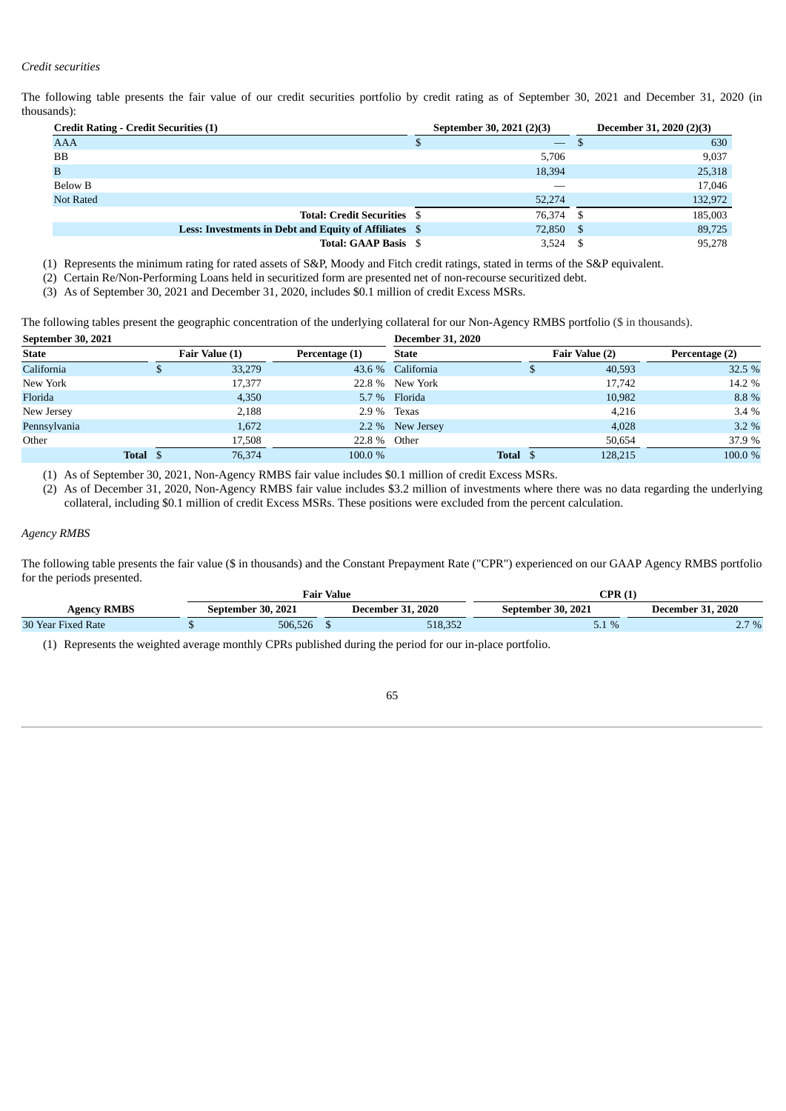# *Credit securities*

The following table presents the fair value of our credit securities portfolio by credit rating as of September 30, 2021 and December 31, 2020 (in thousands):

| <b>Credit Rating - Credit Securities (1)</b> | September 30, 2021 (2)(3)                             |                          | December 31, 2020 (2)(3) |         |
|----------------------------------------------|-------------------------------------------------------|--------------------------|--------------------------|---------|
| <b>AAA</b>                                   |                                                       | $\overline{\phantom{0}}$ | മ                        | 630     |
| BB                                           |                                                       | 5,706                    |                          | 9,037   |
| B                                            |                                                       | 18,394                   |                          | 25,318  |
| <b>Below B</b>                               |                                                       |                          |                          | 17,046  |
| <b>Not Rated</b>                             |                                                       | 52,274                   |                          | 132,972 |
|                                              | <b>Total: Credit Securities \$</b>                    | 76,374 \$                |                          | 185,003 |
|                                              | Less: Investments in Debt and Equity of Affiliates \$ | 72,850 \$                |                          | 89,725  |
|                                              | Total: GAAP Basis \$                                  | 3,524                    | -S                       | 95.278  |

(1) Represents the minimum rating for rated assets of S&P, Moody and Fitch credit ratings, stated in terms of the S&P equivalent.

(2) Certain Re/Non-Performing Loans held in securitized form are presented net of non-recourse securitized debt.

(3) As of September 30, 2021 and December 31, 2020, includes \$0.1 million of credit Excess MSRs.

The following tables present the geographic concentration of the underlying collateral for our Non-Agency RMBS portfolio (\$ in thousands).

| September 30, 2021 |       |                |                | <b>December 31, 2020</b> |              |                |                |
|--------------------|-------|----------------|----------------|--------------------------|--------------|----------------|----------------|
| <b>State</b>       |       | Fair Value (1) | Percentage (1) | <b>State</b>             |              | Fair Value (2) | Percentage (2) |
| California         |       | 33,279         |                | 43.6 % California        |              | 40,593         | 32.5 %         |
| New York           |       | 17,377         |                | 22.8 % New York          |              | 17.742         | 14.2 %         |
| Florida            |       | 4,350          |                | 5.7 % Florida            |              | 10,982         | 8.8 %          |
| New Jersey         |       | 2,188          |                | $2.9\%$ Texas            |              | 4,216          | 3.4%           |
| Pennsylvania       |       | 1,672          |                | 2.2 % New Jersey         |              | 4.028          | 3.2%           |
| Other              |       | 17,508         | 22.8 % Other   |                          |              | 50.654         | 37.9 %         |
|                    | Total | 76,374         | 100.0%         |                          | <b>Total</b> | 128,215        | 100.0%         |

(1) As of September 30, 2021, Non-Agency RMBS fair value includes \$0.1 million of credit Excess MSRs.

(2) As of December 31, 2020, Non-Agency RMBS fair value includes \$3.2 million of investments where there was no data regarding the underlying collateral, including \$0.1 million of credit Excess MSRs. These positions were excluded from the percent calculation.

## *Agency RMBS*

The following table presents the fair value (\$ in thousands) and the Constant Prepayment Rate ("CPR") experienced on our GAAP Agency RMBS portfolio for the periods presented.

|                    | Fair Value         | $^{\circ}$ PR $^{\circ}$          |                         |                               |  |  |  |  |
|--------------------|--------------------|-----------------------------------|-------------------------|-------------------------------|--|--|--|--|
| / RMBS<br>Agency   | September 30, 2021 | 2020<br>$\sim$<br>December<br>51, | : 30. 2021<br>September | 1. 2020<br>$\sim$<br>Jecember |  |  |  |  |
| 30 Year Fixed Rate | 506,526            | 518,352                           | 5.1 %                   | 770/<br>70<br>2.7             |  |  |  |  |

(1) Represents the weighted average monthly CPRs published during the period for our in-place portfolio.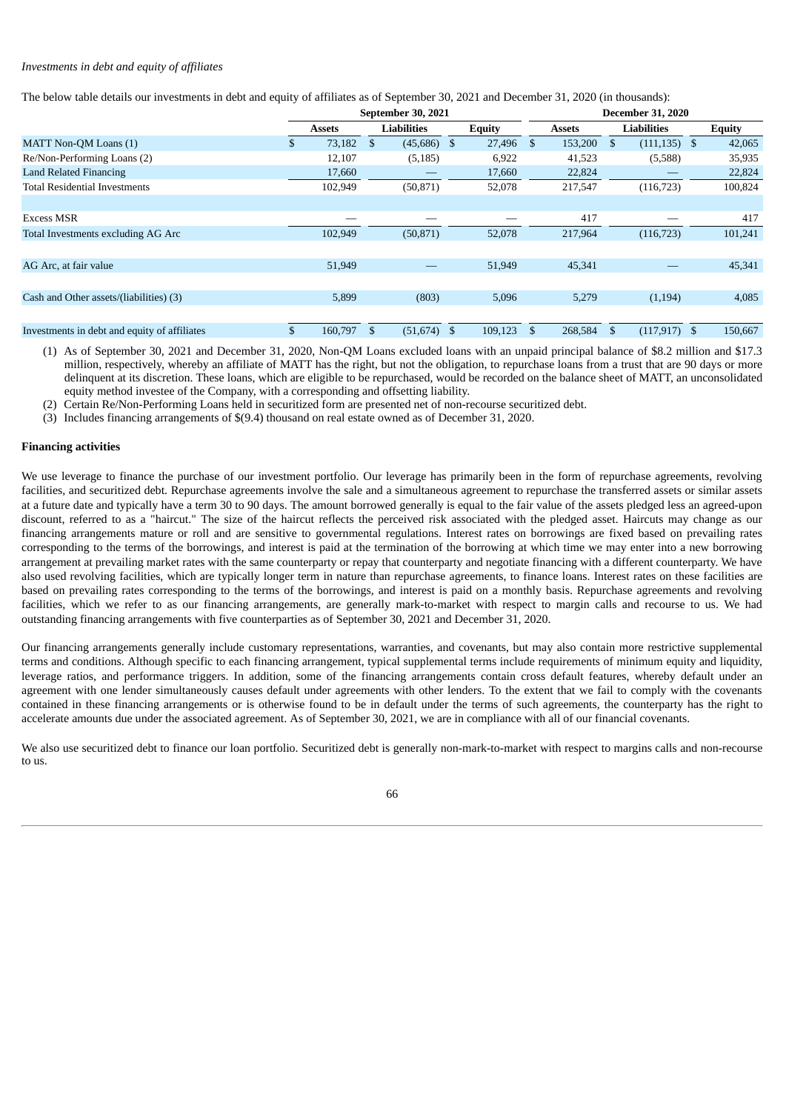# *Investments in debt and equity of affiliates*

The below table details our investments in debt and equity of affiliates as of September 30, 2021 and December 31, 2020 (in thousands):

|                                              |    |         | September 30, 2021 |                    | <b>December 31, 2020</b> |               |               |               |                    |  |               |
|----------------------------------------------|----|---------|--------------------|--------------------|--------------------------|---------------|---------------|---------------|--------------------|--|---------------|
|                                              |    | Assets  |                    | <b>Liabilities</b> |                          | <b>Equity</b> | Assets        |               | <b>Liabilities</b> |  | <b>Equity</b> |
| <b>MATT Non-OM Loans (1)</b>                 | S. | 73,182  | \$                 | $(45,686)$ \$      |                          | 27,496        | \$<br>153,200 | <sup>\$</sup> | $(111, 135)$ \$    |  | 42,065        |
| Re/Non-Performing Loans (2)                  |    | 12,107  |                    | (5, 185)           |                          | 6,922         | 41,523        |               | (5,588)            |  | 35,935        |
| <b>Land Related Financing</b>                |    | 17,660  |                    |                    |                          | 17,660        | 22,824        |               |                    |  | 22,824        |
| <b>Total Residential Investments</b>         |    | 102,949 |                    | (50, 871)          |                          | 52,078        | 217,547       |               | (116, 723)         |  | 100,824       |
|                                              |    |         |                    |                    |                          |               |               |               |                    |  |               |
| <b>Excess MSR</b>                            |    |         |                    |                    |                          |               | 417           |               |                    |  | 417           |
| Total Investments excluding AG Arc           |    | 102,949 |                    | (50, 871)          |                          | 52,078        | 217,964       |               | (116, 723)         |  | 101,241       |
|                                              |    |         |                    |                    |                          |               |               |               |                    |  |               |
| AG Arc, at fair value                        |    | 51,949  |                    |                    |                          | 51,949        | 45,341        |               |                    |  | 45,341        |
|                                              |    |         |                    |                    |                          |               |               |               |                    |  |               |
| Cash and Other assets/(liabilities) (3)      |    | 5,899   |                    | (803)              |                          | 5,096         | 5,279         |               | (1, 194)           |  | 4,085         |
|                                              |    |         |                    |                    |                          |               |               |               |                    |  |               |
| Investments in debt and equity of affiliates |    | 160,797 | SS.                | (51, 674)          | <sup>\$</sup>            | 109,123       | \$<br>268,584 |               | $(117,917)$ \$     |  | 150,667       |

(1) As of September 30, 2021 and December 31, 2020, Non-QM Loans excluded loans with an unpaid principal balance of \$8.2 million and \$17.3 million, respectively, whereby an affiliate of MATT has the right, but not the obligation, to repurchase loans from a trust that are 90 days or more delinquent at its discretion. These loans, which are eligible to be repurchased, would be recorded on the balance sheet of MATT, an unconsolidated equity method investee of the Company, with a corresponding and offsetting liability.

(2) Certain Re/Non-Performing Loans held in securitized form are presented net of non-recourse securitized debt.

(3) Includes financing arrangements of \$(9.4) thousand on real estate owned as of December 31, 2020.

#### **Financing activities**

We use leverage to finance the purchase of our investment portfolio. Our leverage has primarily been in the form of repurchase agreements, revolving facilities, and securitized debt. Repurchase agreements involve the sale and a simultaneous agreement to repurchase the transferred assets or similar assets at a future date and typically have a term 30 to 90 days. The amount borrowed generally is equal to the fair value of the assets pledged less an agreed-upon discount, referred to as a "haircut." The size of the haircut reflects the perceived risk associated with the pledged asset. Haircuts may change as our financing arrangements mature or roll and are sensitive to governmental regulations. Interest rates on borrowings are fixed based on prevailing rates corresponding to the terms of the borrowings, and interest is paid at the termination of the borrowing at which time we may enter into a new borrowing arrangement at prevailing market rates with the same counterparty or repay that counterparty and negotiate financing with a different counterparty. We have also used revolving facilities, which are typically longer term in nature than repurchase agreements, to finance loans. Interest rates on these facilities are based on prevailing rates corresponding to the terms of the borrowings, and interest is paid on a monthly basis. Repurchase agreements and revolving facilities, which we refer to as our financing arrangements, are generally mark-to-market with respect to margin calls and recourse to us. We had outstanding financing arrangements with five counterparties as of September 30, 2021 and December 31, 2020.

Our financing arrangements generally include customary representations, warranties, and covenants, but may also contain more restrictive supplemental terms and conditions. Although specific to each financing arrangement, typical supplemental terms include requirements of minimum equity and liquidity, leverage ratios, and performance triggers. In addition, some of the financing arrangements contain cross default features, whereby default under an agreement with one lender simultaneously causes default under agreements with other lenders. To the extent that we fail to comply with the covenants contained in these financing arrangements or is otherwise found to be in default under the terms of such agreements, the counterparty has the right to accelerate amounts due under the associated agreement. As of September 30, 2021, we are in compliance with all of our financial covenants.

We also use securitized debt to finance our loan portfolio. Securitized debt is generally non-mark-to-market with respect to margins calls and non-recourse to us.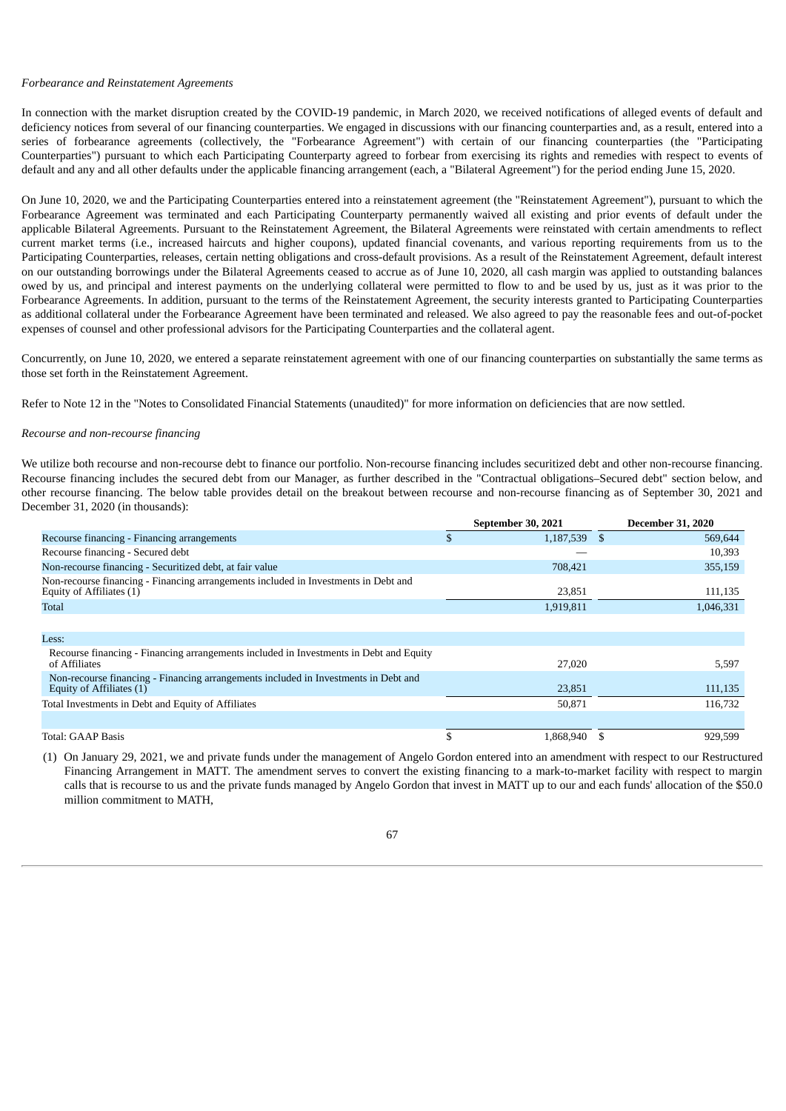#### *Forbearance and Reinstatement Agreements*

In connection with the market disruption created by the COVID-19 pandemic, in March 2020, we received notifications of alleged events of default and deficiency notices from several of our financing counterparties. We engaged in discussions with our financing counterparties and, as a result, entered into a series of forbearance agreements (collectively, the "Forbearance Agreement") with certain of our financing counterparties (the "Participating Counterparties") pursuant to which each Participating Counterparty agreed to forbear from exercising its rights and remedies with respect to events of default and any and all other defaults under the applicable financing arrangement (each, a "Bilateral Agreement") for the period ending June 15, 2020.

On June 10, 2020, we and the Participating Counterparties entered into a reinstatement agreement (the "Reinstatement Agreement"), pursuant to which the Forbearance Agreement was terminated and each Participating Counterparty permanently waived all existing and prior events of default under the applicable Bilateral Agreements. Pursuant to the Reinstatement Agreement, the Bilateral Agreements were reinstated with certain amendments to reflect current market terms (i.e., increased haircuts and higher coupons), updated financial covenants, and various reporting requirements from us to the Participating Counterparties, releases, certain netting obligations and cross-default provisions. As a result of the Reinstatement Agreement, default interest on our outstanding borrowings under the Bilateral Agreements ceased to accrue as of June 10, 2020, all cash margin was applied to outstanding balances owed by us, and principal and interest payments on the underlying collateral were permitted to flow to and be used by us, just as it was prior to the Forbearance Agreements. In addition, pursuant to the terms of the Reinstatement Agreement, the security interests granted to Participating Counterparties as additional collateral under the Forbearance Agreement have been terminated and released. We also agreed to pay the reasonable fees and out-of-pocket expenses of counsel and other professional advisors for the Participating Counterparties and the collateral agent.

Concurrently, on June 10, 2020, we entered a separate reinstatement agreement with one of our financing counterparties on substantially the same terms as those set forth in the Reinstatement Agreement.

Refer to Note 12 in the "Notes to Consolidated Financial Statements (unaudited)" for more information on deficiencies that are now settled.

#### *Recourse and non-recourse financing*

We utilize both recourse and non-recourse debt to finance our portfolio. Non-recourse financing includes securitized debt and other non-recourse financing. Recourse financing includes the secured debt from our Manager, as further described in the "Contractual obligations–Secured debt" section below, and other recourse financing. The below table provides detail on the breakout between recourse and non-recourse financing as of September 30, 2021 and December 31, 2020 (in thousands):

|                                                                                                                 | September 30, 2021 | <b>December 31, 2020</b> |
|-----------------------------------------------------------------------------------------------------------------|--------------------|--------------------------|
| Recourse financing - Financing arrangements                                                                     | 1,187,539 \$       | 569,644                  |
| Recourse financing - Secured debt                                                                               |                    | 10,393                   |
| Non-recourse financing - Securitized debt, at fair value                                                        | 708,421            | 355,159                  |
| Non-recourse financing - Financing arrangements included in Investments in Debt and<br>Equity of Affiliates (1) | 23,851             | 111,135                  |
| Total                                                                                                           | 1,919,811          | 1,046,331                |
|                                                                                                                 |                    |                          |
| Less:                                                                                                           |                    |                          |
| Recourse financing - Financing arrangements included in Investments in Debt and Equity<br>of Affiliates         | 27,020             | 5,597                    |
| Non-recourse financing - Financing arrangements included in Investments in Debt and<br>Equity of Affiliates (1) | 23,851             | 111,135                  |
| Total Investments in Debt and Equity of Affiliates                                                              | 50,871             | 116,732                  |
|                                                                                                                 |                    |                          |
| Total: GAAP Basis                                                                                               | 1.868.940          | 929,599                  |

(1) On January 29, 2021, we and private funds under the management of Angelo Gordon entered into an amendment with respect to our Restructured Financing Arrangement in MATT. The amendment serves to convert the existing financing to a mark-to-market facility with respect to margin calls that is recourse to us and the private funds managed by Angelo Gordon that invest in MATT up to our and each funds' allocation of the \$50.0 million commitment to MATH,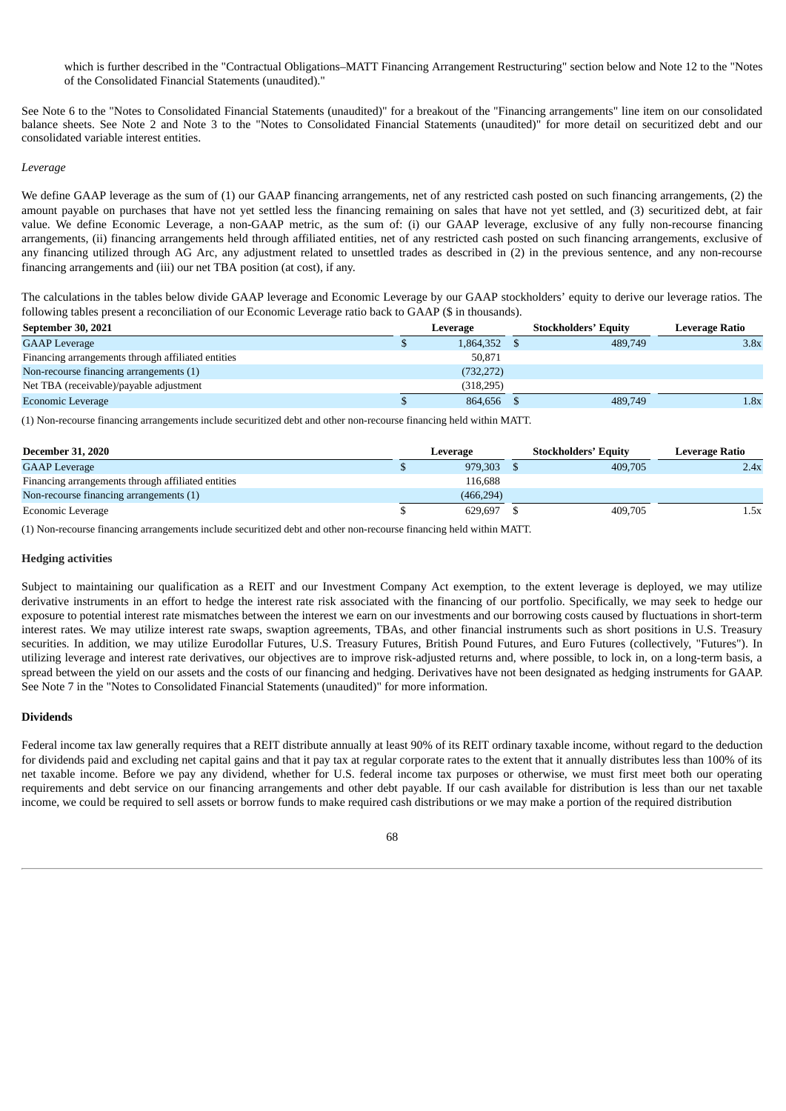which is further described in the "Contractual Obligations–MATT Financing Arrangement Restructuring" section below and Note 12 to the "Notes of the Consolidated Financial Statements (unaudited)."

See Note 6 to the "Notes to Consolidated Financial Statements (unaudited)" for a breakout of the "Financing arrangements" line item on our consolidated balance sheets. See Note 2 and Note 3 to the "Notes to Consolidated Financial Statements (unaudited)" for more detail on securitized debt and our consolidated variable interest entities.

## *Leverage*

We define GAAP leverage as the sum of (1) our GAAP financing arrangements, net of any restricted cash posted on such financing arrangements, (2) the amount payable on purchases that have not yet settled less the financing remaining on sales that have not yet settled, and (3) securitized debt, at fair value. We define Economic Leverage, a non-GAAP metric, as the sum of: (i) our GAAP leverage, exclusive of any fully non-recourse financing arrangements, (ii) financing arrangements held through affiliated entities, net of any restricted cash posted on such financing arrangements, exclusive of any financing utilized through AG Arc, any adjustment related to unsettled trades as described in (2) in the previous sentence, and any non-recourse financing arrangements and (iii) our net TBA position (at cost), if any.

The calculations in the tables below divide GAAP leverage and Economic Leverage by our GAAP stockholders' equity to derive our leverage ratios. The following tables present a reconciliation of our Economic Leverage ratio back to GAAP (\$ in thousands).

| <b>September 30, 2021</b>                          | Leverage     | <b>Stockholders' Equity</b> | Leverage Ratio |
|----------------------------------------------------|--------------|-----------------------------|----------------|
| <b>GAAP Leverage</b>                               | 1,864,352 \$ | 489,749                     | 3.8x           |
| Financing arrangements through affiliated entities | 50,871       |                             |                |
| Non-recourse financing arrangements (1)            | (732, 272)   |                             |                |
| Net TBA (receivable)/payable adjustment            | (318.295)    |                             |                |
| Economic Leverage                                  | 864,656 \$   | 489,749                     | 1.8x           |

(1) Non-recourse financing arrangements include securitized debt and other non-recourse financing held within MATT.

| <b>December 31, 2020</b>                           | Leverage   | Stockholders' Equity | Leverage Ratio |
|----------------------------------------------------|------------|----------------------|----------------|
| <b>GAAP Leverage</b>                               | 979.303    | 409,705              | 2.4x           |
| Financing arrangements through affiliated entities | 116.688    |                      |                |
| Non-recourse financing arrangements (1)            | (466, 294) |                      |                |
| Economic Leverage                                  | 629.697    | 409,705              | 1.5x           |

(1) Non-recourse financing arrangements include securitized debt and other non-recourse financing held within MATT.

### **Hedging activities**

Subject to maintaining our qualification as a REIT and our Investment Company Act exemption, to the extent leverage is deployed, we may utilize derivative instruments in an effort to hedge the interest rate risk associated with the financing of our portfolio. Specifically, we may seek to hedge our exposure to potential interest rate mismatches between the interest we earn on our investments and our borrowing costs caused by fluctuations in short-term interest rates. We may utilize interest rate swaps, swaption agreements, TBAs, and other financial instruments such as short positions in U.S. Treasury securities. In addition, we may utilize Eurodollar Futures, U.S. Treasury Futures, British Pound Futures, and Euro Futures (collectively, "Futures"). In utilizing leverage and interest rate derivatives, our objectives are to improve risk-adjusted returns and, where possible, to lock in, on a long-term basis, a spread between the yield on our assets and the costs of our financing and hedging. Derivatives have not been designated as hedging instruments for GAAP. See Note 7 in the "Notes to Consolidated Financial Statements (unaudited)" for more information.

### **Dividends**

Federal income tax law generally requires that a REIT distribute annually at least 90% of its REIT ordinary taxable income, without regard to the deduction for dividends paid and excluding net capital gains and that it pay tax at regular corporate rates to the extent that it annually distributes less than 100% of its net taxable income. Before we pay any dividend, whether for U.S. federal income tax purposes or otherwise, we must first meet both our operating requirements and debt service on our financing arrangements and other debt payable. If our cash available for distribution is less than our net taxable income, we could be required to sell assets or borrow funds to make required cash distributions or we may make a portion of the required distribution

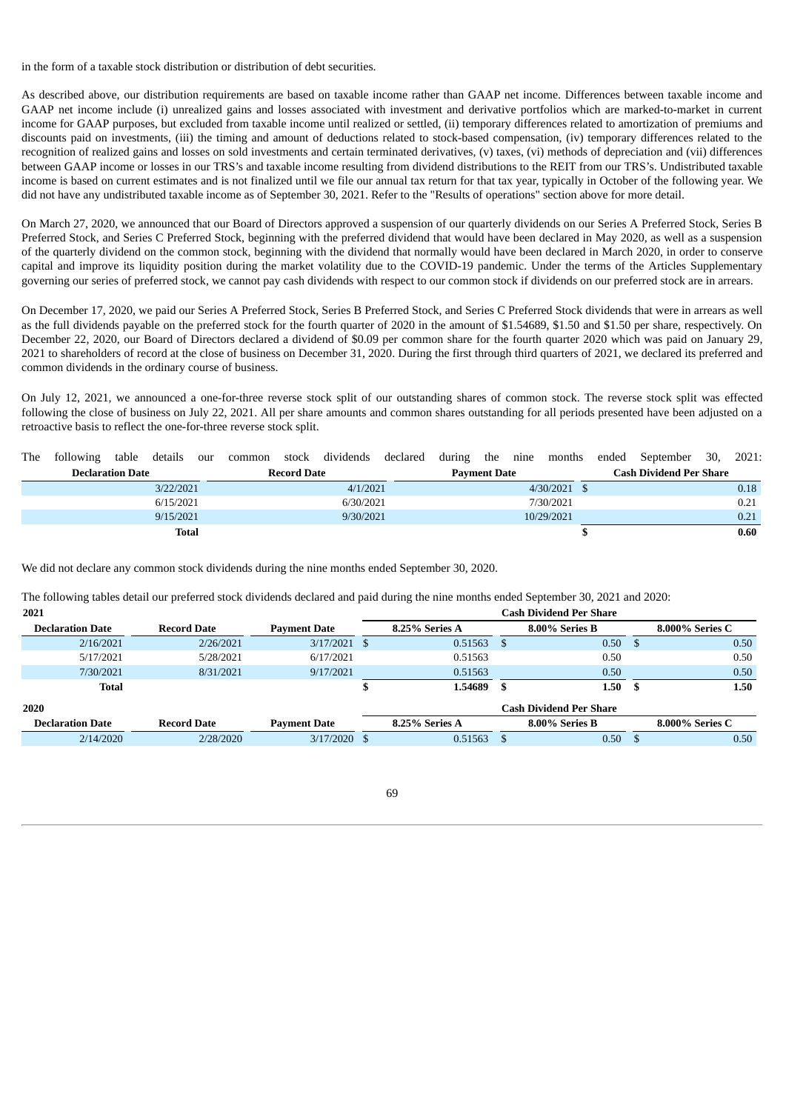in the form of a taxable stock distribution or distribution of debt securities.

As described above, our distribution requirements are based on taxable income rather than GAAP net income. Differences between taxable income and GAAP net income include (i) unrealized gains and losses associated with investment and derivative portfolios which are marked-to-market in current income for GAAP purposes, but excluded from taxable income until realized or settled, (ii) temporary differences related to amortization of premiums and discounts paid on investments, (iii) the timing and amount of deductions related to stock-based compensation, (iv) temporary differences related to the recognition of realized gains and losses on sold investments and certain terminated derivatives, (v) taxes, (vi) methods of depreciation and (vii) differences between GAAP income or losses in our TRS's and taxable income resulting from dividend distributions to the REIT from our TRS's. Undistributed taxable income is based on current estimates and is not finalized until we file our annual tax return for that tax year, typically in October of the following year. We did not have any undistributed taxable income as of September 30, 2021. Refer to the "Results of operations" section above for more detail.

On March 27, 2020, we announced that our Board of Directors approved a suspension of our quarterly dividends on our Series A Preferred Stock, Series B Preferred Stock, and Series C Preferred Stock, beginning with the preferred dividend that would have been declared in May 2020, as well as a suspension of the quarterly dividend on the common stock, beginning with the dividend that normally would have been declared in March 2020, in order to conserve capital and improve its liquidity position during the market volatility due to the COVID-19 pandemic. Under the terms of the Articles Supplementary governing our series of preferred stock, we cannot pay cash dividends with respect to our common stock if dividends on our preferred stock are in arrears.

On December 17, 2020, we paid our Series A Preferred Stock, Series B Preferred Stock, and Series C Preferred Stock dividends that were in arrears as well as the full dividends payable on the preferred stock for the fourth quarter of 2020 in the amount of \$1.54689, \$1.50 and \$1.50 per share, respectively. On December 22, 2020, our Board of Directors declared a dividend of \$0.09 per common share for the fourth quarter 2020 which was paid on January 29, 2021 to shareholders of record at the close of business on December 31, 2020. During the first through third quarters of 2021, we declared its preferred and common dividends in the ordinary course of business.

On July 12, 2021, we announced a one-for-three reverse stock split of our outstanding shares of common stock. The reverse stock split was effected following the close of business on July 22, 2021. All per share amounts and common shares outstanding for all periods presented have been adjusted on a retroactive basis to reflect the one-for-three reverse stock split.

| The | following | table                   | details      | our |                    | common stock dividends | declared | during | the                 | nine | months       | ended | September               | 30, | 2021: |
|-----|-----------|-------------------------|--------------|-----|--------------------|------------------------|----------|--------|---------------------|------|--------------|-------|-------------------------|-----|-------|
|     |           | <b>Declaration Date</b> |              |     | <b>Record Date</b> |                        |          |        | <b>Payment Date</b> |      |              |       | Cash Dividend Per Share |     |       |
|     |           |                         | 3/22/2021    |     |                    | 4/1/2021               |          |        |                     |      | 4/30/2021 \$ |       |                         |     | 0.18  |
|     |           |                         | 6/15/2021    |     |                    | 6/30/2021              |          |        |                     |      | 7/30/2021    |       |                         |     | 0.21  |
|     |           |                         | 9/15/2021    |     |                    | 9/30/2021              |          |        |                     |      | 10/29/2021   |       |                         |     | 0.21  |
|     |           |                         | <b>Total</b> |     |                    |                        |          |        |                     |      |              |       |                         |     | 0.60  |

We did not declare any common stock dividends during the nine months ended September 30, 2020.

The following tables detail our preferred stock dividends declared and paid during the nine months ended September 30, 2021 and 2020:

| 2021                    |                    |                     |                |  | <b>Cash Dividend Per Share</b> |   |                 |
|-------------------------|--------------------|---------------------|----------------|--|--------------------------------|---|-----------------|
| <b>Declaration Date</b> | <b>Record Date</b> | <b>Payment Date</b> | 8.25% Series A |  | 8.00% Series B                 |   | 8.000% Series C |
| 2/16/2021               | 2/26/2021          | $3/17/2021$ \$      | 0.51563        |  | 0.50                           | Ъ | 0.50            |
| 5/17/2021               | 5/28/2021          | 6/17/2021           | 0.51563        |  | 0.50                           |   | 0.50            |
| 7/30/2021               | 8/31/2021          | 9/17/2021           | 0.51563        |  | 0.50                           |   | 0.50            |
| <b>Total</b>            |                    |                     | 1.54689        |  | 1.50                           | л | 1.50            |
| 2020                    |                    |                     |                |  | <b>Cash Dividend Per Share</b> |   |                 |
| <b>Declaration Date</b> | <b>Record Date</b> | <b>Payment Date</b> | 8.25% Series A |  | 8.00% Series B                 |   | 8.000% Series C |
| 2/14/2020               | 2/28/2020          | 3/17/2020           | 0.51563        |  | 0.50                           |   | 0.50            |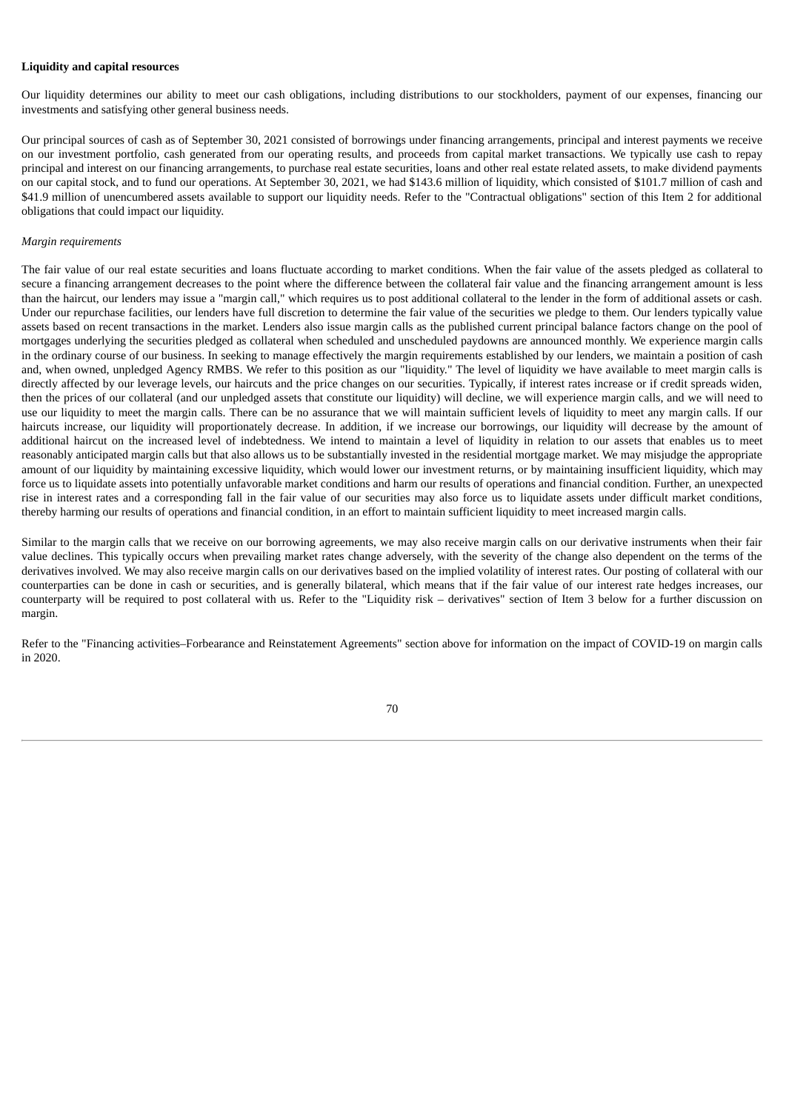### **Liquidity and capital resources**

Our liquidity determines our ability to meet our cash obligations, including distributions to our stockholders, payment of our expenses, financing our investments and satisfying other general business needs.

Our principal sources of cash as of September 30, 2021 consisted of borrowings under financing arrangements, principal and interest payments we receive on our investment portfolio, cash generated from our operating results, and proceeds from capital market transactions. We typically use cash to repay principal and interest on our financing arrangements, to purchase real estate securities, loans and other real estate related assets, to make dividend payments on our capital stock, and to fund our operations. At September 30, 2021, we had \$143.6 million of liquidity, which consisted of \$101.7 million of cash and \$41.9 million of unencumbered assets available to support our liquidity needs. Refer to the "Contractual obligations" section of this Item 2 for additional obligations that could impact our liquidity.

### *Margin requirements*

The fair value of our real estate securities and loans fluctuate according to market conditions. When the fair value of the assets pledged as collateral to secure a financing arrangement decreases to the point where the difference between the collateral fair value and the financing arrangement amount is less than the haircut, our lenders may issue a "margin call," which requires us to post additional collateral to the lender in the form of additional assets or cash. Under our repurchase facilities, our lenders have full discretion to determine the fair value of the securities we pledge to them. Our lenders typically value assets based on recent transactions in the market. Lenders also issue margin calls as the published current principal balance factors change on the pool of mortgages underlying the securities pledged as collateral when scheduled and unscheduled paydowns are announced monthly. We experience margin calls in the ordinary course of our business. In seeking to manage effectively the margin requirements established by our lenders, we maintain a position of cash and, when owned, unpledged Agency RMBS. We refer to this position as our "liquidity." The level of liquidity we have available to meet margin calls is directly affected by our leverage levels, our haircuts and the price changes on our securities. Typically, if interest rates increase or if credit spreads widen, then the prices of our collateral (and our unpledged assets that constitute our liquidity) will decline, we will experience margin calls, and we will need to use our liquidity to meet the margin calls. There can be no assurance that we will maintain sufficient levels of liquidity to meet any margin calls. If our haircuts increase, our liquidity will proportionately decrease. In addition, if we increase our borrowings, our liquidity will decrease by the amount of additional haircut on the increased level of indebtedness. We intend to maintain a level of liquidity in relation to our assets that enables us to meet reasonably anticipated margin calls but that also allows us to be substantially invested in the residential mortgage market. We may misjudge the appropriate amount of our liquidity by maintaining excessive liquidity, which would lower our investment returns, or by maintaining insufficient liquidity, which may force us to liquidate assets into potentially unfavorable market conditions and harm our results of operations and financial condition. Further, an unexpected rise in interest rates and a corresponding fall in the fair value of our securities may also force us to liquidate assets under difficult market conditions, thereby harming our results of operations and financial condition, in an effort to maintain sufficient liquidity to meet increased margin calls.

Similar to the margin calls that we receive on our borrowing agreements, we may also receive margin calls on our derivative instruments when their fair value declines. This typically occurs when prevailing market rates change adversely, with the severity of the change also dependent on the terms of the derivatives involved. We may also receive margin calls on our derivatives based on the implied volatility of interest rates. Our posting of collateral with our counterparties can be done in cash or securities, and is generally bilateral, which means that if the fair value of our interest rate hedges increases, our counterparty will be required to post collateral with us. Refer to the "Liquidity risk – derivatives" section of Item 3 below for a further discussion on margin.

Refer to the "Financing activities–Forbearance and Reinstatement Agreements" section above for information on the impact of COVID-19 on margin calls in 2020.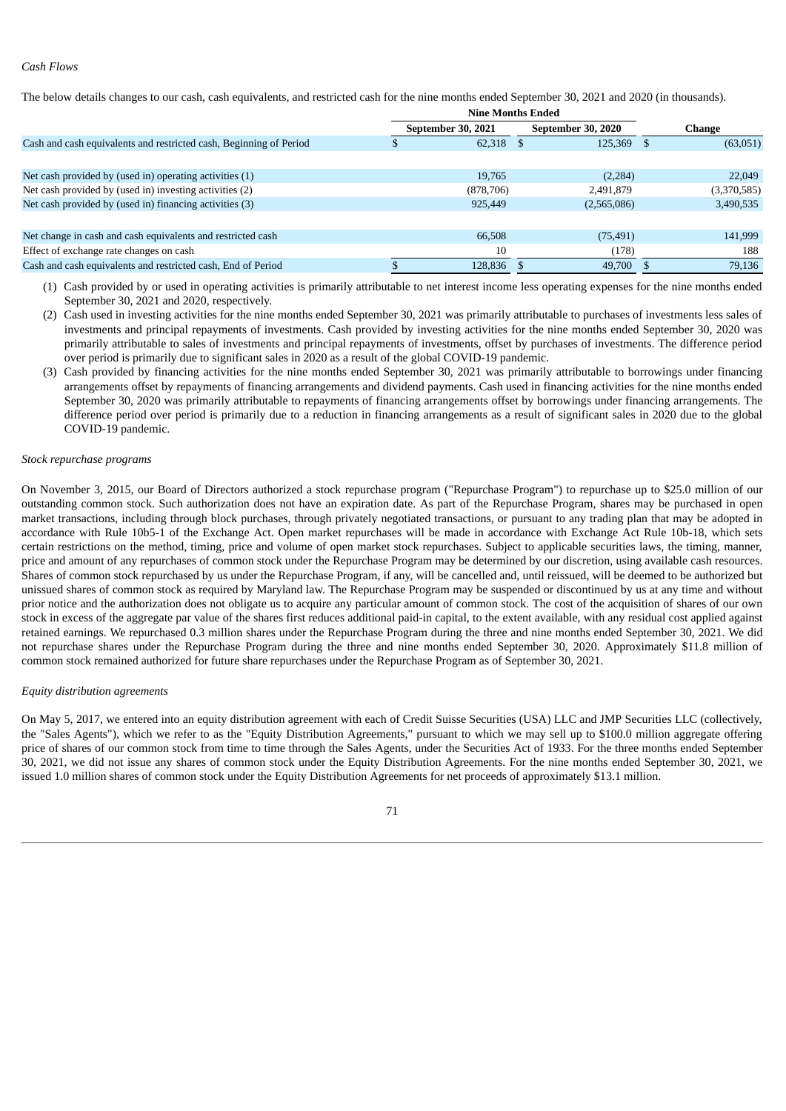## *Cash Flows*

The below details changes to our cash, cash equivalents, and restricted cash for the nine months ended September 30, 2021 and 2020 (in thousands).

|            |                    | September 30, 2020 |                          | Change      |
|------------|--------------------|--------------------|--------------------------|-------------|
|            |                    |                    |                          | (63,051)    |
|            |                    |                    |                          |             |
| 19.765     |                    | (2, 284)           |                          | 22,049      |
| (878, 706) |                    | 2,491,879          |                          | (3,370,585) |
| 925,449    |                    | (2,565,086)        |                          | 3,490,535   |
|            |                    |                    |                          |             |
| 66,508     |                    | (75, 491)          |                          | 141,999     |
| 10         |                    | (178)              |                          | 188         |
| 128,836    |                    | 49,700             |                          | 79,136      |
|            | September 30, 2021 | 62,318 \$          | <b>Nine Months Ended</b> | 125,369 \$  |

(1) Cash provided by or used in operating activities is primarily attributable to net interest income less operating expenses for the nine months ended September 30, 2021 and 2020, respectively.

(2) Cash used in investing activities for the nine months ended September 30, 2021 was primarily attributable to purchases of investments less sales of investments and principal repayments of investments. Cash provided by investing activities for the nine months ended September 30, 2020 was primarily attributable to sales of investments and principal repayments of investments, offset by purchases of investments. The difference period over period is primarily due to significant sales in 2020 as a result of the global COVID-19 pandemic.

(3) Cash provided by financing activities for the nine months ended September 30, 2021 was primarily attributable to borrowings under financing arrangements offset by repayments of financing arrangements and dividend payments. Cash used in financing activities for the nine months ended September 30, 2020 was primarily attributable to repayments of financing arrangements offset by borrowings under financing arrangements. The difference period over period is primarily due to a reduction in financing arrangements as a result of significant sales in 2020 due to the global COVID-19 pandemic.

#### *Stock repurchase programs*

On November 3, 2015, our Board of Directors authorized a stock repurchase program ("Repurchase Program") to repurchase up to \$25.0 million of our outstanding common stock. Such authorization does not have an expiration date. As part of the Repurchase Program, shares may be purchased in open market transactions, including through block purchases, through privately negotiated transactions, or pursuant to any trading plan that may be adopted in accordance with Rule 10b5-1 of the Exchange Act. Open market repurchases will be made in accordance with Exchange Act Rule 10b-18, which sets certain restrictions on the method, timing, price and volume of open market stock repurchases. Subject to applicable securities laws, the timing, manner, price and amount of any repurchases of common stock under the Repurchase Program may be determined by our discretion, using available cash resources. Shares of common stock repurchased by us under the Repurchase Program, if any, will be cancelled and, until reissued, will be deemed to be authorized but unissued shares of common stock as required by Maryland law. The Repurchase Program may be suspended or discontinued by us at any time and without prior notice and the authorization does not obligate us to acquire any particular amount of common stock. The cost of the acquisition of shares of our own stock in excess of the aggregate par value of the shares first reduces additional paid-in capital, to the extent available, with any residual cost applied against retained earnings. We repurchased 0.3 million shares under the Repurchase Program during the three and nine months ended September 30, 2021. We did not repurchase shares under the Repurchase Program during the three and nine months ended September 30, 2020. Approximately \$11.8 million of common stock remained authorized for future share repurchases under the Repurchase Program as of September 30, 2021.

#### *Equity distribution agreements*

On May 5, 2017, we entered into an equity distribution agreement with each of Credit Suisse Securities (USA) LLC and JMP Securities LLC (collectively, the "Sales Agents"), which we refer to as the "Equity Distribution Agreements," pursuant to which we may sell up to \$100.0 million aggregate offering price of shares of our common stock from time to time through the Sales Agents, under the Securities Act of 1933. For the three months ended September 30, 2021, we did not issue any shares of common stock under the Equity Distribution Agreements. For the nine months ended September 30, 2021, we issued 1.0 million shares of common stock under the Equity Distribution Agreements for net proceeds of approximately \$13.1 million.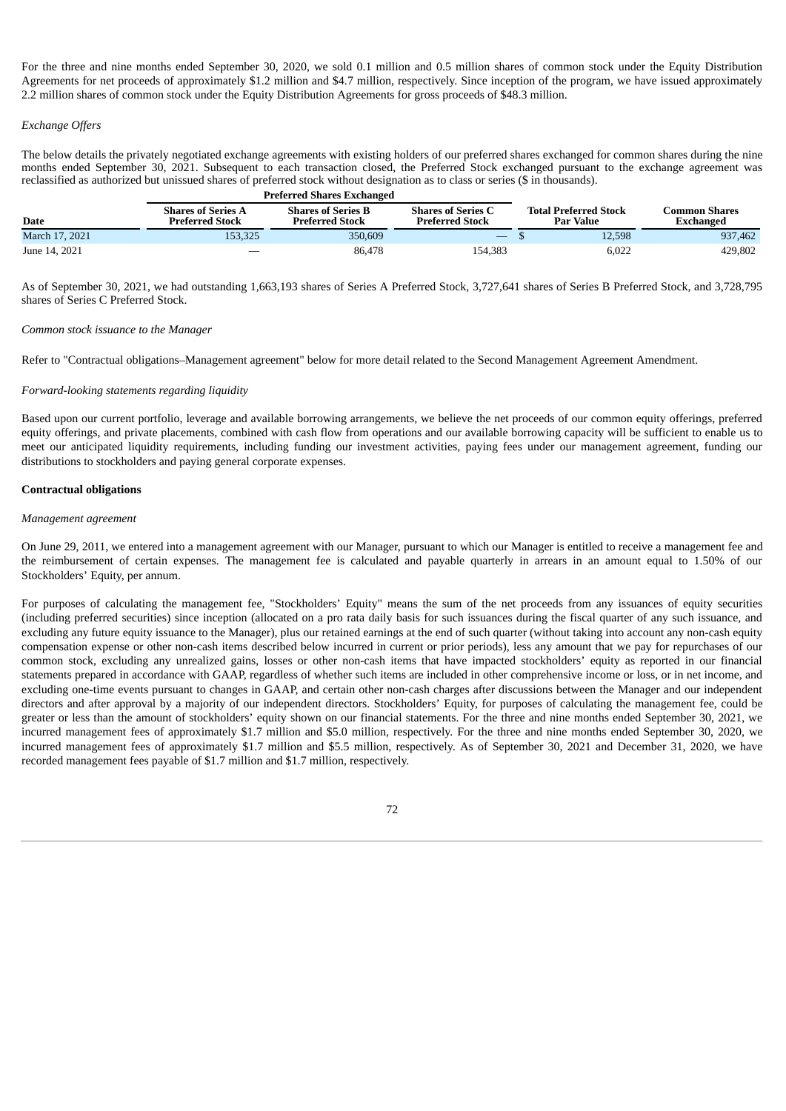For the three and nine months ended September 30, 2020, we sold 0.1 million and 0.5 million shares of common stock under the Equity Distribution Agreements for net proceeds of approximately \$1.2 million and \$4.7 million, respectively. Since inception of the program, we have issued approximately 2.2 million shares of common stock under the Equity Distribution Agreements for gross proceeds of \$48.3 million.

# *Exchange Offers*

The below details the privately negotiated exchange agreements with existing holders of our preferred shares exchanged for common shares during the nine months ended September 30, 2021. Subsequent to each transaction closed, the Preferred Stock exchanged pursuant to the exchange agreement was reclassified as authorized but unissued shares of preferred stock without designation as to class or series (\$ in thousands).

|                |                                                     | <b>Preferred Shares Exchanged</b>                   |                                                     |                                                  |                            |
|----------------|-----------------------------------------------------|-----------------------------------------------------|-----------------------------------------------------|--------------------------------------------------|----------------------------|
| Date           | <b>Shares of Series A</b><br><b>Preferred Stock</b> | <b>Shares of Series B</b><br><b>Preferred Stock</b> | <b>Shares of Series C</b><br><b>Preferred Stock</b> | <b>Total Preferred Stock</b><br><b>Par Value</b> | Common Shares<br>Exchanged |
| March 17, 2021 | 153,325                                             | 350,609                                             |                                                     | 12.598                                           | 937,462                    |
| June 14, 2021  | --                                                  | 86.478                                              | 154,383                                             | 6,022                                            | 429,802                    |

As of September 30, 2021, we had outstanding 1,663,193 shares of Series A Preferred Stock, 3,727,641 shares of Series B Preferred Stock, and 3,728,795 shares of Series C Preferred Stock.

#### *Common stock issuance to the Manager*

Refer to "Contractual obligations–Management agreement" below for more detail related to the Second Management Agreement Amendment.

### *Forward-looking statements regarding liquidity*

Based upon our current portfolio, leverage and available borrowing arrangements, we believe the net proceeds of our common equity offerings, preferred equity offerings, and private placements, combined with cash flow from operations and our available borrowing capacity will be sufficient to enable us to meet our anticipated liquidity requirements, including funding our investment activities, paying fees under our management agreement, funding our distributions to stockholders and paying general corporate expenses.

### **Contractual obligations**

#### *Management agreement*

On June 29, 2011, we entered into a management agreement with our Manager, pursuant to which our Manager is entitled to receive a management fee and the reimbursement of certain expenses. The management fee is calculated and payable quarterly in arrears in an amount equal to 1.50% of our Stockholders' Equity, per annum.

For purposes of calculating the management fee, "Stockholders' Equity" means the sum of the net proceeds from any issuances of equity securities (including preferred securities) since inception (allocated on a pro rata daily basis for such issuances during the fiscal quarter of any such issuance, and excluding any future equity issuance to the Manager), plus our retained earnings at the end of such quarter (without taking into account any non-cash equity compensation expense or other non-cash items described below incurred in current or prior periods), less any amount that we pay for repurchases of our common stock, excluding any unrealized gains, losses or other non-cash items that have impacted stockholders' equity as reported in our financial statements prepared in accordance with GAAP, regardless of whether such items are included in other comprehensive income or loss, or in net income, and excluding one-time events pursuant to changes in GAAP, and certain other non-cash charges after discussions between the Manager and our independent directors and after approval by a majority of our independent directors. Stockholders' Equity, for purposes of calculating the management fee, could be greater or less than the amount of stockholders' equity shown on our financial statements. For the three and nine months ended September 30, 2021, we incurred management fees of approximately \$1.7 million and \$5.0 million, respectively. For the three and nine months ended September 30, 2020, we incurred management fees of approximately \$1.7 million and \$5.5 million, respectively. As of September 30, 2021 and December 31, 2020, we have recorded management fees payable of \$1.7 million and \$1.7 million, respectively.

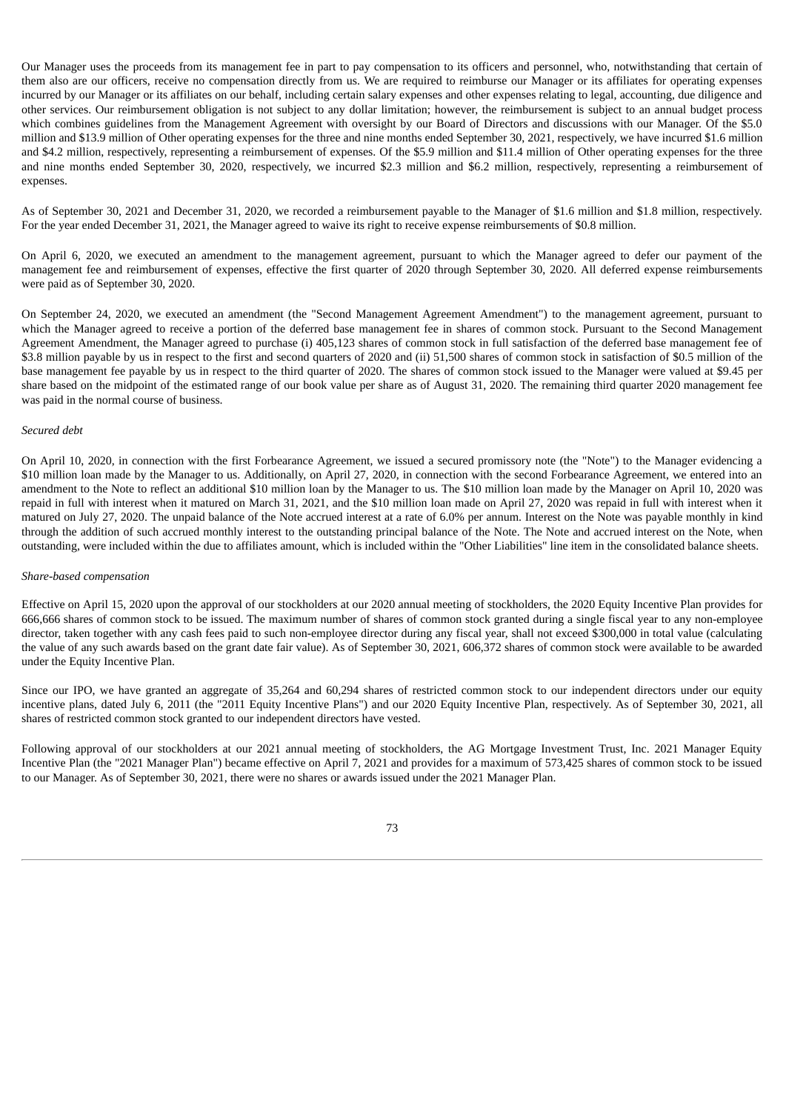Our Manager uses the proceeds from its management fee in part to pay compensation to its officers and personnel, who, notwithstanding that certain of them also are our officers, receive no compensation directly from us. We are required to reimburse our Manager or its affiliates for operating expenses incurred by our Manager or its affiliates on our behalf, including certain salary expenses and other expenses relating to legal, accounting, due diligence and other services. Our reimbursement obligation is not subject to any dollar limitation; however, the reimbursement is subject to an annual budget process which combines guidelines from the Management Agreement with oversight by our Board of Directors and discussions with our Manager. Of the \$5.0 million and \$13.9 million of Other operating expenses for the three and nine months ended September 30, 2021, respectively, we have incurred \$1.6 million and \$4.2 million, respectively, representing a reimbursement of expenses. Of the \$5.9 million and \$11.4 million of Other operating expenses for the three and nine months ended September 30, 2020, respectively, we incurred \$2.3 million and \$6.2 million, respectively, representing a reimbursement of expenses.

As of September 30, 2021 and December 31, 2020, we recorded a reimbursement payable to the Manager of \$1.6 million and \$1.8 million, respectively. For the year ended December 31, 2021, the Manager agreed to waive its right to receive expense reimbursements of \$0.8 million.

On April 6, 2020, we executed an amendment to the management agreement, pursuant to which the Manager agreed to defer our payment of the management fee and reimbursement of expenses, effective the first quarter of 2020 through September 30, 2020. All deferred expense reimbursements were paid as of September 30, 2020.

On September 24, 2020, we executed an amendment (the "Second Management Agreement Amendment") to the management agreement, pursuant to which the Manager agreed to receive a portion of the deferred base management fee in shares of common stock. Pursuant to the Second Management Agreement Amendment, the Manager agreed to purchase (i) 405,123 shares of common stock in full satisfaction of the deferred base management fee of \$3.8 million payable by us in respect to the first and second quarters of 2020 and (ii) 51,500 shares of common stock in satisfaction of \$0.5 million of the base management fee payable by us in respect to the third quarter of 2020. The shares of common stock issued to the Manager were valued at \$9.45 per share based on the midpoint of the estimated range of our book value per share as of August 31, 2020. The remaining third quarter 2020 management fee was paid in the normal course of business.

#### *Secured debt*

On April 10, 2020, in connection with the first Forbearance Agreement, we issued a secured promissory note (the "Note") to the Manager evidencing a \$10 million loan made by the Manager to us. Additionally, on April 27, 2020, in connection with the second Forbearance Agreement, we entered into an amendment to the Note to reflect an additional \$10 million loan by the Manager to us. The \$10 million loan made by the Manager on April 10, 2020 was repaid in full with interest when it matured on March 31, 2021, and the \$10 million loan made on April 27, 2020 was repaid in full with interest when it matured on July 27, 2020. The unpaid balance of the Note accrued interest at a rate of 6.0% per annum. Interest on the Note was payable monthly in kind through the addition of such accrued monthly interest to the outstanding principal balance of the Note. The Note and accrued interest on the Note, when outstanding, were included within the due to affiliates amount, which is included within the "Other Liabilities" line item in the consolidated balance sheets.

#### *Share-based compensation*

Effective on April 15, 2020 upon the approval of our stockholders at our 2020 annual meeting of stockholders, the 2020 Equity Incentive Plan provides for 666,666 shares of common stock to be issued. The maximum number of shares of common stock granted during a single fiscal year to any non-employee director, taken together with any cash fees paid to such non-employee director during any fiscal year, shall not exceed \$300,000 in total value (calculating the value of any such awards based on the grant date fair value). As of September 30, 2021, 606,372 shares of common stock were available to be awarded under the Equity Incentive Plan.

Since our IPO, we have granted an aggregate of 35,264 and 60,294 shares of restricted common stock to our independent directors under our equity incentive plans, dated July 6, 2011 (the "2011 Equity Incentive Plans") and our 2020 Equity Incentive Plan, respectively. As of September 30, 2021, all shares of restricted common stock granted to our independent directors have vested.

Following approval of our stockholders at our 2021 annual meeting of stockholders, the AG Mortgage Investment Trust, Inc. 2021 Manager Equity Incentive Plan (the "2021 Manager Plan") became effective on April 7, 2021 and provides for a maximum of 573,425 shares of common stock to be issued to our Manager. As of September 30, 2021, there were no shares or awards issued under the 2021 Manager Plan.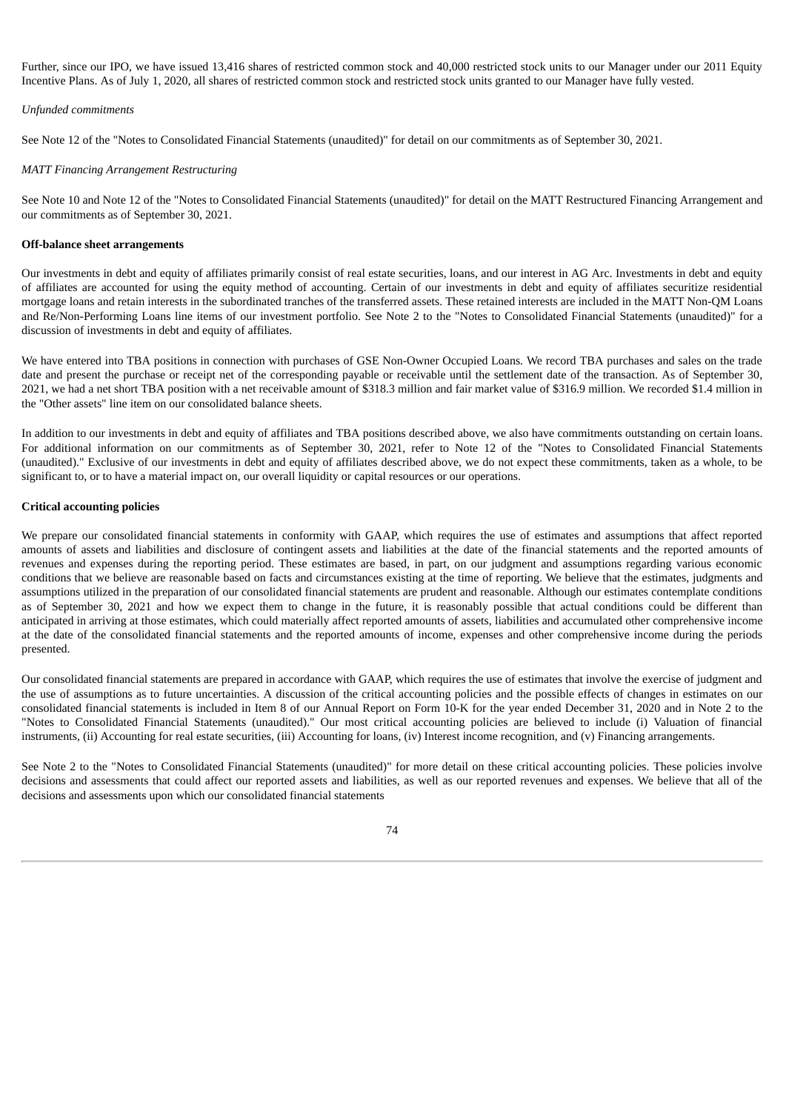Further, since our IPO, we have issued 13,416 shares of restricted common stock and 40,000 restricted stock units to our Manager under our 2011 Equity Incentive Plans. As of July 1, 2020, all shares of restricted common stock and restricted stock units granted to our Manager have fully vested.

#### *Unfunded commitments*

See Note 12 of the "Notes to Consolidated Financial Statements (unaudited)" for detail on our commitments as of September 30, 2021.

## *MATT Financing Arrangement Restructuring*

See Note 10 and Note 12 of the "Notes to Consolidated Financial Statements (unaudited)" for detail on the MATT Restructured Financing Arrangement and our commitments as of September 30, 2021.

### **Off-balance sheet arrangements**

Our investments in debt and equity of affiliates primarily consist of real estate securities, loans, and our interest in AG Arc. Investments in debt and equity of affiliates are accounted for using the equity method of accounting. Certain of our investments in debt and equity of affiliates securitize residential mortgage loans and retain interests in the subordinated tranches of the transferred assets. These retained interests are included in the MATT Non-QM Loans and Re/Non-Performing Loans line items of our investment portfolio. See Note 2 to the "Notes to Consolidated Financial Statements (unaudited)" for a discussion of investments in debt and equity of affiliates.

We have entered into TBA positions in connection with purchases of GSE Non-Owner Occupied Loans. We record TBA purchases and sales on the trade date and present the purchase or receipt net of the corresponding payable or receivable until the settlement date of the transaction. As of September 30, 2021, we had a net short TBA position with a net receivable amount of \$318.3 million and fair market value of \$316.9 million. We recorded \$1.4 million in the "Other assets" line item on our consolidated balance sheets.

In addition to our investments in debt and equity of affiliates and TBA positions described above, we also have commitments outstanding on certain loans. For additional information on our commitments as of September 30, 2021, refer to Note 12 of the "Notes to Consolidated Financial Statements (unaudited)." Exclusive of our investments in debt and equity of affiliates described above, we do not expect these commitments, taken as a whole, to be significant to, or to have a material impact on, our overall liquidity or capital resources or our operations.

## **Critical accounting policies**

We prepare our consolidated financial statements in conformity with GAAP, which requires the use of estimates and assumptions that affect reported amounts of assets and liabilities and disclosure of contingent assets and liabilities at the date of the financial statements and the reported amounts of revenues and expenses during the reporting period. These estimates are based, in part, on our judgment and assumptions regarding various economic conditions that we believe are reasonable based on facts and circumstances existing at the time of reporting. We believe that the estimates, judgments and assumptions utilized in the preparation of our consolidated financial statements are prudent and reasonable. Although our estimates contemplate conditions as of September 30, 2021 and how we expect them to change in the future, it is reasonably possible that actual conditions could be different than anticipated in arriving at those estimates, which could materially affect reported amounts of assets, liabilities and accumulated other comprehensive income at the date of the consolidated financial statements and the reported amounts of income, expenses and other comprehensive income during the periods presented.

Our consolidated financial statements are prepared in accordance with GAAP, which requires the use of estimates that involve the exercise of judgment and the use of assumptions as to future uncertainties. A discussion of the critical accounting policies and the possible effects of changes in estimates on our consolidated financial statements is included in Item 8 of our Annual Report on Form 10-K for the year ended December 31, 2020 and in Note 2 to the "Notes to Consolidated Financial Statements (unaudited)." Our most critical accounting policies are believed to include (i) Valuation of financial instruments, (ii) Accounting for real estate securities, (iii) Accounting for loans, (iv) Interest income recognition, and (v) Financing arrangements.

See Note 2 to the "Notes to Consolidated Financial Statements (unaudited)" for more detail on these critical accounting policies. These policies involve decisions and assessments that could affect our reported assets and liabilities, as well as our reported revenues and expenses. We believe that all of the decisions and assessments upon which our consolidated financial statements

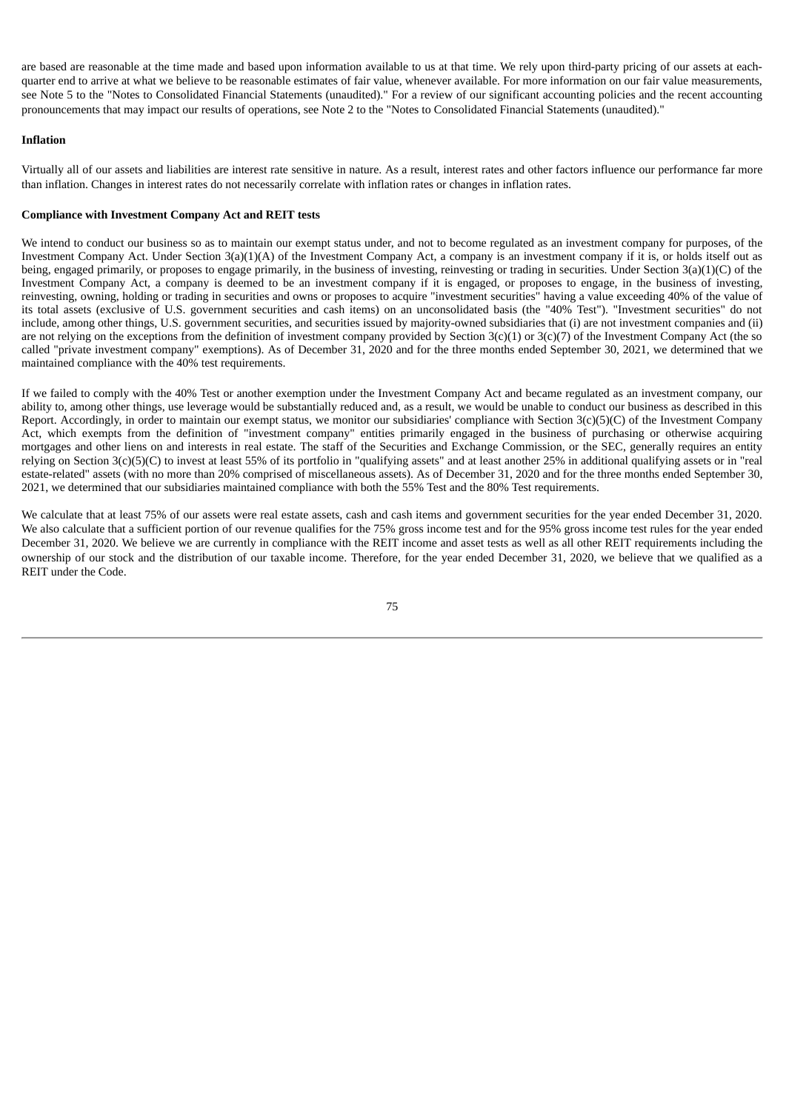are based are reasonable at the time made and based upon information available to us at that time. We rely upon third-party pricing of our assets at eachquarter end to arrive at what we believe to be reasonable estimates of fair value, whenever available. For more information on our fair value measurements, see Note 5 to the "Notes to Consolidated Financial Statements (unaudited)." For a review of our significant accounting policies and the recent accounting pronouncements that may impact our results of operations, see Note 2 to the "Notes to Consolidated Financial Statements (unaudited)."

# **Inflation**

Virtually all of our assets and liabilities are interest rate sensitive in nature. As a result, interest rates and other factors influence our performance far more than inflation. Changes in interest rates do not necessarily correlate with inflation rates or changes in inflation rates.

# **Compliance with Investment Company Act and REIT tests**

We intend to conduct our business so as to maintain our exempt status under, and not to become regulated as an investment company for purposes, of the Investment Company Act. Under Section 3(a)(1)(A) of the Investment Company Act, a company is an investment company if it is, or holds itself out as being, engaged primarily, or proposes to engage primarily, in the business of investing, reinvesting or trading in securities. Under Section 3(a)(1)(C) of the Investment Company Act, a company is deemed to be an investment company if it is engaged, or proposes to engage, in the business of investing, reinvesting, owning, holding or trading in securities and owns or proposes to acquire "investment securities" having a value exceeding 40% of the value of its total assets (exclusive of U.S. government securities and cash items) on an unconsolidated basis (the "40% Test"). "Investment securities" do not include, among other things, U.S. government securities, and securities issued by majority-owned subsidiaries that (i) are not investment companies and (ii) are not relying on the exceptions from the definition of investment company provided by Section  $3(c)(1)$  or  $3(c)(7)$  of the Investment Company Act (the so called "private investment company" exemptions). As of December 31, 2020 and for the three months ended September 30, 2021, we determined that we maintained compliance with the 40% test requirements.

If we failed to comply with the 40% Test or another exemption under the Investment Company Act and became regulated as an investment company, our ability to, among other things, use leverage would be substantially reduced and, as a result, we would be unable to conduct our business as described in this Report. Accordingly, in order to maintain our exempt status, we monitor our subsidiaries' compliance with Section 3(c)(5)(C) of the Investment Company Act, which exempts from the definition of "investment company" entities primarily engaged in the business of purchasing or otherwise acquiring mortgages and other liens on and interests in real estate. The staff of the Securities and Exchange Commission, or the SEC, generally requires an entity relying on Section 3(c)(5)(C) to invest at least 55% of its portfolio in "qualifying assets" and at least another 25% in additional qualifying assets or in "real estate-related" assets (with no more than 20% comprised of miscellaneous assets). As of December 31, 2020 and for the three months ended September 30, 2021, we determined that our subsidiaries maintained compliance with both the 55% Test and the 80% Test requirements.

We calculate that at least 75% of our assets were real estate assets, cash and cash items and government securities for the year ended December 31, 2020. We also calculate that a sufficient portion of our revenue qualifies for the 75% gross income test and for the 95% gross income test rules for the year ended December 31, 2020. We believe we are currently in compliance with the REIT income and asset tests as well as all other REIT requirements including the ownership of our stock and the distribution of our taxable income. Therefore, for the year ended December 31, 2020, we believe that we qualified as a REIT under the Code.

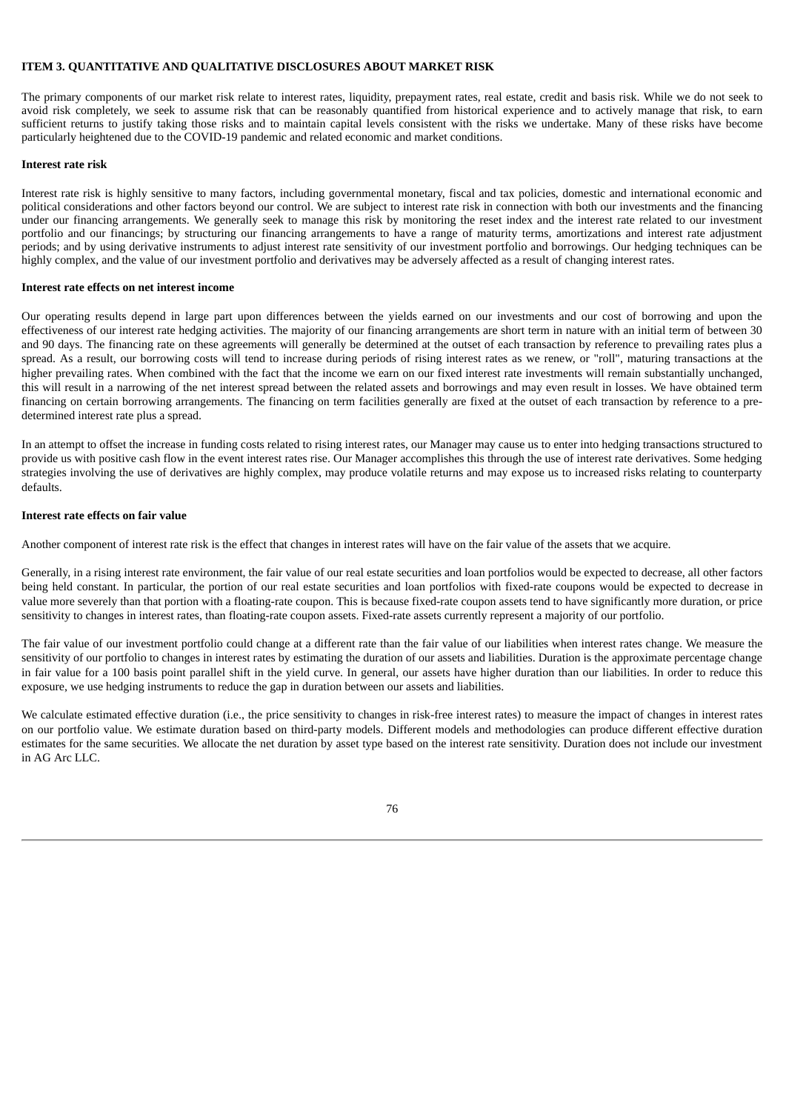## **ITEM 3. QUANTITATIVE AND QUALITATIVE DISCLOSURES ABOUT MARKET RISK**

The primary components of our market risk relate to interest rates, liquidity, prepayment rates, real estate, credit and basis risk. While we do not seek to avoid risk completely, we seek to assume risk that can be reasonably quantified from historical experience and to actively manage that risk, to earn sufficient returns to justify taking those risks and to maintain capital levels consistent with the risks we undertake. Many of these risks have become particularly heightened due to the COVID-19 pandemic and related economic and market conditions.

#### **Interest rate risk**

Interest rate risk is highly sensitive to many factors, including governmental monetary, fiscal and tax policies, domestic and international economic and political considerations and other factors beyond our control. We are subject to interest rate risk in connection with both our investments and the financing under our financing arrangements. We generally seek to manage this risk by monitoring the reset index and the interest rate related to our investment portfolio and our financings; by structuring our financing arrangements to have a range of maturity terms, amortizations and interest rate adjustment periods; and by using derivative instruments to adjust interest rate sensitivity of our investment portfolio and borrowings. Our hedging techniques can be highly complex, and the value of our investment portfolio and derivatives may be adversely affected as a result of changing interest rates.

#### **Interest rate effects on net interest income**

Our operating results depend in large part upon differences between the yields earned on our investments and our cost of borrowing and upon the effectiveness of our interest rate hedging activities. The majority of our financing arrangements are short term in nature with an initial term of between 30 and 90 days. The financing rate on these agreements will generally be determined at the outset of each transaction by reference to prevailing rates plus a spread. As a result, our borrowing costs will tend to increase during periods of rising interest rates as we renew, or "roll", maturing transactions at the higher prevailing rates. When combined with the fact that the income we earn on our fixed interest rate investments will remain substantially unchanged, this will result in a narrowing of the net interest spread between the related assets and borrowings and may even result in losses. We have obtained term financing on certain borrowing arrangements. The financing on term facilities generally are fixed at the outset of each transaction by reference to a predetermined interest rate plus a spread.

In an attempt to offset the increase in funding costs related to rising interest rates, our Manager may cause us to enter into hedging transactions structured to provide us with positive cash flow in the event interest rates rise. Our Manager accomplishes this through the use of interest rate derivatives. Some hedging strategies involving the use of derivatives are highly complex, may produce volatile returns and may expose us to increased risks relating to counterparty defaults.

# **Interest rate effects on fair value**

Another component of interest rate risk is the effect that changes in interest rates will have on the fair value of the assets that we acquire.

Generally, in a rising interest rate environment, the fair value of our real estate securities and loan portfolios would be expected to decrease, all other factors being held constant. In particular, the portion of our real estate securities and loan portfolios with fixed-rate coupons would be expected to decrease in value more severely than that portion with a floating-rate coupon. This is because fixed-rate coupon assets tend to have significantly more duration, or price sensitivity to changes in interest rates, than floating-rate coupon assets. Fixed-rate assets currently represent a majority of our portfolio.

The fair value of our investment portfolio could change at a different rate than the fair value of our liabilities when interest rates change. We measure the sensitivity of our portfolio to changes in interest rates by estimating the duration of our assets and liabilities. Duration is the approximate percentage change in fair value for a 100 basis point parallel shift in the yield curve. In general, our assets have higher duration than our liabilities. In order to reduce this exposure, we use hedging instruments to reduce the gap in duration between our assets and liabilities.

We calculate estimated effective duration (i.e., the price sensitivity to changes in risk-free interest rates) to measure the impact of changes in interest rates on our portfolio value. We estimate duration based on third-party models. Different models and methodologies can produce different effective duration estimates for the same securities. We allocate the net duration by asset type based on the interest rate sensitivity. Duration does not include our investment in AG Arc LLC.

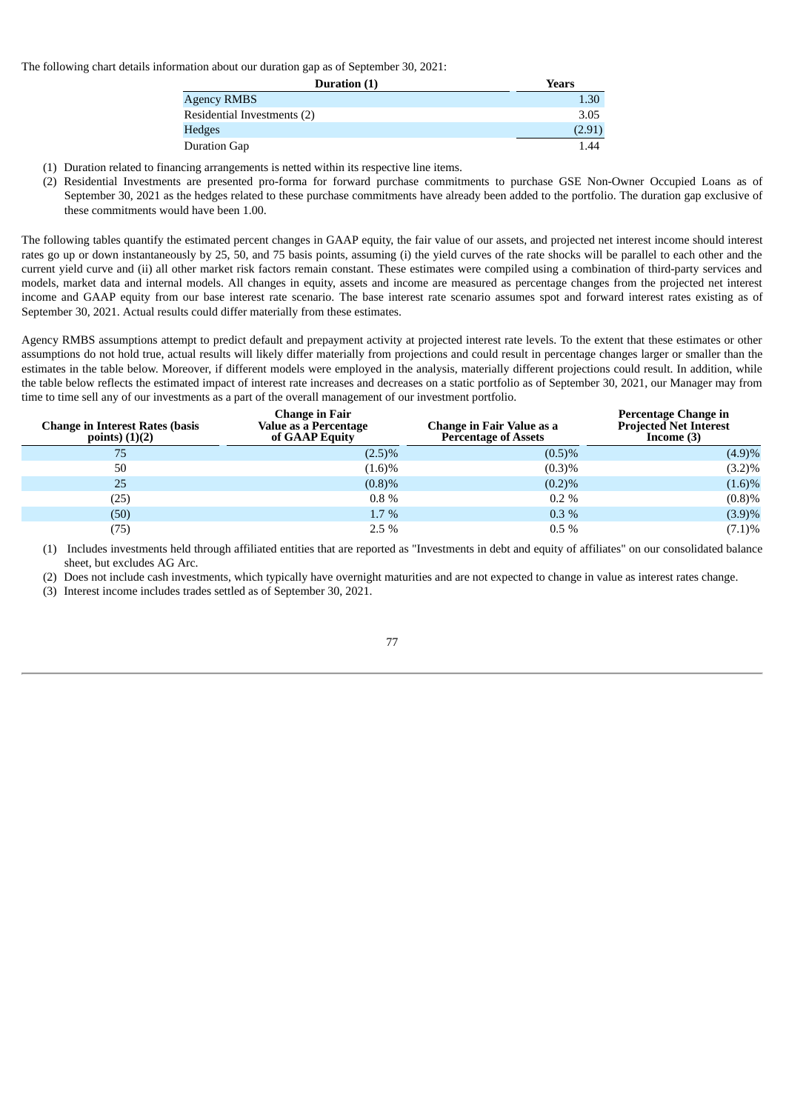The following chart details information about our duration gap as of September 30, 2021:

| Duration (1)                | <b>Years</b> |
|-----------------------------|--------------|
| <b>Agency RMBS</b>          | 1.30         |
| Residential Investments (2) | 3.05         |
| <b>Hedges</b>               | (2.91)       |
| Duration Gap                | 1.44         |

- (1) Duration related to financing arrangements is netted within its respective line items.
- (2) Residential Investments are presented pro-forma for forward purchase commitments to purchase GSE Non-Owner Occupied Loans as of September 30, 2021 as the hedges related to these purchase commitments have already been added to the portfolio. The duration gap exclusive of these commitments would have been 1.00.

The following tables quantify the estimated percent changes in GAAP equity, the fair value of our assets, and projected net interest income should interest rates go up or down instantaneously by 25, 50, and 75 basis points, assuming (i) the yield curves of the rate shocks will be parallel to each other and the current yield curve and (ii) all other market risk factors remain constant. These estimates were compiled using a combination of third-party services and models, market data and internal models. All changes in equity, assets and income are measured as percentage changes from the projected net interest income and GAAP equity from our base interest rate scenario. The base interest rate scenario assumes spot and forward interest rates existing as of September 30, 2021. Actual results could differ materially from these estimates.

Agency RMBS assumptions attempt to predict default and prepayment activity at projected interest rate levels. To the extent that these estimates or other assumptions do not hold true, actual results will likely differ materially from projections and could result in percentage changes larger or smaller than the estimates in the table below. Moreover, if different models were employed in the analysis, materially different projections could result. In addition, while the table below reflects the estimated impact of interest rate increases and decreases on a static portfolio as of September 30, 2021, our Manager may from time to time sell any of our investments as a part of the overall management of our investment portfolio.

| <b>Change in Interest Rates (basis</b><br>points) $(1)(2)$ | <b>Change in Fair</b><br>Value as a Percentage<br>of GAAP Equity | Change in Fair Value as a<br><b>Percentage of Assets</b> | <b>Percentage Change in</b><br><b>Projected Net Interest</b><br>Income (3) |
|------------------------------------------------------------|------------------------------------------------------------------|----------------------------------------------------------|----------------------------------------------------------------------------|
| 75                                                         | $(2.5)\%$                                                        | $(0.5)\%$                                                | (4.9)%                                                                     |
| 50                                                         | (1.6)%                                                           | (0.3)%                                                   | $(3.2)\%$                                                                  |
| 25                                                         | (0.8)%                                                           | (0.2)%                                                   | $(1.6)\%$                                                                  |
| (25)                                                       | $0.8\%$                                                          | $0.2\%$                                                  | (0.8)%                                                                     |
| (50)                                                       | $1.7\%$                                                          | $0.3\%$                                                  | (3.9)%                                                                     |
| (75)                                                       | $2.5\%$                                                          | $0.5\%$                                                  | $(7.1)\%$                                                                  |

(1) Includes investments held through affiliated entities that are reported as "Investments in debt and equity of affiliates" on our consolidated balance sheet, but excludes AG Arc.

(2) Does not include cash investments, which typically have overnight maturities and are not expected to change in value as interest rates change.

(3) Interest income includes trades settled as of September 30, 2021.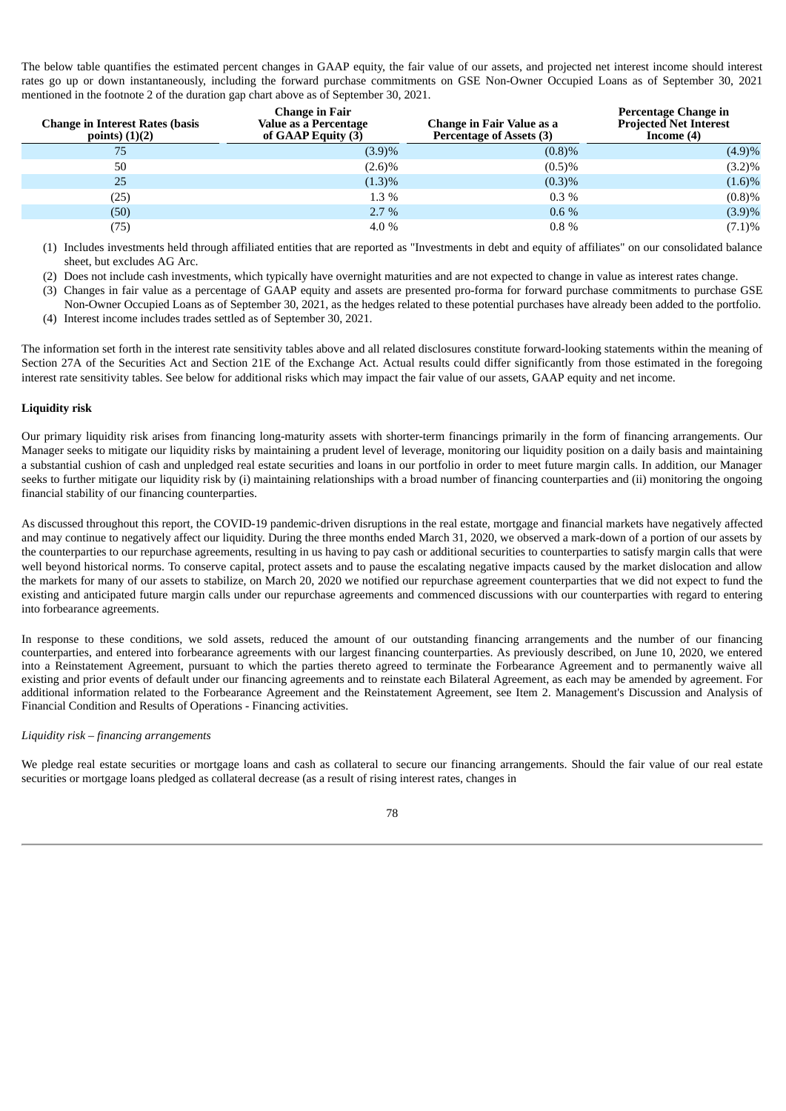The below table quantifies the estimated percent changes in GAAP equity, the fair value of our assets, and projected net interest income should interest rates go up or down instantaneously, including the forward purchase commitments on GSE Non-Owner Occupied Loans as of September 30, 2021 mentioned in the footnote 2 of the duration gap chart above as of September 30, 2021.

| <b>Change in Interest Rates (basis</b><br>points) $(1)(2)$ | <b>Change in Fair</b><br>Value as a Percentage<br>of GAAP Equity (3) | Change in Fair Value as a<br><b>Percentage of Assets (3)</b> | Percentage Change in<br><b>Projected Net Interest</b><br>Income (4) |
|------------------------------------------------------------|----------------------------------------------------------------------|--------------------------------------------------------------|---------------------------------------------------------------------|
| 75                                                         | (3.9)%                                                               | (0.8)%                                                       | (4.9)%                                                              |
| 50                                                         | $(2.6)\%$                                                            | (0.5)%                                                       | $(3.2)\%$                                                           |
| 25                                                         | $(1.3)\%$                                                            | (0.3)%                                                       | $(1.6)\%$                                                           |
| (25)                                                       | $1.3\%$                                                              | $0.3\%$                                                      | (0.8)%                                                              |
| (50)                                                       | $2.7\%$                                                              | $0.6\%$                                                      | (3.9)%                                                              |
| (75)                                                       | 4.0 %                                                                | $0.8\%$                                                      | $(7.1)\%$                                                           |

(1) Includes investments held through affiliated entities that are reported as "Investments in debt and equity of affiliates" on our consolidated balance sheet, but excludes AG Arc.

(2) Does not include cash investments, which typically have overnight maturities and are not expected to change in value as interest rates change.

- (3) Changes in fair value as a percentage of GAAP equity and assets are presented pro-forma for forward purchase commitments to purchase GSE Non-Owner Occupied Loans as of September 30, 2021, as the hedges related to these potential purchases have already been added to the portfolio.
- (4) Interest income includes trades settled as of September 30, 2021.

The information set forth in the interest rate sensitivity tables above and all related disclosures constitute forward-looking statements within the meaning of Section 27A of the Securities Act and Section 21E of the Exchange Act. Actual results could differ significantly from those estimated in the foregoing interest rate sensitivity tables. See below for additional risks which may impact the fair value of our assets, GAAP equity and net income.

# **Liquidity risk**

Our primary liquidity risk arises from financing long-maturity assets with shorter-term financings primarily in the form of financing arrangements. Our Manager seeks to mitigate our liquidity risks by maintaining a prudent level of leverage, monitoring our liquidity position on a daily basis and maintaining a substantial cushion of cash and unpledged real estate securities and loans in our portfolio in order to meet future margin calls. In addition, our Manager seeks to further mitigate our liquidity risk by (i) maintaining relationships with a broad number of financing counterparties and (ii) monitoring the ongoing financial stability of our financing counterparties.

As discussed throughout this report, the COVID-19 pandemic-driven disruptions in the real estate, mortgage and financial markets have negatively affected and may continue to negatively affect our liquidity. During the three months ended March 31, 2020, we observed a mark-down of a portion of our assets by the counterparties to our repurchase agreements, resulting in us having to pay cash or additional securities to counterparties to satisfy margin calls that were well beyond historical norms. To conserve capital, protect assets and to pause the escalating negative impacts caused by the market dislocation and allow the markets for many of our assets to stabilize, on March 20, 2020 we notified our repurchase agreement counterparties that we did not expect to fund the existing and anticipated future margin calls under our repurchase agreements and commenced discussions with our counterparties with regard to entering into forbearance agreements.

In response to these conditions, we sold assets, reduced the amount of our outstanding financing arrangements and the number of our financing counterparties, and entered into forbearance agreements with our largest financing counterparties. As previously described, on June 10, 2020, we entered into a Reinstatement Agreement, pursuant to which the parties thereto agreed to terminate the Forbearance Agreement and to permanently waive all existing and prior events of default under our financing agreements and to reinstate each Bilateral Agreement, as each may be amended by agreement. For additional information related to the Forbearance Agreement and the Reinstatement Agreement, see Item 2. Management's Discussion and Analysis of Financial Condition and Results of Operations - Financing activities.

# *Liquidity risk – financing arrangements*

We pledge real estate securities or mortgage loans and cash as collateral to secure our financing arrangements. Should the fair value of our real estate securities or mortgage loans pledged as collateral decrease (as a result of rising interest rates, changes in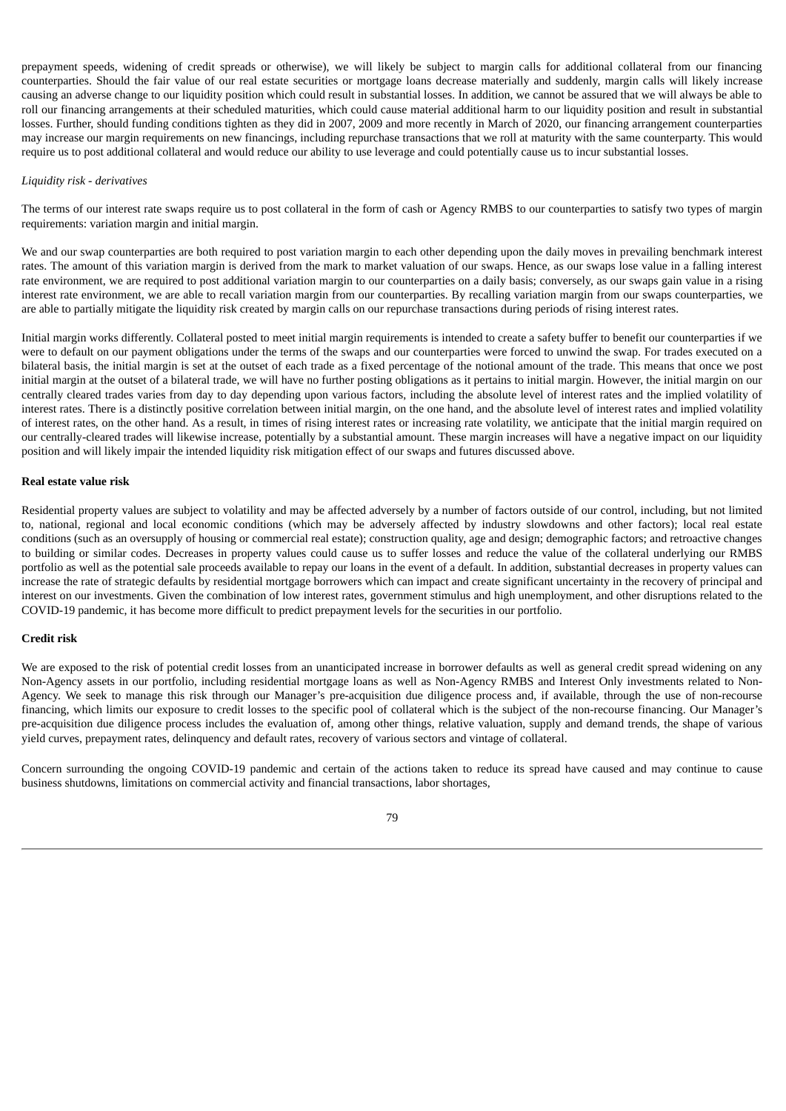prepayment speeds, widening of credit spreads or otherwise), we will likely be subject to margin calls for additional collateral from our financing counterparties. Should the fair value of our real estate securities or mortgage loans decrease materially and suddenly, margin calls will likely increase causing an adverse change to our liquidity position which could result in substantial losses. In addition, we cannot be assured that we will always be able to roll our financing arrangements at their scheduled maturities, which could cause material additional harm to our liquidity position and result in substantial losses. Further, should funding conditions tighten as they did in 2007, 2009 and more recently in March of 2020, our financing arrangement counterparties may increase our margin requirements on new financings, including repurchase transactions that we roll at maturity with the same counterparty. This would require us to post additional collateral and would reduce our ability to use leverage and could potentially cause us to incur substantial losses.

### *Liquidity risk - derivatives*

The terms of our interest rate swaps require us to post collateral in the form of cash or Agency RMBS to our counterparties to satisfy two types of margin requirements: variation margin and initial margin.

We and our swap counterparties are both required to post variation margin to each other depending upon the daily moves in prevailing benchmark interest rates. The amount of this variation margin is derived from the mark to market valuation of our swaps. Hence, as our swaps lose value in a falling interest rate environment, we are required to post additional variation margin to our counterparties on a daily basis; conversely, as our swaps gain value in a rising interest rate environment, we are able to recall variation margin from our counterparties. By recalling variation margin from our swaps counterparties, we are able to partially mitigate the liquidity risk created by margin calls on our repurchase transactions during periods of rising interest rates.

Initial margin works differently. Collateral posted to meet initial margin requirements is intended to create a safety buffer to benefit our counterparties if we were to default on our payment obligations under the terms of the swaps and our counterparties were forced to unwind the swap. For trades executed on a bilateral basis, the initial margin is set at the outset of each trade as a fixed percentage of the notional amount of the trade. This means that once we post initial margin at the outset of a bilateral trade, we will have no further posting obligations as it pertains to initial margin. However, the initial margin on our centrally cleared trades varies from day to day depending upon various factors, including the absolute level of interest rates and the implied volatility of interest rates. There is a distinctly positive correlation between initial margin, on the one hand, and the absolute level of interest rates and implied volatility of interest rates, on the other hand. As a result, in times of rising interest rates or increasing rate volatility, we anticipate that the initial margin required on our centrally-cleared trades will likewise increase, potentially by a substantial amount. These margin increases will have a negative impact on our liquidity position and will likely impair the intended liquidity risk mitigation effect of our swaps and futures discussed above.

## **Real estate value risk**

Residential property values are subject to volatility and may be affected adversely by a number of factors outside of our control, including, but not limited to, national, regional and local economic conditions (which may be adversely affected by industry slowdowns and other factors); local real estate conditions (such as an oversupply of housing or commercial real estate); construction quality, age and design; demographic factors; and retroactive changes to building or similar codes. Decreases in property values could cause us to suffer losses and reduce the value of the collateral underlying our RMBS portfolio as well as the potential sale proceeds available to repay our loans in the event of a default. In addition, substantial decreases in property values can increase the rate of strategic defaults by residential mortgage borrowers which can impact and create significant uncertainty in the recovery of principal and interest on our investments. Given the combination of low interest rates, government stimulus and high unemployment, and other disruptions related to the COVID-19 pandemic, it has become more difficult to predict prepayment levels for the securities in our portfolio.

#### **Credit risk**

We are exposed to the risk of potential credit losses from an unanticipated increase in borrower defaults as well as general credit spread widening on any Non-Agency assets in our portfolio, including residential mortgage loans as well as Non-Agency RMBS and Interest Only investments related to Non-Agency. We seek to manage this risk through our Manager's pre-acquisition due diligence process and, if available, through the use of non-recourse financing, which limits our exposure to credit losses to the specific pool of collateral which is the subject of the non-recourse financing. Our Manager's pre-acquisition due diligence process includes the evaluation of, among other things, relative valuation, supply and demand trends, the shape of various yield curves, prepayment rates, delinquency and default rates, recovery of various sectors and vintage of collateral.

Concern surrounding the ongoing COVID-19 pandemic and certain of the actions taken to reduce its spread have caused and may continue to cause business shutdowns, limitations on commercial activity and financial transactions, labor shortages,

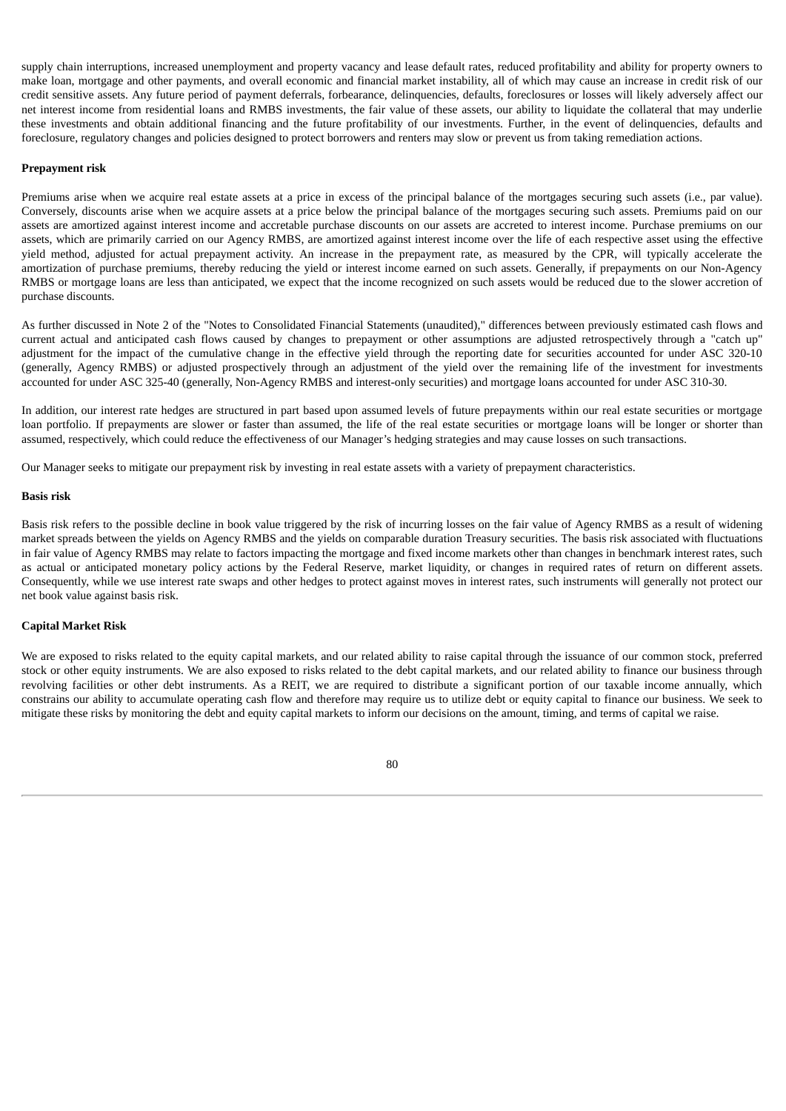supply chain interruptions, increased unemployment and property vacancy and lease default rates, reduced profitability and ability for property owners to make loan, mortgage and other payments, and overall economic and financial market instability, all of which may cause an increase in credit risk of our credit sensitive assets. Any future period of payment deferrals, forbearance, delinquencies, defaults, foreclosures or losses will likely adversely affect our net interest income from residential loans and RMBS investments, the fair value of these assets, our ability to liquidate the collateral that may underlie these investments and obtain additional financing and the future profitability of our investments. Further, in the event of delinquencies, defaults and foreclosure, regulatory changes and policies designed to protect borrowers and renters may slow or prevent us from taking remediation actions.

### **Prepayment risk**

Premiums arise when we acquire real estate assets at a price in excess of the principal balance of the mortgages securing such assets (i.e., par value). Conversely, discounts arise when we acquire assets at a price below the principal balance of the mortgages securing such assets. Premiums paid on our assets are amortized against interest income and accretable purchase discounts on our assets are accreted to interest income. Purchase premiums on our assets, which are primarily carried on our Agency RMBS, are amortized against interest income over the life of each respective asset using the effective yield method, adjusted for actual prepayment activity. An increase in the prepayment rate, as measured by the CPR, will typically accelerate the amortization of purchase premiums, thereby reducing the yield or interest income earned on such assets. Generally, if prepayments on our Non-Agency RMBS or mortgage loans are less than anticipated, we expect that the income recognized on such assets would be reduced due to the slower accretion of purchase discounts.

As further discussed in Note 2 of the "Notes to Consolidated Financial Statements (unaudited)," differences between previously estimated cash flows and current actual and anticipated cash flows caused by changes to prepayment or other assumptions are adjusted retrospectively through a "catch up" adjustment for the impact of the cumulative change in the effective yield through the reporting date for securities accounted for under ASC 320-10 (generally, Agency RMBS) or adjusted prospectively through an adjustment of the yield over the remaining life of the investment for investments accounted for under ASC 325-40 (generally, Non-Agency RMBS and interest-only securities) and mortgage loans accounted for under ASC 310-30.

In addition, our interest rate hedges are structured in part based upon assumed levels of future prepayments within our real estate securities or mortgage loan portfolio. If prepayments are slower or faster than assumed, the life of the real estate securities or mortgage loans will be longer or shorter than assumed, respectively, which could reduce the effectiveness of our Manager's hedging strategies and may cause losses on such transactions.

Our Manager seeks to mitigate our prepayment risk by investing in real estate assets with a variety of prepayment characteristics.

#### **Basis risk**

Basis risk refers to the possible decline in book value triggered by the risk of incurring losses on the fair value of Agency RMBS as a result of widening market spreads between the yields on Agency RMBS and the yields on comparable duration Treasury securities. The basis risk associated with fluctuations in fair value of Agency RMBS may relate to factors impacting the mortgage and fixed income markets other than changes in benchmark interest rates, such as actual or anticipated monetary policy actions by the Federal Reserve, market liquidity, or changes in required rates of return on different assets. Consequently, while we use interest rate swaps and other hedges to protect against moves in interest rates, such instruments will generally not protect our net book value against basis risk.

# **Capital Market Risk**

We are exposed to risks related to the equity capital markets, and our related ability to raise capital through the issuance of our common stock, preferred stock or other equity instruments. We are also exposed to risks related to the debt capital markets, and our related ability to finance our business through revolving facilities or other debt instruments. As a REIT, we are required to distribute a significant portion of our taxable income annually, which constrains our ability to accumulate operating cash flow and therefore may require us to utilize debt or equity capital to finance our business. We seek to mitigate these risks by monitoring the debt and equity capital markets to inform our decisions on the amount, timing, and terms of capital we raise.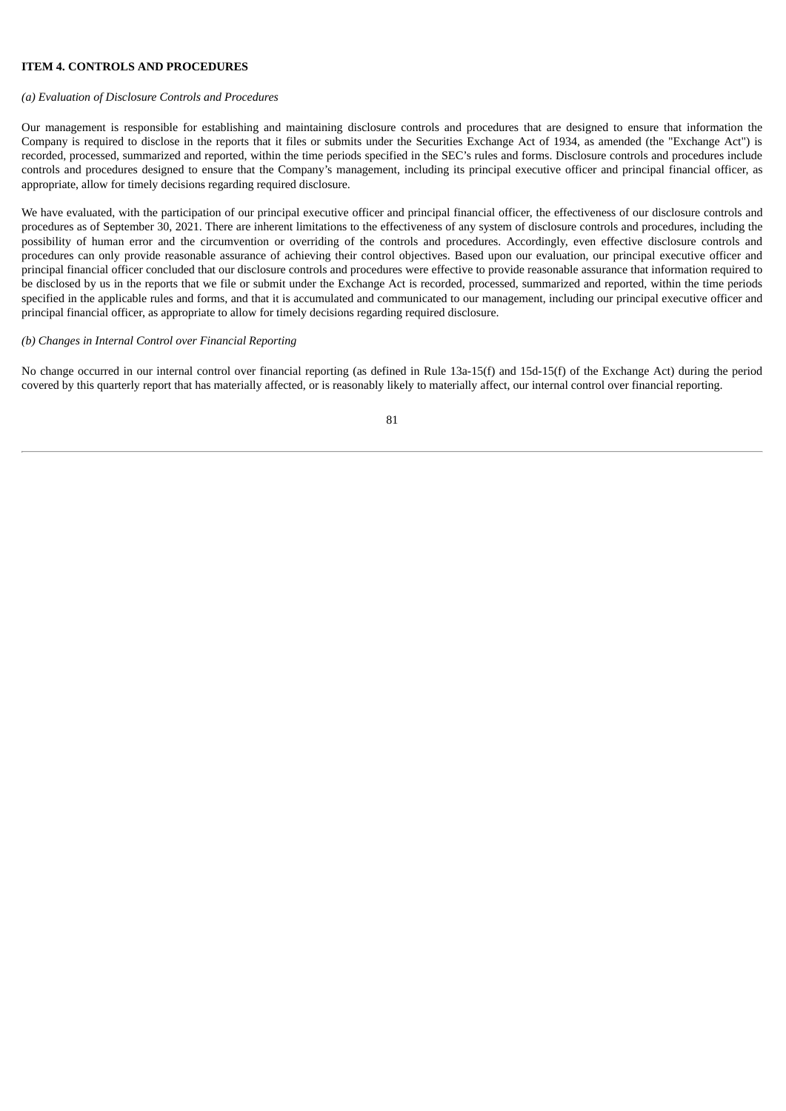# **ITEM 4. CONTROLS AND PROCEDURES**

### *(a) Evaluation of Disclosure Controls and Procedures*

Our management is responsible for establishing and maintaining disclosure controls and procedures that are designed to ensure that information the Company is required to disclose in the reports that it files or submits under the Securities Exchange Act of 1934, as amended (the "Exchange Act") is recorded, processed, summarized and reported, within the time periods specified in the SEC's rules and forms. Disclosure controls and procedures include controls and procedures designed to ensure that the Company's management, including its principal executive officer and principal financial officer, as appropriate, allow for timely decisions regarding required disclosure.

We have evaluated, with the participation of our principal executive officer and principal financial officer, the effectiveness of our disclosure controls and procedures as of September 30, 2021. There are inherent limitations to the effectiveness of any system of disclosure controls and procedures, including the possibility of human error and the circumvention or overriding of the controls and procedures. Accordingly, even effective disclosure controls and procedures can only provide reasonable assurance of achieving their control objectives. Based upon our evaluation, our principal executive officer and principal financial officer concluded that our disclosure controls and procedures were effective to provide reasonable assurance that information required to be disclosed by us in the reports that we file or submit under the Exchange Act is recorded, processed, summarized and reported, within the time periods specified in the applicable rules and forms, and that it is accumulated and communicated to our management, including our principal executive officer and principal financial officer, as appropriate to allow for timely decisions regarding required disclosure.

#### *(b) Changes in Internal Control over Financial Reporting*

No change occurred in our internal control over financial reporting (as defined in Rule 13a-15(f) and 15d-15(f) of the Exchange Act) during the period covered by this quarterly report that has materially affected, or is reasonably likely to materially affect, our internal control over financial reporting.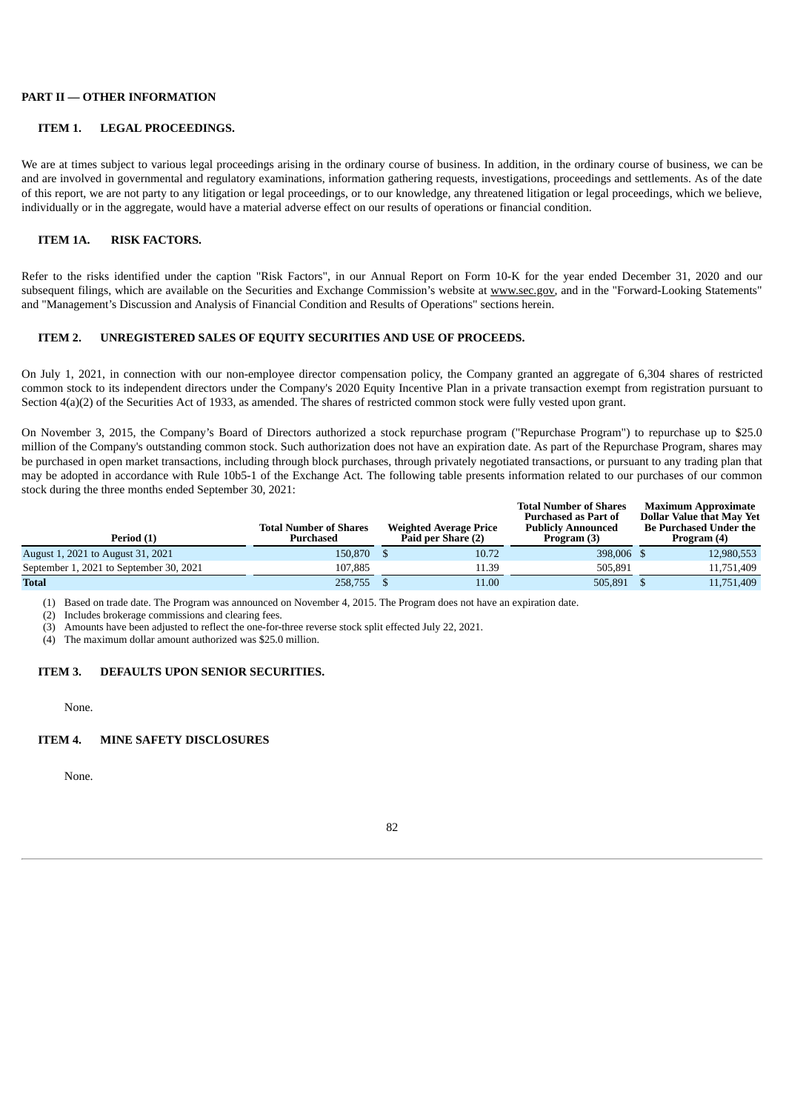# **PART II — OTHER INFORMATION**

#### **ITEM 1. LEGAL PROCEEDINGS.**

We are at times subject to various legal proceedings arising in the ordinary course of business. In addition, in the ordinary course of business, we can be and are involved in governmental and regulatory examinations, information gathering requests, investigations, proceedings and settlements. As of the date of this report, we are not party to any litigation or legal proceedings, or to our knowledge, any threatened litigation or legal proceedings, which we believe, individually or in the aggregate, would have a material adverse effect on our results of operations or financial condition.

#### **ITEM 1A. RISK FACTORS.**

Refer to the risks identified under the caption "Risk Factors", in our Annual Report on Form 10-K for the year ended December 31, 2020 and our subsequent filings, which are available on the Securities and Exchange Commission's website at www.sec.gov, and in the "Forward-Looking Statements" and "Management's Discussion and Analysis of Financial Condition and Results of Operations" sections herein.

#### **ITEM 2. UNREGISTERED SALES OF EQUITY SECURITIES AND USE OF PROCEEDS.**

On July 1, 2021, in connection with our non-employee director compensation policy, the Company granted an aggregate of 6,304 shares of restricted common stock to its independent directors under the Company's 2020 Equity Incentive Plan in a private transaction exempt from registration pursuant to Section  $4(a)(2)$  of the Securities Act of 1933, as amended. The shares of restricted common stock were fully vested upon grant.

On November 3, 2015, the Company's Board of Directors authorized a stock repurchase program ("Repurchase Program") to repurchase up to \$25.0 million of the Company's outstanding common stock. Such authorization does not have an expiration date. As part of the Repurchase Program, shares may be purchased in open market transactions, including through block purchases, through privately negotiated transactions, or pursuant to any trading plan that may be adopted in accordance with Rule 10b5-1 of the Exchange Act. The following table presents information related to our purchases of our common stock during the three months ended September 30, 2021:

| Period (1)                              | <b>Total Number of Shares</b><br>Purchased | <b>Weighted Average Price</b><br>Paid per Share (2) | <b>Total Number of Shares</b><br>Purchased as Part of<br><b>Publicly Announced</b><br>Program (3) | <b>Maximum Approximate</b><br><b>Dollar Value that May Yet</b><br><b>Be Purchased Under the</b><br>Program (4) |
|-----------------------------------------|--------------------------------------------|-----------------------------------------------------|---------------------------------------------------------------------------------------------------|----------------------------------------------------------------------------------------------------------------|
| August 1, 2021 to August 31, 2021       | 150,870 \$                                 | 10.72                                               | 398,006 \$                                                                                        | 12,980,553                                                                                                     |
| September 1, 2021 to September 30, 2021 | 107.885                                    | 11.39                                               | 505.891                                                                                           | 11,751,409                                                                                                     |
| <b>Total</b>                            | 258,755                                    | 11.00                                               | 505,891                                                                                           | 11,751,409                                                                                                     |

(1) Based on trade date. The Program was announced on November 4, 2015. The Program does not have an expiration date.

(2) Includes brokerage commissions and clearing fees.

(3) Amounts have been adjusted to reflect the one-for-three reverse stock split effected July 22, 2021.

(4) The maximum dollar amount authorized was \$25.0 million.

# **ITEM 3. DEFAULTS UPON SENIOR SECURITIES.**

None.

#### **ITEM 4. MINE SAFETY DISCLOSURES**

None.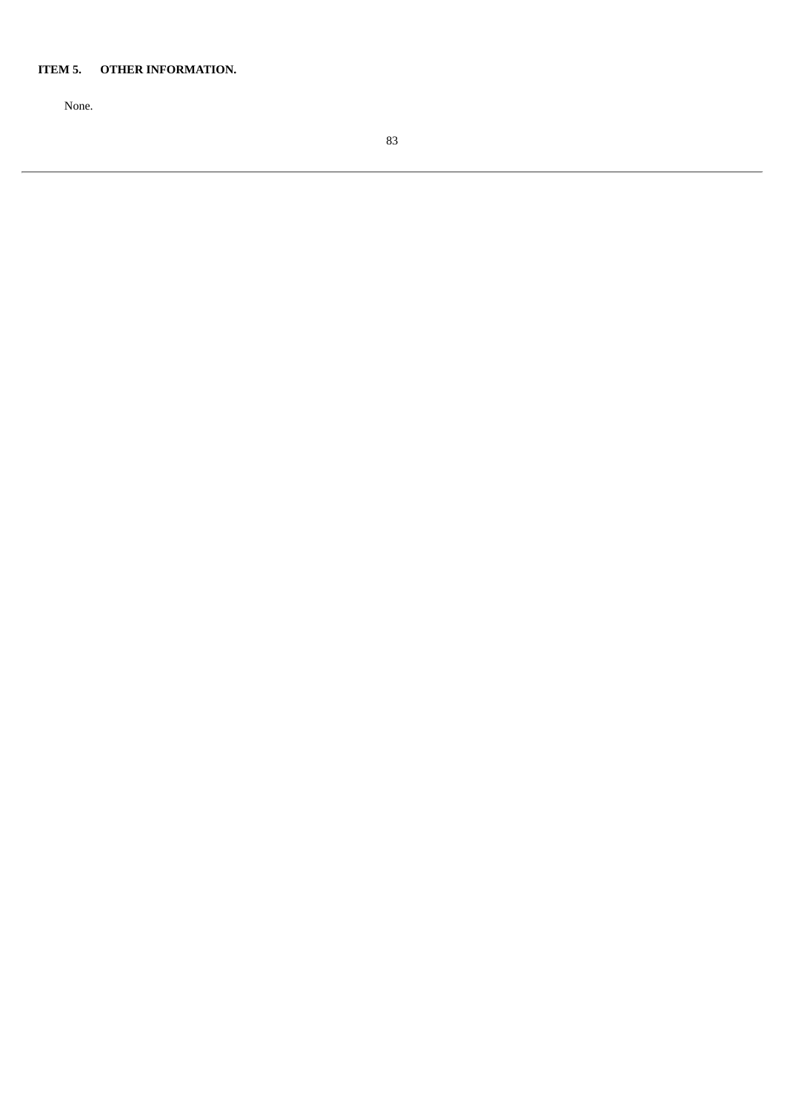# **ITEM 5. OTHER INFORMATION.**

None.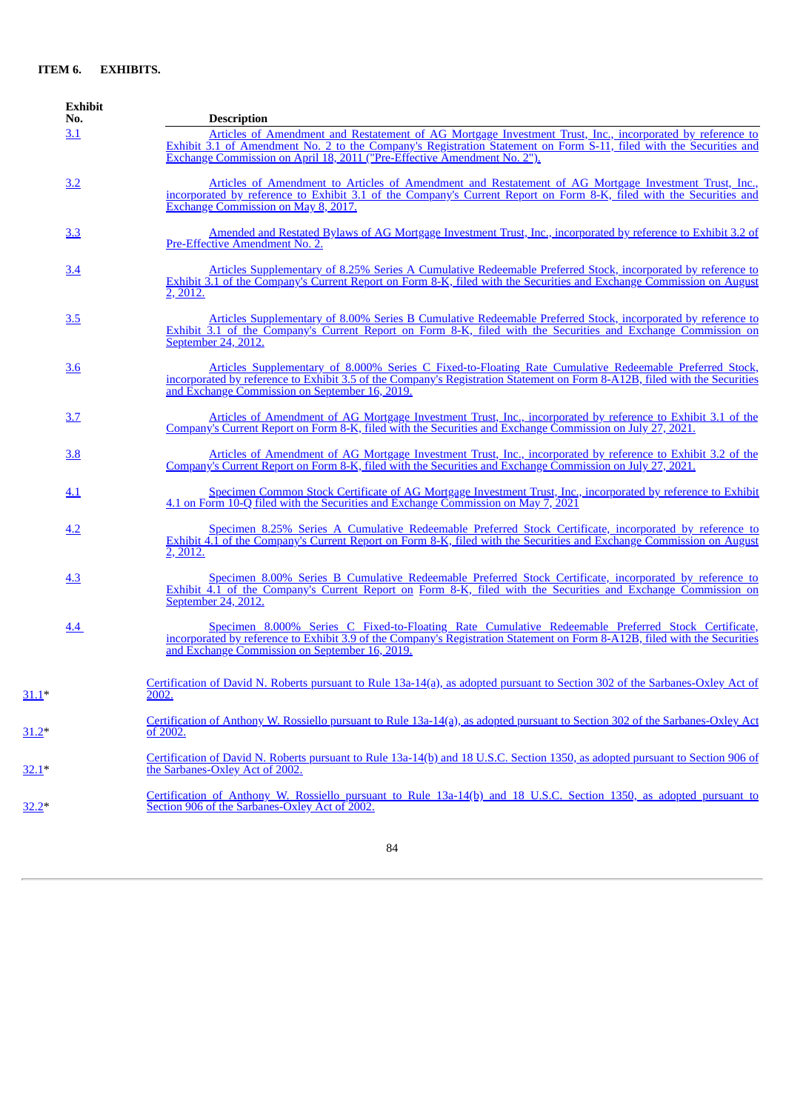| <b>Exhibit</b><br>No. | <b>Description</b>                                                                                                                                                                                                                                                                                          |
|-----------------------|-------------------------------------------------------------------------------------------------------------------------------------------------------------------------------------------------------------------------------------------------------------------------------------------------------------|
| 3.1                   | Articles of Amendment and Restatement of AG Mortgage Investment Trust, Inc., incorporated by reference to<br>Exhibit 3.1 of Amendment No. 2 to the Company's Registration Statement on Form S-11, filed with the Securities and<br>Exchange Commission on April 18, 2011 ("Pre-Effective Amendment No. 2"). |
| 3.2                   | Articles of Amendment to Articles of Amendment and Restatement of AG Mortgage Investment Trust, Inc.,<br>incorporated by reference to Exhibit 3.1 of the Company's Current Report on Form 8-K, filed with the Securities and<br>Exchange Commission on May 8, 2017.                                         |
| 3.3                   | Amended and Restated Bylaws of AG Mortgage Investment Trust, Inc., incorporated by reference to Exhibit 3.2 of<br>Pre-Effective Amendment No. 2.                                                                                                                                                            |
| <u>3.4</u>            | Articles Supplementary of 8.25% Series A Cumulative Redeemable Preferred Stock, incorporated by reference to<br>Exhibit 3.1 of the Company's Current Report on Form 8-K, filed with the Securities and Exchange Commission on August<br>2, 2012.                                                            |
| 3.5                   | Articles Supplementary of 8.00% Series B Cumulative Redeemable Preferred Stock, incorporated by reference to<br>Exhibit 3.1 of the Company's Current Report on Form 8-K, filed with the Securities and Exchange Commission on<br>September 24, 2012.                                                        |
| <u>3.6</u>            | Articles Supplementary of 8.000% Series C Fixed-to-Floating Rate Cumulative Redeemable Preferred Stock,<br>incorporated by reference to Exhibit 3.5 of the Company's Registration Statement on Form 8-A12B, filed with the Securities<br>and Exchange Commission on September 16, 2019.                     |
| 3.7                   | Articles of Amendment of AG Mortgage Investment Trust, Inc., incorporated by reference to Exhibit 3.1 of the Company's Current Report on Form 8-K, filed with the Securities and Exchange Commission on July 27, 2021.                                                                                      |
| 3.8                   | Articles of Amendment of AG Mortgage Investment Trust, Inc., incorporated by reference to Exhibit 3.2 of the<br>Company's Current Report on Form 8-K, filed with the Securities and Exchange Commission on July 27, 2021.                                                                                   |
| <u>4.1</u>            | Specimen Common Stock Certificate of AG Mortgage Investment Trust, Inc., incorporated by reference to Exhibit<br>4.1 on Form 10-Q filed with the Securities and Exchange Commission on May 7, 2021                                                                                                          |
| 4.2                   | Specimen 8.25% Series A Cumulative Redeemable Preferred Stock Certificate, incorporated by reference to<br>Exhibit 4.1 of the Company's Current Report on Form 8-K, filed with the Securities and Exchange Commission on August<br>2, 2012.                                                                 |
| 4.3                   | Specimen 8.00% Series B Cumulative Redeemable Preferred Stock Certificate, incorporated by reference to Exhibit 4.1 of the Company's Current Report on Form 8-K, filed with the Securities and Exchange Commission on<br>September 24, 2012.                                                                |
| <u>4.4 </u>           | Specimen 8.000% Series C Fixed-to-Floating Rate Cumulative Redeemable Preferred Stock Certificate, incorporated by reference to Exhibit 3.9 of the Company's Registration Statement on Form 8-A12B, filed with the Securities<br>and Exchange Commission on September 16, 2019.                             |
|                       | Certification of David N. Roberts pursuant to Rule 13a-14(a), as adopted pursuant to Section 302 of the Sarbanes-Oxley Act of<br><u> 2002.</u>                                                                                                                                                              |
|                       | Certification of Anthony W. Rossiello pursuant to Rule 13a-14(a), as adopted pursuant to Section 302 of the Sarbanes-Oxley Act<br>of 2002.                                                                                                                                                                  |
|                       | Certification of David N. Roberts pursuant to Rule 13a-14(b) and 18 U.S.C. Section 1350, as adopted pursuant to Section 906 of<br>the Sarbanes-Oxley Act of 2002.                                                                                                                                           |
|                       | Certification of Anthony W. Rossiello pursuant to Rule 13a-14(b) and 18 U.S.C. Section 1350, as adopted pursuant to                                                                                                                                                                                         |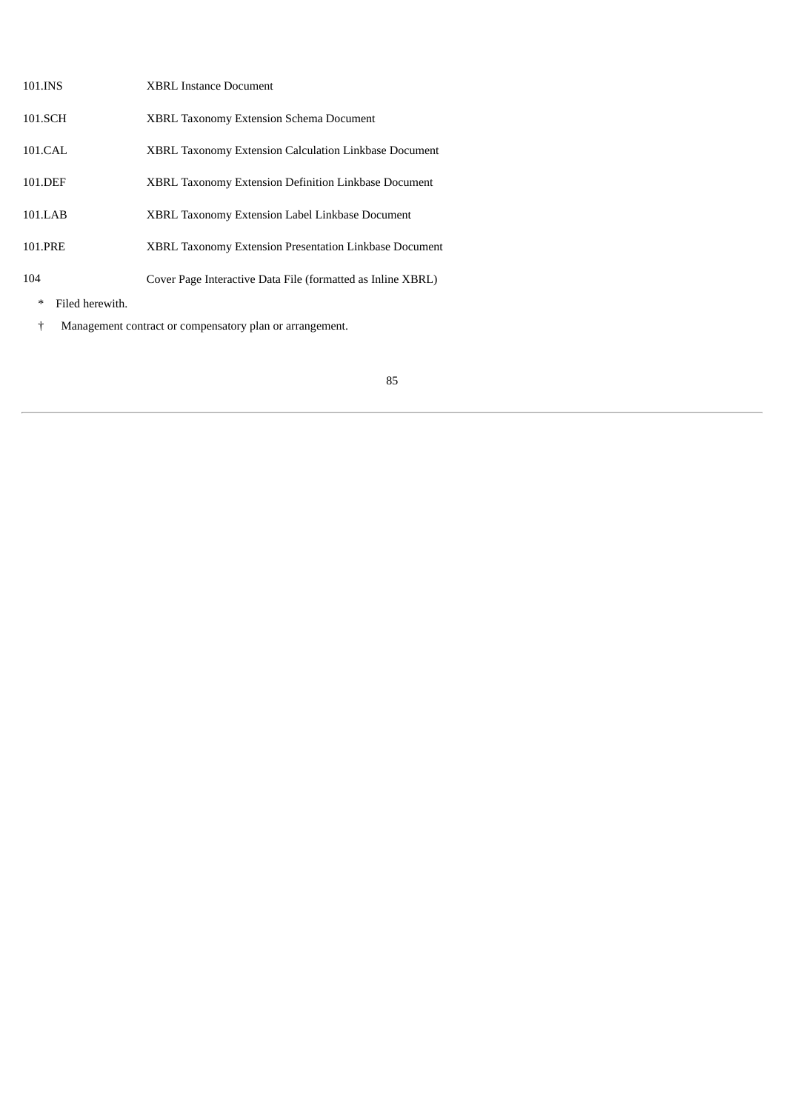| 101.INS                   | <b>XBRL Instance Document</b>                                |
|---------------------------|--------------------------------------------------------------|
| 101.SCH                   | <b>XBRL Taxonomy Extension Schema Document</b>               |
| 101.CAL                   | <b>XBRL Taxonomy Extension Calculation Linkbase Document</b> |
| 101.DEF                   | <b>XBRL Taxonomy Extension Definition Linkbase Document</b>  |
| 101.LAB                   | XBRL Taxonomy Extension Label Linkbase Document              |
| 101.PRE                   | XBRL Taxonomy Extension Presentation Linkbase Document       |
| 104                       | Cover Page Interactive Data File (formatted as Inline XBRL)  |
| Filed herewith.<br>$\ast$ |                                                              |
|                           |                                                              |

† Management contract or compensatory plan or arrangement.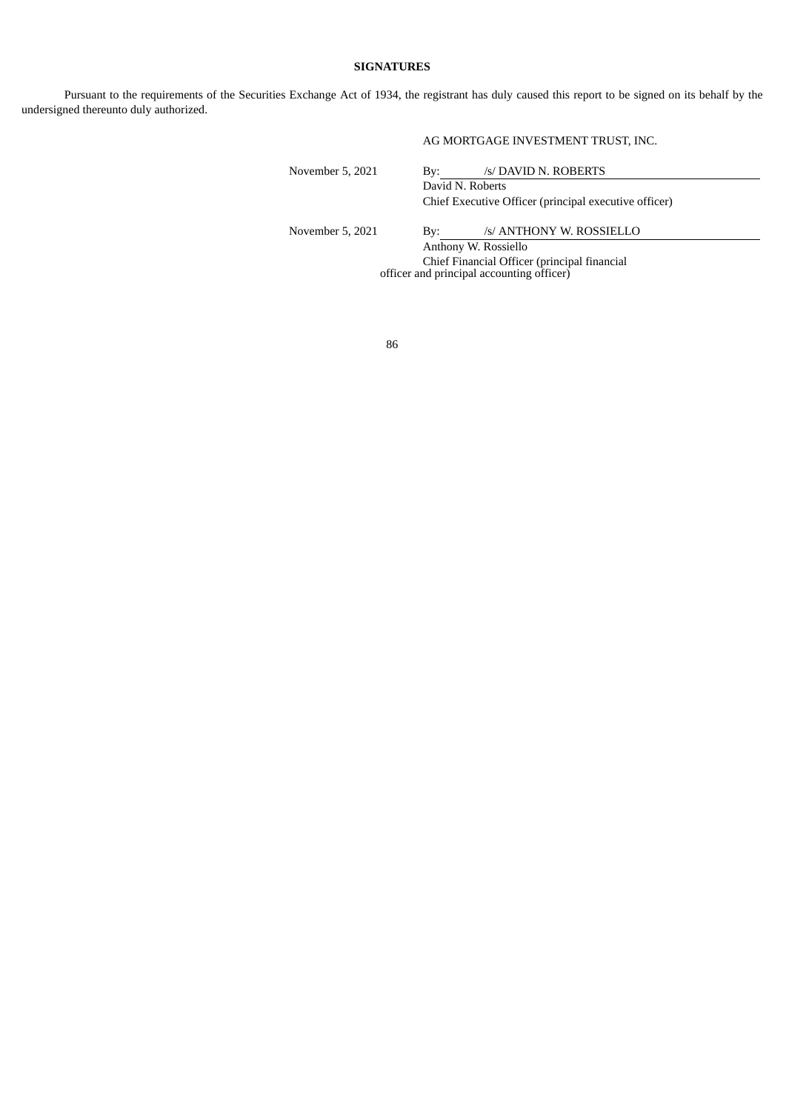# **SIGNATURES**

Pursuant to the requirements of the Securities Exchange Act of 1934, the registrant has duly caused this report to be signed on its behalf by the undersigned thereunto duly authorized.

AG MORTGAGE INVESTMENT TRUST, INC.

| November 5, 2021 | Bv:                                                                       | /s/ DAVID N. ROBERTS     |
|------------------|---------------------------------------------------------------------------|--------------------------|
|                  | David N. Roberts<br>Chief Executive Officer (principal executive officer) |                          |
| November 5, 2021 | By:                                                                       | /s/ ANTHONY W. ROSSIELLO |

Anthony W. Rossiello Chief Financial Officer (principal financial officer and principal accounting officer)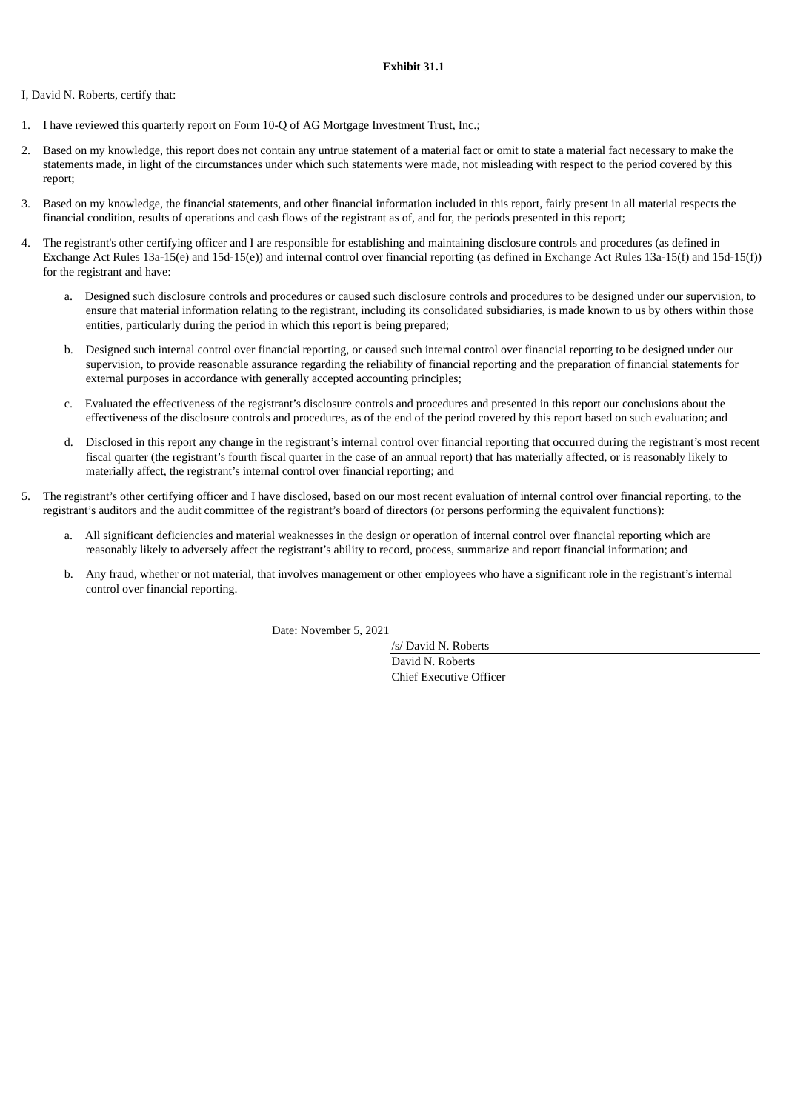# **Exhibit 31.1**

<span id="page-86-0"></span>I, David N. Roberts, certify that:

- 1. I have reviewed this quarterly report on Form 10-Q of AG Mortgage Investment Trust, Inc.;
- 2. Based on my knowledge, this report does not contain any untrue statement of a material fact or omit to state a material fact necessary to make the statements made, in light of the circumstances under which such statements were made, not misleading with respect to the period covered by this report;
- 3. Based on my knowledge, the financial statements, and other financial information included in this report, fairly present in all material respects the financial condition, results of operations and cash flows of the registrant as of, and for, the periods presented in this report;
- 4. The registrant's other certifying officer and I are responsible for establishing and maintaining disclosure controls and procedures (as defined in Exchange Act Rules 13a-15(e) and 15d-15(e)) and internal control over financial reporting (as defined in Exchange Act Rules 13a-15(f) and 15d-15(f)) for the registrant and have:
	- a. Designed such disclosure controls and procedures or caused such disclosure controls and procedures to be designed under our supervision, to ensure that material information relating to the registrant, including its consolidated subsidiaries, is made known to us by others within those entities, particularly during the period in which this report is being prepared;
	- b. Designed such internal control over financial reporting, or caused such internal control over financial reporting to be designed under our supervision, to provide reasonable assurance regarding the reliability of financial reporting and the preparation of financial statements for external purposes in accordance with generally accepted accounting principles;
	- c. Evaluated the effectiveness of the registrant's disclosure controls and procedures and presented in this report our conclusions about the effectiveness of the disclosure controls and procedures, as of the end of the period covered by this report based on such evaluation; and
	- d. Disclosed in this report any change in the registrant's internal control over financial reporting that occurred during the registrant's most recent fiscal quarter (the registrant's fourth fiscal quarter in the case of an annual report) that has materially affected, or is reasonably likely to materially affect, the registrant's internal control over financial reporting; and
- 5. The registrant's other certifying officer and I have disclosed, based on our most recent evaluation of internal control over financial reporting, to the registrant's auditors and the audit committee of the registrant's board of directors (or persons performing the equivalent functions):
	- a. All significant deficiencies and material weaknesses in the design or operation of internal control over financial reporting which are reasonably likely to adversely affect the registrant's ability to record, process, summarize and report financial information; and
	- b. Any fraud, whether or not material, that involves management or other employees who have a significant role in the registrant's internal control over financial reporting.

Date: November 5, 2021

/s/ David N. Roberts David N. Roberts Chief Executive Officer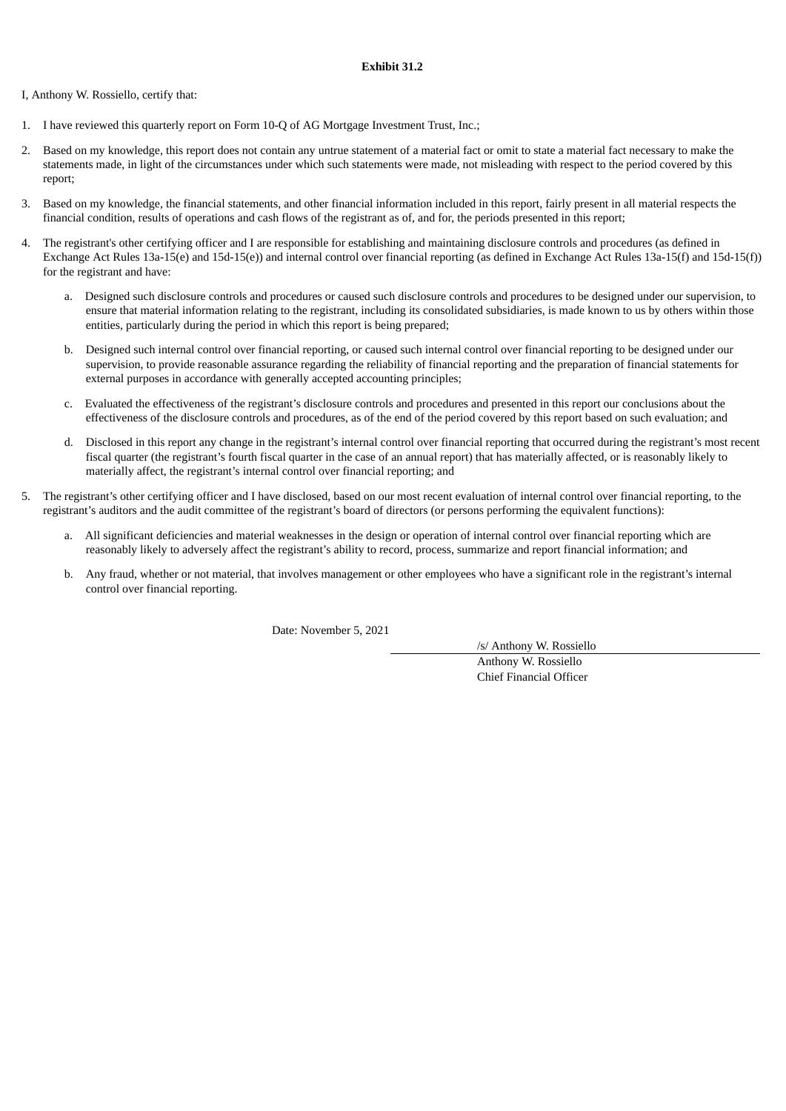# **Exhibit 31.2**

<span id="page-87-0"></span>I, Anthony W. Rossiello, certify that:

- 1. I have reviewed this quarterly report on Form 10-Q of AG Mortgage Investment Trust, Inc.;
- 2. Based on my knowledge, this report does not contain any untrue statement of a material fact or omit to state a material fact necessary to make the statements made, in light of the circumstances under which such statements were made, not misleading with respect to the period covered by this report;
- 3. Based on my knowledge, the financial statements, and other financial information included in this report, fairly present in all material respects the financial condition, results of operations and cash flows of the registrant as of, and for, the periods presented in this report;
- 4. The registrant's other certifying officer and I are responsible for establishing and maintaining disclosure controls and procedures (as defined in Exchange Act Rules 13a-15(e) and 15d-15(e)) and internal control over financial reporting (as defined in Exchange Act Rules 13a-15(f) and 15d-15(f)) for the registrant and have:
	- a. Designed such disclosure controls and procedures or caused such disclosure controls and procedures to be designed under our supervision, to ensure that material information relating to the registrant, including its consolidated subsidiaries, is made known to us by others within those entities, particularly during the period in which this report is being prepared;
	- b. Designed such internal control over financial reporting, or caused such internal control over financial reporting to be designed under our supervision, to provide reasonable assurance regarding the reliability of financial reporting and the preparation of financial statements for external purposes in accordance with generally accepted accounting principles;
	- c. Evaluated the effectiveness of the registrant's disclosure controls and procedures and presented in this report our conclusions about the effectiveness of the disclosure controls and procedures, as of the end of the period covered by this report based on such evaluation; and
	- d. Disclosed in this report any change in the registrant's internal control over financial reporting that occurred during the registrant's most recent fiscal quarter (the registrant's fourth fiscal quarter in the case of an annual report) that has materially affected, or is reasonably likely to materially affect, the registrant's internal control over financial reporting; and
- 5. The registrant's other certifying officer and I have disclosed, based on our most recent evaluation of internal control over financial reporting, to the registrant's auditors and the audit committee of the registrant's board of directors (or persons performing the equivalent functions):
	- a. All significant deficiencies and material weaknesses in the design or operation of internal control over financial reporting which are reasonably likely to adversely affect the registrant's ability to record, process, summarize and report financial information; and
	- b. Any fraud, whether or not material, that involves management or other employees who have a significant role in the registrant's internal control over financial reporting.

Date: November 5, 2021

/s/ Anthony W. Rossiello

Anthony W. Rossiello Chief Financial Officer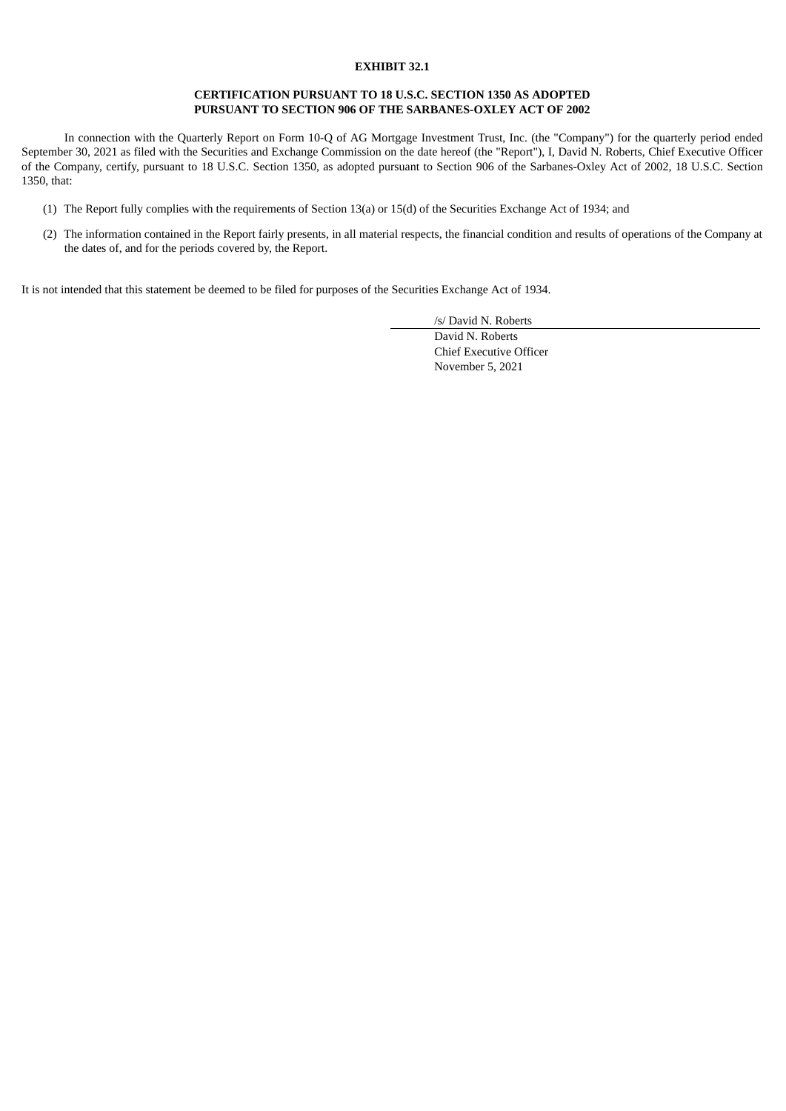# **EXHIBIT 32.1**

# **CERTIFICATION PURSUANT TO 18 U.S.C. SECTION 1350 AS ADOPTED PURSUANT TO SECTION 906 OF THE SARBANES-OXLEY ACT OF 2002**

<span id="page-88-0"></span>In connection with the Quarterly Report on Form 10-Q of AG Mortgage Investment Trust, Inc. (the "Company") for the quarterly period ended September 30, 2021 as filed with the Securities and Exchange Commission on the date hereof (the "Report"), I, David N. Roberts, Chief Executive Officer of the Company, certify, pursuant to 18 U.S.C. Section 1350, as adopted pursuant to Section 906 of the Sarbanes-Oxley Act of 2002, 18 U.S.C. Section 1350, that:

- (1) The Report fully complies with the requirements of Section 13(a) or 15(d) of the Securities Exchange Act of 1934; and
- (2) The information contained in the Report fairly presents, in all material respects, the financial condition and results of operations of the Company at the dates of, and for the periods covered by, the Report.

It is not intended that this statement be deemed to be filed for purposes of the Securities Exchange Act of 1934.

/s/ David N. Roberts

David N. Roberts Chief Executive Officer November 5, 2021